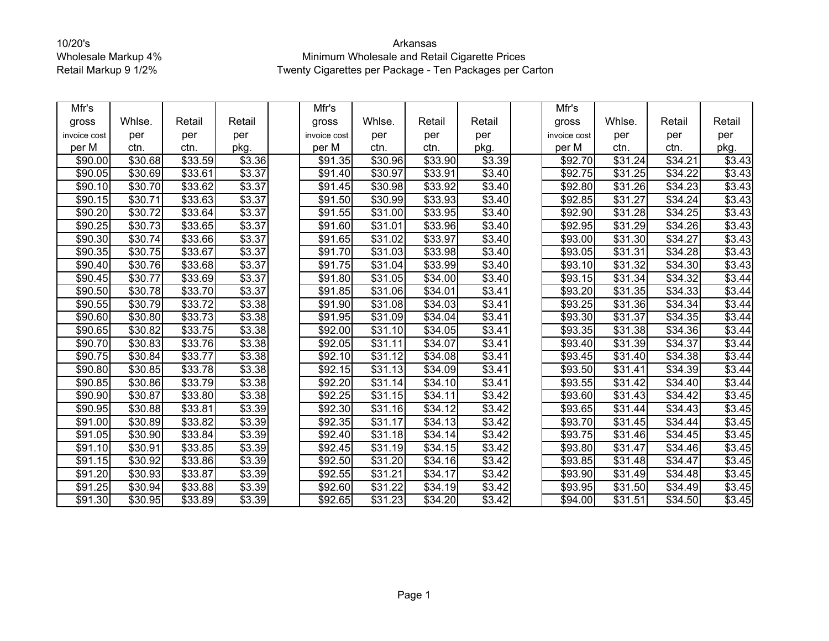| Mfr's               |                     |                     |        | Mfr's        |                     |                     |                | Mfr's        |                     |                     |                    |
|---------------------|---------------------|---------------------|--------|--------------|---------------------|---------------------|----------------|--------------|---------------------|---------------------|--------------------|
| gross               | Whlse.              | Retail              | Retail | gross        | Whlse.              | Retail              | Retail         | gross        | Whlse.              | Retail              | Retail             |
| invoice cost        | per                 | per                 | per    | invoice cost | per                 | per                 | per            | invoice cost | per                 | per                 | per                |
| per M               | ctn.                | ctn.                | pkg.   | per M        | ctn.                | ctn.                | pkg.           | per M        | ctn.                | ctn.                | pkg.               |
| \$90.00             | \$30.68             | \$33.59             | \$3.36 | \$91.35      | \$30.96             | \$33.90             | \$3.39         | \$92.70      | \$31.24             | \$34.21             | \$3.43             |
| \$90.05             | \$30.69             | \$33.61             | \$3.37 | \$91.40      | \$30.97             | \$33.91             | $\sqrt{$3.40}$ | \$92.75      | \$31.25             | \$34.22             | \$3.43             |
| \$90.10             | \$30.70             | \$33.62             | \$3.37 | \$91.45      | \$30.98             | \$33.92             | \$3.40         | \$92.80      | $\overline{$}31.26$ | $\sqrt{$34.23}$     | \$3.43             |
| \$90.15             | \$30.71             | \$33.63             | \$3.37 | \$91.50      | \$30.99             | \$33.93             | \$3.40         | \$92.85      | \$31.27             | \$34.24             | \$3.43             |
| \$90.20             | \$30.72             | \$33.64             | \$3.37 | \$91.55      | \$31.00             | \$33.95             | \$3.40         | \$92.90      | \$31.28             | $\overline{$34.25}$ | \$3.43             |
| \$90.25             | $\overline{$30.73}$ | \$33.65             | \$3.37 | \$91.60      | $\overline{$}31.01$ | \$33.96             | \$3.40         | \$92.95      | $\overline{$}31.29$ | \$34.26             | \$3.43             |
| \$90.30             | \$30.74             | \$33.66             | \$3.37 | \$91.65      | \$31.02             | \$33.97             | $\sqrt{$3.40}$ | \$93.00      | \$31.30             | \$34.27             | \$3.43             |
| \$90.35             | \$30.75             | \$33.67             | \$3.37 | \$91.70      | \$31.03             | \$33.98             | \$3.40         | \$93.05      | $\overline{$}31.31$ | \$34.28             | \$3.43             |
| \$90.40             | \$30.76             | \$33.68             | \$3.37 | \$91.75      | \$31.04             | \$33.99             | \$3.40         | \$93.10      | \$31.32             | \$34.30             | \$3.43             |
| \$90.45             | \$30.77             | \$33.69             | \$3.37 | \$91.80      | \$31.05             | \$34.00             | \$3.40         | \$93.15      | $\overline{$31.34}$ | $\sqrt{$34.32}$     | \$3.44             |
| \$90.50             | \$30.78             | \$33.70             | \$3.37 | \$91.85      | \$31.06             | \$34.01             | \$3.41         | \$93.20      | \$31.35             | \$34.33             | \$3.44             |
| \$90.55             | \$30.79             | \$33.72             | \$3.38 | \$91.90      | $\overline{$31.08}$ | $\sqrt{$34.03}$     | \$3.41         | \$93.25      | \$31.36             | \$34.34             | \$3.44             |
| \$90.60             | \$30.80             | $\overline{$33.73}$ | \$3.38 | \$91.95      | \$31.09             | \$34.04             | \$3.41         | \$93.30      | \$31.37             | \$34.35             | \$3.44             |
| \$90.65             | \$30.82             | \$33.75             | \$3.38 | \$92.00      | \$31.10             | \$34.05             | \$3.41         | \$93.35      | \$31.38             | \$34.36             | $\overline{$}3.44$ |
| \$90.70             | \$30.83             | \$33.76             | \$3.38 | \$92.05      | \$31.11             | \$34.07             | \$3.41         | \$93.40      | \$31.39             | $\overline{$34.37}$ | \$3.44             |
| \$90.75             | \$30.84             | \$33.77             | \$3.38 | \$92.10      | \$31.12             | \$34.08             | \$3.41         | \$93.45      | \$31.40             | \$34.38             | \$3.44             |
| \$90.80             | \$30.85             | \$33.78             | \$3.38 | \$92.15      | \$31.13             | $\sqrt{$34.09}$     | \$3.41         | \$93.50      | \$31.41             | $\sqrt{$34.39}$     | \$3.44             |
| \$90.85             | \$30.86             | \$33.79             | \$3.38 | \$92.20      | $\overline{$}31.14$ | \$34.10             | \$3.41         | \$93.55      | $\overline{$}31.42$ | $\overline{$}34.40$ | \$3.44             |
| \$90.90             | \$30.87             | \$33.80             | \$3.38 | \$92.25      | \$31.15             | \$34.11             | \$3.42         | \$93.60      | \$31.43             | \$34.42             | \$3.45             |
| \$90.95             | \$30.88             | \$33.81             | \$3.39 | \$92.30      | \$31.16             | \$34.12             | \$3.42         | \$93.65      | \$31.44             | \$34.43             | \$3.45             |
| \$91.00             | \$30.89             | \$33.82             | \$3.39 | \$92.35      | \$31.17             | \$34.13             | \$3.42         | \$93.70      | \$31.45             | \$34.44             | \$3.45             |
| \$91.05             | \$30.90             | \$33.84             | \$3.39 | \$92.40      | \$31.18             | $\overline{$}34.14$ | \$3.42         | \$93.75      | \$31.46             | $\sqrt{$34.45}$     | \$3.45             |
| \$91.10             | \$30.91             | \$33.85             | \$3.39 | \$92.45      | $\overline{$}31.19$ | \$34.15             | \$3.42         | \$93.80      | \$31.47             | \$34.46             | \$3.45             |
| \$91.15             | \$30.92             | \$33.86             | \$3.39 | \$92.50      | \$31.20             | \$34.16             | \$3.42         | \$93.85      | \$31.48             | \$34.47             | \$3.45             |
| \$91.20             | \$30.93             | \$33.87             | \$3.39 | \$92.55      | $\overline{$}31.21$ | \$34.17             | $\sqrt{$3.42}$ | \$93.90      | \$31.49             | \$34.48             | \$3.45             |
| \$91.25             | \$30.94             | \$33.88             | \$3.39 | \$92.60      | \$31.22             | \$34.19             | \$3.42         | \$93.95      | \$31.50             | \$34.49             | \$3.45             |
| $\overline{$91.30}$ | $\overline{$}30.95$ | \$33.89             | \$3.39 | \$92.65      | $\overline{$}31.23$ | $\sqrt{$34.20}$     | \$3.42         | \$94.00      | \$31.51             | \$34.50             | \$3.45             |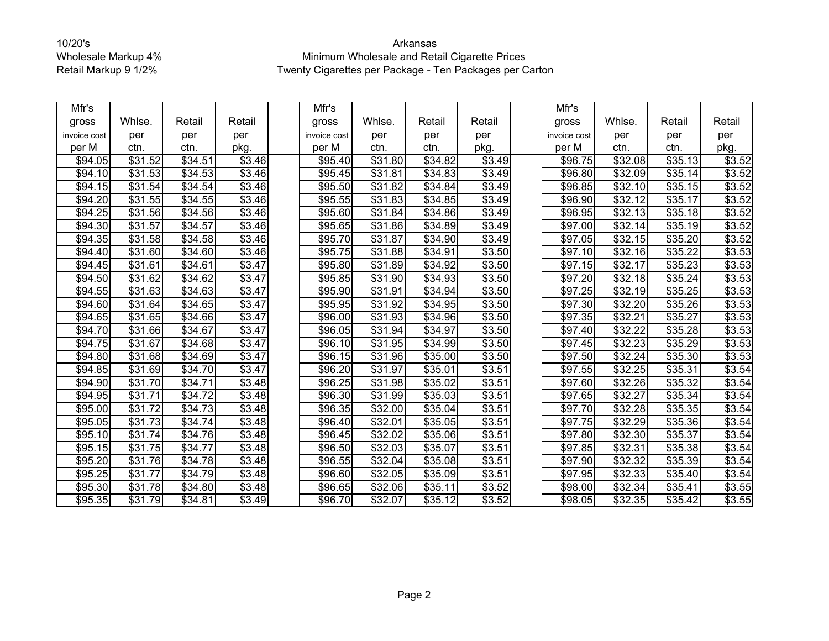| Mfr's        |                     |         |                    | Mfr's        |                     |                     |                    | Mfr's        |                     |                     |        |
|--------------|---------------------|---------|--------------------|--------------|---------------------|---------------------|--------------------|--------------|---------------------|---------------------|--------|
| gross        | Whlse.              | Retail  | Retail             | gross        | Whlse.              | Retail              | Retail             | gross        | Whlse.              | Retail              | Retail |
| invoice cost | per                 | per     | per                | invoice cost | per                 | per                 | per                | invoice cost | per                 | per                 | per    |
| per M        | ctn.                | ctn.    | pkg.               | per M        | ctn.                | ctn.                | pkg.               | per M        | ctn.                | ctn.                | pkg.   |
| \$94.05      | \$31.52             | \$34.51 | \$3.46             | \$95.40      | \$31.80             | \$34.82             | \$3.49             | \$96.75      | \$32.08             | \$35.13             | \$3.52 |
| \$94.10      | \$31.53             | \$34.53 | \$3.46             | \$95.45      | \$31.81             | \$34.83             | \$3.49             | \$96.80      | \$32.09             | \$35.14             | \$3.52 |
| \$94.15      | \$31.54             | \$34.54 | \$3.46             | \$95.50      | $\overline{$}31.82$ | $\overline{$34.84}$ | \$3.49             | \$96.85      | \$32.10             | $\overline{$}35.15$ | \$3.52 |
| \$94.20      | \$31.55             | \$34.55 | \$3.46             | \$95.55      | \$31.83             | \$34.85             | \$3.49             | \$96.90      | \$32.12             | \$35.17             | \$3.52 |
| \$94.25      | \$31.56             | \$34.56 | \$3.46             | \$95.60      | \$31.84             | $\overline{$34.86}$ | \$3.49             | \$96.95      | \$32.13             | \$35.18             | \$3.52 |
| \$94.30      | $\overline{$}31.57$ | \$34.57 | \$3.46             | \$95.65      | $\overline{$}31.86$ | \$34.89             | \$3.49             | \$97.00      | \$32.14             | \$35.19             | \$3.52 |
| \$94.35      | $\overline{$}31.58$ | \$34.58 | \$3.46             | \$95.70      | \$31.87             | \$34.90             | \$3.49             | \$97.05      | \$32.15             | \$35.20             | \$3.52 |
| \$94.40      | \$31.60             | \$34.60 | \$3.46             | \$95.75      | \$31.88             | \$34.91             | $\overline{$3.50}$ | \$97.10      | \$32.16             | \$35.22             | \$3.53 |
| \$94.45      | \$31.61             | \$34.61 | \$3.47             | \$95.80      | \$31.89             | \$34.92             | \$3.50             | \$97.15      | \$32.17             | \$35.23             | \$3.53 |
| \$94.50      | \$31.62             | \$34.62 | \$3.47             | \$95.85      | \$31.90             | $\overline{$34.93}$ | \$3.50             | \$97.20      | \$32.18             | \$35.24             | \$3.53 |
| \$94.55      | \$31.63             | \$34.63 | \$3.47             | \$95.90      | \$31.91             | \$34.94             | \$3.50             | \$97.25      | \$32.19             | \$35.25             | \$3.53 |
| \$94.60      | $\overline{$31.64}$ | \$34.65 | \$3.47             | \$95.95      | \$31.92             | $\overline{$34.95}$ | \$3.50             | \$97.30      | \$32.20             | \$35.26             | \$3.53 |
| \$94.65      | $\overline{$}31.65$ | \$34.66 | \$3.47             | \$96.00      | \$31.93             | \$34.96             | \$3.50             | \$97.35      | \$32.21             | $\overline{$35.27}$ | \$3.53 |
| \$94.70      | \$31.66             | \$34.67 | \$3.47             | \$96.05      | \$31.94             | \$34.97             | \$3.50             | \$97.40      | \$32.22             | \$35.28             | \$3.53 |
| \$94.75      | \$31.67             | \$34.68 | \$3.47             | \$96.10      | \$31.95             | \$34.99             | \$3.50             | \$97.45      | \$32.23             | \$35.29             | \$3.53 |
| \$94.80      | \$31.68             | \$34.69 | \$3.47             | \$96.15      | \$31.96             | $\overline{$}35.00$ | \$3.50             | \$97.50      | \$32.24             | \$35.30             | \$3.53 |
| \$94.85      | $\overline{$31.69}$ | \$34.70 | \$3.47             | \$96.20      | $\overline{$31.97}$ | \$35.01             | \$3.51             | \$97.55      | \$32.25             | \$35.31             | \$3.54 |
| \$94.90      | \$31.70             | \$34.71 | \$3.48             | \$96.25      | \$31.98             | \$35.02             | \$3.51             | \$97.60      | \$32.26             | \$35.32             | \$3.54 |
| \$94.95      | \$31.71             | \$34.72 | \$3.48             | \$96.30      | \$31.99             | \$35.03             | \$3.51             | \$97.65      | \$32.27             | \$35.34             | \$3.54 |
| \$95.00      | $\overline{$}31.72$ | 34.73   | \$3.48             | \$96.35      | \$32.00             | \$35.04             | \$3.51             | \$97.70      | \$32.28             | 35.35               | \$3.54 |
| \$95.05      | \$31.73             | \$34.74 | \$3.48             | \$96.40      | \$32.01             | \$35.05             | \$3.51             | \$97.75      | \$32.29             | \$35.36             | \$3.54 |
| \$95.10      | \$31.74             | \$34.76 | \$3.48             | \$96.45      | \$32.02             | \$35.06             | \$3.51             | \$97.80      | $\overline{$}32.30$ | \$35.37             | \$3.54 |
| \$95.15      | \$31.75             | \$34.77 | \$3.48             | \$96.50      | \$32.03             | \$35.07             | \$3.51             | \$97.85      | \$32.31             | \$35.38             | \$3.54 |
| \$95.20      | \$31.76             | \$34.78 | $\overline{$}3.48$ | \$96.55      | \$32.04             | \$35.08             | \$3.51             | \$97.90      | \$32.32             | \$35.39             | \$3.54 |
| \$95.25      | $\overline{$}31.77$ | \$34.79 | \$3.48             | \$96.60      | \$32.05             | \$35.09             | \$3.51             | \$97.95      | \$32.33             | \$35.40             | \$3.54 |
| \$95.30      | \$31.78             | \$34.80 | \$3.48             | \$96.65      | \$32.06             | \$35.11             | \$3.52             | \$98.00      | \$32.34             | \$35.41             | \$3.55 |
| \$95.35      | \$31.79             | \$34.81 | \$3.49             | \$96.70      | \$32.07             | $\overline{$35.12}$ | \$3.52             | \$98.05      | \$32.35             | \$35.42             | \$3.55 |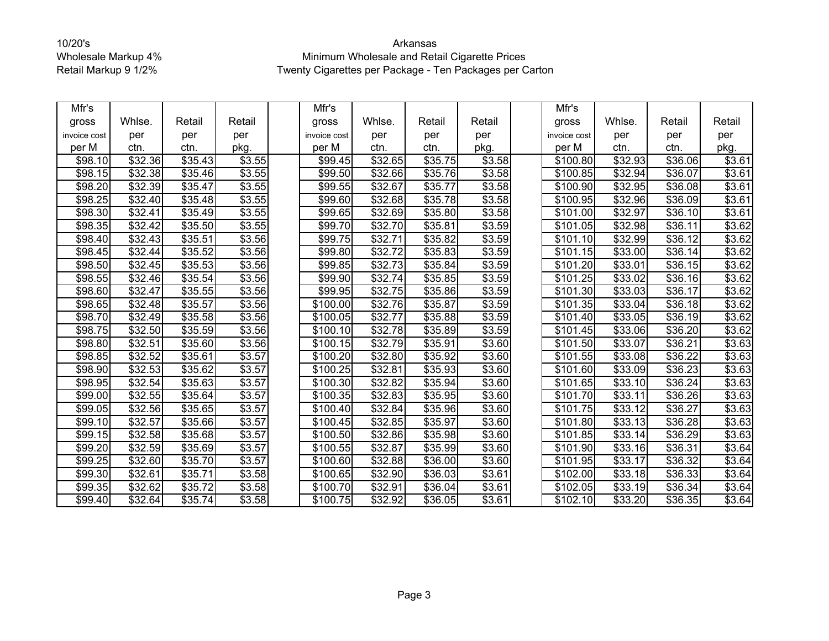| Mfr's        |                     |                     |                    | Mfr's        |                     |                     |        | Mfr's                |         |                     |        |
|--------------|---------------------|---------------------|--------------------|--------------|---------------------|---------------------|--------|----------------------|---------|---------------------|--------|
| gross        | Whlse.              | Retail              | Retail             | gross        | Whlse.              | Retail              | Retail | gross                | Whlse.  | Retail              | Retail |
| invoice cost | per                 | per                 | per                | invoice cost | per                 | per                 | per    | invoice cost         | per     | per                 | per    |
| per M        | ctn.                | ctn.                | pkg.               | per M        | ctn.                | ctn.                | pkg.   | per M                | ctn.    | ctn.                | pkg.   |
| \$98.10      | \$32.36             | \$35.43             | \$3.55             | \$99.45      | \$32.65             | \$35.75             | \$3.58 | \$100.80             | \$32.93 | \$36.06             | \$3.61 |
| \$98.15      | \$32.38             | $\overline{$}35.46$ | \$3.55             | \$99.50      | \$32.66             | \$35.76             | \$3.58 | \$100.85             | \$32.94 | \$36.07             | \$3.61 |
| \$98.20      | \$32.39             | \$35.47             | \$3.55             | \$99.55      | \$32.67             | \$35.77             | \$3.58 | $\sqrt{$100.90}$     | \$32.95 | 36.08               | \$3.61 |
| \$98.25      | $\overline{$}32.40$ | \$35.48             | \$3.55             | \$99.60      | \$32.68             | \$35.78             | \$3.58 | \$100.95             | \$32.96 | \$36.09             | \$3.61 |
| \$98.30      | \$32.41             | \$35.49             | \$3.55             | \$99.65      | \$32.69             | \$35.80             | \$3.58 | \$101.00             | \$32.97 | $\overline{$}36.10$ | \$3.61 |
| \$98.35      | \$32.42             | \$35.50             | \$3.55             | \$99.70      | \$32.70             | \$35.81             | \$3.59 | \$101.05             | \$32.98 | \$36.11             | \$3.62 |
| \$98.40      | \$32.43             | $\overline{$}35.51$ | \$3.56             | \$99.75      | \$32.71             | \$35.82             | \$3.59 | \$101.10             | \$32.99 | \$36.12             | \$3.62 |
| \$98.45      | $\sqrt{$32.44}$     | \$35.52             | \$3.56             | \$99.80      | \$32.72             | $\overline{$}35.83$ | \$3.59 | \$101.15             | \$33.00 | \$36.14             | \$3.62 |
| \$98.50      | \$32.45             | \$35.53             | \$3.56             | \$99.85      | \$32.73             | \$35.84             | \$3.59 | \$101.20             | \$33.01 | \$36.15             | \$3.62 |
| \$98.55      | \$32.46             | \$35.54             | \$3.56             | \$99.90      | \$32.74             | \$35.85             | \$3.59 | \$101.25             | \$33.02 | \$36.16             | \$3.62 |
| \$98.60      | \$32.47             | \$35.55             | \$3.56             | \$99.95      | \$32.75             | \$35.86             | \$3.59 | \$101.30             | \$33.03 | \$36.17             | \$3.62 |
| \$98.65      | \$32.48             | \$35.57             | \$3.56             | \$100.00     | $\overline{$32.76}$ | \$35.87             | \$3.59 | \$101.35             | \$33.04 | \$36.18             | \$3.62 |
| \$98.70      | \$32.49             | \$35.58             | \$3.56             | \$100.05     | \$32.77             | 35.88               | 3.59   | \$101.40             | \$33.05 | 36.19               | \$3.62 |
| \$98.75      | \$32.50             | \$35.59             | \$3.56             | \$100.10     | \$32.78             | \$35.89             | \$3.59 | \$101.45             | \$33.06 | \$36.20             | \$3.62 |
| \$98.80      | \$32.51             | \$35.60             | \$3.56             | \$100.15     | \$32.79             | \$35.91             | \$3.60 | \$101.50             | \$33.07 | \$36.21             | \$3.63 |
| \$98.85      | 32.52               | \$35.61             | \$3.57             | \$100.20     | $\overline{$32.80}$ | \$35.92             | \$3.60 | \$101.55             | \$33.08 | \$36.22             | \$3.63 |
| \$98.90      | \$32.53             | \$35.62             | \$3.57             | \$100.25     | \$32.81             | \$35.93             | \$3.60 | $\overline{$}101.60$ | \$33.09 | \$36.23             | \$3.63 |
| \$98.95      | \$32.54             | \$35.63             | $\overline{$3.57}$ | \$100.30     | \$32.82             | 35.94               | \$3.60 | \$101.65             | \$33.10 | \$36.24             | \$3.63 |
| \$99.00      | \$32.55             | \$35.64             | \$3.57             | \$100.35     | \$32.83             | \$35.95             | \$3.60 | \$101.70             | \$33.11 | \$36.26             | \$3.63 |
| \$99.05      | \$32.56             | \$35.65             | \$3.57             | \$100.40     | \$32.84             | \$35.96             | \$3.60 | \$101.75             | \$33.12 | \$36.27             | \$3.63 |
| \$99.10      | \$32.57             | \$35.66             | \$3.57             | \$100.45     | \$32.85             | \$35.97             | \$3.60 | \$101.80             | \$33.13 | \$36.28             | \$3.63 |
| \$99.15      | \$32.58             | \$35.68             | \$3.57             | \$100.50     | \$32.86             | \$35.98             | \$3.60 | \$101.85             | \$33.14 | \$36.29             | \$3.63 |
| \$99.20      | \$32.59             | \$35.69             | $\overline{$}3.57$ | \$100.55     | \$32.87             | \$35.99             | \$3.60 | \$101.90             | \$33.16 | \$36.31             | \$3.64 |
| \$99.25      | \$32.60             | \$35.70             | \$3.57             | \$100.60     | \$32.88             | \$36.00             | \$3.60 | \$101.95             | \$33.17 | \$36.32             | \$3.64 |
| \$99.30      | \$32.61             | \$35.71             | \$3.58             | \$100.65     | \$32.90             | \$36.03             | \$3.61 | \$102.00             | \$33.18 | \$36.33             | \$3.64 |
| \$99.35      | \$32.62             | \$35.72             | \$3.58             | \$100.70     | \$32.91             | \$36.04             | \$3.61 | \$102.05             | \$33.19 | \$36.34             | \$3.64 |
| \$99.40      | \$32.64             | \$35.74             | \$3.58             | \$100.75     | \$32.92             | \$36.05             | \$3.61 | \$102.10             | \$33.20 | \$36.35             | \$3.64 |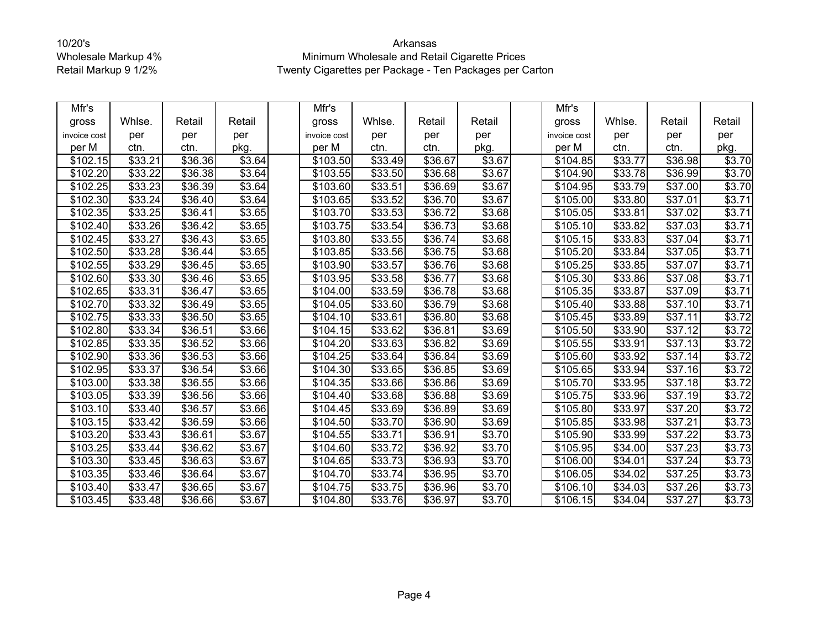| Mfr's        |                     |                     |                    | Mfr's                |                     |         |                    | Mfr's                |         |                     |                |
|--------------|---------------------|---------------------|--------------------|----------------------|---------------------|---------|--------------------|----------------------|---------|---------------------|----------------|
| gross        | Whlse.              | Retail              | Retail             | gross                | Whlse.              | Retail  | Retail             | gross                | Whlse.  | Retail              | Retail         |
| invoice cost | per                 | per                 | per                | invoice cost         | per                 | per     | per                | invoice cost         | per     | per                 | per            |
| per M        | ctn.                | ctn.                | pkg.               | per M                | ctn.                | ctn.    | pkg.               | per M                | ctn.    | ctn.                | pkg.           |
| \$102.15     | \$33.21             | \$36.36             | \$3.64             | \$103.50             | \$33.49             | \$36.67 | \$3.67             | \$104.85             | \$33.77 | \$36.98             | \$3.70         |
| \$102.20     | \$33.22             | \$36.38             | \$3.64             | \$103.55             | $\overline{$}33.50$ | \$36.68 | \$3.67             | \$104.90             | \$33.78 | \$36.99             | \$3.70         |
| \$102.25     | \$33.23             | \$36.39             | \$3.64             | \$103.60             | \$33.51             | \$36.69 | \$3.67             | $\overline{$}104.95$ | \$33.79 | \$37.00             | \$3.70         |
| \$102.30     | \$33.24             | \$36.40             | \$3.64             | \$103.65             | \$33.52             | \$36.70 | \$3.67             | \$105.00             | \$33.80 | \$37.01             | \$3.71         |
| \$102.35     | \$33.25             | \$36.41             | \$3.65             | \$103.70             | \$33.53             | \$36.72 | $\overline{$3.68}$ | \$105.05             | \$33.81 | \$37.02             | \$3.71         |
| \$102.40     | $\overline{$}33.26$ | \$36.42             | \$3.65             | \$103.75             | \$33.54             | \$36.73 | \$3.68             | \$105.10             | \$33.82 | \$37.03             | \$3.71         |
| \$102.45     | \$33.27             | \$36.43             | \$3.65             | \$103.80             | \$33.55             | \$36.74 | \$3.68             | \$105.15             | \$33.83 | \$37.04             | \$3.71         |
| \$102.50     | \$33.28             | \$36.44             | \$3.65             | \$103.85             | \$33.56             | \$36.75 | \$3.68             | \$105.20             | \$33.84 | \$37.05             | \$3.71         |
| \$102.55     | \$33.29             | \$36.45             | \$3.65             | \$103.90             | \$33.57             | \$36.76 | \$3.68             | \$105.25             | \$33.85 | \$37.07             | \$3.71         |
| \$102.60     | \$33.30             | \$36.46             | \$3.65             | \$103.95             | \$33.58             | \$36.77 | \$3.68             | \$105.30             | \$33.86 | \$37.08             | \$3.71         |
| \$102.65     | \$33.31             | \$36.47             | \$3.65             | \$104.00             | \$33.59             | \$36.78 | \$3.68             | \$105.35             | \$33.87 | \$37.09             | \$3.71         |
| \$102.70     | \$33.32             | \$36.49             | \$3.65             | \$104.05             | \$33.60             | \$36.79 | \$3.68             | \$105.40             | \$33.88 | \$37.10             | \$3.71         |
| \$102.75     | $\overline{$}33.33$ | \$36.50             | \$3.65             | \$104.10             | \$33.61             | \$36.80 | \$3.68             | \$105.45             | \$33.89 | \$37.11             | \$3.72         |
| \$102.80     | \$33.34             | \$36.51             | \$3.66             | \$104.15             | \$33.62             | \$36.81 | \$3.69             | \$105.50             | \$33.90 | \$37.12             | $\sqrt{$3.72}$ |
| \$102.85     | \$33.35             | \$36.52             | \$3.66             | \$104.20             | \$33.63             | \$36.82 | \$3.69             | \$105.55             | \$33.91 | $\overline{$37.13}$ | \$3.72         |
| \$102.90     | \$33.36             | \$36.53             | \$3.66             | \$104.25             | \$33.64             | \$36.84 | \$3.69             | \$105.60             | \$33.92 | \$37.14             | \$3.72         |
| \$102.95     | \$33.37             | \$36.54             | \$3.66             | \$104.30             | \$33.65             | \$36.85 | \$3.69             | \$105.65             | \$33.94 | 37.16               | \$3.72         |
| \$103.00     | \$33.38             | \$36.55             | \$3.66             | \$104.35             | \$33.66             | \$36.86 | \$3.69             | \$105.70             | \$33.95 | \$37.18             | \$3.72         |
| \$103.05     | \$33.39             | \$36.56             | \$3.66             | \$104.40             | \$33.68             | \$36.88 | \$3.69             | \$105.75             | \$33.96 | \$37.19             | \$3.72         |
| \$103.10     | \$33.40             | $\overline{$}36.57$ | \$3.66             | $\overline{$}104.45$ | \$33.69             | \$36.89 | \$3.69             | \$105.80             | \$33.97 | \$37.20             | \$3.72         |
| \$103.15     | \$33.42             | \$36.59             | \$3.66             | \$104.50             | \$33.70             | \$36.90 | \$3.69             | \$105.85             | \$33.98 | \$37.21             | \$3.73         |
| \$103.20     | \$33.43             | \$36.61             | \$3.67             | \$104.55             | \$33.71             | \$36.91 | \$3.70             | \$105.90             | \$33.99 | \$37.22             | \$3.73         |
| \$103.25     | $\overline{$}33.44$ | \$36.62             | \$3.67             | \$104.60             | \$33.72             | \$36.92 | \$3.70             | \$105.95             | \$34.00 | \$37.23             | \$3.73         |
| \$103.30     | \$33.45             | \$36.63             | \$3.67             | \$104.65             | \$33.73             | \$36.93 | \$3.70             | \$106.00             | \$34.01 | \$37.24             | \$3.73         |
| \$103.35     | \$33.46             | \$36.64             | $\overline{$}3.67$ | \$104.70             | \$33.74             | \$36.95 | \$3.70             | \$106.05             | \$34.02 | \$37.25             | \$3.73         |
| \$103.40     | \$33.47             | \$36.65             | \$3.67             | \$104.75             | \$33.75             | \$36.96 | \$3.70             | \$106.10             | \$34.03 | \$37.26             | \$3.73         |
| \$103.45     | \$33.48             | \$36.66             | \$3.67             | \$104.80             | \$33.76             | \$36.97 | \$3.70             | \$106.15             | \$34.04 | $\overline{$}37.27$ | \$3.73         |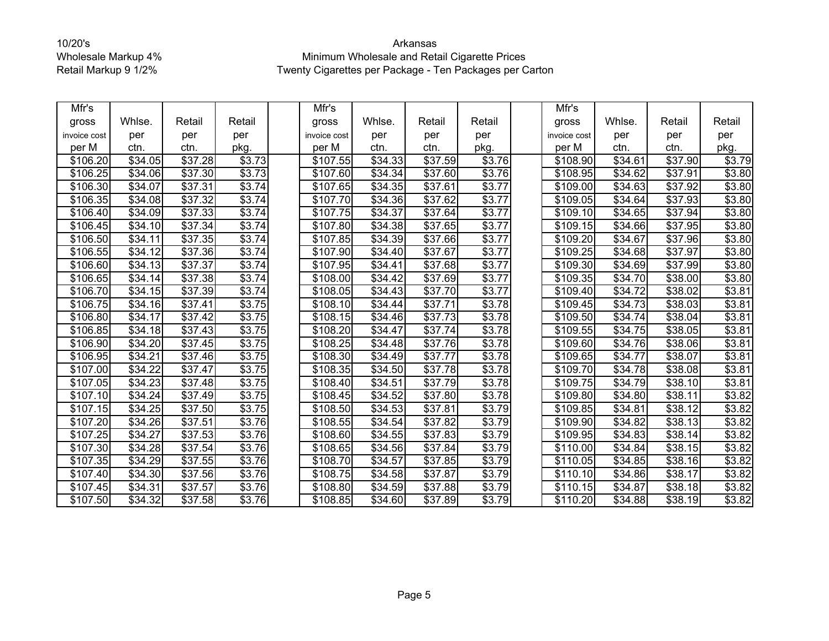| Mfr's        |                     |                     |                    | Mfr's                |         |                     |                    | Mfr's                |                 |                     |                    |
|--------------|---------------------|---------------------|--------------------|----------------------|---------|---------------------|--------------------|----------------------|-----------------|---------------------|--------------------|
| gross        | Whlse.              | Retail              | Retail             | gross                | Whlse.  | Retail              | Retail             | gross                | Whlse.          | Retail              | Retail             |
| invoice cost | per                 | per                 | per                | invoice cost         | per     | per                 | per                | invoice cost         | per             | per                 | per                |
| per M        | ctn.                | ctn.                | pkg.               | per M                | ctn.    | ctn.                | pkg.               | per M                | ctn.            | ctn.                | pkg.               |
| \$106.20     | \$34.05             | \$37.28             | \$3.73             | \$107.55             | \$34.33 | \$37.59             | \$3.76             | \$108.90             | \$34.61         | \$37.90             | \$3.79             |
| \$106.25     | \$34.06             | \$37.30             | \$3.73             | \$107.60             | \$34.34 | \$37.60             | \$3.76             | \$108.95             | \$34.62         | \$37.91             | \$3.80             |
| \$106.30     | \$34.07             | \$37.31             | \$3.74             | \$107.65             | \$34.35 | $\overline{$}37.61$ | \$3.77             | \$109.00             | \$34.63         | \$37.92             | \$3.80             |
| \$106.35     | \$34.08             | \$37.32             | \$3.74             | \$107.70             | \$34.36 | \$37.62             | \$3.77             | \$109.05             | \$34.64         | \$37.93             | \$3.80             |
| \$106.40     | \$34.09             | \$37.33             | \$3.74             | \$107.75             | \$34.37 | \$37.64             | \$3.77             | \$109.10             | \$34.65         | \$37.94             | \$3.80             |
| \$106.45     | \$34.10             | \$37.34             | \$3.74             | \$107.80             | \$34.38 | \$37.65             | \$3.77             | \$109.15             | \$34.66         | \$37.95             | \$3.80             |
| \$106.50     | \$34.11             | $\overline{$}37.35$ | \$3.74             | \$107.85             | \$34.39 | \$37.66             | \$3.77             | $\sqrt{$109.20}$     | \$34.67         | \$37.96             | \$3.80             |
| \$106.55     | \$34.12             | $\overline{$}37.36$ | \$3.74             | \$107.90             | \$34.40 | \$37.67             | \$3.77             | \$109.25             | \$34.68         | $\overline{$}37.97$ | \$3.80             |
| \$106.60     | \$34.13             | \$37.37             | \$3.74             | \$107.95             | \$34.41 | \$37.68             | \$3.77             | \$109.30             | \$34.69         | \$37.99             | \$3.80             |
| \$106.65     | \$34.14             | \$37.38             | \$3.74             | \$108.00             | \$34.42 | \$37.69             | \$3.77             | \$109.35             | \$34.70         | \$38.00             | \$3.80             |
| \$106.70     | \$34.15             | \$37.39             | \$3.74             | \$108.05             | \$34.43 | \$37.70             | \$3.77             | \$109.40             | \$34.72         | \$38.02             | \$3.81             |
| \$106.75     | \$34.16             | \$37.41             | \$3.75             | \$108.10             | \$34.44 | $\overline{$}37.71$ | \$3.78             | \$109.45             | \$34.73         | \$38.03             | \$3.81             |
| \$106.80     | \$34.17             | \$37.42             | \$3.75             | $\overline{$}108.15$ | \$34.46 | \$37.73             | \$3.78             | $\overline{$}109.50$ | \$34.74         | \$38.04             | \$3.81             |
| \$106.85     | \$34.18             | \$37.43             | \$3.75             | \$108.20             | \$34.47 | \$37.74             | \$3.78             | \$109.55             | \$34.75         | \$38.05             | \$3.81             |
| \$106.90     | \$34.20             | \$37.45             | \$3.75             | \$108.25             | \$34.48 | $\overline{$}37.76$ | \$3.78             | \$109.60             | \$34.76         | \$38.06             | \$3.81             |
| \$106.95     | \$34.21             | \$37.46             | \$3.75             | \$108.30             | \$34.49 | \$37.77             | \$3.78             | \$109.65             | \$34.77         | \$38.07             | \$3.81             |
| \$107.00     | \$34.22             | \$37.47             | \$3.75             | \$108.35             | \$34.50 | \$37.78             | \$3.78             | \$109.70             | \$34.78         | \$38.08             | \$3.81             |
| \$107.05     | $\overline{$}34.23$ | \$37.48             | $\overline{$}3.75$ | \$108.40             | \$34.51 | \$37.79             | $\overline{$}3.78$ | \$109.75             | \$34.79         | \$38.10             | \$3.81             |
| \$107.10     | \$34.24             | \$37.49             | \$3.75             | \$108.45             | \$34.52 | \$37.80             | \$3.78             | \$109.80             | \$34.80         | \$38.11             | \$3.82             |
| \$107.15     | \$34.25             | \$37.50             | \$3.75             | \$108.50             | \$34.53 | \$37.81             | \$3.79             | \$109.85             | \$34.81         | 38.12               | \$3.82             |
| \$107.20     | \$34.26             | \$37.51             | \$3.76             | \$108.55             | \$34.54 | $\overline{$}37.82$ | \$3.79             | \$109.90             | \$34.82         | \$38.13             | \$3.82             |
| \$107.25     | \$34.27             | \$37.53             | \$3.76             | \$108.60             | \$34.55 | \$37.83             | \$3.79             | \$109.95             | \$34.83         | \$38.14             | \$3.82             |
| \$107.30     | $\sqrt{$34.28}$     | \$37.54             | \$3.76             | \$108.65             | \$34.56 | \$37.84             | \$3.79             | \$110.00             | \$34.84         | \$38.15             | \$3.82             |
| \$107.35     | \$34.29             | \$37.55             | \$3.76             | \$108.70             | \$34.57 | \$37.85             | \$3.79             | \$110.05             | \$34.85         | \$38.16             | \$3.82             |
| \$107.40     | \$34.30             | $\overline{$37.56}$ | \$3.76             | $\overline{$}108.75$ | \$34.58 | \$37.87             | \$3.79             | $\overline{$}110.10$ | $\sqrt{$34.86}$ | \$38.17             | \$3.82             |
| \$107.45     | \$34.31             | \$37.57             | \$3.76             | \$108.80             | \$34.59 | \$37.88             | \$3.79             | \$110.15             | \$34.87         | \$38.18             | $\overline{$}3.82$ |
| \$107.50     | \$34.32             | $\overline{$}37.58$ | \$3.76             | \$108.85             | \$34.60 | $\overline{$37.89}$ | \$3.79             | \$110.20             | \$34.88         | \$38.19             | \$3.82             |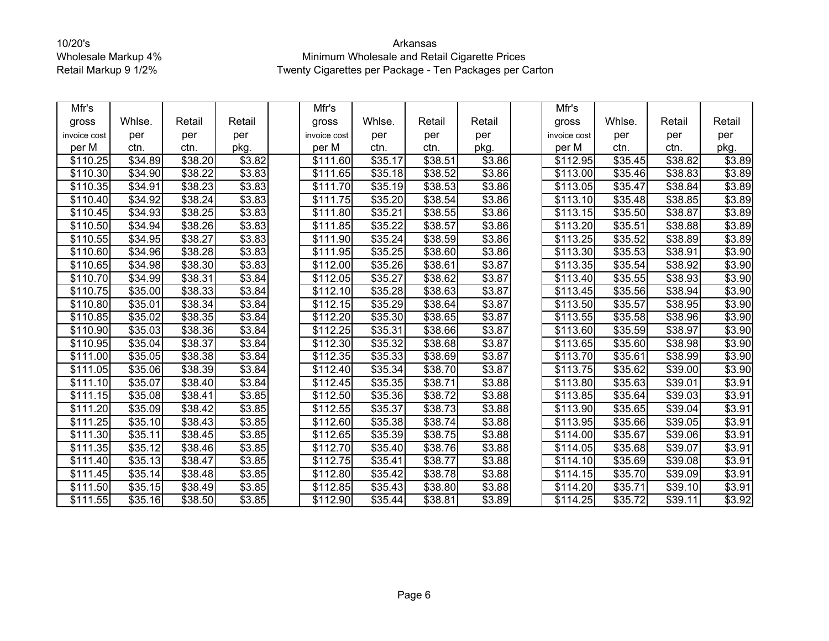| Mfr's        |                     |                     |                    | Mfr's                |         |                     |        | Mfr's                |         |                     |        |
|--------------|---------------------|---------------------|--------------------|----------------------|---------|---------------------|--------|----------------------|---------|---------------------|--------|
| gross        | Whlse.              | Retail              | Retail             | gross                | Whlse.  | Retail              | Retail | gross                | Whlse.  | Retail              | Retail |
| invoice cost | per                 | per                 | per                | invoice cost         | per     | per                 | per    | invoice cost         | per     | per                 | per    |
| per M        | ctn.                | ctn.                | pkg.               | per M                | ctn.    | ctn.                | pkg.   | per M                | ctn.    | ctn.                | pkg.   |
| \$110.25     | \$34.89             | \$38.20             | \$3.82             | \$111.60             | \$35.17 | \$38.51             | \$3.86 | \$112.95             | \$35.45 | \$38.82             | \$3.89 |
| \$110.30     | \$34.90             | \$38.22             | \$3.83             | $\overline{$}111.65$ | \$35.18 | \$38.52             | \$3.86 | \$113.00             | \$35.46 | \$38.83             | \$3.89 |
| \$110.35     | \$34.91             | \$38.23             | \$3.83             | \$111.70             | \$35.19 | \$38.53             | \$3.86 | \$113.05             | \$35.47 | \$38.84             | \$3.89 |
| \$110.40     | \$34.92             | \$38.24             | \$3.83             | \$111.75             | \$35.20 | \$38.54             | \$3.86 | \$113.10             | \$35.48 | \$38.85             | \$3.89 |
| \$110.45     | \$34.93             | \$38.25             | \$3.83             | \$111.80             | \$35.21 | \$38.55             | \$3.86 | \$113.15             | \$35.50 | \$38.87             | \$3.89 |
| \$110.50     | \$34.94             | \$38.26             | \$3.83             | \$111.85             | \$35.22 | \$38.57             | \$3.86 | \$113.20             | \$35.51 | \$38.88             | \$3.89 |
| \$110.55     | \$34.95             | \$38.27             | \$3.83             | \$111.90             | \$35.24 | \$38.59             | \$3.86 | \$113.25             | \$35.52 | \$38.89             | \$3.89 |
| \$110.60     | $\overline{$}34.96$ | \$38.28             | $\overline{$}3.83$ | \$111.95             | \$35.25 | \$38.60             | \$3.86 | \$113.30             | \$35.53 | \$38.91             | \$3.90 |
| \$110.65     | \$34.98             | \$38.30             | \$3.83             | \$112.00             | \$35.26 | \$38.61             | \$3.87 | \$113.35             | \$35.54 | \$38.92             | \$3.90 |
| \$110.70     | \$34.99             | \$38.31             | \$3.84             | \$112.05             | \$35.27 | \$38.62             | \$3.87 | \$113.40             | \$35.55 | \$38.93             | \$3.90 |
| \$110.75     | \$35.00             | \$38.33             | \$3.84             | \$112.10             | \$35.28 | \$38.63             | \$3.87 | \$113.45             | \$35.56 | \$38.94             | \$3.90 |
| \$110.80     | \$35.01             | \$38.34             | \$3.84             | \$112.15             | \$35.29 | \$38.64             | \$3.87 | \$113.50             | \$35.57 | \$38.95             | \$3.90 |
| \$110.85     | \$35.02             | $\overline{$}38.35$ | \$3.84             | $\overline{$}112.20$ | \$35.30 | $\overline{$}38.65$ | \$3.87 | \$113.55             | \$35.58 | \$38.96             | \$3.90 |
| \$110.90     | \$35.03             | \$38.36             | \$3.84             | \$112.25             | \$35.31 | \$38.66             | \$3.87 | \$113.60             | \$35.59 | \$38.97             | \$3.90 |
| \$110.95     | \$35.04             | \$38.37             | \$3.84             | \$112.30             | \$35.32 | \$38.68             | \$3.87 | $\overline{$113.65}$ | \$35.60 | \$38.98             | \$3.90 |
| \$111.00     | \$35.05             | \$38.38             | \$3.84             | \$112.35             | \$35.33 | \$38.69             | \$3.87 | \$113.70             | \$35.61 | \$38.99             | \$3.90 |
| \$11<br>1.05 | \$35.06             | \$38.39             | \$3.84             | \$112.40             | \$35.34 | \$38.70             | \$3.87 | \$113.75             | \$35.62 | \$39.00             | \$3.90 |
| \$111.10     | \$35.07             | \$38.40             | \$3.84             | \$112.45             | \$35.35 | \$38.71             | \$3.88 | \$113.80             | \$35.63 | \$39.01             | \$3.91 |
| \$111.15     | \$35.08             | \$38.41             | \$3.85             | \$112.50             | \$35.36 | \$38.72             | \$3.88 | \$113.85             | \$35.64 | \$39.03             | \$3.91 |
| \$11<br>1.20 | \$35.09             | \$38.42             | 3.85               | \$112.55             | \$35.37 | $\overline{$38.73}$ | \$3.88 | $\overline{$}113.90$ | \$35.65 | \$39.04             | \$3.91 |
| 1.25<br>\$11 | \$35.10             | \$38.43             | \$3.85             | \$112.60             | \$35.38 | \$38.74             | \$3.88 | \$113.95             | \$35.66 | \$39.05             | \$3.91 |
| \$11<br>1.30 | \$35.11             | \$38.45             | \$3.85             | \$112.65             | \$35.39 | \$38.75             | \$3.88 | $\overline{$}114.00$ | \$35.67 | \$39.06             | \$3.91 |
| 1.35<br>\$11 | \$35.12             | \$38.46             | \$3.85             | \$112.70             | \$35.40 | \$38.76             | \$3.88 | \$114.05             | \$35.68 | \$39.07             | \$3.91 |
| \$11<br>1.40 | \$35.13             | \$38.47             | \$3.85             | \$112.75             | \$35.41 | \$38.77             | \$3.88 | \$114.10             | \$35.69 | $\overline{$}39.08$ | \$3.91 |
| \$111.45     | \$35.14             | \$38.48             | 3.85               | \$112.80             | \$35.42 | \$38.78             | \$3.88 | $\overline{$114.15}$ | \$35.70 | \$39.09             | \$3.91 |
| \$111.50     | \$35.15             | \$38.49             | \$3.85             | \$112.85             | \$35.43 | \$38.80             | \$3.88 | \$114.20             | \$35.71 | \$39.10             | \$3.91 |
| \$111.55     | \$35.16             | \$38.50             | \$3.85             | \$112.90             | \$35.44 | \$38.81             | \$3.89 | \$114.25             | \$35.72 | \$39.11             | \$3.92 |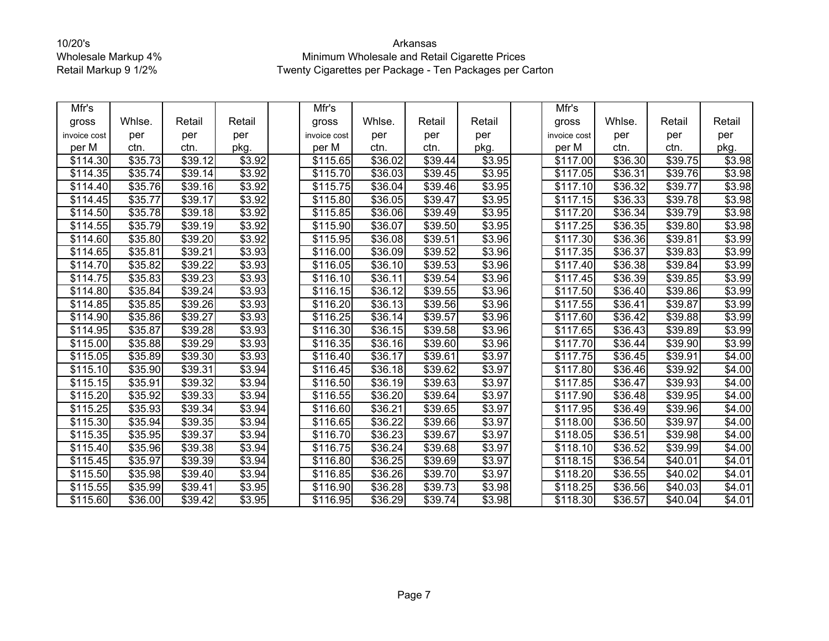| Mfr's        |                     |                     |        | Mfr's                |                     |                     |        | Mfr's                |         |         |        |
|--------------|---------------------|---------------------|--------|----------------------|---------------------|---------------------|--------|----------------------|---------|---------|--------|
| gross        | Whlse.              | Retail              | Retail | gross                | Whlse.              | Retail              | Retail | gross                | Whlse.  | Retail  | Retail |
| invoice cost | per                 | per                 | per    | invoice cost         | per                 | per                 | per    | invoice cost         | per     | per     | per    |
| per M        | ctn.                | ctn.                | pkg.   | per M                | ctn.                | ctn.                | pkg.   | per M                | ctn.    | ctn.    | pkg.   |
| \$114.30     | \$35.73             | \$39.12             | \$3.92 | \$115.65             | \$36.02             | \$39.44             | \$3.95 | \$117.00             | \$36.30 | \$39.75 | \$3.98 |
| \$114.35     | \$35.74             | \$39.14             | \$3.92 | \$115.70             | \$36.03             | \$39.45             | \$3.95 | \$117.05             | \$36.31 | \$39.76 | \$3.98 |
| \$114.40     | \$35.76             | \$39.16             | \$3.92 | \$115.75             | \$36.04             | \$39.46             | \$3.95 | \$117.10             | \$36.32 | \$39.77 | \$3.98 |
| \$114.45     | \$35.77             | \$39.17             | \$3.92 | \$115.80             | \$36.05             | $\overline{$}39.47$ | \$3.95 | $\overline{$}117.15$ | \$36.33 | \$39.78 | \$3.98 |
| \$114.50     | \$35.78             | \$39.18             | \$3.92 | \$115.85             | \$36.06             | \$39.49             | \$3.95 | \$117.20             | \$36.34 | 39.79   | \$3.98 |
| \$114.55     | \$35.79             | \$39.19             | \$3.92 | \$115.90             | \$36.07             | \$39.50             | \$3.95 | \$117.25             | \$36.35 | \$39.80 | \$3.98 |
| \$114.60     | \$35.80             | \$39.20             | \$3.92 | \$115.95             | \$36.08             | \$39.51             | \$3.96 | \$117.30             | \$36.36 | \$39.81 | \$3.99 |
| \$114.65     | \$35.81             | \$39.21             | \$3.93 | \$116.00             | \$36.09             | \$39.52             | \$3.96 | \$117.35             | \$36.37 | \$39.83 | \$3.99 |
| \$114.70     | $\overline{$}35.82$ | \$39.22             | \$3.93 | \$116.05             | \$36.10             | \$39.53             | \$3.96 | \$117.40             | \$36.38 | \$39.84 | \$3.99 |
| \$114.75     | \$35.83             | $\overline{$39.23}$ | \$3.93 | \$116.10             | \$36.11             | \$39.54             | \$3.96 | \$117.45             | \$36.39 | \$39.85 | \$3.99 |
| \$114.80     | \$35.84             | \$39.24             | \$3.93 | \$116.15             | \$36.12             | \$39.55             | \$3.96 | \$117.50             | \$36.40 | \$39.86 | \$3.99 |
| \$114.85     | \$35.85             | \$39.26             | \$3.93 | \$116.20             | $\overline{$36.13}$ | $\overline{$}39.56$ | \$3.96 | \$117.55             | \$36.41 | \$39.87 | \$3.99 |
| \$114.90     | \$35.86             | $\overline{$39.27}$ | \$3.93 | $\overline{$}116.25$ | $\overline{$36.14}$ | \$39.57             | \$3.96 | $\overline{$}117.60$ | \$36.42 | \$39.88 | \$3.99 |
| \$114.95     | \$35.87             | \$39.28             | \$3.93 | \$116.30             | \$36.15             | \$39.58             | \$3.96 | \$117.65             | \$36.43 | \$39.89 | \$3.99 |
| \$115.00     | \$35.88             | \$39.29             | \$3.93 | \$116.35             | \$36.16             | \$39.60             | \$3.96 | \$117.70             | \$36.44 | \$39.90 | \$3.99 |
| \$115.05     | \$35.89             | \$39.30             | \$3.93 | \$116.40             | \$36.17             | \$39.61             | \$3.97 | \$117.75             | \$36.45 | \$39.91 | \$4.00 |
| \$115.10     | \$35.90             | \$39.31             | \$3.94 | \$116.45             | \$36.18             | \$39.62             | \$3.97 | \$117.80             | \$36.46 | \$39.92 | \$4.00 |
| \$115.15     | \$35.91             | \$39.32             | \$3.94 | \$116.50             | \$36.19             | $\overline{$}39.63$ | \$3.97 | \$117.85             | \$36.47 | \$39.93 | \$4.00 |
| \$115.20     | \$35.92             | \$39.33             | \$3.94 | \$116.55             | \$36.20             | \$39.64             | \$3.97 | \$117.90             | \$36.48 | \$39.95 | \$4.00 |
| \$115.25     | \$35.93             | \$39.34             | \$3.94 | \$116.60             | \$36.21             | \$39.65             | \$3.97 | \$117.95             | \$36.49 | \$39.96 | \$4.00 |
| \$115.30     | \$35.94             | \$39.35             | \$3.94 | \$116.65             | \$36.22             | \$39.66             | \$3.97 | \$118.00             | \$36.50 | \$39.97 | \$4.00 |
| \$115.35     | \$35.95             | \$39.37             | \$3.94 | \$116.70             | \$36.23             | \$39.67             | \$3.97 | \$118.05             | \$36.51 | \$39.98 | \$4.00 |
| \$115.40     | \$35.96             | \$39.38             | \$3.94 | \$116.75             | \$36.24             | \$39.68             | \$3.97 | \$118.10             | \$36.52 | \$39.99 | \$4.00 |
| \$115.45     | $\overline{$}35.97$ | \$39.39             | \$3.94 | \$116.80             | \$36.25             | \$39.69             | \$3.97 | \$118.15             | \$36.54 | \$40.01 | \$4.01 |
| \$115.50     | \$35.98             | \$39.40             | \$3.94 | \$116.85             | \$36.26             | \$39.70             | \$3.97 | \$118.20             | \$36.55 | \$40.02 | \$4.01 |
| \$115.55     | \$35.99             | \$39.41             | \$3.95 | \$116.90             | \$36.28             | \$39.73             | \$3.98 | \$118.25             | \$36.56 | \$40.03 | \$4.01 |
| \$115.60     | \$36.00             | \$39.42             | \$3.95 | \$116.95             | \$36.29             | \$39.74             | \$3.98 | \$118.30             | \$36.57 | \$40.04 | \$4.01 |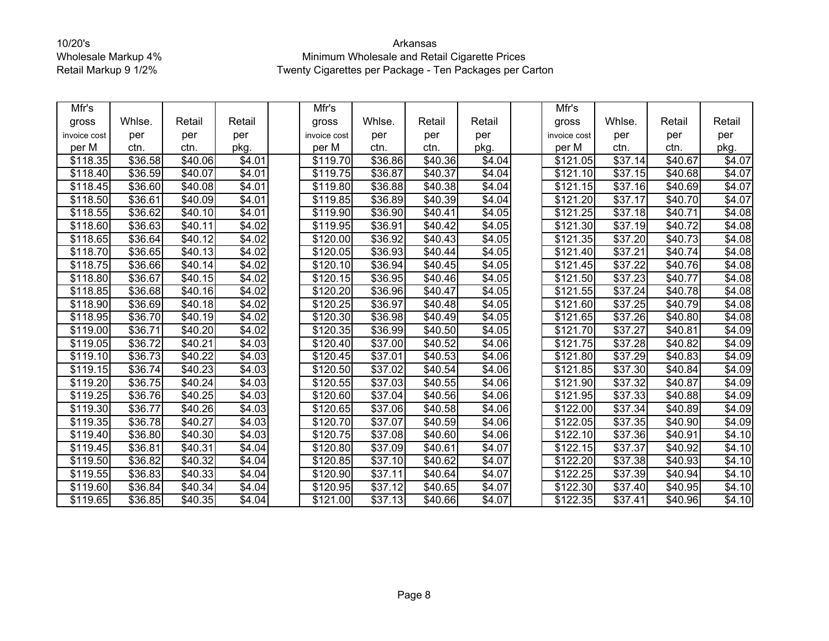| Mfr's        |                     |                     |        | Mfr's                |                     |                     |        | Mfr's                |                     |                 |        |
|--------------|---------------------|---------------------|--------|----------------------|---------------------|---------------------|--------|----------------------|---------------------|-----------------|--------|
| gross        | Whlse.              | Retail              | Retail | gross                | Whlse.              | Retail              | Retail | gross                | Whlse.              | Retail          | Retail |
| invoice cost | per                 | per                 | per    | invoice cost         | per                 | per                 | per    | invoice cost         | per                 | per             | per    |
| per M        | ctn.                | ctn.                | pkg.   | per M                | ctn.                | ctn.                | pkg.   | per M                | ctn.                | ctn.            | pkg.   |
| \$118.35     | \$36.58             | \$40.06             | \$4.01 | \$119.70             | \$36.86             | \$40.36             | \$4.04 | \$121.05             | \$37.14             | \$40.67         | \$4.07 |
| \$118.40     | \$36.59             | \$40.07             | \$4.01 | \$119.75             | \$36.87             | \$40.37             | \$4.04 | \$121.10             | \$37.15             | \$40.68         | \$4.07 |
| \$118.45     | \$36.60             | \$40.08             | \$4.01 | \$119.80             | \$36.88             | \$40.38             | \$4.04 | $\overline{$}121.15$ | \$37.16             | \$40.69         | \$4.07 |
| \$118.50     | \$36.61             | \$40.09             | \$4.01 | \$119.85             | \$36.89             | \$40.39             | \$4.04 | \$121.20             | \$37.17             | \$40.70         | \$4.07 |
| \$118.55     | \$36.62             | \$40.10             | \$4.01 | \$119.90             | \$36.90             | \$40.41             | \$4.05 | $\overline{$121.25}$ | \$37.18             | \$40.71         | \$4.08 |
| \$118.60     | \$36.63             | \$40.11             | \$4.02 | \$119.95             | \$36.91             | \$40.42             | \$4.05 | $\overline{$}121.30$ | \$37.19             | \$40.72         | \$4.08 |
| \$118.65     | $\overline{$}36.64$ | \$40.12             | \$4.02 | $\overline{$}120.00$ | \$36.92             | \$40.43             | \$4.05 | $\overline{$}121.35$ | \$37.20             | \$40.73         | \$4.08 |
| \$118.70     | \$36.65             | \$40.13             | \$4.02 | \$120.05             | \$36.93             | \$40.44             | \$4.05 | \$121.40             | \$37.21             | \$40.74         | \$4.08 |
| \$118.75     | \$36.66             | \$40.14             | \$4.02 | \$120.10             | \$36.94             | \$40.45             | \$4.05 | \$121.45             | \$37.22             | \$40.76         | \$4.08 |
| \$118.80     | \$36.67             | \$40.15             | \$4.02 | \$120.15             | \$36.95             | \$40.46             | \$4.05 | $\overline{$}121.50$ | \$37.23             | \$40.77         | \$4.08 |
| \$118.85     | \$36.68             | \$40.16             | \$4.02 | \$120.20             | \$36.96             | \$40.47             | \$4.05 | \$121.55             | \$37.24             | \$40.78         | \$4.08 |
| \$118.90     | \$36.69             | \$40.18             | \$4.02 | \$120.25             | \$36.97             | \$40.48             | \$4.05 | \$121.60             | $\overline{$}37.25$ | \$40.79         | \$4.08 |
| \$118.95     | \$36.70             | $\sqrt{$40.19}$     | \$4.02 | $\overline{$}120.30$ | \$36.98             | $\sqrt{$40.49}$     | \$4.05 | $\overline{$}121.65$ | \$37.26             | $\sqrt{$40.80}$ | \$4.08 |
| \$119.00     | \$36.71             | \$40.20             | \$4.02 | \$120.35             | \$36.99             | $\overline{$}40.50$ | \$4.05 | \$121.70             | \$37.27             | \$40.81         | \$4.09 |
| \$119.05     | \$36.72             | $\overline{$40.21}$ | \$4.03 | \$120.40             | \$37.00             | \$40.52             | \$4.06 | \$121.75             | \$37.28             | \$40.82         | \$4.09 |
| \$119.10     | \$36.73             | \$40.22             | \$4.03 | \$120.45             | \$37.01             | $\overline{$40.53}$ | \$4.06 | \$121.80             | \$37.29             | \$40.83         | \$4.09 |
| \$119.15     | \$36.74             | \$40.23             | \$4.03 | \$120.50             | \$37.02             | \$40.54             | \$4.06 | \$121.85             | \$37.30             | \$40.84         | \$4.09 |
| \$119.20     | \$36.75             | $\overline{$}40.24$ | \$4.03 | \$120.55             | \$37.03             | \$40.55             | \$4.06 | \$121.90             | \$37.32             | \$40.87         | \$4.09 |
| \$119.25     | \$36.76             | \$40.25             | \$4.03 | \$120.60             | \$37.04             | \$40.56             | \$4.06 | \$121.95             | \$37.33             | \$40.88         | \$4.09 |
| \$119.30     | \$36.77             | $\overline{$40.26}$ | \$4.03 | \$120.65             | \$37.06             | $\sqrt{$40.58}$     | \$4.06 | $\overline{$}122.00$ | \$37.34             | \$40.89         | \$4.09 |
| \$119.35     | \$36.78             | \$40.27             | \$4.03 | \$120.70             | \$37.07             | $\overline{$40.59}$ | \$4.06 | \$122.05             | \$37.35             | \$40.90         | \$4.09 |
| \$119.40     | \$36.80             | \$40.30             | \$4.03 | \$120.75             | \$37.08             | \$40.60             | \$4.06 | \$122.10             | \$37.36             | \$40.91         | \$4.10 |
| \$119.45     | \$36.81             | \$40.31             | \$4.04 | \$120.80             | \$37.09             | \$40.61             | \$4.07 | \$122.15             | \$37.37             | \$40.92         | \$4.10 |
| \$119.50     | \$36.82             | \$40.32             | \$4.04 | \$120.85             | \$37.10             | \$40.62             | \$4.07 | \$122.20             | \$37.38             | \$40.93         | \$4.10 |
| \$119.55     | \$36.83             | $\sqrt{$40.33}$     | \$4.04 | \$120.90             | \$37.11             | \$40.64             | \$4.07 | \$122.25             | \$37.39             | \$40.94         | \$4.10 |
| \$119.60     | \$36.84             | \$40.34             | \$4.04 | \$120.95             | \$37.12             | \$40.65             | \$4.07 | \$122.30             | \$37.40             | \$40.95         | \$4.10 |
| \$119.65     | \$36.85             | $\overline{$40.35}$ | \$4.04 | $\overline{$}121.00$ | $\overline{$}37.13$ | \$40.66             | \$4.07 | \$122.35             | \$37.41             | \$40.96         | \$4.10 |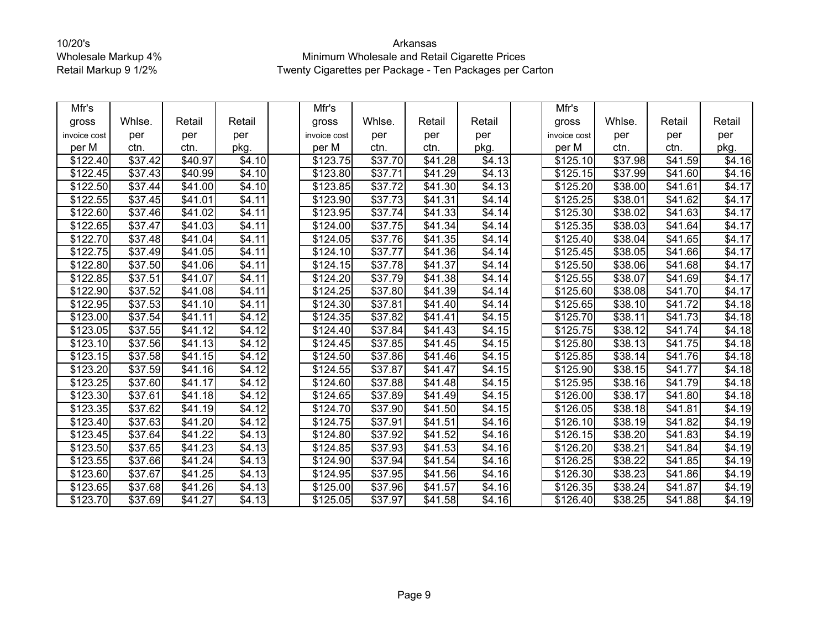| Mfr's        |                     |                     |                | Mfr's        |                     |                     |                     | Mfr's                |                     |                     |        |
|--------------|---------------------|---------------------|----------------|--------------|---------------------|---------------------|---------------------|----------------------|---------------------|---------------------|--------|
| gross        | Whlse.              | Retail              | Retail         | gross        | Whlse.              | Retail              | Retail              | gross                | Whlse.              | Retail              | Retail |
| invoice cost | per                 | per                 | per            | invoice cost | per                 | per                 | per                 | invoice cost         | per                 | per                 | per    |
| per M        | ctn.                | ctn.                | pkg.           | per M        | ctn.                | ctn.                | pkg.                | per M                | ctn.                | ctn.                | pkg.   |
| \$122.40     | \$37.42             | \$40.97             | \$4.10         | \$123.75     | \$37.70             | \$41.28             | \$4.13              | \$125.10             | \$37.98             | \$41.59             | \$4.16 |
| \$122.45     | \$37.43             | \$40.99             | \$4.10         | \$123.80     | \$37.71             | \$41.29             | \$4.13              | \$125.15             | \$37.99             | \$41.60             | \$4.16 |
| \$122.50     | \$37.44             | $\sqrt{$41.00}$     | \$4.10         | \$123.85     | \$37.72             | $\sqrt{$41.30}$     | \$4.13              | \$125.20             | \$38.00             | $\overline{$41.61}$ | \$4.17 |
| \$122.55     | \$37.45             | \$41.01             | \$4.11         | \$123.90     | \$37.73             | \$41.31             | \$4.14              | \$125.25             | \$38.01             | \$41.62             | \$4.17 |
| \$122.60     | \$37.46             | \$41.02             | \$4.11         | \$123.95     | \$37.74             | \$41.33             | \$4.14              | \$125.30             | \$38.02             | \$41.63             | \$4.17 |
| \$122.65     | \$37.47             | \$41.03             | \$4.11         | \$124.00     | \$37.75             | $\overline{$}41.34$ | \$4.14              | \$125.35             | \$38.03             | \$41.64             | \$4.17 |
| \$122.70     | \$37.48             | \$41.04             | \$4.11         | \$124.05     | \$37.76             | \$41.35             | \$4.14              | \$125.40             | \$38.04             | \$41.65             | \$4.17 |
| \$122.75     | \$37.49             | \$41.05             | \$4.11         | \$124.10     | \$37.77             | \$41.36             | \$4.14              | \$125.45             | \$38.05             | \$41.66             | \$4.17 |
| \$122.80     | \$37.50             | \$41.06             | \$4.11         | \$124.15     | \$37.78             | \$41.37             | \$4.14              | \$125.50             | \$38.06             | \$41.68             | \$4.17 |
| \$122.85     | \$37.51             | $\sqrt{$41.07}$     | \$4.11         | \$124.20     | \$37.79             | \$41.38             | \$4.14              | \$125.55             | \$38.07             | \$41.69             | \$4.17 |
| \$122.90     | \$37.52             | \$41.08             | \$4.11         | \$124.25     | \$37.80             | \$41.39             | \$4.14              | \$125.60             | \$38.08             | \$41.70             | \$4.17 |
| \$122.95     | \$37.53             | \$41.10             | \$4.11         | \$124.30     | \$37.81             | \$41.40             | \$4.14              | \$125.65             | \$38.10             | \$41.72             | \$4.18 |
| \$123.00     | \$37.54             | \$41.11             | \$4.12         | \$124.35     | $\overline{$}37.82$ | \$41.41             | \$4.15              | \$125.70             | \$38.11             | \$41.73             | \$4.18 |
| \$123.05     | $\overline{$}37.55$ | \$41.12             | \$4.12         | \$124.40     | \$37.84             | \$41.43             | $\overline{$4.15}$  | $\overline{$}125.75$ | \$38.12             | \$41.74             | \$4.18 |
| \$123.10     | \$37.56             | $\sqrt{$41.13}$     | \$4.12         | \$124.45     | \$37.85             | $\sqrt{$41.45}$     | \$4.15              | \$125.80             | \$38.13             | \$41.75             | \$4.18 |
| \$123.15     | \$37.58             | \$41.15             | \$4.12         | \$124.50     | \$37.86             | \$41.46             | \$4.15              | \$125.85             | \$38.14             | \$41.76             | \$4.18 |
| \$123.20     | \$37.59             | \$41.16             | \$4.12         | \$124.55     | $\overline{$37.87}$ | \$41.47             | \$4.15              | \$125.90             | \$38.15             | \$41.77             | \$4.18 |
| \$123.25     | \$37.60             | \$41.17             | \$4.12         | \$124.60     | \$37.88             | \$41.48             | \$4.15              | \$125.95             | \$38.16             | \$41.79             | \$4.18 |
| \$123.30     | \$37.61             | \$41.18             | \$4.12         | \$124.65     | \$37.89             | \$41.49             | \$4.15              | \$126.00             | \$38.17             | \$41.80             | \$4.18 |
| \$123.35     | \$37.62             | $\overline{$41.19}$ | \$4.12         | \$124.70     | \$37.90             | \$41.50             | \$4.15              | \$126.05             | \$38.18             | \$41.81             | \$4.19 |
| \$123.40     | \$37.63             | \$41.20             | \$4.12         | \$124.75     | \$37.91             | \$41.51             | \$4.16              | \$126.10             | \$38.19             | \$41.82             | \$4.19 |
| \$123.45     | \$37.64             | \$41.22             | \$4.13         | \$124.80     | $\overline{$}37.92$ | \$41.52             | \$4.16              | \$126.15             | \$38.20             | \$41.83             | \$4.19 |
| \$123.50     | \$37.65             | \$41.23             | \$4.13         | \$124.85     | \$37.93             | \$41.53             | \$4.16              | \$126.20             | \$38.21             | \$41.84             | \$4.19 |
| \$123.55     | \$37.66             | \$41.24             | \$4.13         | \$124.90     | \$37.94             | \$41.54             | \$4.16              | \$126.25             | \$38.22             | \$41.85             | \$4.19 |
| \$123.60     | \$37.67             | $\overline{$}41.25$ | \$4.13         | \$124.95     | \$37.95             | \$41.56             | $\overline{\$4.16}$ | \$126.30             | $\overline{$}38.23$ | \$41.86             | \$4.19 |
| \$123.65     | \$37.68             | \$41.26             | \$4.13         | \$125.00     | \$37.96             | \$41.57             | \$4.16              | \$126.35             | \$38.24             | \$41.87             | \$4.19 |
| \$123.70     | \$37.69             | $\overline{$}41.27$ | $\sqrt{$4.13}$ | \$125.05     | \$37.97             | $\overline{$}41.58$ | $\overline{$4.16}$  | \$126.40             | $\overline{$}38.25$ | $\overline{$41.88}$ | \$4.19 |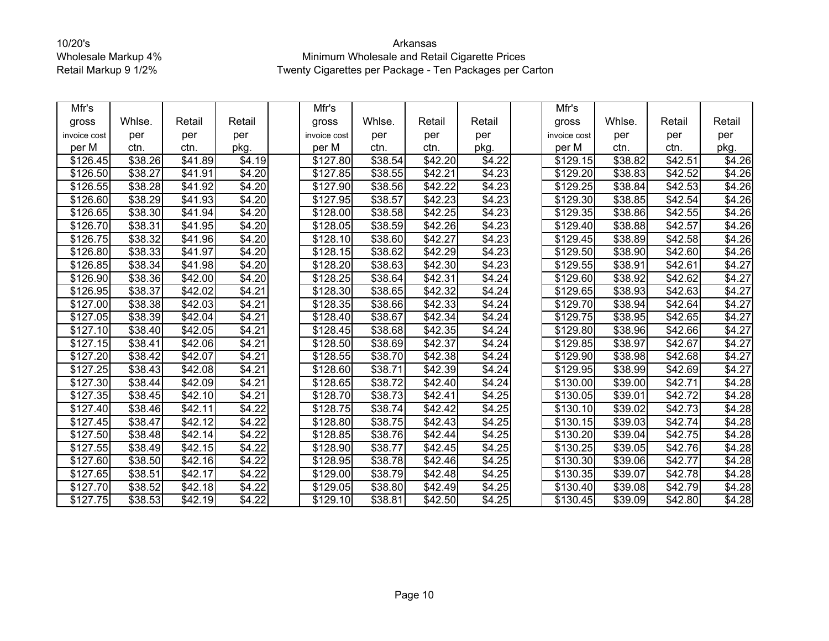| Mfr's        |                     |                 |                    | Mfr's                |         |         |        | Mfr's                |         |                 |        |
|--------------|---------------------|-----------------|--------------------|----------------------|---------|---------|--------|----------------------|---------|-----------------|--------|
| gross        | Whlse.              | Retail          | Retail             | gross                | Whlse.  | Retail  | Retail | gross                | Whlse.  | Retail          | Retail |
| invoice cost | per                 | per             | per                | invoice cost         | per     | per     | per    | invoice cost         | per     | per             | per    |
| per M        | ctn.                | ctn.            | pkg.               | per M                | ctn.    | ctn.    | pkg.   | per M                | ctn.    | ctn.            | pkg.   |
| \$126.45     | \$38.26             | \$41.89         | \$4.19             | \$127.80             | \$38.54 | \$42.20 | \$4.22 | \$129.15             | \$38.82 | \$42.51         | \$4.26 |
| \$126.50     | \$38.27             | \$41.91         | \$4.20             | \$127.85             | \$38.55 | \$42.21 | \$4.23 | \$129.20             | \$38.83 | \$42.52         | \$4.26 |
| \$126.55     | \$38.28             | $\sqrt{$41.92}$ | \$4.20             | \$127.90             | \$38.56 | \$42.22 | \$4.23 | $\overline{$}129.25$ | \$38.84 | \$42.53         | \$4.26 |
| \$126.60     | \$38.29             | \$41.93         | \$4.20             | \$127.95             | \$38.57 | \$42.23 | \$4.23 | \$129.30             | \$38.85 | \$42.54         | \$4.26 |
| \$126.65     | \$38.30             | \$41.94         | \$4.20             | \$128.00             | \$38.58 | \$42.25 | \$4.23 | \$129.35             | \$38.86 | \$42.55         | \$4.26 |
| \$126.70     | \$38.31             | \$41.95         | \$4.20             | \$128.05             | \$38.59 | \$42.26 | \$4.23 | \$129.40             | \$38.88 | \$42.57         | \$4.26 |
| \$126.75     | \$38.32             | \$41.96         | \$4.20             | \$128.10             | \$38.60 | \$42.27 | \$4.23 | \$129.45             | \$38.89 | \$42.58         | \$4.26 |
| \$126.80     | $\overline{$}38.33$ | \$41.97         | \$4.20             | \$128.15             | \$38.62 | \$42.29 | \$4.23 | \$129.50             | \$38.90 | \$42.60         | \$4.26 |
| \$126.85     | \$38.34             | \$41.98         | \$4.20             | \$128.20             | \$38.63 | \$42.30 | \$4.23 | \$129.55             | \$38.91 | \$42.61         | \$4.27 |
| \$126.90     | \$38.36             | \$42.00         | \$4.20             | \$128.25             | \$38.64 | \$42.31 | \$4.24 | \$129.60             | \$38.92 | \$42.62         | \$4.27 |
| \$126.95     | \$38.37             | \$42.02         | \$4.21             | \$128.30             | \$38.65 | \$42.32 | \$4.24 | \$129.65             | \$38.93 | \$42.63         | \$4.27 |
| \$127.00     | \$38.38             | \$42.03         | \$4.21             | \$128.35             | \$38.66 | \$42.33 | \$4.24 | \$129.70             | \$38.94 | \$42.64         | \$4.27 |
| \$127.05     | \$38.39             | \$42.04         | \$4.21             | \$128.40             | \$38.67 | \$42.34 | \$4.24 | \$129.75             | \$38.95 | \$42.65         | \$4.27 |
| \$127.10     | \$38.40             | \$42.05         | \$4.21             | \$128.45             | \$38.68 | \$42.35 | \$4.24 | \$129.80             | \$38.96 | \$42.66         | \$4.27 |
| \$127.15     | \$38.41             | \$42.06         | \$4.21             | \$128.50             | \$38.69 | \$42.37 | \$4.24 | \$129.85             | \$38.97 | \$42.67         | \$4.27 |
| \$127.20     | \$38.42             | \$42.07         | \$4.21             | \$128.55             | \$38.70 | \$42.38 | \$4.24 | \$129.90             | \$38.98 | \$42.68         | \$4.27 |
| \$127.25     | \$38.43             | \$42.08         | \$4.21             | \$128.60             | \$38.71 | \$42.39 | \$4.24 | \$129.95             | \$38.99 | \$42.69         | \$4.27 |
| \$127.30     | $\overline{$}38.44$ | \$42.09         | $\overline{$4.21}$ | \$128.65             | \$38.72 | \$42.40 | \$4.24 | \$130.00             | \$39.00 | \$42.71         | \$4.28 |
| \$127.35     | \$38.45             | \$42.10         | \$4.21             | \$128.70             | \$38.73 | \$42.41 | \$4.25 | \$130.05             | \$39.01 | \$42.72         | \$4.28 |
| \$127.40     | \$38.46             | \$42.11         | \$4.22             | \$128.75             | \$38.74 | \$42.42 | \$4.25 | $\overline{$}130.10$ | \$39.02 | $\sqrt{$42.73}$ | \$4.28 |
| \$127.45     | \$38.47             | \$42.12         | \$4.22             | \$128.80             | \$38.75 | \$42.43 | \$4.25 | \$130.15             | \$39.03 | \$42.74         | \$4.28 |
| \$127.50     | \$38.48             | \$42.14         | \$4.22             | $\overline{$}128.85$ | \$38.76 | \$42.44 | \$4.25 | $\overline{$}130.20$ | \$39.04 | \$42.75         | \$4.28 |
| \$127.55     | \$38.49             | \$42.15         | \$4.22             | \$128.90             | \$38.77 | \$42.45 | \$4.25 | \$130.25             | \$39.05 | \$42.76         | \$4.28 |
| \$127.60     | \$38.50             | \$42.16         | \$4.22             | \$128.95             | \$38.78 | \$42.46 | \$4.25 | \$130.30             | \$39.06 | \$42.77         | \$4.28 |
| \$127.65     | \$38.51             | \$42.17         | \$4.22             | \$129.00             | \$38.79 | \$42.48 | \$4.25 | $\overline{$}130.35$ | \$39.07 | $\sqrt{$42.78}$ | \$4.28 |
| \$127.70     | \$38.52             | \$42.18         | \$4.22             | \$129.05             | \$38.80 | \$42.49 | \$4.25 | \$130.40             | \$39.08 | \$42.79         | \$4.28 |
| \$127.75     | \$38.53             | \$42.19         | \$4.22             | $\overline{$}129.10$ | \$38.81 | \$42.50 | \$4.25 | \$130.45             | \$39.09 | \$42.80         | \$4.28 |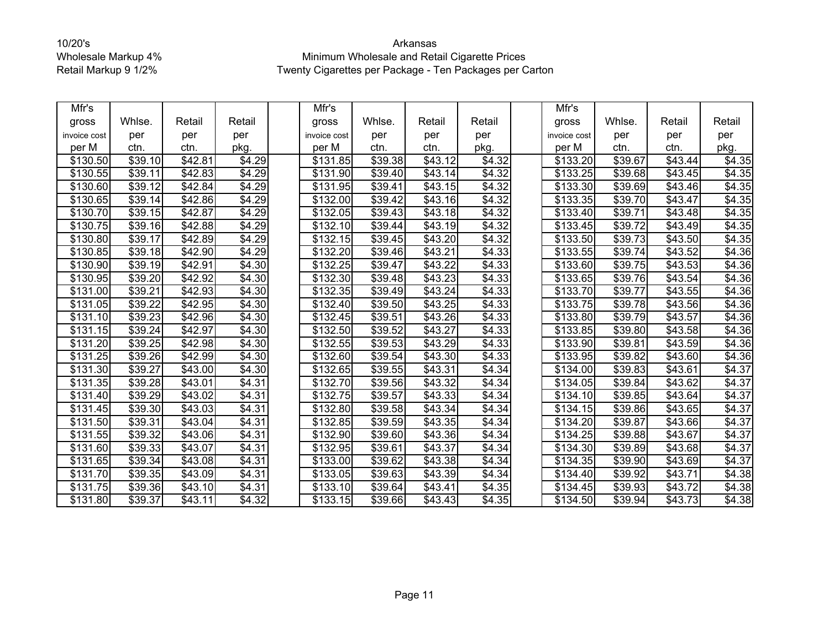| Mfr's        |                     |                     |                    | Mfr's                |                     |                 |        | Mfr's            |                     |                     |        |
|--------------|---------------------|---------------------|--------------------|----------------------|---------------------|-----------------|--------|------------------|---------------------|---------------------|--------|
| gross        | Whlse.              | Retail              | Retail             | gross                | Whlse.              | Retail          | Retail | gross            | Whlse.              | Retail              | Retail |
| invoice cost | per                 | per                 | per                | invoice cost         | per                 | per             | per    | invoice cost     | per                 | per                 | per    |
| per M        | ctn.                | ctn.                | pkg.               | per M                | ctn.                | ctn.            | pkg.   | per M            | ctn.                | ctn.                | pkg.   |
| \$130.50     | \$39.10             | \$42.81             | \$4.29             | \$131.85             | \$39.38             | \$43.12         | \$4.32 | \$133.20         | \$39.67             | \$43.44             | \$4.35 |
| \$130.55     | \$39.11             | \$42.83             | \$4.29             | \$131.90             | \$39.40             | \$43.14         | \$4.32 | \$133.25         | \$39.68             | \$43.45             | \$4.35 |
| \$130.60     | \$39.12             | \$42.84             | \$4.29             | $\overline{$}131.95$ | \$39.41             | \$43.15         | \$4.32 | \$133.30         | \$39.69             | \$43.46             | \$4.35 |
| \$130.65     | \$39.14             | \$42.86             | \$4.29             | \$132.00             | \$39.42             | \$43.16         | \$4.32 | \$133.35         | \$39.70             | \$43.47             | \$4.35 |
| \$130.70     | \$39.15             | \$42.87             | \$4.29             | \$132.05             | \$39.43             | \$43.18         | \$4.32 | \$133.40         | \$39.71             | \$43.48             | \$4.35 |
| \$130.75     | \$39.16             | \$42.88             | \$4.29             | \$132.10             | \$39.44             | \$43.19         | \$4.32 | \$133.45         | \$39.72             | \$43.49             | \$4.35 |
| \$130.80     | \$39.17             | \$42.89             | \$4.29             | \$132.15             | \$39.45             | \$43.20         | \$4.32 | \$133.50         | $\overline{$}39.73$ | \$43.50             | \$4.35 |
| \$130.85     | \$39.18             | \$42.90             | \$4.29             | \$132.20             | \$39.46             | \$43.21         | \$4.33 | \$133.55         | \$39.74             | \$43.52             | \$4.36 |
| \$130.90     | \$39.19             | \$42.91             | \$4.30             | \$132.25             | \$39.47             | \$43.22         | \$4.33 | \$133.60         | \$39.75             | \$43.53             | \$4.36 |
| \$130.95     | \$39.20             | \$42.92             | \$4.30             | \$132.30             | \$39.48             | \$43.23         | \$4.33 | \$133.65         | \$39.76             | \$43.54             | \$4.36 |
| \$131.00     | \$39.21             | \$42.93             | \$4.30             | \$132.35             | \$39.49             | \$43.24         | \$4.33 | \$133.70         | \$39.77             | \$43.55             | \$4.36 |
| \$131.05     | 39.22               | \$42.95             | \$4.30             | \$132.40             | \$39.50             | \$43.25         | \$4.33 | \$133.75         | \$39.78             | \$43.56             | \$4.36 |
| \$131.10     | \$39.23             | \$42.96             | $\sqrt{4.30}$      | \$132.45             | \$39.51             | $\sqrt{$43.26}$ | \$4.33 | \$133.80         | \$39.79             | $\overline{$}43.57$ | \$4.36 |
| \$131.15     | $\overline{$}39.24$ | \$42.97             | \$4.30             | \$132.50             | $\overline{$}39.52$ | \$43.27         | \$4.33 | \$133.85         | \$39.80             | \$43.58             | \$4.36 |
| \$131.20     | \$39.25             | \$42.98             | \$4.30             | \$132.55             | \$39.53             | \$43.29         | \$4.33 | \$133.90         | \$39.81             | \$43.59             | \$4.36 |
| \$131.25     | \$39.26             | \$42.99             | \$4.30             | \$132.60             | \$39.54             | \$43.30         | \$4.33 | \$133.95         | \$39.82             | \$43.60             | \$4.36 |
| \$131.30     | \$39.27             | \$43.00             | \$4.30             | \$132.65             | \$39.55             | \$43.31         | \$4.34 | \$134.00         | \$39.83             | \$43.61             | \$4.37 |
| \$131.35     | \$39.28             | \$43.01             | \$4.31             | \$132.70             | \$39.56             | \$43.32         | \$4.34 | \$134.05         | \$39.84             | \$43.62             | \$4.37 |
| \$131.40     | \$39.29             | \$43.02             | \$4.31             | \$132.75             | \$39.57             | \$43.33         | \$4.34 | \$134.10         | \$39.85             | \$43.64             | \$4.37 |
| \$131.45     | \$39.30             | \$43.03             | \$4.31             | \$132.80             | \$39.58             | \$43.34         | \$4.34 | \$134.15         | \$39.86             | $\overline{$43.65}$ | \$4.37 |
| \$131.50     | \$39.31             | $\overline{$}43.04$ | \$4.31             | \$132.85             | \$39.59             | \$43.35         | \$4.34 | \$134.20         | \$39.87             | \$43.66             | \$4.37 |
| \$131.55     | \$39.32             | \$43.06             | \$4.31             | \$132.90             | \$39.60             | \$43.36         | \$4.34 | \$134.25         | \$39.88             | \$43.67             | \$4.37 |
| \$131.60     | \$39.33             | \$43.07             | \$4.31             | \$132.95             | \$39.61             | \$43.37         | \$4.34 | \$134.30         | \$39.89             | \$43.68             | \$4.37 |
| \$131.65     | \$39.34             | \$43.08             | \$4.31             | \$133.00             | \$39.62             | \$43.38         | \$4.34 | \$134.35         | \$39.90             | \$43.69             | \$4.37 |
| \$131.70     | \$39.35             | \$43.09             | $\overline{$}4.31$ | \$133.05             | \$39.63             | \$43.39         | \$4.34 | \$134.40         | \$39.92             | \$43.71             | \$4.38 |
| \$131.75     | \$39.36             | \$43.10             | \$4.31             | \$133.10             | \$39.64             | \$43.41         | \$4.35 | \$134.45         | \$39.93             | \$43.72             | \$4.38 |
| \$131.80     | \$39.37             | $\overline{$}43.11$ | \$4.32             | $\overline{$}133.15$ | \$39.66             | \$43.43         | \$4.35 | $\sqrt{$}134.50$ | \$39.94             | \$43.73             | \$4.38 |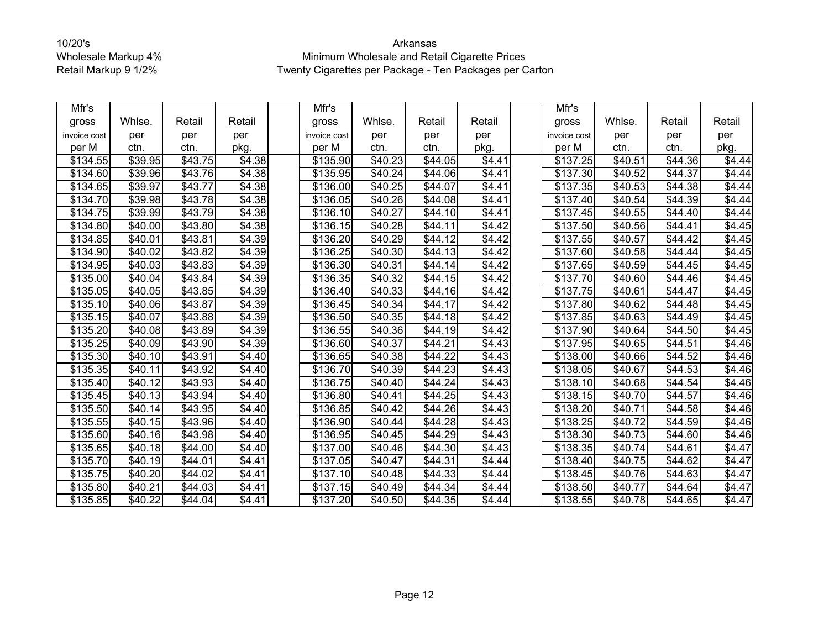| Mfr's        |         |         |                    | Mfr's            |                 |                     |                    | Mfr's                |                     |                     |        |
|--------------|---------|---------|--------------------|------------------|-----------------|---------------------|--------------------|----------------------|---------------------|---------------------|--------|
| gross        | Whlse.  | Retail  | Retail             | gross            | Whlse.          | Retail              | Retail             | gross                | Whlse.              | Retail              | Retail |
| invoice cost | per     | per     | per                | invoice cost     | per             | per                 | per                | invoice cost         | per                 | per                 | per    |
| per M        | ctn.    | ctn.    | pkg.               | per M            | ctn.            | ctn.                | pkg.               | per M                | ctn.                | ctn.                | pkg.   |
| \$134.55     | \$39.95 | \$43.75 | \$4.38             | \$135.90         | \$40.23         | \$44.05             | \$4.41             | \$137.25             | \$40.51             | \$44.36             | \$4.44 |
| \$134.60     | \$39.96 | \$43.76 | \$4.38             | \$135.95         | \$40.24         | \$44.06             | \$4.41             | \$137.30             | \$40.52             | \$44.37             | \$4.44 |
| \$134.65     | \$39.97 | \$43.77 | \$4.38             | \$136.00         | $\sqrt{$40.25}$ | \$44.07             | \$4.41             | \$137.35             | \$40.53             | $\sqrt{$44.38}$     | \$4.44 |
| \$134.70     | \$39.98 | \$43.78 | \$4.38             | \$136.05         | \$40.26         | \$44.08             | \$4.41             | \$137.40             | \$40.54             | \$44.39             | \$4.44 |
| \$134.75     | \$39.99 | \$43.79 | \$4.38             | \$136.10         | \$40.27         | \$44.10             | \$4.41             | \$137.45             | $\overline{$40.55}$ | \$44.40             | \$4.44 |
| \$134.80     | \$40.00 | \$43.80 | \$4.38             | \$136.15         | \$40.28         | \$44.11             | \$4.42             | \$137.50             | \$40.56             | \$44.41             | \$4.45 |
| \$134.85     | \$40.01 | \$43.81 | \$4.39             | \$136.20         | \$40.29         | \$44.12             | \$4.42             | \$137.55             | \$40.57             | \$44.42             | \$4.45 |
| \$134.90     | \$40.02 | \$43.82 | \$4.39             | \$136.25         | \$40.30         | \$44.13             | \$4.42             | \$137.60             | \$40.58             | \$44.44             | \$4.45 |
| \$134.95     | \$40.03 | \$43.83 | \$4.39             | \$136.30         | \$40.31         | \$44.14             | \$4.42             | \$137.65             | \$40.59             | \$44.45             | \$4.45 |
| \$135.00     | \$40.04 | \$43.84 | \$4.39             | \$136.35         | \$40.32         | $\overline{$}44.15$ | \$4.42             | \$137.70             | \$40.60             | $\overline{$}44.46$ | \$4.45 |
| \$135.05     | \$40.05 | \$43.85 | \$4.39             | \$136.40         | \$40.33         | \$44.16             | \$4.42             | \$137.75             | \$40.61             | \$44.47             | \$4.45 |
| \$135.10     | \$40.06 | \$43.87 | \$4.39             | \$136.45         | \$40.34         | \$44.17             | \$4.42             | \$137.80             | \$40.62             | \$44.48             | \$4.45 |
| \$135.15     | \$40.07 | \$43.88 | $\sqrt{3}4.39$     | \$136.50         | \$40.35         | $\overline{$}44.18$ | $\overline{$4.42}$ | \$137.85             | $\overline{$}40.63$ | $\overline{$}44.49$ | \$4.45 |
| \$135.20     | \$40.08 | \$43.89 | \$4.39             | \$136.55         | \$40.36         | \$44.19             | \$4.42             | \$137.90             | \$40.64             | \$44.50             | \$4.45 |
| \$135.25     | \$40.09 | \$43.90 | \$4.39             | \$136.60         | \$40.37         | \$44.21             | \$4.43             | \$137.95             | \$40.65             | \$44.51             | \$4.46 |
| \$135.30     | \$40.10 | \$43.91 | \$4.40             | \$136.65         | \$40.38         | \$44.22             | \$4.43             | \$138.00             | \$40.66             | \$44.52             | \$4.46 |
| \$135.35     | \$40.11 | \$43.92 | \$4.40             | \$136.70         | \$40.39         | \$44.23             | \$4.43             | \$138.05             | \$40.67             | \$44.53             | \$4.46 |
| \$135.40     | \$40.12 | \$43.93 | \$4.40             | \$136.75         | \$40.40         | \$44.24             | \$4.43             | \$138.10             | \$40.68             | \$44.54             | \$4.46 |
| \$135.45     | \$40.13 | \$43.94 | \$4.40             | \$136.80         | \$40.41         | \$44.25             | \$4.43             | \$138.15             | \$40.70             | \$44.57             | \$4.46 |
| \$135.50     | \$40.14 | \$43.95 | \$4.40             | \$136.85         | \$40.42         | \$44.26             | \$4.43             | $\overline{$}138.20$ | \$40.71             | \$44.58             | \$4.46 |
| \$135.55     | \$40.15 | \$43.96 | \$4.40             | \$136.90         | \$40.44         | \$44.28             | \$4.43             | \$138.25             | \$40.72             | \$44.59             | \$4.46 |
| \$135.60     | \$40.16 | \$43.98 | \$4.40             | \$136.95         | \$40.45         | \$44.29             | \$4.43             | \$138.30             | \$40.73             | \$44.60             | \$4.46 |
| \$135.65     | \$40.18 | \$44.00 | \$4.40             | \$137.00         | \$40.46         | \$44.30             | \$4.43             | \$138.35             | \$40.74             | \$44.61             | \$4.47 |
| \$135.70     | \$40.19 | \$44.01 | \$4.41             | \$137.05         | \$40.47         | \$44.31             | \$4.44             | \$138.40             | \$40.75             | \$44.62             | \$4.47 |
| \$135.75     | \$40.20 | \$44.02 | $\overline{$4.41}$ | $\sqrt{$}137.10$ | \$40.48         | \$44.33             | \$4.44             | \$138.45             | \$40.76             | $\sqrt{$44.63}$     | \$4.47 |
| \$135.80     | \$40.21 | \$44.03 | \$4.41             | \$137.15         | \$40.49         | \$44.34             | \$4.44             | \$138.50             | \$40.77             | \$44.64             | \$4.47 |
| \$135.85     | \$40.22 | \$44.04 | $\sqrt{34.41}$     | \$137.20         | \$40.50         | \$44.35             | \$4.44             | \$138.55             | \$40.78             | \$44.65             | \$4.47 |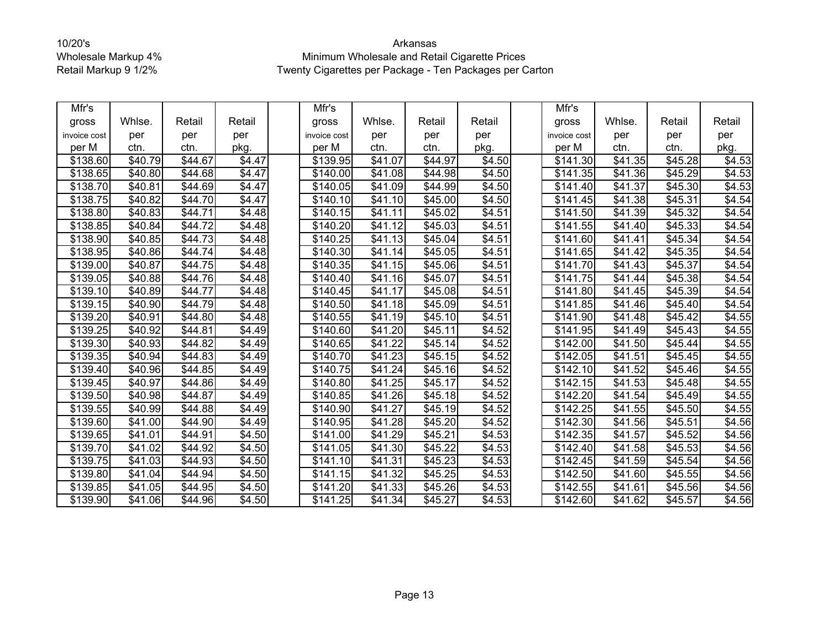| Mfr's        |                 |                     |                    | Mfr's        |         |                     |                    | Mfr's                |                     |                     |        |
|--------------|-----------------|---------------------|--------------------|--------------|---------|---------------------|--------------------|----------------------|---------------------|---------------------|--------|
| gross        | Whlse.          | Retail              | Retail             | gross        | Whlse.  | Retail              | Retail             | gross                | Whlse.              | Retail              | Retail |
| invoice cost | per             | per                 | per                | invoice cost | per     | per                 | per                | invoice cost         | per                 | per                 | per    |
| per M        | ctn.            | ctn.                | pkg.               | per M        | ctn.    | ctn.                | pkg.               | per M                | ctn.                | ctn.                | pkg.   |
| \$138.60     | \$40.79         | \$44.67             | \$4.47             | \$139.95     | \$41.07 | \$44.97             | \$4.50             | \$141.30             | \$41.35             | \$45.28             | \$4.53 |
| \$138.65     | \$40.80         | \$44.68             | \$4.47             | \$140.00     | \$41.08 | \$44.98             | \$4.50             | \$141.35             | \$41.36             | \$45.29             | \$4.53 |
| \$138.70     | \$40.81         | \$44.69             | \$4.47             | \$140.05     | \$41.09 | \$44.99             | \$4.50             | $\overline{$}141.40$ | \$41.37             | \$45.30             | \$4.53 |
| \$138.75     | \$40.82         | \$44.70             | \$4.47             | \$140.10     | \$41.10 | \$45.00             | \$4.50             | \$141.45             | \$41.38             | \$45.31             | \$4.54 |
| \$138.80     | \$40.83         | \$44.71             | \$4.48             | \$140.15     | \$41.11 | \$45.02             | \$4.51             | \$141.50             | \$41.39             | \$45.32             | \$4.54 |
| \$138.85     | \$40.84         | \$44.72             | \$4.48             | \$140.20     | \$41.12 | \$45.03             | \$4.51             | \$141.55             | \$41.40             | \$45.33             | \$4.54 |
| \$138.90     | \$40.85         | \$44.73             | \$4.48             | \$140.25     | \$41.13 | \$45.04             | \$4.51             | \$141.60             | \$41.41             | \$45.34             | \$4.54 |
| \$138.95     | \$40.86         | $\overline{$}44.74$ | \$4.48             | \$140.30     | \$41.14 | \$45.05             | \$4.51             | \$141.65             | \$41.42             | \$45.35             | \$4.54 |
| \$139.00     | \$40.87         | \$44.75             | \$4.48             | \$140.35     | \$41.15 | \$45.06             | \$4.51             | \$141.70             | \$41.43             | \$45.37             | \$4.54 |
| \$139.05     | \$40.88         | \$44.76             | \$4.48             | \$140.40     | \$41.16 | \$45.07             | \$4.51             | \$141.75             | \$41.44             | \$45.38             | \$4.54 |
| \$139.10     | \$40.89         | \$44.77             | \$4.48             | \$140.45     | \$41.17 | \$45.08             | \$4.51             | \$141.80             | \$41.45             | \$45.39             | \$4.54 |
| \$139.15     | \$40.90         | \$44.79             | \$4.48             | \$140.50     | \$41.18 | \$45.09             | \$4.51             | \$141.85             | \$41.46             | \$45.40             | \$4.54 |
| \$139.20     | \$40.91         | \$44.80             | \$4.48             | \$140.55     | \$41.19 | \$45.10             | \$4.51             | $\sqrt{$}141.90$     | $\sqrt{$41.48}$     | \$45.42             | \$4.55 |
| \$139.25     | \$40.92         | \$44.81             | \$4.49             | \$140.60     | \$41.20 | \$45.11             | \$4.52             | \$141.95             | \$41.49             | \$45.43             | \$4.55 |
| \$139.30     | \$40.93         | \$44.82             | \$4.49             | \$140.65     | \$41.22 | \$45.14             | \$4.52             | \$142.00             | \$41.50             | \$45.44             | \$4.55 |
| \$139.35     | \$40.94         | \$44.83             | \$4.49             | \$140.70     | \$41.23 | \$45.15             | \$4.52             | \$142.05             | \$41.51             | \$45.45             | \$4.55 |
| \$139.40     | \$40.96         | \$44.85             | \$4.49             | \$140.75     | \$41.24 | \$45.16             | \$4.52             | \$142.10             | \$41.52             | \$45.46             | \$4.55 |
| \$139.45     | \$40.97         | \$44.86             | \$4.49             | \$140.80     | \$41.25 | \$45.17             | \$4.52             | \$142.15             | $\overline{$41.53}$ | \$45.48             | \$4.55 |
| \$139.50     | \$40.98         | \$44.87             | \$4.49             | \$140.85     | \$41.26 | \$45.18             | \$4.52             | \$142.20             | \$41.54             | \$45.49             | \$4.55 |
| \$139.55     | \$40.99         | \$44.88             | \$4.49             | \$140.90     | \$41.27 | \$45.19             | \$4.52             | $\overline{$}142.25$ | \$41.55             | \$45.50             | \$4.55 |
| \$139.60     | \$41.00         | \$44.90             | \$4.49             | \$140.95     | \$41.28 | \$45.20             | \$4.52             | \$142.30             | \$41.56             | \$45.51             | \$4.56 |
| \$139.65     | \$41.01         | \$44.91             | \$4.50             | \$141.00     | \$41.29 | \$45.21             | \$4.53             | \$142.35             | \$41.57             | \$45.52             | \$4.56 |
| \$139.70     | \$41.02         | \$44.92             | $\overline{$4.50}$ | \$141.05     | \$41.30 | \$45.22             | \$4.53             | \$142.40             | \$41.58             | \$45.53             | \$4.56 |
| \$139.75     | \$41.03         | \$44.93             | \$4.50             | \$141.10     | \$41.31 | \$45.23             | \$4.53             | \$142.45             | \$41.59             | \$45.54             | \$4.56 |
| \$139.80     | $\sqrt{$41.04}$ | \$44.94             | \$4.50             | \$141.15     | \$41.32 | \$45.25             | $\overline{$4.53}$ | $\overline{$}142.50$ | \$41.60             | \$45.55             | \$4.56 |
| \$139.85     | \$41.05         | \$44.95             | \$4.50             | \$141.20     | \$41.33 | \$45.26             | \$4.53             | \$142.55             | \$41.61             | \$45.56             | \$4.56 |
| \$139.90     | \$41.06         | $\overline{$44.96}$ | \$4.50             | \$141.25     | \$41.34 | $\overline{$45.27}$ | \$4.53             | $\overline{$}142.60$ | \$41.62             | $\overline{$45.57}$ | \$4.56 |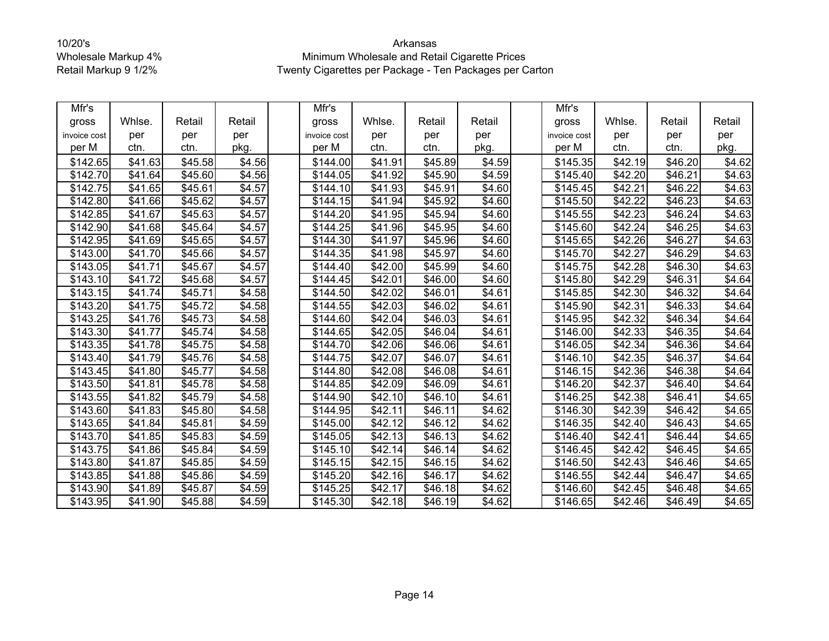| Mfr's        |         |                     |                    | Mfr's        |         |                     |                    | Mfr's                |                     |                     |        |
|--------------|---------|---------------------|--------------------|--------------|---------|---------------------|--------------------|----------------------|---------------------|---------------------|--------|
| gross        | Whlse.  | Retail              | Retail             | gross        | Whlse.  | Retail              | Retail             | gross                | Whlse.              | Retail              | Retail |
| invoice cost | per     | per                 | per                | invoice cost | per     | per                 | per                | invoice cost         | per                 | per                 | per    |
| per M        | ctn.    | ctn.                | pkg.               | per M        | ctn.    | ctn.                | pkg.               | per M                | ctn.                | ctn.                | pkg.   |
| \$142.65     | \$41.63 | \$45.58             | \$4.56             | \$144.00     | \$41.91 | \$45.89             | \$4.59             | \$145.35             | \$42.19             | \$46.20             | \$4.62 |
| \$142.70     | \$41.64 | \$45.60             | \$4.56             | \$144.05     | \$41.92 | \$45.90             | \$4.59             | \$145.40             | \$42.20             | \$46.21             | \$4.63 |
| \$142.75     | \$41.65 | \$45.61             | \$4.57             | \$144.10     | \$41.93 | \$45.91             | \$4.60             | \$145.45             | \$42.21             | $\sqrt{$46.22}$     | \$4.63 |
| \$142.80     | \$41.66 | \$45.62             | \$4.57             | \$144.15     | \$41.94 | \$45.92             | \$4.60             | \$145.50             | \$42.22             | \$46.23             | \$4.63 |
| \$142.85     | \$41.67 | \$45.63             | \$4.57             | \$144.20     | \$41.95 | \$45.94             | \$4.60             | \$145.55             | \$42.23             | $\overline{$}46.24$ | \$4.63 |
| \$142.90     | \$41.68 | \$45.64             | \$4.57             | \$144.25     | \$41.96 | \$45.95             | \$4.60             | \$145.60             | \$42.24             | \$46.25             | \$4.63 |
| \$142.95     | \$41.69 | \$45.65             | \$4.57             | \$144.30     | \$41.97 | \$45.96             | \$4.60             | \$145.65             | \$42.26             | \$46.27             | \$4.63 |
| \$143.00     | \$41.70 | \$45.66             | \$4.57             | \$144.35     | \$41.98 | \$45.97             | \$4.60             | \$145.70             | \$42.27             | \$46.29             | \$4.63 |
| \$143.05     | \$41.71 | \$45.67             | \$4.57             | \$144.40     | \$42.00 | \$45.99             | \$4.60             | \$145.75             | \$42.28             | \$46.30             | \$4.63 |
| \$143.10     | \$41.72 | \$45.68             | \$4.57             | \$144.45     | \$42.01 | \$46.00             | \$4.60             | $\sqrt{$}145.80$     | $\overline{$42.29}$ | \$46.31             | \$4.64 |
| \$143.15     | \$41.74 | \$45.71             | \$4.58             | \$144.50     | \$42.02 | \$46.01             | \$4.61             | \$145.85             | \$42.30             | \$46.32             | \$4.64 |
| \$143.20     | \$41.75 | \$45.72             | \$4.58             | \$144.55     | \$42.03 | \$46.02             | \$4.61             | \$145.90             | \$42.31             | \$46.33             | \$4.64 |
| \$143.25     | \$41.76 | $\overline{$45.73}$ | \$4.58             | \$144.60     | \$42.04 | \$46.03             | \$4.61             | \$145.95             | \$42.32             | \$46.34             | \$4.64 |
| \$143.30     | \$41.77 | \$45.74             | \$4.58             | \$144.65     | \$42.05 | \$46.04             | \$4.61             | \$146.00             | \$42.33             | \$46.35             | \$4.64 |
| \$143.35     | \$41.78 | \$45.75             | $\overline{$4.58}$ | \$144.70     | \$42.06 | \$46.06             | \$4.61             | $\overline{$}146.05$ | \$42.34             | \$46.36             | \$4.64 |
| \$143.40     | \$41.79 | \$45.76             | \$4.58             | \$144.75     | \$42.07 | \$46.07             | \$4.61             | \$146.10             | \$42.35             | \$46.37             | \$4.64 |
| \$143.45     | \$41.80 | \$45.77             | \$4.58             | \$144.80     | \$42.08 | \$46.08             | $\overline{$4.61}$ | $\overline{$}146.15$ | \$42.36             | \$46.38             | \$4.64 |
| \$143.50     | \$41.81 | \$45.78             | \$4.58             | \$144.85     | \$42.09 | \$46.09             | \$4.61             | \$146.20             | \$42.37             | \$46.40             | \$4.64 |
| \$143.55     | \$41.82 | \$45.79             | \$4.58             | \$144.90     | \$42.10 | \$46.10             | \$4.61             | \$146.25             | \$42.38             | \$46.41             | \$4.65 |
| \$143.60     | \$41.83 | \$45.80             | $\overline{$4.58}$ | \$144.95     | \$42.11 | \$46.11             | $\overline{$4.62}$ | \$146.30             | \$42.39             | \$46.42             | \$4.65 |
| \$143.65     | \$41.84 | $\overline{$45.81}$ | \$4.59             | \$145.00     | \$42.12 | \$46.12             | \$4.62             | \$146.35             | \$42.40             | \$46.43             | \$4.65 |
| \$143.70     | \$41.85 | \$45.83             | \$4.59             | \$145.05     | \$42.13 | \$46.13             | $\sqrt{$4.62}$     | \$146.40             | \$42.41             | \$46.44             | \$4.65 |
| \$143.75     | \$41.86 | \$45.84             | \$4.59             | \$145.10     | \$42.14 | \$46.14             | \$4.62             | \$146.45             | \$42.42             | \$46.45             | \$4.65 |
| \$143.80     | \$41.87 | \$45.85             | \$4.59             | \$145.15     | \$42.15 | \$46.15             | \$4.62             | \$146.50             | \$42.43             | \$46.46             | \$4.65 |
| \$143.85     | \$41.88 | \$45.86             | \$4.59             | \$145.20     | \$42.16 | \$46.17             | $\overline{$4.62}$ | \$146.55             | $\sqrt{$42.44}$     | \$46.47             | \$4.65 |
| \$143.90     | \$41.89 | \$45.87             | \$4.59             | \$145.25     | \$42.17 | \$46.18             | \$4.62             | \$146.60             | \$42.45             | \$46.48             | \$4.65 |
| \$143.95     | \$41.90 | $\overline{$45.88}$ | $\sqrt{4.59}$      | \$145.30     | \$42.18 | $\overline{$46.19}$ | \$4.62             | $\overline{$}146.65$ | $\overline{$}42.46$ | \$46.49             | \$4.65 |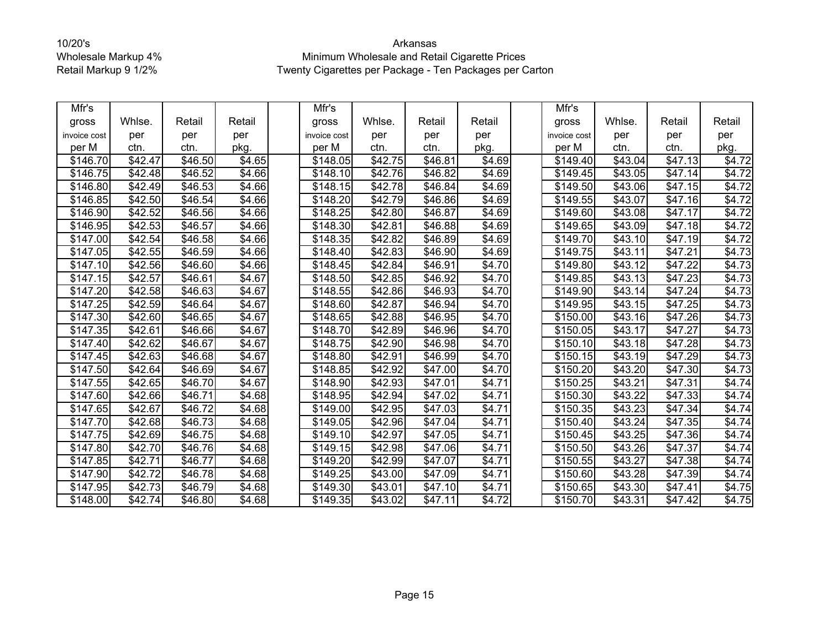| Mfr's        |                     |                     |                    | Mfr's                |                     |                     |                    | Mfr's                |         |                 |        |
|--------------|---------------------|---------------------|--------------------|----------------------|---------------------|---------------------|--------------------|----------------------|---------|-----------------|--------|
| gross        | Whlse.              | Retail              | Retail             | gross                | Whlse.              | Retail              | Retail             | gross                | Whlse.  | Retail          | Retail |
| invoice cost | per                 | per                 | per                | invoice cost         | per                 | per                 | per                | invoice cost         | per     | per             | per    |
| per M        | ctn.                | ctn.                | pkg.               | per M                | ctn.                | ctn.                | pkg.               | per M                | ctn.    | ctn.            | pkg.   |
| \$146.70     | \$42.47             | \$46.50             | \$4.65             | \$148.05             | \$42.75             | \$46.81             | \$4.69             | \$149.40             | \$43.04 | \$47.13         | \$4.72 |
| \$146.75     | \$42.48             | \$46.52             | \$4.66             | \$148.10             | \$42.76             | \$46.82             | \$4.69             | \$149.45             | \$43.05 | \$47.14         | \$4.72 |
| \$146.80     | $\sqrt{$42.49}$     | $\overline{$46.53}$ | \$4.66             | \$148.15             | \$42.78             | \$46.84             | \$4.69             | \$149.50             | \$43.06 | \$47.15         | \$4.72 |
| \$146.85     | \$42.50             | \$46.54             | \$4.66             | \$148.20             | \$42.79             | \$46.86             | \$4.69             | \$149.55             | \$43.07 | \$47.16         | \$4.72 |
| \$146.90     | \$42.52             | \$46.56             | \$4.66             | \$148.25             | \$42.80             | \$46.87             | \$4.69             | \$149.60             | \$43.08 | \$47.17         | \$4.72 |
| \$146.95     | \$42.53             | $\overline{$}46.57$ | \$4.66             | \$148.30             | \$42.81             | \$46.88             | \$4.69             | \$149.65             | \$43.09 | \$47.18         | \$4.72 |
| \$147.00     | \$42.54             | \$46.58             | $\overline{$4.66}$ | \$148.35             | \$42.82             | \$46.89             | \$4.69             | \$149.70             | \$43.10 | \$47.19         | \$4.72 |
| \$147.05     | \$42.55             | \$46.59             | \$4.66             | \$148.40             | \$42.83             | \$46.90             | \$4.69             | \$149.75             | \$43.11 | \$47.21         | \$4.73 |
| \$147.10     | \$42.56             | \$46.60             | \$4.66             | \$148.45             | \$42.84             | \$46.91             | \$4.70             | \$149.80             | \$43.12 | $\sqrt{$47.22}$ | \$4.73 |
| \$147.15     | \$42.57             | \$46.61             | \$4.67             | \$148.50             | \$42.85             | \$46.92             | \$4.70             | \$149.85             | \$43.13 | \$47.23         | \$4.73 |
| \$147.20     | \$42.58             | \$46.63             | \$4.67             | \$148.55             | \$42.86             | \$46.93             | \$4.70             | \$149.90             | \$43.14 | \$47.24         | \$4.73 |
| \$147.25     | \$42.59             | \$46.64             | \$4.67             | \$148.60             | \$42.87             | \$46.94             | \$4.70             | $\overline{$}149.95$ | \$43.15 | \$47.25         | \$4.73 |
| \$147.30     | \$42.60             | \$46.65             | $\sqrt{$4.67}$     | $\overline{$}148.65$ | \$42.88             | $\overline{$46.95}$ | \$4.70             | \$150.00             | \$43.16 | \$47.26         | \$4.73 |
| \$147.35     | \$42.61             | \$46.66             | \$4.67             | \$148.70             | \$42.89             | \$46.96             | \$4.70             | \$150.05             | \$43.17 | \$47.27         | \$4.73 |
| \$147.40     | \$42.62             | \$46.67             | \$4.67             | \$148.75             | \$42.90             | \$46.98             | \$4.70             | \$150.10             | \$43.18 | \$47.28         | \$4.73 |
| \$147.45     | \$42.63             | \$46.68             | \$4.67             | \$148.80             | \$42.91             | \$46.99             | \$4.70             | \$150.15             | \$43.19 | \$47.29         | \$4.73 |
| \$147.50     | \$42.64             | \$46.69             | \$4.67             | \$148.85             | \$42.92             | \$47.00             | \$4.70             | $\overline{$}150.20$ | \$43.20 | \$47.30         | \$4.73 |
| \$147.55     | \$42.65             | \$46.70             | $\overline{$4.67}$ | \$148.90             | \$42.93             | $\overline{$}47.01$ | $\overline{$4.71}$ | \$150.25             | \$43.21 | \$47.31         | \$4.74 |
| \$147.60     | \$42.66             | \$46.71             | \$4.68             | \$148.95             | \$42.94             | \$47.02             | \$4.71             | \$150.30             | \$43.22 | \$47.33         | \$4.74 |
| \$147.65     | \$42.67             | \$46.72             | \$4.68             | \$149.00             | \$42.95             | $\sqrt{$47.03}$     | \$4.71             | $\overline{$}150.35$ | \$43.23 | \$47.34         | \$4.74 |
| \$147.70     | $\overline{$42.68}$ | \$46.73             | \$4.68             | \$149.05             | $\overline{$42.96}$ | \$47.04             | \$4.71             | \$150.40             | \$43.24 | \$47.35         | \$4.74 |
| \$147.75     | \$42.69             | \$46.75             | \$4.68             | \$149.10             | \$42.97             | \$47.05             | \$4.71             | \$150.45             | \$43.25 | \$47.36         | \$4.74 |
| \$147.80     | \$42.70             | \$46.76             | \$4.68             | \$149.15             | $\sqrt{$42.98}$     | \$47.06             | \$4.71             | \$150.50             | \$43.26 | \$47.37         | \$4.74 |
| \$147.85     | \$42.71             | \$46.77             | \$4.68             | \$149.20             | \$42.99             | \$47.07             | \$4.71             | \$150.55             | \$43.27 | \$47.38         | \$4.74 |
| \$147.90     | \$42.72             | \$46.78             | $\overline{$4.68}$ | $\overline{$}149.25$ | \$43.00             | $\sqrt{$47.09}$     | $\sqrt{$4.71}$     | $\overline{$}150.60$ | \$43.28 | \$47.39         | \$4.74 |
| \$147.95     | \$42.73             | \$46.79             | \$4.68             | \$149.30             | \$43.01             | \$47.10             | \$4.71             | \$150.65             | \$43.30 | \$47.41         | \$4.75 |
| \$148.00     | \$42.74             | $\overline{$46.80}$ | \$4.68             | \$149.35             | \$43.02             | $\sqrt{$47.11}$     | \$4.72             | \$150.70             | \$43.31 | \$47.42         | \$4.75 |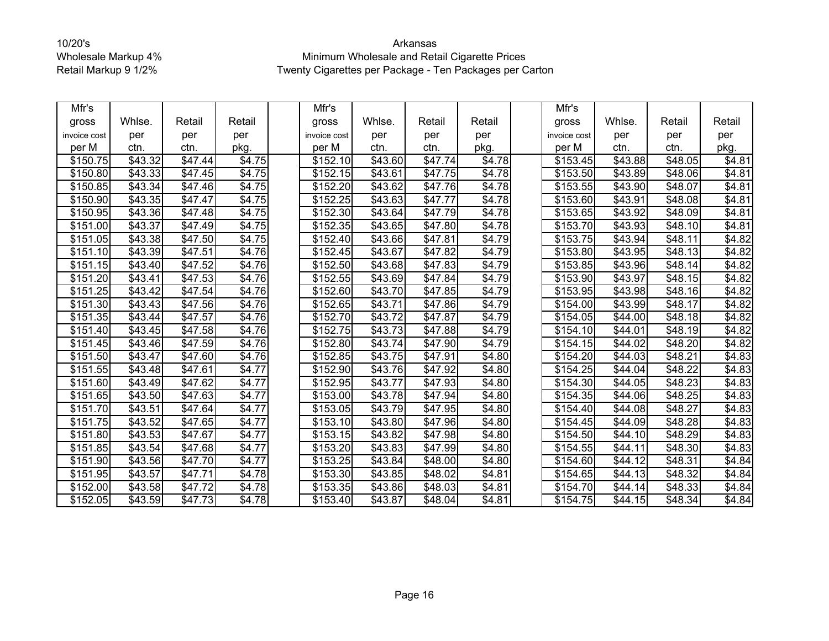| Mfr's        |                     |                     |                | Mfr's                |         |                     |                    | Mfr's                |                     |                     |        |
|--------------|---------------------|---------------------|----------------|----------------------|---------|---------------------|--------------------|----------------------|---------------------|---------------------|--------|
| gross        | Whlse.              | Retail              | Retail         | gross                | Whlse.  | Retail              | Retail             | gross                | Whlse.              | Retail              | Retail |
| invoice cost | per                 | per                 | per            | invoice cost         | per     | per                 | per                | invoice cost         | per                 | per                 | per    |
| per M        | ctn.                | ctn.                | pkg.           | per M                | ctn.    | ctn.                | pkg.               | per M                | ctn.                | ctn.                | pkg.   |
| \$150.75     | \$43.32             | \$47.44             | \$4.75         | \$152.10             | \$43.60 | \$47.74             | \$4.78             | \$153.45             | \$43.88             | \$48.05             | \$4.81 |
| \$150.80     | \$43.33             | \$47.45             | \$4.75         | \$152.15             | \$43.61 | \$47.75             | \$4.78             | \$153.50             | \$43.89             | \$48.06             | \$4.81 |
| \$150.85     | \$43.34             | $\sqrt{$47.46}$     | \$4.75         | $\overline{$}152.20$ | \$43.62 | $\sqrt{$47.76}$     | \$4.78             | $\overline{$}153.55$ | \$43.90             | \$48.07             | \$4.81 |
| \$150.90     | \$43.35             | \$47.47             | \$4.75         | \$152.25             | \$43.63 | \$47.77             | \$4.78             | \$153.60             | \$43.91             | \$48.08             | \$4.81 |
| \$150.95     | \$43.36             | \$47.48             | \$4.75         | \$152.30             | \$43.64 | \$47.79             | \$4.78             | \$153.65             | \$43.92             | \$48.09             | \$4.81 |
| \$151.00     | \$43.37             | \$47.49             | \$4.75         | \$152.35             | \$43.65 | \$47.80             | \$4.78             | \$153.70             | \$43.93             | \$48.10             | \$4.81 |
| \$151.05     | $\overline{$43.38}$ | \$47.50             | \$4.75         | \$152.40             | \$43.66 | \$47.81             | \$4.79             | \$153.75             | \$43.94             | \$48.11             | \$4.82 |
| \$151.10     | \$43.39             | \$47.51             | \$4.76         | \$152.45             | \$43.67 | \$47.82             | \$4.79             | \$153.80             | \$43.95             | \$48.13             | \$4.82 |
| \$151.15     | \$43.40             | \$47.52             | \$4.76         | \$152.50             | \$43.68 | \$47.83             | \$4.79             | \$153.85             | \$43.96             | \$48.14             | \$4.82 |
| \$151.20     | \$43.41             | $\overline{$47.53}$ | \$4.76         | \$152.55             | \$43.69 | \$47.84             | \$4.79             | \$153.90             | \$43.97             | $\overline{$}48.15$ | \$4.82 |
| \$151.25     | \$43.42             | \$47.54             | \$4.76         | \$152.60             | \$43.70 | \$47.85             | \$4.79             | \$153.95             | \$43.98             | \$48.16             | \$4.82 |
| \$151.30     | \$43.43             | \$47.56             | \$4.76         | \$152.65             | \$43.71 | \$47.86             | \$4.79             | \$154.00             | \$43.99             | \$48.17             | \$4.82 |
| \$151.35     | \$43.44             | \$47.57             | \$4.76         | \$152.70             | \$43.72 | \$47.87             | $\overline{$4.79}$ | \$154.05             | \$44.00             | \$48.18             | \$4.82 |
| \$151.40     | \$43.45             | \$47.58             | \$4.76         | \$152.75             | \$43.73 | \$47.88             | \$4.79             | \$154.10             | \$44.01             | \$48.19             | \$4.82 |
| \$151.45     | \$43.46             | $\sqrt{$47.59}$     | \$4.76         | \$152.80             | \$43.74 | $\sqrt{$47.90}$     | \$4.79             | \$154.15             | $\sqrt{$44.02}$     | $\sqrt{$48.20}$     | \$4.82 |
| \$151.50     | \$43.47             | \$47.60             | \$4.76         | \$152.85             | \$43.75 | \$47.91             | \$4.80             | \$154.20             | \$44.03             | \$48.21             | \$4.83 |
| \$151.55     | \$43.48             | \$47.61             | \$4.77         | \$152.90             | \$43.76 | \$47.92             | \$4.80             | $\overline{$154.25}$ | \$44.04             | \$48.22             | \$4.83 |
| \$151.60     | \$43.49             | \$47.62             | \$4.77         | \$152.95             | \$43.77 | \$47.93             | \$4.80             | \$154.30             | \$44.05             | \$48.23             | \$4.83 |
| \$151.65     | \$43.50             | \$47.63             | \$4.77         | \$153.00             | \$43.78 | \$47.94             | \$4.80             | \$154.35             | \$44.06             | \$48.25             | \$4.83 |
| \$151.70     | \$43.51             | \$47.64             | \$4.77         | \$153.05             | \$43.79 | \$47.95             | \$4.80             | $\sqrt{$154.40}$     | $\sqrt{$44.08}$     | \$48.27             | \$4.83 |
| \$151.75     | \$43.52             | \$47.65             | \$4.77         | \$153.10             | \$43.80 | \$47.96             | \$4.80             | \$154.45             | \$44.09             | \$48.28             | \$4.83 |
| \$151.80     | \$43.53             | \$47.67             | \$4.77         | \$153.15             | \$43.82 | \$47.98             | \$4.80             | \$154.50             | \$44.10             | \$48.29             | \$4.83 |
| \$151.85     | \$43.54             | \$47.68             | \$4.77         | \$153.20             | \$43.83 | \$47.99             | \$4.80             | \$154.55             | \$44.11             | \$48.30             | \$4.83 |
| \$151.90     | \$43.56             | \$47.70             | \$4.77         | \$153.25             | \$43.84 | \$48.00             | \$4.80             | \$154.60             | \$44.12             | \$48.31             | \$4.84 |
| \$151.95     | \$43.57             | \$47.71             | \$4.78         | \$153.30             | \$43.85 | \$48.02             | $\overline{$4.81}$ | \$154.65             | $\overline{$}44.13$ | \$48.32             | \$4.84 |
| \$152.00     | \$43.58             | \$47.72             | \$4.78         | \$153.35             | \$43.86 | \$48.03             | \$4.81             | \$154.70             | \$44.14             | \$48.33             | \$4.84 |
| \$152.05     | \$43.59             | $\overline{$47.73}$ | $\sqrt{$4.78}$ | \$153.40             | \$43.87 | $\overline{$}48.04$ | $\sqrt{$4.81}$     | \$154.75             | \$44.15             | $\overline{$}48.34$ | \$4.84 |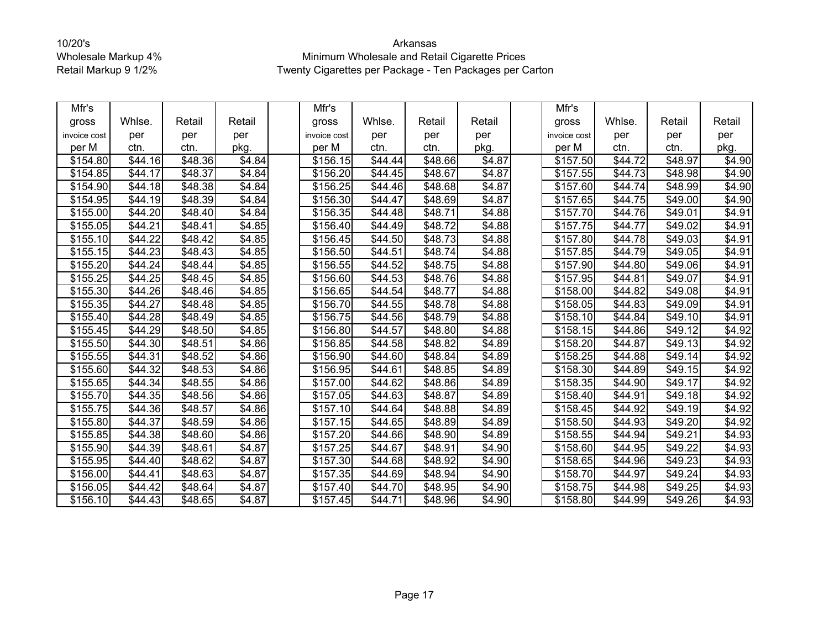| Mfr's        |         |                     |                    | Mfr's        |                 |                     |                    | Mfr's                |                 |                     |        |
|--------------|---------|---------------------|--------------------|--------------|-----------------|---------------------|--------------------|----------------------|-----------------|---------------------|--------|
| gross        | Whlse.  | Retail              | Retail             | gross        | Whlse.          | Retail              | Retail             | gross                | Whlse.          | Retail              | Retail |
| invoice cost | per     | per                 | per                | invoice cost | per             | per                 | per                | invoice cost         | per             | per                 | per    |
| per M        | ctn.    | ctn.                | pkg.               | per M        | ctn.            | ctn.                | pkg.               | per M                | ctn.            | ctn.                | pkg.   |
| \$154.80     | \$44.16 | \$48.36             | \$4.84             | \$156.15     | \$44.44         | \$48.66             | $\overline{$4.87}$ | \$157.50             | \$44.72         | \$48.97             | \$4.90 |
| \$154.85     | \$44.17 | \$48.37             | \$4.84             | \$156.20     | \$44.45         | \$48.67             | \$4.87             | \$157.55             | \$44.73         | \$48.98             | \$4.90 |
| \$154.90     | \$44.18 | \$48.38             | \$4.84             | \$156.25     | \$44.46         | \$48.68             | \$4.87             | $\overline{$}157.60$ | \$44.74         | \$48.99             | \$4.90 |
| \$154.95     | \$44.19 | \$48.39             | \$4.84             | \$156.30     | \$44.47         | \$48.69             | \$4.87             | \$157.65             | \$44.75         | \$49.00             | \$4.90 |
| \$155.00     | \$44.20 | \$48.40             | \$4.84             | \$156.35     | \$44.48         | \$48.71             | \$4.88             | \$157.70             | $\sqrt{$44.76}$ | \$49.01             | \$4.91 |
| \$155.05     | \$44.21 | $\sqrt{$48.41}$     | \$4.85             | \$156.40     | \$44.49         | \$48.72             | \$4.88             | \$157.75             | \$44.77         | \$49.02             | \$4.91 |
| \$155.10     | \$44.22 | \$48.42             | \$4.85             | \$156.45     | \$44.50         | \$48.73             | \$4.88             | \$157.80             | \$44.78         | \$49.03             | \$4.91 |
| \$155.15     | \$44.23 | \$48.43             | \$4.85             | \$156.50     | \$44.51         | \$48.74             | \$4.88             | \$157.85             | \$44.79         | \$49.05             | \$4.91 |
| \$155.20     | \$44.24 | \$48.44             | \$4.85             | \$156.55     | \$44.52         | \$48.75             | \$4.88             | \$157.90             | \$44.80         | \$49.06             | \$4.91 |
| \$155.25     | \$44.25 | \$48.45             | \$4.85             | \$156.60     | \$44.53         | \$48.76             | \$4.88             | \$157.95             | $\sqrt{$44.81}$ | \$49.07             | \$4.91 |
| \$155.30     | \$44.26 | \$48.46             | \$4.85             | \$156.65     | \$44.54         | \$48.77             | \$4.88             | \$158.00             | \$44.82         | \$49.08             | \$4.91 |
| \$155.35     | \$44.27 | \$48.48             | \$4.85             | \$156.70     | \$44.55         | \$48.78             | \$4.88             | $\overline{$}158.05$ | $\sqrt{$44.83}$ | \$49.09             | \$4.91 |
| \$155.40     | \$44.28 | \$48.49             | \$4.85             | \$156.75     | \$44.56         | $\sqrt{$48.79}$     | \$4.88             | \$158.10             | \$44.84         | \$49.10             | \$4.91 |
| \$155.45     | \$44.29 | \$48.50             | \$4.85             | \$156.80     | \$44.57         | \$48.80             | \$4.88             | $\overline{$}158.15$ | \$44.86         | \$49.12             | \$4.92 |
| \$155.50     | \$44.30 | \$48.51             | \$4.86             | \$156.85     | \$44.58         | \$48.82             | \$4.89             | \$158.20             | \$44.87         | $\overline{$}49.13$ | \$4.92 |
| \$155.55     | \$44.31 | \$48.52             | \$4.86             | \$156.90     | $\sqrt{$44.60}$ | \$48.84             | \$4.89             | \$158.25             | \$44.88         | \$49.14             | \$4.92 |
| \$155.60     | \$44.32 | \$48.53             | \$4.86             | \$156.95     | \$44.61         | \$48.85             | \$4.89             | \$158.30             | \$44.89         | \$49.15             | \$4.92 |
| \$155.65     | \$44.34 | \$48.55             | \$4.86             | \$157.00     | \$44.62         | \$48.86             | \$4.89             | \$158.35             | \$44.90         | \$49.17             | \$4.92 |
| \$155.70     | \$44.35 | \$48.56             | \$4.86             | \$157.05     | \$44.63         | \$48.87             | \$4.89             | \$158.40             | \$44.91         | \$49.18             | \$4.92 |
| \$155.75     | \$44.36 | \$48.57             | $\sqrt{$4.86}$     | \$157.10     | \$44.64         | $\overline{$48.88}$ | \$4.89             | $\overline{$}158.45$ | \$44.92         | $\overline{$49.19}$ | \$4.92 |
| \$155.80     | \$44.37 | \$48.59             | \$4.86             | \$157.15     | \$44.65         | \$48.89             | \$4.89             | \$158.50             | \$44.93         | \$49.20             | \$4.92 |
| \$155.85     | \$44.38 | \$48.60             | \$4.86             | \$157.20     | \$44.66         | \$48.90             | \$4.89             | \$158.55             | \$44.94         | \$49.21             | \$4.93 |
| \$155.90     | \$44.39 | \$48.61             | \$4.87             | \$157.25     | \$44.67         | \$48.91             | \$4.90             | \$158.60             | \$44.95         | \$49.22             | \$4.93 |
| \$155.95     | \$44.40 | \$48.62             | \$4.87             | \$157.30     | \$44.68         | \$48.92             | \$4.90             | \$158.65             | \$44.96         | \$49.23             | \$4.93 |
| \$156.00     | \$44.41 | \$48.63             | $\overline{$4.87}$ | \$157.35     | \$44.69         | \$48.94             | \$4.90             | \$158.70             | \$44.97         | \$49.24             | \$4.93 |
| \$156.05     | \$44.42 | \$48.64             | \$4.87             | \$157.40     | \$44.70         | \$48.95             | \$4.90             | \$158.75             | \$44.98         | \$49.25             | \$4.93 |
| \$156.10     | \$44.43 | $\overline{$48.65}$ | \$4.87             | \$157.45     | \$44.71         | \$48.96             | \$4.90             | \$158.80             | \$44.99         | $\overline{$}49.26$ | \$4.93 |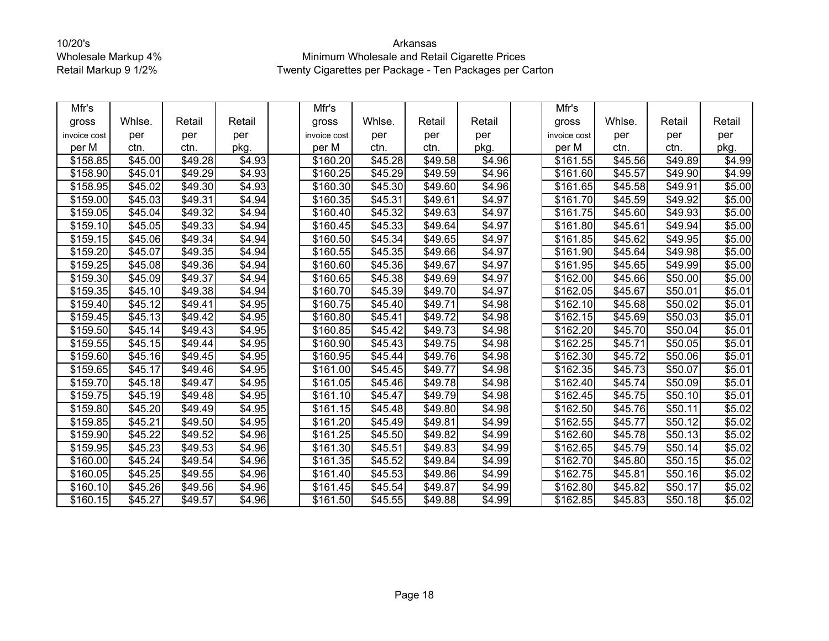| Mfr's        |                 |                 |                    | Mfr's        |                     |                     |                    | Mfr's                |                 |         |        |
|--------------|-----------------|-----------------|--------------------|--------------|---------------------|---------------------|--------------------|----------------------|-----------------|---------|--------|
| gross        | Whlse.          | Retail          | Retail             | gross        | Whlse.              | Retail              | Retail             | gross                | Whlse.          | Retail  | Retail |
| invoice cost | per             | per             | per                | invoice cost | per                 | per                 | per                | invoice cost         | per             | per     | per    |
| per M        | ctn.            | ctn.            | pkg.               | per M        | ctn.                | ctn.                | pkg.               | per M                | ctn.            | ctn.    | pkg.   |
| \$158.85     | \$45.00         | \$49.28         | \$4.93             | \$160.20     | \$45.28             | \$49.58             | \$4.96             | \$161.55             | \$45.56         | \$49.89 | \$4.99 |
| \$158.90     | \$45.01         | \$49.29         | \$4.93             | \$160.25     | \$45.29             | \$49.59             | \$4.96             | \$161.60             | \$45.57         | \$49.90 | \$4.99 |
| \$158.95     | \$45.02         | $\sqrt{$49.30}$ | \$4.93             | \$160.30     | \$45.30             | \$49.60             | \$4.96             | \$161.65             | \$45.58         | \$49.91 | \$5.00 |
| \$159.00     | \$45.03         | \$49.31         | \$4.94             | \$160.35     | \$45.31             | \$49.61             | \$4.97             | \$161.70             | \$45.59         | \$49.92 | \$5.00 |
| \$159.05     | \$45.04         | \$49.32         | \$4.94             | \$160.40     | \$45.32             | \$49.63             | \$4.97             | \$161.75             | $\sqrt{$45.60}$ | \$49.93 | \$5.00 |
| \$159.10     | \$45.05         | \$49.33         | \$4.94             | \$160.45     | \$45.33             | \$49.64             | \$4.97             | \$161.80             | \$45.61         | \$49.94 | \$5.00 |
| \$159.15     | $\sqrt{$45.06}$ | \$49.34         | \$4.94             | \$160.50     | $\overline{$45.34}$ | \$49.65             | \$4.97             | \$161.85             | \$45.62         | \$49.95 | \$5.00 |
| \$159.20     | \$45.07         | \$49.35         | \$4.94             | \$160.55     | \$45.35             | \$49.66             | \$4.97             | \$161.90             | \$45.64         | \$49.98 | \$5.00 |
| \$159.25     | \$45.08         | \$49.36         | \$4.94             | \$160.60     | \$45.36             | \$49.67             | \$4.97             | \$161.95             | \$45.65         | \$49.99 | \$5.00 |
| \$159.30     | \$45.09         | \$49.37         | \$4.94             | \$160.65     | \$45.38             | \$49.69             | \$4.97             | \$162.00             | \$45.66         | \$50.00 | \$5.00 |
| \$159.35     | \$45.10         | \$49.38         | \$4.94             | \$160.70     | \$45.39             | \$49.70             | \$4.97             | \$162.05             | \$45.67         | \$50.01 | \$5.01 |
| \$159.40     | \$45.12         | \$49.41         | \$4.95             | \$160.75     | \$45.40             | \$49.71             | \$4.98             | \$162.10             | \$45.68         | \$50.02 | \$5.01 |
| \$159.45     | \$45.13         | \$49.42         | $\overline{$4.95}$ | \$160.80     | \$45.41             | $\overline{$}49.72$ | $\overline{$4.98}$ | \$162.15             | \$45.69         | \$50.03 | \$5.01 |
| \$159.50     | \$45.14         | \$49.43         | \$4.95             | \$160.85     | \$45.42             | \$49.73             | \$4.98             | \$162.20             | \$45.70         | \$50.04 | \$5.01 |
| \$159.55     | \$45.15         | \$49.44         | \$4.95             | \$160.90     | \$45.43             | \$49.75             | \$4.98             | \$162.25             | \$45.71         | \$50.05 | \$5.01 |
| \$159.60     | \$45.16         | \$49.45         | \$4.95             | \$160.95     | \$45.44             | \$49.76             | \$4.98             | \$162.30             | \$45.72         | \$50.06 | \$5.01 |
| \$159.65     | \$45.17         | \$49.46         | \$4.95             | \$161.00     | $\overline{$45.45}$ | \$49.77             | \$4.98             | \$162.35             | \$45.73         | \$50.07 | \$5.01 |
| \$159.70     | \$45.18         | \$49.47         | \$4.95             | \$161.05     | \$45.46             | $\sqrt{$49.78}$     | \$4.98             | \$162.40             | \$45.74         | \$50.09 | \$5.01 |
| \$159.75     | \$45.19         | \$49.48         | \$4.95             | \$161.10     | \$45.47             | \$49.79             | \$4.98             | \$162.45             | \$45.75         | \$50.10 | \$5.01 |
| \$159.80     | \$45.20         | \$49.49         | $\overline{$4.95}$ | \$161.15     | \$45.48             | \$49.80             | \$4.98             | $\overline{$}162.50$ | \$45.76         | \$50.11 | \$5.02 |
| \$159.85     | \$45.21         | \$49.50         | \$4.95             | \$161.20     | \$45.49             | \$49.81             | \$4.99             | \$162.55             | \$45.77         | \$50.12 | \$5.02 |
| \$159.90     | \$45.22         | \$49.52         | \$4.96             | \$161.25     | \$45.50             | \$49.82             | \$4.99             | \$162.60             | \$45.78         | \$50.13 | \$5.02 |
| \$159.95     | \$45.23         | \$49.53         | \$4.96             | \$161.30     | \$45.51             | \$49.83             | \$4.99             | \$162.65             | \$45.79         | \$50.14 | \$5.02 |
| \$160.00     | $\sqrt{$45.24}$ | \$49.54         | \$4.96             | \$161.35     | \$45.52             | \$49.84             | \$4.99             | \$162.70             | \$45.80         | \$50.15 | \$5.02 |
| \$160.05     | \$45.25         | \$49.55         | \$4.96             | \$161.40     | \$45.53             | \$49.86             | \$4.99             | \$162.75             | \$45.81         | \$50.16 | \$5.02 |
| \$160.10     | \$45.26         | \$49.56         | \$4.96             | \$161.45     | \$45.54             | \$49.87             | \$4.99             | \$162.80             | \$45.82         | \$50.17 | \$5.02 |
| \$160.15     | \$45.27         | \$49.57         | $\sqrt{$4.96}$     | \$161.50     | \$45.55             | $\overline{$}49.88$ | \$4.99             | \$162.85             | \$45.83         | \$50.18 | \$5.02 |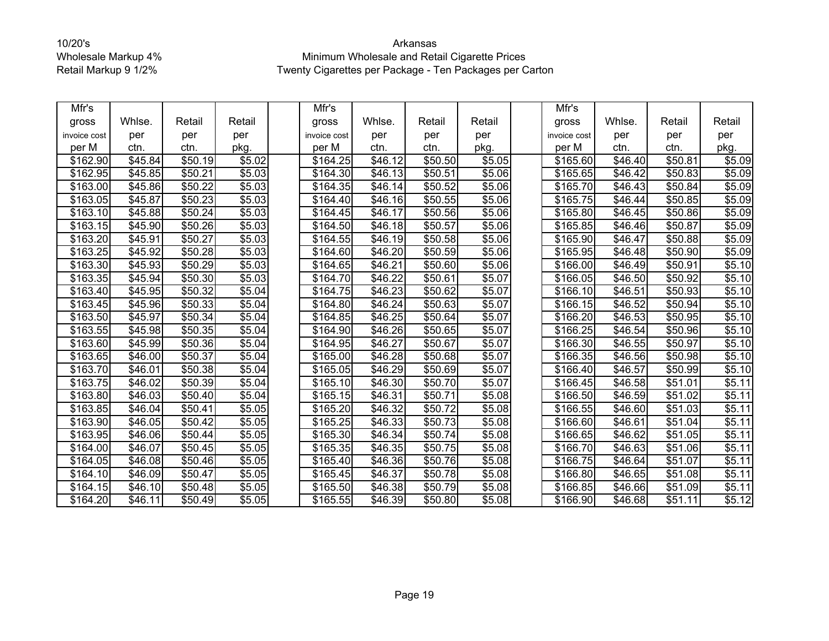| Mfr's        |         |         |                    | Mfr's                |                     |         |        | Mfr's                |         |         |        |
|--------------|---------|---------|--------------------|----------------------|---------------------|---------|--------|----------------------|---------|---------|--------|
| gross        | Whlse.  | Retail  | Retail             | gross                | Whlse.              | Retail  | Retail | gross                | Whlse.  | Retail  | Retail |
| invoice cost | per     | per     | per                | invoice cost         | per                 | per     | per    | invoice cost         | per     | per     | per    |
| per M        | ctn.    | ctn.    | pkg.               | per M                | ctn.                | ctn.    | pkg.   | per M                | ctn.    | ctn.    | pkg.   |
| \$162.90     | \$45.84 | \$50.19 | \$5.02             | \$164.25             | \$46.12             | \$50.50 | \$5.05 | \$165.60             | \$46.40 | \$50.81 | \$5.09 |
| \$162.95     | \$45.85 | \$50.21 | \$5.03             | \$164.30             | \$46.13             | \$50.51 | \$5.06 | \$165.65             | \$46.42 | \$50.83 | \$5.09 |
| \$163.00     | \$45.86 | \$50.22 | \$5.03             | $\overline{$}164.35$ | \$46.14             | \$50.52 | \$5.06 | \$165.70             | \$46.43 | \$50.84 | \$5.09 |
| \$163.05     | \$45.87 | \$50.23 | \$5.03             | \$164.40             | \$46.16             | \$50.55 | \$5.06 | \$165.75             | \$46.44 | \$50.85 | \$5.09 |
| \$163.10     | \$45.88 | \$50.24 | \$5.03             | \$164.45             | \$46.17             | \$50.56 | \$5.06 | \$165.80             | \$46.45 | \$50.86 | \$5.09 |
| \$163.15     | \$45.90 | \$50.26 | \$5.03             | \$164.50             | \$46.18             | \$50.57 | \$5.06 | \$165.85             | \$46.46 | \$50.87 | \$5.09 |
| \$163.20     | \$45.91 | \$50.27 | \$5.03             | \$164.55             | \$46.19             | \$50.58 | \$5.06 | \$165.90             | \$46.47 | \$50.88 | \$5.09 |
| \$163.25     | \$45.92 | \$50.28 | \$5.03             | \$164.60             | \$46.20             | \$50.59 | \$5.06 | \$165.95             | \$46.48 | \$50.90 | \$5.09 |
| \$163.30     | \$45.93 | \$50.29 | \$5.03             | \$164.65             | \$46.21             | \$50.60 | \$5.06 | \$166.00             | \$46.49 | \$50.91 | \$5.10 |
| \$163.35     | \$45.94 | \$50.30 | \$5.03             | \$164.70             | \$46.22             | \$50.61 | \$5.07 | \$166.05             | \$46.50 | \$50.92 | \$5.10 |
| \$163.40     | \$45.95 | \$50.32 | \$5.04             | \$164.75             | \$46.23             | \$50.62 | \$5.07 | \$166.10             | \$46.51 | \$50.93 | \$5.10 |
| \$163.45     | \$45.96 | \$50.33 | \$5.04             | \$164.80             | \$46.24             | \$50.63 | \$5.07 | \$166.15             | \$46.52 | \$50.94 | \$5.10 |
| \$163.50     | \$45.97 | \$50.34 | \$5.04             | \$164.85             | \$46.25             | \$50.64 | \$5.07 | \$166.20             | \$46.53 | \$50.95 | \$5.10 |
| \$163.55     | \$45.98 | \$50.35 | \$5.04             | \$164.90             | \$46.26             | \$50.65 | \$5.07 | \$166.25             | \$46.54 | \$50.96 | \$5.10 |
| \$163.60     | \$45.99 | \$50.36 | \$5.04             | \$164.95             | \$46.27             | \$50.67 | \$5.07 | $\overline{$}166.30$ | \$46.55 | \$50.97 | \$5.10 |
| \$163.65     | \$46.00 | \$50.37 | \$5.04             | \$165.00             | \$46.28             | \$50.68 | \$5.07 | \$166.35             | \$46.56 | \$50.98 | \$5.10 |
| \$163.70     | \$46.01 | \$50.38 | \$5.04             | \$165.05             | \$46.29             | \$50.69 | \$5.07 | \$166.40             | \$46.57 | \$50.99 | \$5.10 |
| \$163.75     | \$46.02 | \$50.39 | \$5.04             | \$165.10             | \$46.30             | \$50.70 | \$5.07 | \$166.45             | \$46.58 | \$51.01 | \$5.11 |
| \$163.80     | \$46.03 | \$50.40 | \$5.04             | \$165.15             | \$46.31             | \$50.71 | \$5.08 | \$166.50             | \$46.59 | \$51.02 | \$5.11 |
| \$163.85     | \$46.04 | \$50.41 | \$5.05             | $\overline{$}165.20$ | \$46.32             | \$50.72 | \$5.08 | $\overline{$}166.55$ | \$46.60 | \$51.03 | \$5.11 |
| \$163.90     | \$46.05 | \$50.42 | \$5.05             | \$165.25             | \$46.33             | \$50.73 | \$5.08 | \$166.60             | \$46.61 | \$51.04 | \$5.11 |
| \$163.95     | \$46.06 | \$50.44 | \$5.05             | \$165.30             | \$46.34             | \$50.74 | \$5.08 | \$166.65             | \$46.62 | \$51.05 | \$5.11 |
| \$164.00     | \$46.07 | \$50.45 | \$5.05             | \$165.35             | \$46.35             | \$50.75 | \$5.08 | \$166.70             | \$46.63 | \$51.06 | \$5.11 |
| \$164.05     | \$46.08 | \$50.46 | \$5.05             | \$165.40             | \$46.36             | \$50.76 | \$5.08 | \$166.75             | \$46.64 | \$51.07 | \$5.11 |
| \$164.10     | \$46.09 | \$50.47 | $\overline{$}5.05$ | \$165.45             | \$46.37             | \$50.78 | \$5.08 | \$166.80             | \$46.65 | \$51.08 | \$5.11 |
| \$164.15     | \$46.10 | \$50.48 | \$5.05             | \$165.50             | \$46.38             | \$50.79 | \$5.08 | \$166.85             | \$46.66 | \$51.09 | \$5.11 |
| \$164.20     | \$46.11 | \$50.49 | \$5.05             | \$165.55             | $\overline{$46.39}$ | \$50.80 | \$5.08 | $\overline{$}166.90$ | \$46.68 | \$51.11 | \$5.12 |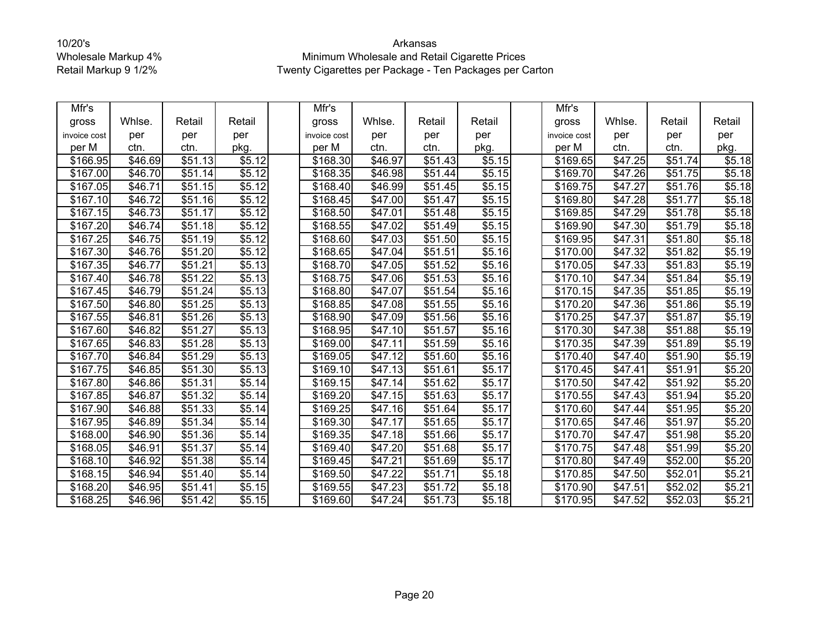| Mfr's        |                     |                     |        | Mfr's                |         |                     |                    | Mfr's                |                 |         |        |
|--------------|---------------------|---------------------|--------|----------------------|---------|---------------------|--------------------|----------------------|-----------------|---------|--------|
| gross        | Whlse.              | Retail              | Retail | gross                | Whlse.  | Retail              | Retail             | gross                | Whlse.          | Retail  | Retail |
| invoice cost | per                 | per                 | per    | invoice cost         | per     | per                 | per                | invoice cost         | per             | per     | per    |
| per M        | ctn.                | ctn.                | pkg.   | per M                | ctn.    | ctn.                | pkg.               | per M                | ctn.            | ctn.    | pkg.   |
| \$166.95     | \$46.69             | \$51.13             | \$5.12 | \$168.30             | \$46.97 | \$51.43             | \$5.15             | \$169.65             | \$47.25         | \$51.74 | \$5.18 |
| \$167.00     | \$46.70             | \$51.14             | \$5.12 | \$168.35             | \$46.98 | \$51.44             | \$5.15             | \$169.70             | \$47.26         | \$51.75 | \$5.18 |
| \$167.05     | \$46.71             | $\overline{$51.15}$ | \$5.12 | \$168.40             | \$46.99 | \$51.45             | \$5.15             | $\overline{$}169.75$ | $\sqrt{$47.27}$ | \$51.76 | \$5.18 |
| \$167.10     | \$46.72             | \$51.16             | \$5.12 | \$168.45             | \$47.00 | \$51.47             | \$5.15             | \$169.80             | \$47.28         | \$51.77 | \$5.18 |
| \$167.15     | \$46.73             | \$51.17             | \$5.12 | \$168.50             | \$47.01 | \$51.48             | \$5.15             | \$169.85             | \$47.29         | \$51.78 | \$5.18 |
| \$167.20     | \$46.74             | \$51.18             | \$5.12 | \$168.55             | \$47.02 | \$51.49             | \$5.15             | \$169.90             | \$47.30         | \$51.79 | \$5.18 |
| \$167.25     | $\overline{$46.75}$ | \$51.19             | \$5.12 | \$168.60             | \$47.03 | \$51.50             | \$5.15             | \$169.95             | \$47.31         | \$51.80 | \$5.18 |
| \$167.30     | \$46.76             | \$51.20             | \$5.12 | \$168.65             | \$47.04 | \$51.51             | \$5.16             | \$170.00             | \$47.32         | \$51.82 | \$5.19 |
| \$167.35     | \$46.77             | \$51.21             | \$5.13 | \$168.70             | \$47.05 | \$51.52             | \$5.16             | \$170.05             | \$47.33         | \$51.83 | \$5.19 |
| \$167.40     | \$46.78             | $\overline{$}51.22$ | \$5.13 | \$168.75             | \$47.06 | \$51.53             | \$5.16             | \$170.10             | \$47.34         | \$51.84 | \$5.19 |
| \$167.45     | \$46.79             | \$51.24             | \$5.13 | \$168.80             | \$47.07 | \$51.54             | \$5.16             | \$170.15             | \$47.35         | \$51.85 | \$5.19 |
| \$167.50     | \$46.80             | \$51.25             | \$5.13 | \$168.85             | \$47.08 | \$51.55             | \$5.16             | \$170.20             | \$47.36         | \$51.86 | \$5.19 |
| \$167.55     | \$46.81             | $\overline{$}51.26$ | \$5.13 | \$168.90             | \$47.09 | \$51.56             | \$5.16             | \$170.25             | $\sqrt{$47.37}$ | \$51.87 | \$5.19 |
| \$167.60     | \$46.82             | \$51.27             | \$5.13 | \$168.95             | \$47.10 | \$51.57             | \$5.16             | \$170.30             | \$47.38         | \$51.88 | \$5.19 |
| \$167.65     | \$46.83             | $\overline{$}51.28$ | \$5.13 | \$169.00             | \$47.11 | \$51.59             | \$5.16             | $\overline{$}170.35$ | \$47.39         | \$51.89 | \$5.19 |
| \$167.70     | \$46.84             | \$51.29             | \$5.13 | \$169.05             | \$47.12 | \$51.60             | \$5.16             | \$170.40             | \$47.40         | \$51.90 | \$5.19 |
| \$167.75     | \$46.85             | \$51.30             | \$5.13 | \$169.10             | \$47.13 | \$51.61             | \$5.17             | \$170.45             | \$47.41         | \$51.91 | \$5.20 |
| \$167.80     | \$46.86             | \$51.31             | \$5.14 | \$169.15             | \$47.14 | \$51.62             | \$5.17             | \$170.50             | \$47.42         | \$51.92 | \$5.20 |
| \$167.85     | \$46.87             | \$51.32             | \$5.14 | \$169.20             | \$47.15 | \$51.63             | \$5.17             | \$170.55             | \$47.43         | \$51.94 | \$5.20 |
| \$167.90     | \$46.88             | $\overline{$}51.33$ | \$5.14 | $\overline{$}169.25$ | \$47.16 | \$51.64             | \$5.17             | \$170.60             | \$47.44         | \$51.95 | \$5.20 |
| \$167.95     | \$46.89             | \$51.34             | \$5.14 | \$169.30             | \$47.17 | \$51.65             | \$5.17             | \$170.65             | \$47.46         | \$51.97 | \$5.20 |
| \$168.00     | \$46.90             | \$51.36             | \$5.14 | \$169.35             | \$47.18 | \$51.66             | \$5.17             | \$170.70             | \$47.47         | \$51.98 | \$5.20 |
| \$168.05     | \$46.91             | \$51.37             | \$5.14 | \$169.40             | \$47.20 | \$51.68             | \$5.17             | \$170.75             | \$47.48         | \$51.99 | \$5.20 |
| \$168.10     | \$46.92             | \$51.38             | \$5.14 | \$169.45             | \$47.21 | \$51.69             | \$5.17             | \$170.80             | \$47.49         | \$52.00 | \$5.20 |
| \$168.15     | \$46.94             | \$51.40             | \$5.14 | \$169.50             | \$47.22 | \$51.71             | $\overline{$}5.18$ | \$170.85             | \$47.50         | \$52.01 | \$5.21 |
| \$168.20     | \$46.95             | \$51.41             | \$5.15 | \$169.55             | \$47.23 | \$51.72             | \$5.18             | \$170.90             | \$47.51         | \$52.02 | \$5.21 |
| \$168.25     | $\overline{$46.96}$ | $\overline{$}51.42$ | \$5.15 | \$169.60             | \$47.24 | $\overline{$}51.73$ | $\overline{$5.18}$ | \$170.95             | \$47.52         | \$52.03 | \$5.21 |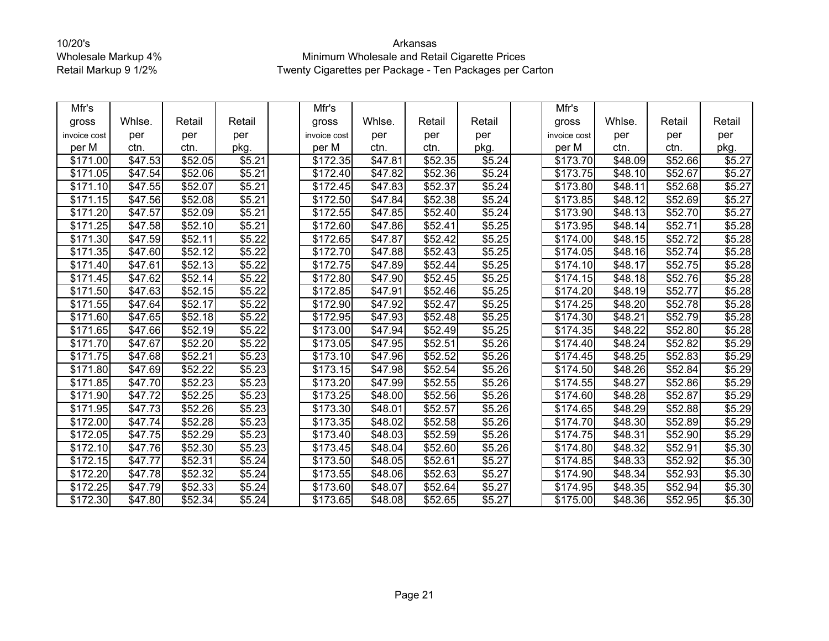| Mfr's        |                     |         |        | Mfr's        |         |         |        | Mfr's                |         |         |        |
|--------------|---------------------|---------|--------|--------------|---------|---------|--------|----------------------|---------|---------|--------|
| gross        | Whlse.              | Retail  | Retail | gross        | Whlse.  | Retail  | Retail | gross                | Whlse.  | Retail  | Retail |
| invoice cost | per                 | per     | per    | invoice cost | per     | per     | per    | invoice cost         | per     | per     | per    |
| per M        | ctn.                | ctn.    | pkg.   | per M        | ctn.    | ctn.    | pkg.   | per M                | ctn.    | ctn.    | pkg.   |
| \$171.00     | \$47.53             | \$52.05 | \$5.21 | \$172.35     | \$47.81 | \$52.35 | \$5.24 | \$173.70             | \$48.09 | \$52.66 | \$5.27 |
| \$171.05     | \$47.54             | \$52.06 | \$5.21 | \$172.40     | \$47.82 | \$52.36 | \$5.24 | \$173.75             | \$48.10 | \$52.67 | \$5.27 |
| \$171.10     | \$47.55             | \$52.07 | \$5.21 | \$172.45     | \$47.83 | \$52.37 | \$5.24 | $\overline{$}173.80$ | \$48.11 | \$52.68 | \$5.27 |
| \$171.15     | \$47.56             | \$52.08 | \$5.21 | \$172.50     | \$47.84 | \$52.38 | \$5.24 | \$173.85             | \$48.12 | \$52.69 | \$5.27 |
| \$171.20     | \$47.57             | \$52.09 | \$5.21 | \$172.55     | \$47.85 | \$52.40 | \$5.24 | \$173.90             | \$48.13 | \$52.70 | \$5.27 |
| \$171.25     | \$47.58             | \$52.10 | \$5.21 | \$172.60     | \$47.86 | \$52.41 | \$5.25 | \$173.95             | \$48.14 | \$52.71 | \$5.28 |
| \$171.30     | \$47.59             | \$52.11 | \$5.22 | \$172.65     | \$47.87 | \$52.42 | \$5.25 | \$174.00             | \$48.15 | \$52.72 | \$5.28 |
| \$171.35     | \$47.60             | \$52.12 | \$5.22 | \$172.70     | \$47.88 | \$52.43 | \$5.25 | \$174.05             | \$48.16 | \$52.74 | \$5.28 |
| \$171.40     | \$47.61             | \$52.13 | \$5.22 | \$172.75     | \$47.89 | \$52.44 | \$5.25 | \$174.10             | \$48.17 | \$52.75 | \$5.28 |
| \$171.45     | \$47.62             | \$52.14 | \$5.22 | \$172.80     | \$47.90 | \$52.45 | \$5.25 | \$174.15             | \$48.18 | \$52.76 | \$5.28 |
| \$171.50     | $\overline{$47.63}$ | \$52.15 | \$5.22 | \$172.85     | \$47.91 | \$52.46 | \$5.25 | \$174.20             | \$48.19 | \$52.77 | \$5.28 |
| \$171.55     | \$47.64             | \$52.17 | \$5.22 | \$172.90     | \$47.92 | \$52.47 | \$5.25 | \$174.25             | \$48.20 | \$52.78 | \$5.28 |
| \$171.60     | $\sqrt{$47.65}$     | \$52.18 | \$5.22 | \$172.95     | \$47.93 | \$52.48 | \$5.25 | $\sqrt{$174.30}$     | \$48.21 | \$52.79 | \$5.28 |
| \$171.65     | \$47.66             | \$52.19 | \$5.22 | \$173.00     | \$47.94 | \$52.49 | \$5.25 | \$174.35             | \$48.22 | \$52.80 | \$5.28 |
| \$171.70     | \$47.67             | \$52.20 | \$5.22 | \$173.05     | \$47.95 | \$52.51 | \$5.26 | \$174.40             | \$48.24 | \$52.82 | \$5.29 |
| \$171.75     | $\overline{$47.68}$ | \$52.21 | \$5.23 | \$173.10     | \$47.96 | \$52.52 | \$5.26 | \$174.45             | \$48.25 | \$52.83 | \$5.29 |
| \$171.80     | \$47.69             | \$52.22 | \$5.23 | \$173.15     | \$47.98 | \$52.54 | \$5.26 | \$174.50             | \$48.26 | \$52.84 | \$5.29 |
| \$171.85     | \$47.70             | \$52.23 | \$5.23 | \$173.20     | \$47.99 | \$52.55 | \$5.26 | \$174.55             | \$48.27 | \$52.86 | \$5.29 |
| \$171.90     | \$47.72             | \$52.25 | \$5.23 | \$173.25     | \$48.00 | \$52.56 | \$5.26 | \$174.60             | \$48.28 | \$52.87 | \$5.29 |
| \$171.95     | \$47.73             | \$52.26 | \$5.23 | \$173.30     | \$48.01 | \$52.57 | \$5.26 | \$174.65             | \$48.29 | \$52.88 | \$5.29 |
| \$172.00     | \$47.74             | \$52.28 | \$5.23 | \$173.35     | \$48.02 | \$52.58 | \$5.26 | \$174.70             | \$48.30 | \$52.89 | \$5.29 |
| \$172.05     | \$47.75             | \$52.29 | \$5.23 | \$173.40     | \$48.03 | \$52.59 | \$5.26 | \$174.75             | \$48.31 | \$52.90 | \$5.29 |
| \$172.10     | \$47.76             | \$52.30 | \$5.23 | \$173.45     | \$48.04 | \$52.60 | \$5.26 | \$174.80             | \$48.32 | \$52.91 | \$5.30 |
| \$172.15     | \$47.77             | \$52.31 | \$5.24 | \$173.50     | \$48.05 | \$52.61 | \$5.27 | \$174.85             | \$48.33 | \$52.92 | \$5.30 |
| \$172.20     | \$47.78             | \$52.32 | \$5.24 | \$173.55     | \$48.06 | \$52.63 | \$5.27 | $\sqrt{$174.90}$     | \$48.34 | \$52.93 | \$5.30 |
| \$172.25     | \$47.79             | \$52.33 | \$5.24 | \$173.60     | \$48.07 | \$52.64 | \$5.27 | \$174.95             | \$48.35 | \$52.94 | \$5.30 |
| \$172.30     | \$47.80             | \$52.34 | \$5.24 | \$173.65     | \$48.08 | \$52.65 | \$5.27 | \$175.00             | \$48.36 | \$52.95 | \$5.30 |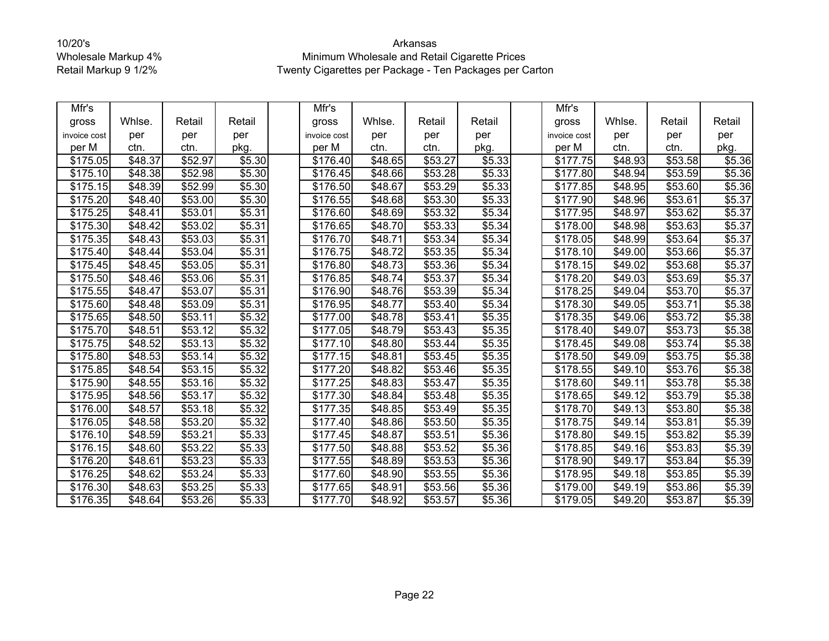| Mfr's        |                     |         |        | Mfr's                |         |                     |        | Mfr's                |                |         |        |
|--------------|---------------------|---------|--------|----------------------|---------|---------------------|--------|----------------------|----------------|---------|--------|
| gross        | Whlse.              | Retail  | Retail | gross                | Whlse.  | Retail              | Retail | gross                | Whlse.         | Retail  | Retail |
| invoice cost | per                 | per     | per    | invoice cost         | per     | per                 | per    | invoice cost         | per            | per     | per    |
| per M        | ctn.                | ctn.    | pkg.   | per M                | ctn.    | ctn.                | pkg.   | per M                | ctn.           | ctn.    | pkg.   |
| \$175.05     | \$48.37             | \$52.97 | \$5.30 | \$176.40             | \$48.65 | \$53.27             | \$5.33 | \$177.75             | \$48.93        | \$53.58 | \$5.36 |
| \$175.10     | $\overline{$}48.38$ | \$52.98 | \$5.30 | \$176.45             | \$48.66 | \$53.28             | \$5.33 | \$177.80             | \$48.94        | \$53.59 | \$5.36 |
| \$175.15     | \$48.39             | \$52.99 | \$5.30 | \$176.50             | \$48.67 | \$53.29             | \$5.33 | \$177.85             | \$48.95        | \$53.60 | \$5.36 |
| \$175.20     | \$48.40             | \$53.00 | \$5.30 | \$176.55             | \$48.68 | \$53.30             | \$5.33 | \$177.90             | \$48.96        | \$53.61 | \$5.37 |
| \$175.25     | \$48.41             | \$53.01 | \$5.31 | \$176.60             | \$48.69 | \$53.32             | \$5.34 | \$177.95             | \$48.97        | \$53.62 | \$5.37 |
| \$175.30     | $\sqrt{$48.42}$     | \$53.02 | \$5.31 | \$176.65             | \$48.70 | \$53.33             | \$5.34 | \$178.00             | \$48.98        | \$53.63 | \$5.37 |
| \$175.35     | $\sqrt{$48.43}$     | \$53.03 | \$5.31 | \$176.70             | \$48.71 | \$53.34             | \$5.34 | $\overline{$}178.05$ | \$48.99        | \$53.64 | \$5.37 |
| \$175.40     | $\sqrt{$48.44}$     | \$53.04 | \$5.31 | \$176.75             | \$48.72 | \$53.35             | \$5.34 | \$178.10             | \$49.00        | \$53.66 | \$5.37 |
| \$175.45     | \$48.45             | \$53.05 | \$5.31 | \$176.80             | \$48.73 | \$53.36             | \$5.34 | \$178.15             | \$49.02        | \$53.68 | \$5.37 |
| \$175.50     | \$48.46             | \$53.06 | \$5.31 | \$176.85             | \$48.74 | \$53.37             | \$5.34 | \$178.20             | \$49.03        | \$53.69 | \$5.37 |
| \$175.55     | \$48.47             | \$53.07 | \$5.31 | \$176.90             | \$48.76 | \$53.39             | \$5.34 | \$178.25             | \$49.04        | \$53.70 | \$5.37 |
| \$175.60     | $\sqrt{$48.48}$     | \$53.09 | \$5.31 | $\overline{$}176.95$ | \$48.77 | \$53.40             | \$5.34 | \$178.30             | \$49.05        | \$53.71 | \$5.38 |
| \$175.65     | \$48.50             | \$53.11 | \$5.32 | \$177.00             | \$48.78 | \$53.41             | \$5.35 | $\overline{$}178.35$ | \$49.06        | \$53.72 | \$5.38 |
| \$175.70     | \$48.51             | \$53.12 | \$5.32 | \$177.05             | \$48.79 | \$53.43             | \$5.35 | \$178.40             | \$49.07        | \$53.73 | \$5.38 |
| \$175.75     | \$48.52             | \$53.13 | \$5.32 | \$177.10             | \$48.80 | \$53.44             | \$5.35 | \$178.45             | \$49.08        | \$53.74 | \$5.38 |
| \$175.80     | \$48.53             | \$53.14 | \$5.32 | \$177.15             | \$48.81 | \$53.45             | \$5.35 | \$178.50             | \$49.09        | \$53.75 | \$5.38 |
| \$175.85     | \$48.54             | \$53.15 | \$5.32 | \$177.20             | \$48.82 | \$53.46             | \$5.35 | $\overline{$}178.55$ | \$49.10        | \$53.76 | \$5.38 |
| \$175.90     | \$48.55             | \$53.16 | \$5.32 | \$177.25             | \$48.83 | \$53.47             | \$5.35 | \$178.60             | \$49.11        | \$53.78 | \$5.38 |
| \$175.95     | \$48.56             | \$53.17 | \$5.32 | \$177.30             | \$48.84 | \$53.48             | \$5.35 | \$178.65             | \$49.12        | \$53.79 | \$5.38 |
| \$176.00     | \$48.57             | \$53.18 | \$5.32 | \$177.35             | \$48.85 | \$53.49             | \$5.35 | $\sqrt{$178.70}$     | \$49.13        | \$53.80 | \$5.38 |
| \$176.05     | $\overline{$48.58}$ | \$53.20 | \$5.32 | \$177.40             | \$48.86 | $\overline{$}53.50$ | \$5.35 | \$178.75             | \$49.14        | \$53.81 | \$5.39 |
| \$176.10     | \$48.59             | \$53.21 | \$5.33 | \$177.45             | \$48.87 | \$53.51             | \$5.36 | \$178.80             | \$49.15        | \$53.82 | \$5.39 |
| \$176.15     | \$48.60             | \$53.22 | \$5.33 | \$177.50             | \$48.88 | \$53.52             | \$5.36 | \$178.85             | \$49.16        | \$53.83 | \$5.39 |
| \$176.20     | \$48.61             | \$53.23 | \$5.33 | \$177.55             | \$48.89 | \$53.53             | \$5.36 | \$178.90             | \$49.17        | \$53.84 | \$5.39 |
| \$176.25     | \$48.62             | \$53.24 | \$5.33 | \$177.60             | \$48.90 | \$53.55             | \$5.36 | \$178.95             | \$49.18        | \$53.85 | \$5.39 |
| \$176.30     | \$48.63             | \$53.25 | \$5.33 | \$177.65             | \$48.91 | \$53.56             | \$5.36 | \$179.00             | \$49.19        | \$53.86 | \$5.39 |
| \$176.35     | \$48.64             | \$53.26 | \$5.33 | \$177.70             | \$48.92 | \$53.57             | \$5.36 | \$179.05             | $\sqrt{49.20}$ | \$53.87 | \$5.39 |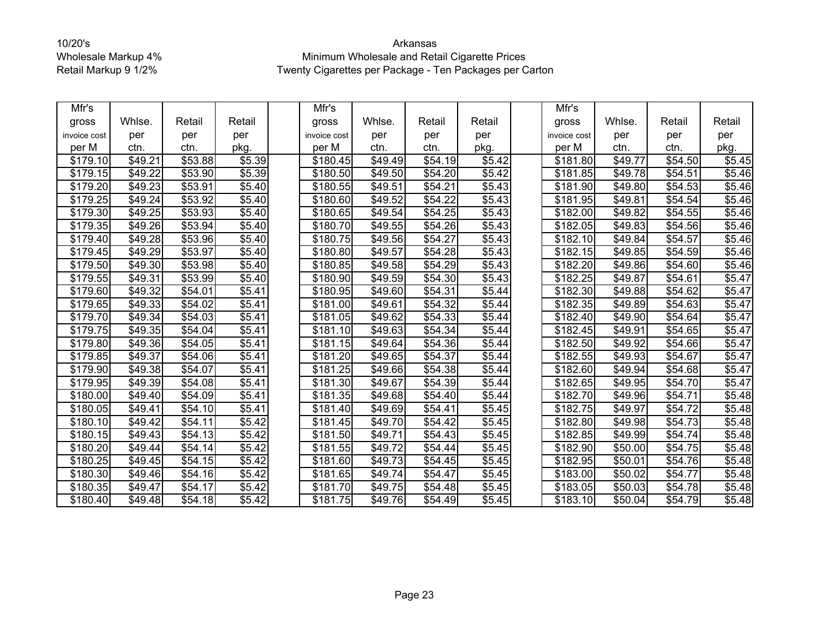| Mfr's        |                     |         |        | Mfr's        |                     |                     |                    | Mfr's                |         |         |        |
|--------------|---------------------|---------|--------|--------------|---------------------|---------------------|--------------------|----------------------|---------|---------|--------|
| gross        | Whlse.              | Retail  | Retail | gross        | Whlse.              | Retail              | Retail             | gross                | Whlse.  | Retail  | Retail |
| invoice cost | per                 | per     | per    | invoice cost | per                 | per                 | per                | invoice cost         | per     | per     | per    |
| per M        | ctn.                | ctn.    | pkg.   | per M        | ctn.                | ctn.                | pkg.               | per M                | ctn.    | ctn.    | pkg.   |
| \$179.10     | \$49.21             | \$53.88 | \$5.39 | \$180.45     | \$49.49             | \$54.19             | \$5.42             | \$181.80             | \$49.77 | \$54.50 | \$5.45 |
| \$179.15     | \$49.22             | \$53.90 | \$5.39 | \$180.50     | \$49.50             | \$54.20             | \$5.42             | \$181.85             | \$49.78 | \$54.51 | \$5.46 |
| \$179.20     | $\sqrt{$49.23}$     | \$53.91 | \$5.40 | \$180.55     | \$49.51             | \$54.21             | \$5.43             | \$181.90             | \$49.80 | \$54.53 | \$5.46 |
| \$179.25     | \$49.24             | \$53.92 | \$5.40 | \$180.60     | \$49.52             | \$54.22             | \$5.43             | \$181.95             | \$49.81 | \$54.54 | \$5.46 |
| \$179.30     | \$49.25             | \$53.93 | \$5.40 | \$180.65     | \$49.54             | \$54.25             | \$5.43             | \$182.00             | \$49.82 | \$54.55 | \$5.46 |
| \$179.35     | \$49.26             | \$53.94 | \$5.40 | \$180.70     | \$49.55             | \$54.26             | \$5.43             | \$182.05             | \$49.83 | \$54.56 | \$5.46 |
| \$179.40     | $\sqrt{$49.28}$     | \$53.96 | \$5.40 | \$180.75     | \$49.56             | \$54.27             | \$5.43             | \$182.10             | \$49.84 | \$54.57 | \$5.46 |
| \$179.45     | $\overline{$}49.29$ | \$53.97 | \$5.40 | \$180.80     | \$49.57             | \$54.28             | \$5.43             | \$182.15             | \$49.85 | \$54.59 | \$5.46 |
| \$179.50     | \$49.30             | \$53.98 | \$5.40 | \$180.85     | \$49.58             | \$54.29             | \$5.43             | \$182.20             | \$49.86 | \$54.60 | \$5.46 |
| \$179.55     | \$49.31             | \$53.99 | \$5.40 | \$180.90     | \$49.59             | \$54.30             | \$5.43             | \$182.25             | \$49.87 | \$54.61 | \$5.47 |
| \$179.60     | \$49.32             | \$54.01 | \$5.41 | \$180.95     | \$49.60             | \$54.31             | \$5.44             | \$182.30             | \$49.88 | \$54.62 | \$5.47 |
| \$179.65     | \$49.33             | \$54.02 | \$5.41 | \$181.00     | \$49.61             | \$54.32             | \$5.44             | \$182.35             | \$49.89 | \$54.63 | \$5.47 |
| \$179.70     | \$49.34             | \$54.03 | \$5.41 | \$181.05     | \$49.62             | $\overline{$}54.33$ | \$5.44             | \$182.40             | \$49.90 | \$54.64 | \$5.47 |
| \$179.75     | \$49.35             | \$54.04 | \$5.41 | \$181.10     | \$49.63             | \$54.34             | \$5.44             | \$182.45             | \$49.91 | \$54.65 | \$5.47 |
| \$179.80     | \$49.36             | \$54.05 | \$5.41 | \$181.15     | \$49.64             | \$54.36             | \$5.44             | \$182.50             | \$49.92 | \$54.66 | \$5.47 |
| \$179.85     | \$49.37             | \$54.06 | \$5.41 | \$181.20     | \$49.65             | \$54.37             | \$5.44             | \$182.55             | \$49.93 | \$54.67 | \$5.47 |
| \$179.90     | \$49.38             | \$54.07 | \$5.41 | \$181.25     | $\overline{$49.66}$ | \$54.38             | \$5.44             | \$182.60             | \$49.94 | \$54.68 | \$5.47 |
| \$179.95     | \$49.39             | \$54.08 | \$5.41 | \$181.30     | \$49.67             | \$54.39             | \$5.44             | \$182.65             | \$49.95 | \$54.70 | \$5.47 |
| \$180.00     | \$49.40             | \$54.09 | \$5.41 | \$181.35     | \$49.68             | \$54.40             | \$5.44             | \$182.70             | \$49.96 | \$54.71 | \$5.48 |
| \$180.05     | \$49.41             | \$54.10 | \$5.41 | \$181.40     | \$49.69             | \$54.41             | \$5.45             | $\overline{$}182.75$ | \$49.97 | \$54.72 | \$5.48 |
| \$180.10     | \$49.42             | \$54.11 | \$5.42 | \$181.45     | \$49.70             | \$54.42             | \$5.45             | \$182.80             | \$49.98 | \$54.73 | \$5.48 |
| \$180.15     | \$49.43             | \$54.13 | \$5.42 | \$181.50     | \$49.71             | \$54.43             | \$5.45             | \$182.85             | \$49.99 | \$54.74 | \$5.48 |
| \$180.20     | $\sqrt{49.44}$      | \$54.14 | \$5.42 | \$181.55     | \$49.72             | \$54.44             | \$5.45             | \$182.90             | \$50.00 | \$54.75 | \$5.48 |
| \$180.25     | \$49.45             | \$54.15 | \$5.42 | \$181.60     | \$49.73             | \$54.45             | \$5.45             | \$182.95             | \$50.01 | \$54.76 | \$5.48 |
| \$180.30     | \$49.46             | \$54.16 | \$5.42 | \$181.65     | \$49.74             | \$54.47             | $\overline{$}5.45$ | $\overline{$}183.00$ | \$50.02 | \$54.77 | \$5.48 |
| \$180.35     | \$49.47             | \$54.17 | \$5.42 | \$181.70     | \$49.75             | \$54.48             | \$5.45             | \$183.05             | \$50.03 | \$54.78 | \$5.48 |
| \$180.40     | \$49.48             | \$54.18 | \$5.42 | \$181.75     | \$49.76             | \$54.49             | \$5.45             | $\overline{$}183.10$ | \$50.04 | \$54.79 | \$5.48 |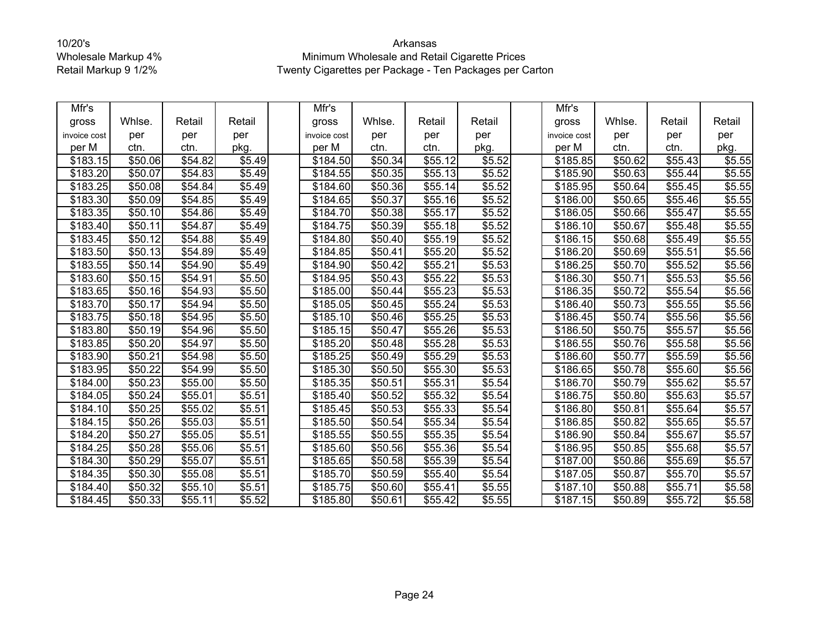| Mfr's        |         |         |        | Mfr's                |         |         |        | Mfr's                |         |         |        |
|--------------|---------|---------|--------|----------------------|---------|---------|--------|----------------------|---------|---------|--------|
| gross        | Whlse.  | Retail  | Retail | gross                | Whlse.  | Retail  | Retail | gross                | Whlse.  | Retail  | Retail |
| invoice cost | per     | per     | per    | invoice cost         | per     | per     | per    | invoice cost         | per     | per     | per    |
| per M        | ctn.    | ctn.    | pkg.   | per M                | ctn.    | ctn.    | pkg.   | per M                | ctn.    | ctn.    | pkg.   |
| \$183.15     | \$50.06 | \$54.82 | \$5.49 | \$184.50             | \$50.34 | \$55.12 | \$5.52 | \$185.85             | \$50.62 | \$55.43 | \$5.55 |
| \$183.20     | \$50.07 | \$54.83 | \$5.49 | \$184.55             | \$50.35 | \$55.13 | \$5.52 | \$185.90             | \$50.63 | \$55.44 | \$5.55 |
| \$183.25     | \$50.08 | \$54.84 | \$5.49 | \$184.60             | \$50.36 | \$55.14 | \$5.52 | \$185.95             | \$50.64 | \$55.45 | \$5.55 |
| \$183.30     | \$50.09 | \$54.85 | \$5.49 | \$184.65             | \$50.37 | \$55.16 | \$5.52 | \$186.00             | \$50.65 | \$55.46 | \$5.55 |
| \$183.35     | \$50.10 | \$54.86 | \$5.49 | \$184.70             | \$50.38 | \$55.17 | \$5.52 | \$186.05             | \$50.66 | \$55.47 | \$5.55 |
| \$183.40     | \$50.11 | \$54.87 | \$5.49 | \$184.75             | \$50.39 | \$55.18 | \$5.52 | \$186.10             | \$50.67 | \$55.48 | \$5.55 |
| \$183.45     | \$50.12 | \$54.88 | \$5.49 | \$184.80             | \$50.40 | \$55.19 | \$5.52 | \$186.15             | \$50.68 | \$55.49 | \$5.55 |
| \$183.50     | \$50.13 | \$54.89 | \$5.49 | \$184.85             | \$50.41 | \$55.20 | \$5.52 | \$186.20             | \$50.69 | \$55.51 | \$5.56 |
| \$183.55     | \$50.14 | \$54.90 | \$5.49 | \$184.90             | \$50.42 | \$55.21 | \$5.53 | \$186.25             | \$50.70 | \$55.52 | \$5.56 |
| \$183.60     | \$50.15 | \$54.91 | \$5.50 | \$184.95             | \$50.43 | \$55.22 | \$5.53 | \$186.30             | \$50.71 | \$55.53 | \$5.56 |
| \$183.65     | \$50.16 | \$54.93 | \$5.50 | \$185.00             | \$50.44 | \$55.23 | \$5.53 | \$186.35             | \$50.72 | \$55.54 | \$5.56 |
| \$183.70     | \$50.17 | \$54.94 | \$5.50 | \$185.05             | \$50.45 | \$55.24 | \$5.53 | \$186.40             | \$50.73 | \$55.55 | \$5.56 |
| \$183.75     | \$50.18 | \$54.95 | \$5.50 | $\overline{$}185.10$ | \$50.46 | \$55.25 | \$5.53 | $\overline{$}186.45$ | \$50.74 | \$55.56 | \$5.56 |
| \$183.80     | \$50.19 | \$54.96 | \$5.50 | \$185.15             | \$50.47 | \$55.26 | \$5.53 | \$186.50             | \$50.75 | \$55.57 | \$5.56 |
| \$183.85     | \$50.20 | \$54.97 | \$5.50 | \$185.20             | \$50.48 | \$55.28 | \$5.53 | \$186.55             | \$50.76 | \$55.58 | \$5.56 |
| \$183.90     | \$50.21 | \$54.98 | \$5.50 | \$185.25             | \$50.49 | \$55.29 | \$5.53 | \$186.60             | \$50.77 | \$55.59 | \$5.56 |
| \$183.95     | \$50.22 | \$54.99 | \$5.50 | \$185.30             | \$50.50 | \$55.30 | \$5.53 | \$186.65             | \$50.78 | \$55.60 | \$5.56 |
| \$184.00     | \$50.23 | \$55.00 | \$5.50 | \$185.35             | \$50.51 | \$55.31 | \$5.54 | \$186.70             | \$50.79 | \$55.62 | \$5.57 |
| \$184.05     | \$50.24 | \$55.01 | \$5.51 | \$185.40             | \$50.52 | \$55.32 | \$5.54 | \$186.75             | \$50.80 | \$55.63 | \$5.57 |
| \$184.10     | \$50.25 | \$55.02 | \$5.51 | \$185.45             | \$50.53 | \$55.33 | \$5.54 | \$186.80             | \$50.81 | \$55.64 | \$5.57 |
| \$184.15     | \$50.26 | \$55.03 | \$5.51 | \$185.50             | \$50.54 | \$55.34 | \$5.54 | \$186.85             | \$50.82 | \$55.65 | \$5.57 |
| \$184.20     | \$50.27 | \$55.05 | \$5.51 | \$185.55             | \$50.55 | \$55.35 | \$5.54 | \$186.90             | \$50.84 | \$55.67 | \$5.57 |
| \$184.25     | \$50.28 | \$55.06 | \$5.51 | \$185.60             | \$50.56 | \$55.36 | \$5.54 | \$186.95             | \$50.85 | \$55.68 | \$5.57 |
| \$184.30     | \$50.29 | \$55.07 | \$5.51 | \$185.65             | \$50.58 | \$55.39 | \$5.54 | \$187.00             | \$50.86 | \$55.69 | \$5.57 |
| \$184.35     | \$50.30 | \$55.08 | \$5.51 | \$185.70             | \$50.59 | \$55.40 | \$5.54 | \$187.05             | \$50.87 | \$55.70 | \$5.57 |
| \$184.40     | \$50.32 | \$55.10 | \$5.51 | \$185.75             | \$50.60 | \$55.41 | \$5.55 | \$187.10             | \$50.88 | \$55.71 | \$5.58 |
| \$184.45     | \$50.33 | \$55.11 | \$5.52 | \$185.80             | \$50.61 | \$55.42 | \$5.55 | \$187.15             | \$50.89 | \$55.72 | \$5.58 |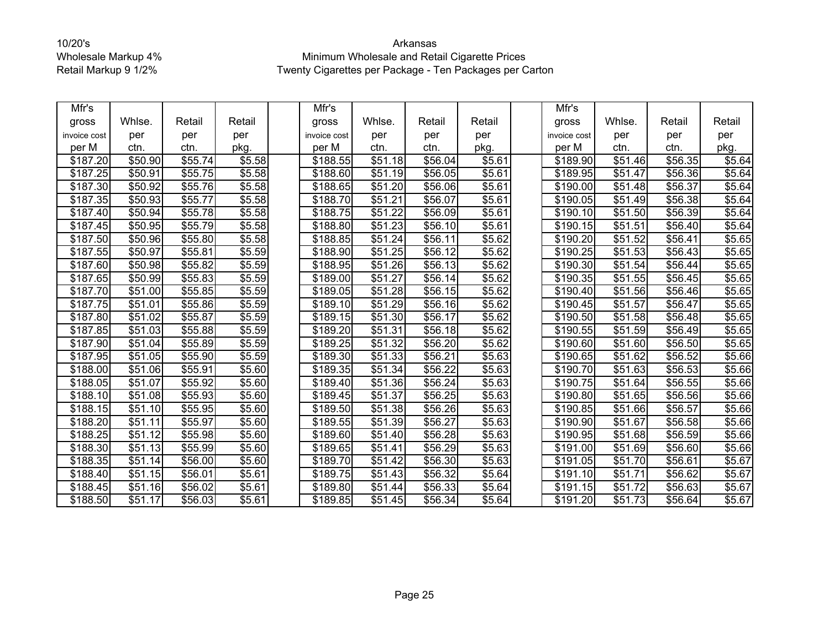| Mfr's        |                     |         |        | Mfr's                |                     |         |        | Mfr's                |         |         |        |
|--------------|---------------------|---------|--------|----------------------|---------------------|---------|--------|----------------------|---------|---------|--------|
| gross        | Whlse.              | Retail  | Retail | gross                | Whlse.              | Retail  | Retail | gross                | Whlse.  | Retail  | Retail |
| invoice cost | per                 | per     | per    | invoice cost         | per                 | per     | per    | invoice cost         | per     | per     | per    |
| per M        | ctn.                | ctn.    | pkg.   | per M                | ctn.                | ctn.    | pkg.   | per M                | ctn.    | ctn.    | pkg.   |
| \$187.20     | \$50.90             | \$55.74 | \$5.58 | \$188.55             | \$51.18             | \$56.04 | \$5.61 | \$189.90             | \$51.46 | \$56.35 | \$5.64 |
| \$187.25     | \$50.91             | \$55.75 | \$5.58 | \$188.60             | \$51.19             | \$56.05 | \$5.61 | $\overline{$}189.95$ | \$51.47 | \$56.36 | \$5.64 |
| \$187.30     | \$50.92             | \$55.76 | \$5.58 | \$188.65             | $\overline{$}51.20$ | \$56.06 | \$5.61 | $\sqrt{$190.00}$     | \$51.48 | \$56.37 | \$5.64 |
| \$187.35     | \$50.93             | \$55.77 | \$5.58 | \$188.70             | \$51.21             | \$56.07 | \$5.61 | \$190.05             | \$51.49 | \$56.38 | \$5.64 |
| \$187.40     | \$50.94             | \$55.78 | \$5.58 | \$188.75             | \$51.22             | \$56.09 | \$5.61 | \$190.10             | \$51.50 | \$56.39 | \$5.64 |
| \$187.45     | \$50.95             | \$55.79 | \$5.58 | \$188.80             | \$51.23             | \$56.10 | \$5.61 | \$190.15             | \$51.51 | \$56.40 | \$5.64 |
| \$187.50     | \$50.96             | \$55.80 | \$5.58 | \$188.85             | \$51.24             | \$56.11 | \$5.62 | \$190.20             | \$51.52 | \$56.41 | \$5.65 |
| \$187.55     | \$50.97             | \$55.81 | \$5.59 | \$188.90             | \$51.25             | \$56.12 | \$5.62 | \$190.25             | \$51.53 | \$56.43 | \$5.65 |
| \$187.60     | \$50.98             | \$55.82 | \$5.59 | \$188.95             | \$51.26             | \$56.13 | \$5.62 | \$190.30             | \$51.54 | \$56.44 | \$5.65 |
| \$187.65     | \$50.99             | \$55.83 | \$5.59 | \$189.00             | \$51.27             | \$56.14 | \$5.62 | \$190.35             | \$51.55 | \$56.45 | \$5.65 |
| \$187.70     | \$51.00             | \$55.85 | \$5.59 | \$189.05             | \$51.28             | \$56.15 | \$5.62 | \$190.40             | \$51.56 | \$56.46 | \$5.65 |
| \$187.75     | $\overline{$}51.01$ | \$55.86 | \$5.59 | \$189.10             | \$51.29             | \$56.16 | \$5.62 | \$190.45             | \$51.57 | \$56.47 | \$5.65 |
| \$187.80     | \$51.02             | \$55.87 | \$5.59 | $\overline{$}189.15$ | \$51.30             | \$56.17 | \$5.62 | $\overline{$}190.50$ | \$51.58 | \$56.48 | \$5.65 |
| \$187.85     | \$51.03             | \$55.88 | \$5.59 | \$189.20             | \$51.31             | \$56.18 | \$5.62 | \$190.55             | \$51.59 | \$56.49 | \$5.65 |
| \$187.90     | \$51.04             | \$55.89 | \$5.59 | \$189.25             | \$51.32             | \$56.20 | \$5.62 | \$190.60             | \$51.60 | \$56.50 | \$5.65 |
| \$187.95     | \$51.05             | \$55.90 | \$5.59 | \$189.30             | \$51.33             | \$56.21 | \$5.63 | \$190.65             | \$51.62 | \$56.52 | \$5.66 |
| \$188.00     | \$51.06             | \$55.91 | \$5.60 | \$189.35             | \$51.34             | \$56.22 | \$5.63 | \$190.70             | \$51.63 | \$56.53 | \$5.66 |
| \$188.05     | \$51.07             | \$55.92 | \$5.60 | \$189.40             | \$51.36             | \$56.24 | \$5.63 | \$190.75             | \$51.64 | \$56.55 | \$5.66 |
| \$188.10     | \$51.08             | \$55.93 | \$5.60 | \$189.45             | \$51.37             | \$56.25 | \$5.63 | \$190.80             | \$51.65 | \$56.56 | \$5.66 |
| \$188.15     | \$51.10             | \$55.95 | \$5.60 | \$189.50             | \$51.38             | \$56.26 | \$5.63 | \$190.85             | \$51.66 | \$56.57 | \$5.66 |
| \$188.20     | \$51.11             | \$55.97 | \$5.60 | \$189.55             | \$51.39             | \$56.27 | \$5.63 | \$190.90             | \$51.67 | \$56.58 | \$5.66 |
| \$188.25     | \$51.12             | \$55.98 | \$5.60 | \$189.60             | \$51.40             | \$56.28 | \$5.63 | \$190.95             | \$51.68 | \$56.59 | \$5.66 |
| \$188.30     | \$51.13             | \$55.99 | \$5.60 | \$189.65             | \$51.41             | \$56.29 | \$5.63 | \$191.00             | \$51.69 | \$56.60 | \$5.66 |
| \$188.35     | \$51.14             | \$56.00 | \$5.60 | \$189.70             | \$51.42             | \$56.30 | \$5.63 | \$191.05             | \$51.70 | \$56.61 | \$5.67 |
| \$188.40     | \$51.15             | \$56.01 | \$5.61 | \$189.75             | \$51.43             | \$56.32 | \$5.64 | \$191.10             | \$51.71 | \$56.62 | \$5.67 |
| \$188.45     | \$51.16             | \$56.02 | \$5.61 | \$189.80             | \$51.44             | \$56.33 | \$5.64 | \$191.15             | \$51.72 | \$56.63 | \$5.67 |
| \$188.50     | \$51.17             | \$56.03 | \$5.61 | \$189.85             | \$51.45             | \$56.34 | \$5.64 | \$191.20             | \$51.73 | \$56.64 | \$5.67 |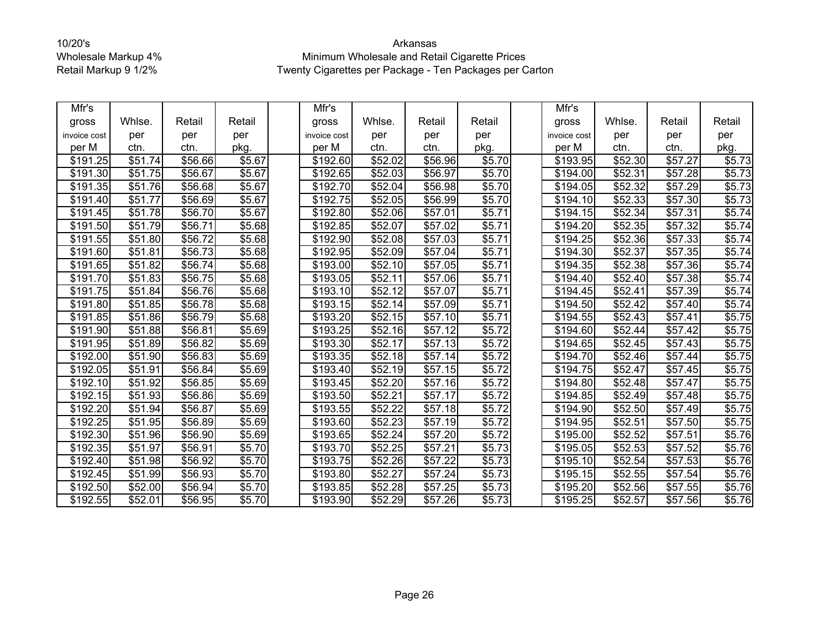| Mfr's        |                     |         |        | Mfr's                |                     |                     |        | Mfr's                |         |                     |                    |
|--------------|---------------------|---------|--------|----------------------|---------------------|---------------------|--------|----------------------|---------|---------------------|--------------------|
| gross        | Whlse.              | Retail  | Retail | gross                | Whlse.              | Retail              | Retail | gross                | Whlse.  | Retail              | Retail             |
| invoice cost | per                 | per     | per    | invoice cost         | per                 | per                 | per    | invoice cost         | per     | per                 | per                |
| per M        | ctn.                | ctn.    | pkg.   | per M                | ctn.                | ctn.                | pkg.   | per M                | ctn.    | ctn.                | pkg.               |
| \$191.25     | \$51.74             | \$56.66 | \$5.67 | \$192.60             | \$52.02             | \$56.96             | \$5.70 | \$193.95             | \$52.30 | \$57.27             | \$5.73             |
| \$191.30     | \$51.75             | \$56.67 | \$5.67 | \$192.65             | \$52.03             | \$56.97             | \$5.70 | $\overline{$}194.00$ | \$52.31 | \$57.28             | \$5.73             |
| \$191.35     | $\overline{$}51.76$ | \$56.68 | \$5.67 | \$192.70             | \$52.04             | \$56.98             | \$5.70 | $\overline{$}194.05$ | \$52.32 | \$57.29             | \$5.73             |
| \$191.40     | \$51.77             | \$56.69 | \$5.67 | \$192.75             | \$52.05             | \$56.99             | \$5.70 | \$194.10             | \$52.33 | \$57.30             | \$5.73             |
| \$191.45     | \$51.78             | \$56.70 | \$5.67 | \$192.80             | \$52.06             | \$57.01             | \$5.71 | \$194.15             | \$52.34 | \$57.31             | \$5.74             |
| \$191.50     | \$51.79             | \$56.71 | \$5.68 | \$192.85             | \$52.07             | \$57.02             | \$5.71 | \$194.20             | \$52.35 | \$57.32             | \$5.74             |
| \$191.55     | \$51.80             | \$56.72 | \$5.68 | \$192.90             | \$52.08             | \$57.03             | \$5.71 | \$194.25             | \$52.36 | \$57.33             | \$5.74             |
| \$191.60     | \$51.81             | \$56.73 | \$5.68 | \$192.95             | \$52.09             | \$57.04             | \$5.71 | \$194.30             | \$52.37 | \$57.35             | \$5.74             |
| \$191.65     | \$51.82             | \$56.74 | \$5.68 | \$193.00             | \$52.10             | \$57.05             | \$5.71 | \$194.35             | \$52.38 | \$57.36             | \$5.74             |
| \$191.70     | \$51.83             | \$56.75 | \$5.68 | \$193.05             | \$52.11             | \$57.06             | \$5.71 | \$194.40             | \$52.40 | \$57.38             | \$5.74             |
| \$191.75     | \$51.84             | \$56.76 | \$5.68 | \$193.10             | \$52.12             | \$57.07             | \$5.71 | \$194.45             | \$52.41 | \$57.39             | \$5.74             |
| \$191.80     | \$51.85             | \$56.78 | \$5.68 | \$193.15             | $\overline{$}52.14$ | $\overline{$}57.09$ | \$5.71 | \$194.50             | \$52.42 | \$57.40             | \$5.74             |
| \$191.85     | \$51.86             | \$56.79 | \$5.68 | $\overline{$}193.20$ | \$52.15             | $\overline{$}57.10$ | \$5.71 | $\overline{$}194.55$ | \$52.43 | \$57.41             | \$5.75             |
| \$191.90     | \$51.88             | \$56.81 | \$5.69 | \$193.25             | \$52.16             | \$57.12             | \$5.72 | \$194.60             | \$52.44 | \$57.42             | \$5.75             |
| \$191.95     | \$51.89             | \$56.82 | \$5.69 | \$193.30             | \$52.17             | $\overline{$}57.13$ | \$5.72 | \$194.65             | \$52.45 | \$57.43             | \$5.75             |
| \$192.00     | \$51.90             | \$56.83 | \$5.69 | \$193.35             | \$52.18             | \$57.14             | \$5.72 | \$194.70             | \$52.46 | \$57.44             | \$5.75             |
| \$192.05     | \$51.91             | \$56.84 | \$5.69 | \$193.40             | \$52.19             | \$57.15             | \$5.72 | \$194.75             | \$52.47 | \$57.45             | \$5.75             |
| \$192.10     | \$51.92             | \$56.85 | \$5.69 | \$193.45             | \$52.20             | \$57.16             | \$5.72 | \$194.80             | \$52.48 | $\sqrt{$57.47}$     | \$5.75             |
| \$192.15     | \$51.93             | \$56.86 | \$5.69 | \$193.50             | \$52.21             | \$57.17             | \$5.72 | \$194.85             | \$52.49 | \$57.48             | $\overline{$}5.75$ |
| \$192.20     | \$51.94             | \$56.87 | \$5.69 | \$193.55             | \$52.22             | $\overline{$}57.18$ | \$5.72 | \$194.90             | \$52.50 | \$57.49             | \$5.75             |
| \$192.25     | \$51.95             | \$56.89 | \$5.69 | \$193.60             | \$52.23             | \$57.19             | \$5.72 | \$194.95             | \$52.51 | \$57.50             | \$5.75             |
| \$192.30     | \$51.96             | \$56.90 | \$5.69 | \$193.65             | $\overline{$}52.24$ | $\overline{$}57.20$ | \$5.72 | \$195.00             | \$52.52 | $\overline{$}57.51$ | \$5.76             |
| \$192.35     | \$51.97             | \$56.91 | \$5.70 | \$193.70             | \$52.25             | $\overline{$}57.21$ | \$5.73 | \$195.05             | \$52.53 | \$57.52             | \$5.76             |
| \$192.40     | \$51.98             | \$56.92 | \$5.70 | \$193.75             | \$52.26             | \$57.22             | \$5.73 | \$195.10             | \$52.54 | \$57.53             | \$5.76             |
| \$192.45     | \$51.99             | \$56.93 | \$5.70 | \$193.80             | \$52.27             | \$57.24             | \$5.73 | \$195.15             | \$52.55 | \$57.54             | \$5.76             |
| \$192.50     | \$52.00             | \$56.94 | \$5.70 | \$193.85             | \$52.28             | \$57.25             | \$5.73 | \$195.20             | \$52.56 | \$57.55             | \$5.76             |
| \$192.55     | \$52.01             | \$56.95 | \$5.70 | \$193.90             | \$52.29             | \$57.26             | \$5.73 | \$195.25             | \$52.57 | \$57.56             | \$5.76             |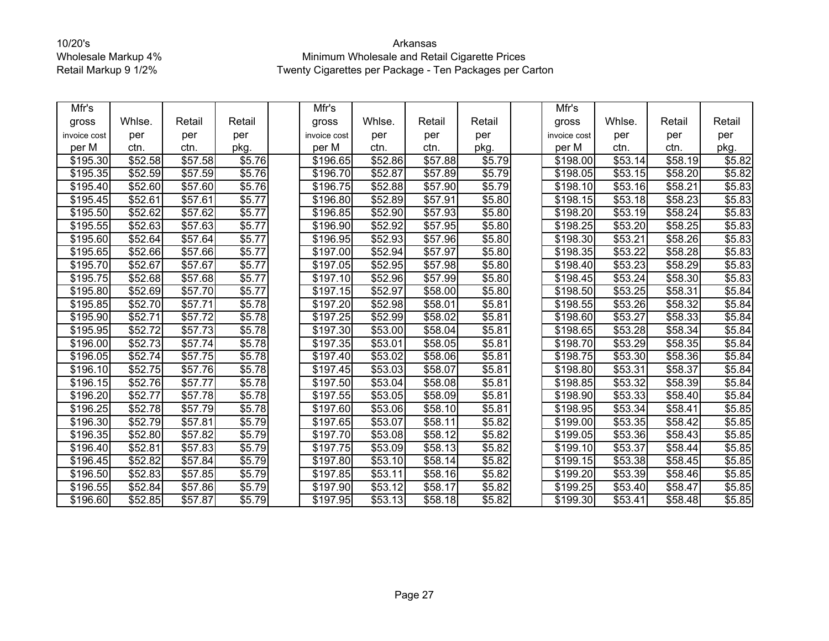| Mfr's        |                     |                     |        | Mfr's                |                     |                     |        | Mfr's                |         |         |        |
|--------------|---------------------|---------------------|--------|----------------------|---------------------|---------------------|--------|----------------------|---------|---------|--------|
| gross        | Whlse.              | Retail              | Retail | gross                | Whlse.              | Retail              | Retail | gross                | Whlse.  | Retail  | Retail |
| invoice cost | per                 | per                 | per    | invoice cost         | per                 | per                 | per    | invoice cost         | per     | per     | per    |
| per M        | ctn.                | ctn.                | pkg.   | per M                | ctn.                | ctn.                | pkg.   | per M                | ctn.    | ctn.    | pkg.   |
| \$195.30     | \$52.58             | \$57.58             | \$5.76 | \$196.65             | \$52.86             | \$57.88             | \$5.79 | \$198.00             | \$53.14 | \$58.19 | \$5.82 |
| \$195.35     | $\overline{$}52.59$ | \$57.59             | \$5.76 | \$196.70             | $\overline{$}52.87$ | \$57.89             | \$5.79 | \$198.05             | \$53.15 | \$58.20 | \$5.82 |
| \$195.40     | \$52.60             | \$57.60             | \$5.76 | \$196.75             | \$52.88             | \$57.90             | \$5.79 | \$198.10             | \$53.16 | \$58.21 | \$5.83 |
| \$195.45     | \$52.61             | \$57.61             | \$5.77 | \$196.80             | \$52.89             | \$57.91             | \$5.80 | \$198.15             | \$53.18 | \$58.23 | \$5.83 |
| \$195.50     | \$52.62             | \$57.62             | \$5.77 | \$196.85             | $\overline{$}52.90$ | \$57.93             | \$5.80 | \$198.20             | \$53.19 | \$58.24 | \$5.83 |
| \$195.55     | \$52.63             | \$57.63             | \$5.77 | \$196.90             | \$52.92             | \$57.95             | \$5.80 | \$198.25             | \$53.20 | \$58.25 | \$5.83 |
| \$195.60     | \$52.64             | $\overline{$}57.64$ | \$5.77 | \$196.95             | \$52.93             | \$57.96             | \$5.80 | \$198.30             | \$53.21 | \$58.26 | \$5.83 |
| \$195.65     | \$52.66             | \$57.66             | \$5.77 | \$197.00             | \$52.94             | $\overline{$}57.97$ | \$5.80 | \$198.35             | 553.22  | \$58.28 | \$5.83 |
| \$195.70     | \$52.67             | \$57.67             | \$5.77 | \$197.05             | \$52.95             | \$57.98             | \$5.80 | \$198.40             | \$53.23 | \$58.29 | \$5.83 |
| \$195.75     | \$52.68             | \$57.68             | \$5.77 | \$197.10             | \$52.96             | \$57.99             | \$5.80 | \$198.45             | \$53.24 | \$58.30 | \$5.83 |
| \$195.80     | \$52.69             | \$57.70             | \$5.77 | \$197.15             | \$52.97             | \$58.00             | \$5.80 | \$198.50             | \$53.25 | \$58.31 | \$5.84 |
| \$195.85     | \$52.70             | \$57.71             | \$5.78 | \$197.20             | $\overline{$}52.98$ | \$58.01             | \$5.81 | \$198.55             | \$53.26 | \$58.32 | \$5.84 |
| \$195.90     | \$52.71             | \$57.72             | \$5.78 | \$197.25             | \$52.99             | \$58.02             | \$5.81 | \$198.60             | \$53.27 | \$58.33 | \$5.84 |
| \$195.95     | $\overline{$}52.72$ | \$57.73             | \$5.78 | \$197.30             | \$53.00             | \$58.04             | \$5.81 | \$198.65             | \$53.28 | \$58.34 | \$5.84 |
| \$196.00     | \$52.73             | \$57.74             | \$5.78 | \$197.35             | \$53.01             | \$58.05             | \$5.81 | \$198.70             | \$53.29 | \$58.35 | \$5.84 |
| \$196.05     | \$52.74             | \$57.75             | \$5.78 | \$197.40             | \$53.02             | \$58.06             | \$5.81 | \$198.75             | \$53.30 | \$58.36 | \$5.84 |
| \$196.10     | \$52.75             | \$57.76             | \$5.78 | \$197.45             | \$53.03             | \$58.07             | \$5.81 | \$198.80             | \$53.31 | \$58.37 | \$5.84 |
| \$196.15     | \$52.76             | $\overline{$}57.77$ | \$5.78 | \$197.50             | \$53.04             | \$58.08             | \$5.81 | $\overline{$}198.85$ | \$53.32 | \$58.39 | \$5.84 |
| \$196.20     | \$52.77             | \$57.78             | \$5.78 | \$197.55             | \$53.05             | \$58.09             | \$5.81 | \$198.90             | \$53.33 | \$58.40 | \$5.84 |
| \$196.25     | \$52.78             | \$57.79             | \$5.78 | \$197.60             | \$53.06             | \$58.10             | \$5.81 | \$198.95             | \$53.34 | \$58.41 | \$5.85 |
| \$196.30     | \$52.79             | \$57.81             | \$5.79 | $\overline{$}197.65$ | \$53.07             | \$58.11             | \$5.82 | \$199.00             | \$53.35 | \$58.42 | \$5.85 |
| \$196.35     | \$52.80             | \$57.82             | \$5.79 | \$197.70             | \$53.08             | \$58.12             | \$5.82 | \$199.05             | \$53.36 | \$58.43 | \$5.85 |
| \$196.40     | \$52.81             | \$57.83             | \$5.79 | \$197.75             | \$53.09             | $\overline{$}58.13$ | \$5.82 | \$199.10             | \$53.37 | \$58.44 | \$5.85 |
| \$196.45     | \$52.82             | \$57.84             | \$5.79 | \$197.80             | \$53.10             | \$58.14             | \$5.82 | \$199.15             | \$53.38 | \$58.45 | \$5.85 |
| \$196.50     | \$52.83             | \$57.85             | \$5.79 | \$197.85             | \$53.11             | \$58.16             | \$5.82 | \$199.20             | \$53.39 | \$58.46 | \$5.85 |
| \$196.55     | \$52.84             | \$57.86             | \$5.79 | \$197.90             | \$53.12             | \$58.17             | \$5.82 | \$199.25             | \$53.40 | \$58.47 | \$5.85 |
| \$196.60     | \$52.85             | $\overline{$}57.87$ | \$5.79 | \$197.95             | \$53.13             | \$58.18             | \$5.82 | \$199.30             | \$53.41 | \$58.48 | \$5.85 |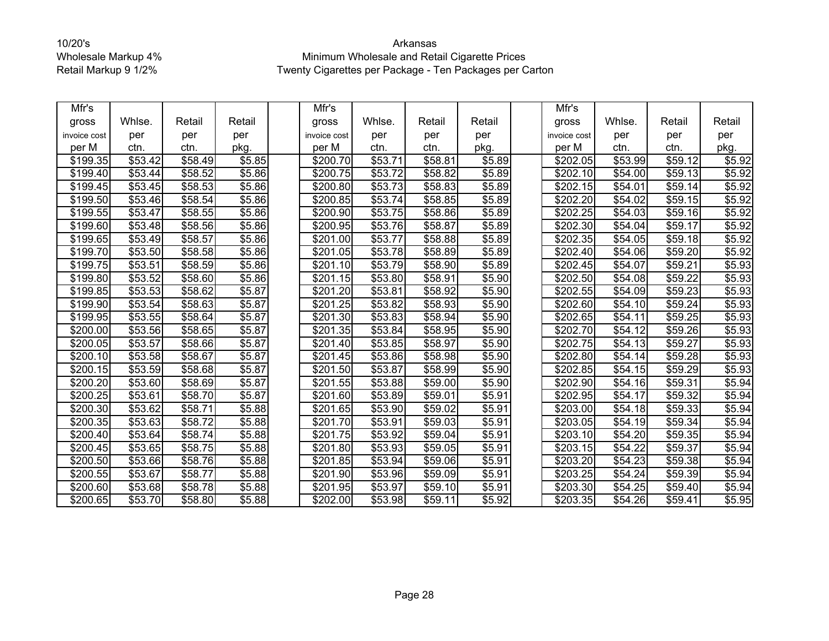| Mfr's        |                     |         |        | Mfr's                |         |                     |                    | Mfr's                |                     |         |        |
|--------------|---------------------|---------|--------|----------------------|---------|---------------------|--------------------|----------------------|---------------------|---------|--------|
| gross        | Whlse.              | Retail  | Retail | gross                | Whlse.  | Retail              | Retail             | gross                | Whlse.              | Retail  | Retail |
| invoice cost | per                 | per     | per    | invoice cost         | per     | per                 | per                | invoice cost         | per                 | per     | per    |
| per M        | ctn.                | ctn.    | pkg.   | per M                | ctn.    | ctn.                | pkg.               | per M                | ctn.                | ctn.    | pkg.   |
| \$199.35     | \$53.42             | \$58.49 | \$5.85 | \$200.70             | \$53.71 | \$58.81             | \$5.89             | \$202.05             | \$53.99             | \$59.12 | \$5.92 |
| \$199.40     | \$53.44             | \$58.52 | \$5.86 | \$200.75             | \$53.72 | \$58.82             | \$5.89             | \$202.10             | \$54.00             | \$59.13 | \$5.92 |
| \$199.45     | \$53.45             | \$58.53 | \$5.86 | \$200.80             | \$53.73 | \$58.83             | \$5.89             | $\sqrt{$202.15}$     | \$54.01             | \$59.14 | \$5.92 |
| \$199.50     | $\overline{$}53.46$ | \$58.54 | \$5.86 | \$200.85             | \$53.74 | \$58.85             | \$5.89             | $\overline{$}202.20$ | \$54.02             | \$59.15 | \$5.92 |
| \$199.55     | \$53.47             | \$58.55 | \$5.86 | \$200.90             | \$53.75 | \$58.86             | \$5.89             | \$202.25             | \$54.03             | \$59.16 | \$5.92 |
| \$199.60     | \$53.48             | \$58.56 | \$5.86 | \$200.95             | \$53.76 | \$58.87             | \$5.89             | \$202.30             | \$54.04             | \$59.17 | \$5.92 |
| \$199.65     | \$53.49             | \$58.57 | \$5.86 | \$201.00             | \$53.77 | \$58.88             | \$5.89             | \$202.35             | \$54.05             | \$59.18 | \$5.92 |
| \$199.70     | \$53.50             | \$58.58 | \$5.86 | \$201.05             | \$53.78 | \$58.89             | \$5.89             | \$202.40             | $\overline{$}54.06$ | \$59.20 | \$5.92 |
| \$199.75     | \$53.51             | \$58.59 | \$5.86 | \$201.10             | \$53.79 | \$58.90             | \$5.89             | \$202.45             | \$54.07             | \$59.21 | \$5.93 |
| \$199.80     | \$53.52             | \$58.60 | \$5.86 | \$201.15             | \$53.80 | \$58.91             | \$5.90             | \$202.50             | \$54.08             | \$59.22 | \$5.93 |
| \$199.85     | \$53.53             | \$58.62 | \$5.87 | \$201.20             | \$53.81 | \$58.92             | \$5.90             | \$202.55             | \$54.09             | \$59.23 | \$5.93 |
| \$199.90     | \$53.54             | \$58.63 | \$5.87 | \$201.25             | \$53.82 | \$58.93             | \$5.90             | \$202.60             | \$54.10             | \$59.24 | \$5.93 |
| \$199.95     | \$53.55             | \$58.64 | \$5.87 | $\overline{$}201.30$ | \$53.83 | \$58.94             | $\overline{$}5.90$ | $\overline{$}202.65$ | \$54.11             | \$59.25 | \$5.93 |
| \$200.00     | \$53.56             | \$58.65 | \$5.87 | \$201.35             | \$53.84 | \$58.95             | \$5.90             | \$202.70             | \$54.12             | \$59.26 | \$5.93 |
| \$200.05     | \$53.57             | \$58.66 | \$5.87 | \$201.40             | \$53.85 | \$58.97             | \$5.90             | \$202.75             | $\overline{$}54.13$ | \$59.27 | \$5.93 |
| \$200.10     | \$53.58             | \$58.67 | \$5.87 | \$201.45             | \$53.86 | \$58.98             | \$5.90             | \$202.80             | \$54.14             | \$59.28 | \$5.93 |
| \$200.15     | $\overline{$}53.59$ | \$58.68 | \$5.87 | \$201.50             | \$53.87 | \$58.99             | \$5.90             | \$202.85             | \$54.15             | \$59.29 | \$5.93 |
| \$200.20     | \$53.60             | \$58.69 | \$5.87 | $\overline{$}201.55$ | \$53.88 | \$59.00             | \$5.90             | $\sqrt{$202.90}$     | \$54.16             | \$59.31 | \$5.94 |
| \$200.25     | \$53.61             | \$58.70 | \$5.87 | \$201.60             | \$53.89 | \$59.01             | \$5.91             | \$202.95             | \$54.17             | \$59.32 | \$5.94 |
| \$200.30     | \$53.62             | \$58.71 | \$5.88 | $\overline{$}201.65$ | \$53.90 | \$59.02             | \$5.91             | \$203.00             | \$54.18             | \$59.33 | \$5.94 |
| \$200.35     | \$53.63             | \$58.72 | \$5.88 | \$201.70             | \$53.91 | \$59.03             | \$5.91             | \$203.05             | \$54.19             | \$59.34 | \$5.94 |
| \$200.40     | \$53.64             | \$58.74 | \$5.88 | \$201.75             | \$53.92 | \$59.04             | \$5.91             | \$203.10             | \$54.20             | \$59.35 | \$5.94 |
| \$200.45     | \$53.65             | \$58.75 | \$5.88 | \$201.80             | \$53.93 | \$59.05             | \$5.91             | \$203.15             | \$54.22             | \$59.37 | \$5.94 |
| \$200.50     | \$53.66             | \$58.76 | \$5.88 | \$201.85             | \$53.94 | \$59.06             | \$5.91             | \$203.20             | \$54.23             | \$59.38 | \$5.94 |
| \$200.55     | \$53.67             | \$58.77 | \$5.88 | \$201.90             | \$53.96 | $\overline{$}59.09$ | \$5.91             | \$203.25             | \$54.24             | \$59.39 | \$5.94 |
| \$200.60     | \$53.68             | \$58.78 | \$5.88 | \$201.95             | \$53.97 | \$59.10             | \$5.91             | \$203.30             | \$54.25             | \$59.40 | \$5.94 |
| \$200.65     | \$53.70             | \$58.80 | \$5.88 | \$202.00             | \$53.98 | \$59.11             | \$5.92             | \$203.35             | \$54.26             | \$59.41 | \$5.95 |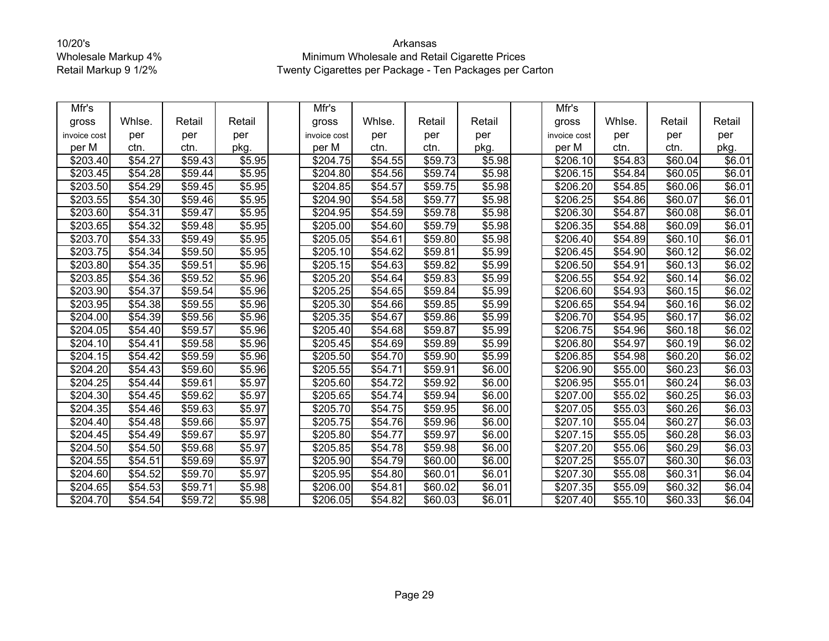| Mfr's        |         |         |                    | Mfr's                |                     |                     |        | Mfr's        |         |                     |                |
|--------------|---------|---------|--------------------|----------------------|---------------------|---------------------|--------|--------------|---------|---------------------|----------------|
| gross        | Whlse.  | Retail  | Retail             | gross                | Whlse.              | Retail              | Retail | gross        | Whlse.  | Retail              | Retail         |
| invoice cost | per     | per     | per                | invoice cost         | per                 | per                 | per    | invoice cost | per     | per                 | per            |
| per M        | ctn.    | ctn.    | pkg.               | per M                | ctn.                | ctn.                | pkg.   | per M        | ctn.    | ctn.                | pkg.           |
| \$203.40     | \$54.27 | \$59.43 | \$5.95             | \$204.75             | \$54.55             | \$59.73             | \$5.98 | \$206.10     | \$54.83 | \$60.04             | \$6.01         |
| \$203.45     | \$54.28 | \$59.44 | \$5.95             | \$204.80             | \$54.56             | \$59.74             | \$5.98 | \$206.15     | \$54.84 | \$60.05             | \$6.01         |
| \$203.50     | \$54.29 | \$59.45 | \$5.95             | $\overline{$}204.85$ | \$54.57             | \$59.75             | \$5.98 | \$206.20     | \$54.85 | \$60.06             | \$6.01         |
| \$203.55     | \$54.30 | \$59.46 | \$5.95             | \$204.90             | \$54.58             | \$59.77             | \$5.98 | \$206.25     | \$54.86 | \$60.07             | \$6.01         |
| \$203.60     | \$54.31 | \$59.47 | \$5.95             | \$204.95             | \$54.59             | \$59.78             | \$5.98 | \$206.30     | \$54.87 | \$60.08             | \$6.01         |
| \$203.65     | \$54.32 | \$59.48 | \$5.95             | \$205.00             | \$54.60             | \$59.79             | \$5.98 | \$206.35     | \$54.88 | \$60.09             | \$6.01         |
| \$203.70     | \$54.33 | \$59.49 | \$5.95             | \$205.05             | \$54.61             | \$59.80             | \$5.98 | \$206.40     | \$54.89 | \$60.10             | \$6.01         |
| \$203.75     | \$54.34 | \$59.50 | \$5.95             | \$205.10             | \$54.62             | \$59.81             | \$5.99 | \$206.45     | \$54.90 | \$60.12             | \$6.02         |
| \$203.80     | \$54.35 | \$59.51 | \$5.96             | \$205.15             | \$54.63             | \$59.82             | \$5.99 | \$206.50     | \$54.91 | \$60.13             | \$6.02         |
| \$203.85     | \$54.36 | \$59.52 | \$5.96             | \$205.20             | \$54.64             | \$59.83             | \$5.99 | \$206.55     | \$54.92 | \$60.14             | \$6.02         |
| \$203.90     | \$54.37 | \$59.54 | \$5.96             | \$205.25             | \$54.65             | $\overline{$}59.84$ | \$5.99 | \$206.60     | \$54.93 | \$60.15             | \$6.02         |
| \$203.95     | \$54.38 | \$59.55 | \$5.96             | \$205.30             | $\overline{$}54.66$ | \$59.85             | \$5.99 | \$206.65     | \$54.94 | \$60.16             | \$6.02         |
| \$204.00     | \$54.39 | \$59.56 | \$5.96             | $\overline{$}205.35$ | \$54.67             | \$59.86             | \$5.99 | \$206.70     | \$54.95 | \$60.17             | \$6.02         |
| \$204.05     | \$54.40 | \$59.57 | \$5.96             | \$205.40             | \$54.68             | \$59.87             | \$5.99 | \$206.75     | \$54.96 | \$60.18             | $\sqrt{$6.02}$ |
| \$204.10     | \$54.41 | \$59.58 | \$5.96             | \$205.45             | \$54.69             | \$59.89             | \$5.99 | \$206.80     | \$54.97 | \$60.19             | \$6.02         |
| \$204.15     | \$54.42 | \$59.59 | \$5.96             | \$205.50             | \$54.70             | \$59.90             | \$5.99 | \$206.85     | \$54.98 | \$60.20             | \$6.02         |
| \$204.20     | \$54.43 | \$59.60 | \$5.96             | \$205.55             | \$54.71             | \$59.91             | \$6.00 | \$206.90     | \$55.00 | \$60.23             | \$6.03         |
| \$204.25     | \$54.44 | \$59.61 | \$5.97             | \$205.60             | \$54.72             | \$59.92             | \$6.00 | \$206.95     | \$55.01 | \$60.24             | \$6.03         |
| \$204.30     | \$54.45 | \$59.62 | \$5.97             | \$205.65             | \$54.74             | \$59.94             | \$6.00 | \$207.00     | \$55.02 | \$60.25             | \$6.03         |
| \$204.35     | \$54.46 | \$59.63 | \$5.97             | \$205.70             | \$54.75             | \$59.95             | \$6.00 | \$207.05     | \$55.03 | \$60.26             | \$6.03         |
| \$204.40     | \$54.48 | \$59.66 | \$5.97             | \$205.75             | \$54.76             | \$59.96             | \$6.00 | \$207.10     | \$55.04 | \$60.27             | \$6.03         |
| \$204.45     | \$54.49 | \$59.67 | \$5.97             | \$205.80             | \$54.77             | \$59.97             | \$6.00 | \$207.15     | \$55.05 | \$60.28             | \$6.03         |
| \$204.50     | \$54.50 | \$59.68 | $\overline{$}5.97$ | \$205.85             | \$54.78             | \$59.98             | \$6.00 | \$207.20     | \$55.06 | \$60.29             | \$6.03         |
| \$204.55     | \$54.51 | \$59.69 | \$5.97             | \$205.90             | \$54.79             | \$60.00             | \$6.00 | \$207.25     | \$55.07 | \$60.30             | \$6.03         |
| \$204.60     | \$54.52 | \$59.70 | \$5.97             | \$205.95             | \$54.80             | \$60.01             | \$6.01 | \$207.30     | \$55.08 | $\overline{$}60.31$ | \$6.04         |
| \$204.65     | \$54.53 | \$59.71 | \$5.98             | \$206.00             | \$54.81             | \$60.02             | \$6.01 | \$207.35     | \$55.09 | \$60.32             | \$6.04         |
| \$204.70     | \$54.54 | \$59.72 | \$5.98             | \$206.05             | \$54.82             | \$60.03             | \$6.01 | \$207.40     | \$55.10 | \$60.33             | \$6.04         |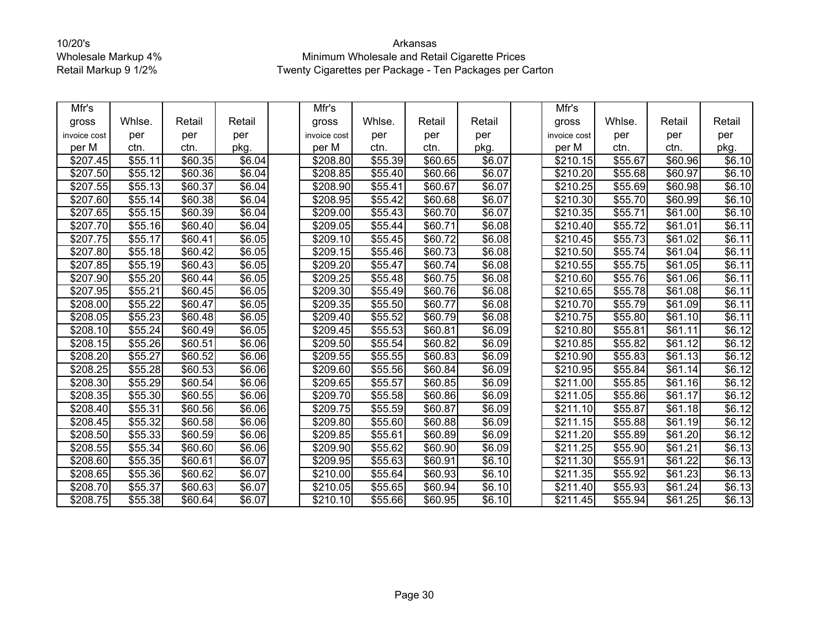| Mfr's                |         |         |        | Mfr's                |         |                     |                | Mfr's            |         |                     |         |
|----------------------|---------|---------|--------|----------------------|---------|---------------------|----------------|------------------|---------|---------------------|---------|
| gross                | Whlse.  | Retail  | Retail | gross                | Whlse.  | Retail              | Retail         | gross            | Whlse.  | Retail              | Retail  |
| invoice cost         | per     | per     | per    | invoice cost         | per     | per                 | per            | invoice cost     | per     | per                 | per     |
| per M                | ctn.    | ctn.    | pkg.   | per M                | ctn.    | ctn.                | pkg.           | per M            | ctn.    | ctn.                | pkg.    |
| \$207.45             | \$55.11 | \$60.35 | \$6.04 | \$208.80             | \$55.39 | \$60.65             | \$6.07         | \$210.15         | \$55.67 | \$60.96             | \$6.10  |
| \$207.50             | \$55.12 | \$60.36 | \$6.04 | \$208.85             | \$55.40 | \$60.66             | \$6.07         | \$210.20         | \$55.68 | \$60.97             | \$6.10  |
| \$207.55             | \$55.13 | \$60.37 | \$6.04 | \$208.90             | \$55.41 | \$60.67             | \$6.07         | $\sqrt{$210.25}$ | \$55.69 | \$60.98             | \$6.10  |
| \$207.60             | \$55.14 | \$60.38 | \$6.04 | \$208.95             | \$55.42 | \$60.68             | \$6.07         | \$210.30         | \$55.70 | \$60.99             | \$6.10  |
| \$207.65             | \$55.15 | \$60.39 | \$6.04 | \$209.00             | \$55.43 | \$60.70             | \$6.07         | \$210.35         | \$55.71 | \$61.00             | \$6.10  |
| \$207.70             | \$55.16 | \$60.40 | \$6.04 | \$209.05             | \$55.44 | \$60.71             | \$6.08         | \$210.40         | \$55.72 | \$61.01             | \$6.11  |
| \$207.75             | \$55.17 | \$60.41 | \$6.05 | \$209.10             | \$55.45 | \$60.72             | \$6.08         | \$210.45         | \$55.73 | \$61.02             | \$6.11] |
| \$207.80             | \$55.18 | \$60.42 | \$6.05 | \$209.15             | \$55.46 | \$60.73             | \$6.08         | \$210.50         | \$55.74 | \$61.04             | \$6.11  |
| \$207.85             | \$55.19 | \$60.43 | \$6.05 | \$209.20             | \$55.47 | \$60.74             | \$6.08         | \$210.55         | \$55.75 | \$61.05             | \$6.11  |
| \$207.90             | \$55.20 | \$60.44 | \$6.05 | \$209.25             | \$55.48 | \$60.75             | \$6.08         | \$210.60         | \$55.76 | \$61.06             | \$6.11  |
| \$207.95             | \$55.21 | \$60.45 | \$6.05 | \$209.30             | \$55.49 | \$60.76             | \$6.08         | \$210.65         | \$55.78 | \$61.08             | \$6.11  |
| \$208.00             | \$55.22 | \$60.47 | \$6.05 | \$209.35             | \$55.50 | \$60.77             | \$6.08         | \$210.70         | \$55.79 | \$61.09             | \$6.11] |
| \$208.05             | \$55.23 | \$60.48 | \$6.05 | \$209.40             | \$55.52 | \$60.79             | $\sqrt{$6.08}$ | $\sqrt{$210.75}$ | \$55.80 | \$61.10             | \$6.11  |
| \$208.10             | \$55.24 | \$60.49 | \$6.05 | \$209.45             | \$55.53 | \$60.81             | \$6.09         | \$210.80         | \$55.81 | \$61.11             | \$6.12  |
| \$208.15             | \$55.26 | \$60.51 | \$6.06 | \$209.50             | \$55.54 | \$60.82             | \$6.09         | \$210.85         | \$55.82 | \$61.12             | \$6.12  |
| \$208.20             | \$55.27 | \$60.52 | \$6.06 | \$209.55             | \$55.55 | \$60.83             | \$6.09         | \$210.90         | \$55.83 | \$61.13             | \$6.12  |
| \$208.25             | \$55.28 | \$60.53 | \$6.06 | \$209.60             | \$55.56 | \$60.84             | \$6.09         | \$210.95         | \$55.84 | $\overline{$}61.14$ | \$6.12  |
| \$208.30             | \$55.29 | \$60.54 | \$6.06 | $\overline{$}209.65$ | \$55.57 | \$60.85             | \$6.09         | \$211.00         | \$55.85 | \$61.16             | \$6.12  |
| \$208.35             | \$55.30 | \$60.55 | \$6.06 | \$209.70             | \$55.58 | \$60.86             | \$6.09         | \$211.05         | \$55.86 | \$61.17             | \$6.12  |
| \$208.40             | \$55.31 | \$60.56 | \$6.06 | \$209.75             | \$55.59 | $\overline{$}60.87$ | \$6.09         | \$211.10         | \$55.87 | \$61.18             | \$6.12  |
| \$208.45             | \$55.32 | \$60.58 | \$6.06 | \$209.80             | \$55.60 | \$60.88             | \$6.09         | \$211.15         | \$55.88 | \$61.19             | \$6.12  |
| \$208.50             | \$55.33 | \$60.59 | \$6.06 | \$209.85             | \$55.61 | \$60.89             | \$6.09         | \$211.20         | \$55.89 | \$61.20             | \$6.12  |
| \$208.55             | \$55.34 | \$60.60 | \$6.06 | \$209.90             | \$55.62 | \$60.90             | \$6.09         | \$211.25         | \$55.90 | $\overline{$}61.21$ | \$6.13  |
| \$208.60             | \$55.35 | \$60.61 | \$6.07 | \$209.95             | \$55.63 | \$60.91             | \$6.10         | \$211.30         | \$55.91 | \$61.22             | \$6.13  |
| \$208.65             | \$55.36 | \$60.62 | \$6.07 | \$210.00             | \$55.64 | \$60.93             | \$6.10         | \$211.35         | \$55.92 | \$61.23             | \$6.13  |
| \$208.70             | \$55.37 | \$60.63 | \$6.07 | \$210.05             | \$55.65 | \$60.94             | \$6.10         | \$211.40         | \$55.93 | \$61.24             | \$6.13  |
| $\overline{$}208.75$ | \$55.38 | \$60.64 | \$6.07 | \$210.10             | \$55.66 | \$60.95             | \$6.10         | \$211.45         | \$55.94 | \$61.25             | \$6.13  |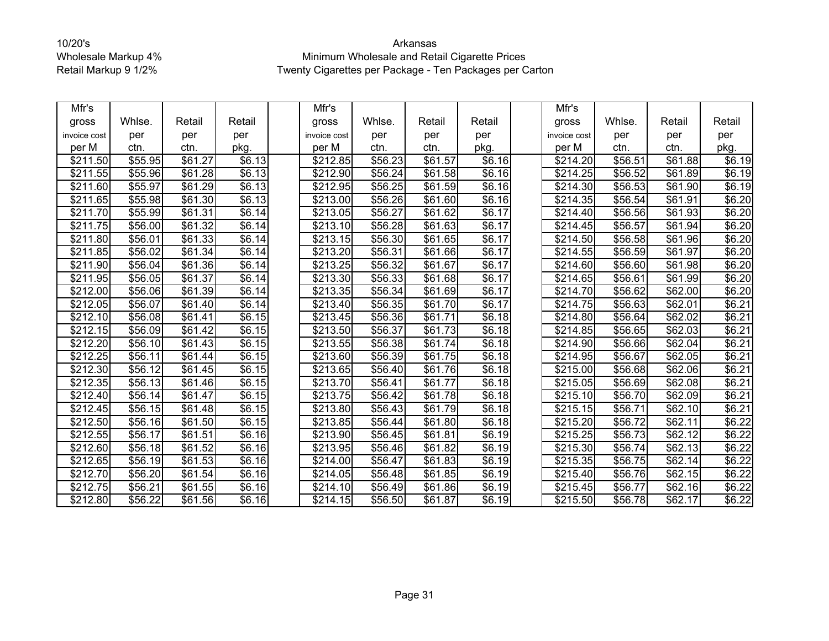| Mfr's                |         |                     |                    | Mfr's        |                     |         |        | Mfr's        |         |                     |        |
|----------------------|---------|---------------------|--------------------|--------------|---------------------|---------|--------|--------------|---------|---------------------|--------|
| gross                | Whlse.  | Retail              | Retail             | gross        | Whlse.              | Retail  | Retail | gross        | Whlse.  | Retail              | Retail |
| invoice cost         | per     | per                 | per                | invoice cost | per                 | per     | per    | invoice cost | per     | per                 | per    |
| per M                | ctn.    | ctn.                | pkg.               | per M        | ctn.                | ctn.    | pkg.   | per M        | ctn.    | ctn.                | pkg.   |
| \$211.50             | \$55.95 | \$61.27             | \$6.13             | \$212.85     | \$56.23             | \$61.57 | \$6.16 | \$214.20     | \$56.51 | \$61.88             | \$6.19 |
| \$211.55             | \$55.96 | \$61.28             | \$6.13             | \$212.90     | $\overline{$}56.24$ | \$61.58 | \$6.16 | \$214.25     | \$56.52 | \$61.89             | \$6.19 |
| \$211.60             | \$55.97 | $\overline{$61.29}$ | \$6.13             | \$212.95     | \$56.25             | \$61.59 | \$6.16 | \$214.30     | \$56.53 | \$61.90             | \$6.19 |
| \$211.65             | \$55.98 | \$61.30             | \$6.13             | \$213.00     | \$56.26             | \$61.60 | \$6.16 | \$214.35     | \$56.54 | $\overline{$}61.91$ | \$6.20 |
| \$21<br>1.70         | \$55.99 | \$61.31             | \$6.14             | \$213.05     | \$56.27             | \$61.62 | \$6.17 | \$214.40     | \$56.56 | \$61.93             | \$6.20 |
| \$211.75             | \$56.00 | \$61.32             | \$6.14             | \$213.10     | \$56.28             | \$61.63 | \$6.17 | \$214.45     | \$56.57 | \$61.94             | \$6.20 |
| \$211.80             | \$56.01 | \$61.33             | \$6.14             | \$213.15     | \$56.30             | \$61.65 | \$6.17 | \$214.50     | \$56.58 | \$61.96             | \$6.20 |
| \$211.85             | \$56.02 | \$61.34             | \$6.14             | \$213.20     | \$56.31             | \$61.66 | \$6.17 | \$214.55     | \$56.59 | \$61.97             | \$6.20 |
| \$211.90             | \$56.04 | \$61.36             | \$6.14             | \$213.25     | \$56.32             | \$61.67 | \$6.17 | \$214.60     | \$56.60 | \$61.98             | \$6.20 |
| \$211.95             | \$56.05 | \$61.37             | \$6.14             | \$213.30     | \$56.33             | \$61.68 | \$6.17 | \$214.65     | \$56.61 | $\overline{$}61.99$ | \$6.20 |
| \$212.00             | \$56.06 | \$61.39             | \$6.14             | \$213.35     | \$56.34             | \$61.69 | \$6.17 | \$214.70     | \$56.62 | \$62.00             | \$6.20 |
| \$212.05             | \$56.07 | \$61.40             | \$6.14             | \$213.40     | \$56.35             | \$61.70 | \$6.17 | \$214.75     | \$56.63 | \$62.01             | \$6.21 |
| \$212.10             | \$56.08 | $\overline{$61.41}$ | \$6.15             | \$213.45     | \$56.36             | \$61.71 | \$6.18 | \$214.80     | \$56.64 | $\sqrt{$62.02}$     | \$6.21 |
| \$212.15             | \$56.09 | \$61.42             | \$6.15             | \$213.50     | \$56.37             | \$61.73 | \$6.18 | \$214.85     | \$56.65 | \$62.03             | \$6.21 |
| $\overline{$}212.20$ | \$56.10 | \$61.43             | \$6.15             | \$213.55     | \$56.38             | \$61.74 | \$6.18 | \$214.90     | \$56.66 | \$62.04             | \$6.21 |
| \$212.25             | \$56.11 | \$61.44             | \$6.15             | \$213.60     | \$56.39             | \$61.75 | \$6.18 | \$214.95     | \$56.67 | \$62.05             | \$6.21 |
| \$212.30             | \$56.12 | \$61.45             | \$6.15             | \$213.65     | \$56.40             | \$61.76 | \$6.18 | \$215.00     | \$56.68 | \$62.06             | \$6.21 |
| \$212.35             | \$56.13 | $\overline{$}61.46$ | \$6.15             | \$213.70     | \$56.41             | \$61.77 | \$6.18 | \$215.05     | \$56.69 | \$62.08             | \$6.21 |
| \$212.40             | \$56.14 | \$61.47             | \$6.15             | \$213.75     | \$56.42             | \$61.78 | \$6.18 | \$215.10     | \$56.70 | \$62.09             | \$6.21 |
| \$212.45             | \$56.15 | \$61.48             | $\overline{$}6.15$ | \$213.80     | \$56.43             | \$61.79 | \$6.18 | \$215.15     | \$56.71 | \$62.10             | \$6.21 |
| $\overline{$}212.50$ | \$56.16 | \$61.50             | \$6.15             | \$213.85     | \$56.44             | \$61.80 | \$6.18 | \$215.20     | \$56.72 | \$62.11             | \$6.22 |
| \$212.55             | \$56.17 | \$61.51             | \$6.16             | \$213.90     | \$56.45             | \$61.81 | \$6.19 | \$215.25     | \$56.73 | \$62.12             | \$6.22 |
| \$212.60             | \$56.18 | \$61.52             | \$6.16             | \$213.95     | \$56.46             | \$61.82 | \$6.19 | \$215.30     | \$56.74 | \$62.13             | \$6.22 |
| \$212.65             | \$56.19 | \$61.53             | \$6.16             | \$214.00     | \$56.47             | \$61.83 | \$6.19 | \$215.35     | \$56.75 | \$62.14             | \$6.22 |
| $\sqrt{$212.70}$     | \$56.20 | $\overline{$}61.54$ | \$6.16             | \$214.05     | \$56.48             | \$61.85 | \$6.19 | \$215.40     | \$56.76 | \$62.15             | \$6.22 |
| \$212.75             | \$56.21 | \$61.55             | \$6.16             | \$214.10     | \$56.49             | \$61.86 | \$6.19 | \$215.45     | \$56.77 | \$62.16             | \$6.22 |
| \$212.80             | \$56.22 | \$61.56             | \$6.16             | \$214.15     | \$56.50             | \$61.87 | \$6.19 | \$215.50     | \$56.78 | \$62.17             | \$6.22 |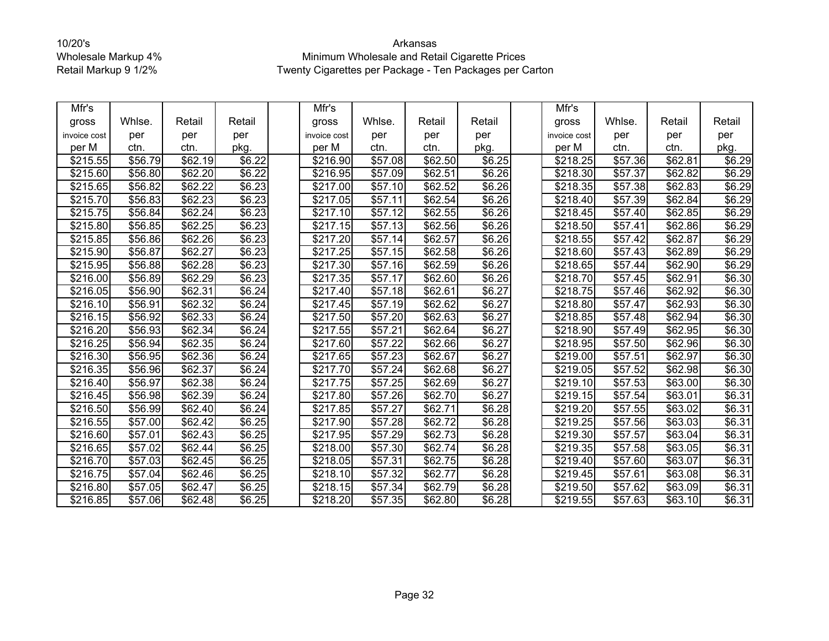| Mfr's        |         |                     |                    | Mfr's                |                     |                     |                    | Mfr's                |                     |                     |        |
|--------------|---------|---------------------|--------------------|----------------------|---------------------|---------------------|--------------------|----------------------|---------------------|---------------------|--------|
| gross        | Whlse.  | Retail              | Retail             | gross                | Whlse.              | Retail              | Retail             | gross                | Whlse.              | Retail              | Retail |
| invoice cost | per     | per                 | per                | invoice cost         | per                 | per                 | per                | invoice cost         | per                 | per                 | per    |
| per M        | ctn.    | ctn.                | pkg.               | per M                | ctn.                | ctn.                | pkg.               | per M                | ctn.                | ctn.                | pkg.   |
| \$215.55     | \$56.79 | \$62.19             | \$6.22             | \$216.90             | \$57.08             | \$62.50             | \$6.25             | \$218.25             | \$57.36             | \$62.81             | \$6.29 |
| \$215.60     | \$56.80 | \$62.20             | \$6.22             | \$216.95             | \$57.09             | \$62.51             | \$6.26             | \$218.30             | \$57.37             | \$62.82             | \$6.29 |
| \$215.65     | \$56.82 | $\overline{$62.22}$ | \$6.23             | \$217.00             | \$57.10             | \$62.52             | $\sqrt{$6.26}$     | \$218.35             | \$57.38             | \$62.83             | \$6.29 |
| \$215.70     | \$56.83 | \$62.23             | \$6.23             | \$217.05             | \$57.11             | \$62.54             | \$6.26             | \$218.40             | \$57.39             | \$62.84             | \$6.29 |
| \$215.75     | \$56.84 | \$62.24             | \$6.23             | \$217.10             | \$57.12             | \$62.55             | \$6.26             | \$218.45             | \$57.40             | \$62.85             | \$6.29 |
| \$215.80     | \$56.85 | $\overline{$62.25}$ | \$6.23             | \$217.15             | \$57.13             | \$62.56             | \$6.26             | \$218.50             | \$57.41             | \$62.86             | \$6.29 |
| \$215.85     | \$56.86 | \$62.26             | \$6.23             | \$217.20             | \$57.14             | \$62.57             | \$6.26             | \$218.55             | \$57.42             | \$62.87             | \$6.29 |
| \$215.90     | \$56.87 | \$62.27             | \$6.23             | \$217.25             | \$57.15             | \$62.58             | \$6.26             | \$218.60             | \$57.43             | \$62.89             | \$6.29 |
| \$215.95     | \$56.88 | \$62.28             | \$6.23             | \$217.30             | \$57.16             | \$62.59             | \$6.26             | \$218.65             | \$57.44             | \$62.90             | \$6.29 |
| \$216.00     | \$56.89 | \$62.29             | \$6.23             | \$217.35             | \$57.17             | \$62.60             | \$6.26             | \$218.70             | \$57.45             | \$62.91             | \$6.30 |
| \$216.05     | \$56.90 | \$62.31             | \$6.24             | \$217.40             | \$57.18             | \$62.61             | \$6.27             | \$218.75             | \$57.46             | \$62.92             | \$6.30 |
| \$216.10     | \$56.91 | \$62.32             | \$6.24             | \$217.45             | \$57.19             | \$62.62             | \$6.27             | \$218.80             | $\overline{$}57.47$ | \$62.93             | \$6.30 |
| \$216.15     | \$56.92 | \$62.33             | \$6.24             | \$217.50             | \$57.20             | $\overline{$}62.63$ | \$6.27             | $\overline{$}218.85$ | \$57.48             | \$62.94             | \$6.30 |
| \$216.20     | \$56.93 | \$62.34             | \$6.24             | \$217.55             | \$57.21             | \$62.64             | \$6.27             | \$218.90             | \$57.49             | \$62.95             | \$6.30 |
| \$216.25     | \$56.94 | \$62.35             | \$6.24             | \$217.60             | \$57.22             | \$62.66             | \$6.27             | $\overline{$}218.95$ | \$57.50             | $\overline{$62.96}$ | \$6.30 |
| \$216.30     | \$56.95 | \$62.36             | \$6.24             | \$217.65             | \$57.23             | \$62.67             | \$6.27             | \$219.00             | \$57.51             | \$62.97             | \$6.30 |
| \$216.35     | \$56.96 | \$62.37             | \$6.24             | \$217.70             | \$57.24             | \$62.68             | \$6.27             | \$219.05             | \$57.52             | \$62.98             | \$6.30 |
| \$216.40     | \$56.97 | \$62.38             | \$6.24             | \$217.75             | \$57.25             | \$62.69             | \$6.27             | $\overline{$}219.10$ | \$57.53             | \$63.00             | \$6.30 |
| \$216.45     | \$56.98 | \$62.39             | \$6.24             | \$217.80             | \$57.26             | \$62.70             | \$6.27             | \$219.15             | \$57.54             | \$63.01             | \$6.31 |
| \$216.50     | \$56.99 | \$62.40             | \$6.24             | \$217.85             | \$57.27             | \$62.71             | $\overline{$6.28}$ | \$219.20             | \$57.55             | \$63.02             | \$6.31 |
| \$216.55     | \$57.00 | \$62.42             | \$6.25             | \$217.90             | \$57.28             | \$62.72             | \$6.28             | \$219.25             | \$57.56             | \$63.03             | \$6.31 |
| \$216.60     | \$57.01 | \$62.43             | \$6.25             | \$217.95             | \$57.29             | \$62.73             | \$6.28             | \$219.30             | \$57.57             | \$63.04             | \$6.31 |
| \$216.65     | \$57.02 | \$62.44             | $\overline{$}6.25$ | \$218.00             | $\overline{$}57.30$ | \$62.74             | \$6.28             | \$219.35             | \$57.58             | \$63.05             | \$6.31 |
| \$216.70     | \$57.03 | \$62.45             | \$6.25             | \$218.05             | \$57.31             | \$62.75             | \$6.28             | \$219.40             | \$57.60             | \$63.07             | \$6.31 |
| \$216.75     | \$57.04 | \$62.46             | \$6.25             | \$218.10             | \$57.32             | $\overline{$}62.77$ | \$6.28             | \$219.45             | \$57.61             | \$63.08             | \$6.31 |
| \$216.80     | \$57.05 | \$62.47             | \$6.25             | \$218.15             | \$57.34             | \$62.79             | \$6.28             | \$219.50             | \$57.62             | \$63.09             | \$6.31 |
| 3216.85      | \$57.06 | \$62.48             | \$6.25             | $\overline{$}218.20$ | \$57.35             | \$62.80             | \$6.28             | \$219.55             | \$57.63             | \$63.10             | \$6.31 |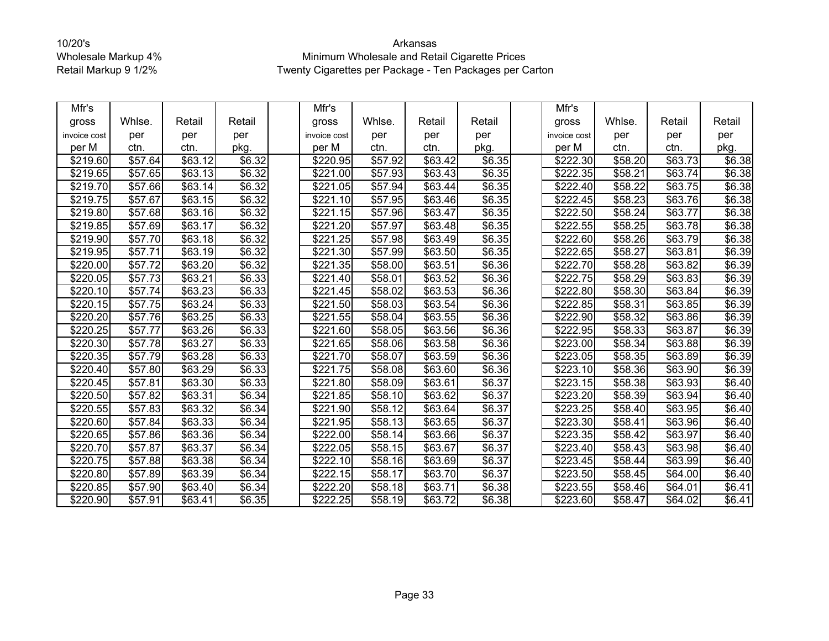| Mfr's            |                     |                     |                    | Mfr's                |         |                     |        | Mfr's                |         |         |        |
|------------------|---------------------|---------------------|--------------------|----------------------|---------|---------------------|--------|----------------------|---------|---------|--------|
| gross            | Whlse.              | Retail              | Retail             | gross                | Whlse.  | Retail              | Retail | gross                | Whlse.  | Retail  | Retail |
| invoice cost     | per                 | per                 | per                | invoice cost         | per     | per                 | per    | invoice cost         | per     | per     | per    |
| per M            | ctn.                | ctn.                | pkg.               | per M                | ctn.    | ctn.                | pkg.   | per M                | ctn.    | ctn.    | pkg.   |
| \$219.60         | \$57.64             | \$63.12             | \$6.32             | \$220.95             | \$57.92 | \$63.42             | \$6.35 | \$222.30             | \$58.20 | \$63.73 | \$6.38 |
| \$219.65         | \$57.65             | \$63.13             | \$6.32             | \$221.00             | \$57.93 | \$63.43             | \$6.35 | \$222.35             | \$58.21 | \$63.74 | \$6.38 |
| \$219.70         | \$57.66             | \$63.14             | \$6.32             | \$221.05             | \$57.94 | \$63.44             | \$6.35 | \$222.40             | \$58.22 | \$63.75 | \$6.38 |
| \$219.75         | \$57.67             | \$63.15             | \$6.32             | \$221.10             | \$57.95 | \$63.46             | \$6.35 | \$222.45             | \$58.23 | \$63.76 | \$6.38 |
| \$219.80         | \$57.68             | \$63.16             | \$6.32             | \$221.15             | \$57.96 | \$63.47             | \$6.35 | \$222.50             | \$58.24 | \$63.77 | \$6.38 |
| \$219.85         | \$57.69             | \$63.17             | \$6.32             | \$221.20             | \$57.97 | \$63.48             | \$6.35 | \$222.55             | \$58.25 | \$63.78 | \$6.38 |
| \$219.90         | \$57.70             | \$63.18             | \$6.32             | \$221.25             | \$57.98 | \$63.49             | \$6.35 | \$222.60             | \$58.26 | \$63.79 | \$6.38 |
| \$219.95         | $\overline{$}57.71$ | \$63.19             | \$6.32             | $\sqrt{$221.30}$     | \$57.99 | \$63.50             | \$6.35 | \$222.65             | \$58.27 | \$63.81 | \$6.39 |
| \$220.00         | \$57.72             | \$63.20             | \$6.32             | \$221.35             | \$58.00 | \$63.51             | \$6.36 | \$222.70             | \$58.28 | \$63.82 | \$6.39 |
| \$220.05         | \$57.73             | \$63.21             | \$6.33             | \$221.40             | \$58.01 | \$63.52             | \$6.36 | \$222.75             | \$58.29 | \$63.83 | \$6.39 |
| \$220.10         | \$57.74             | $\overline{$63.23}$ | \$6.33             | \$221.45             | \$58.02 | \$63.53             | \$6.36 | \$222.80             | \$58.30 | \$63.84 | \$6.39 |
| \$220.15         | \$57.75             | \$63.24             | \$6.33             | \$221.50             | \$58.03 | \$63.54             | \$6.36 | \$222.85             | \$58.31 | \$63.85 | \$6.39 |
| \$220.20         | $\overline{$}57.76$ | \$63.25             | $\overline{$}6.33$ | $\overline{$}221.55$ | \$58.04 | $\overline{$}63.55$ | \$6.36 | \$222.90             | \$58.32 | \$63.86 | \$6.39 |
| \$220.25         | \$57.77             | \$63.26             | \$6.33             | \$221.60             | \$58.05 | \$63.56             | \$6.36 | \$222.95             | \$58.33 | \$63.87 | \$6.39 |
| \$220.30         | \$57.78             | \$63.27             | \$6.33             | \$221.65             | \$58.06 | \$63.58             | \$6.36 | \$223.00             | \$58.34 | \$63.88 | \$6.39 |
| \$220.35         | \$57.79             | \$63.28             | \$6.33             | \$221.70             | \$58.07 | \$63.59             | \$6.36 | \$223.05             | \$58.35 | \$63.89 | \$6.39 |
| \$220.40         | \$57.80             | \$63.29             | \$6.33             | \$221.75             | \$58.08 | \$63.60             | \$6.36 | \$223.10             | \$58.36 | \$63.90 | \$6.39 |
| \$220.45         | \$57.81             | \$63.30             | \$6.33             | \$221.80             | \$58.09 | \$63.61             | \$6.37 | \$223.15             | \$58.38 | \$63.93 | \$6.40 |
| \$220.50         | \$57.82             | \$63.31             | \$6.34             | \$221.85             | \$58.10 | \$63.62             | \$6.37 | \$223.20             | \$58.39 | \$63.94 | \$6.40 |
| \$220.55         | $\overline{$}57.83$ | \$63.32             | \$6.34             | \$221.90             | \$58.12 | \$63.64             | \$6.37 | $\sqrt{$223.25}$     | \$58.40 | \$63.95 | \$6.40 |
| \$220.60         | \$57.84             | \$63.33             | \$6.34             | \$221.95             | \$58.13 | \$63.65             | \$6.37 | \$223.30             | \$58.41 | \$63.96 | \$6.40 |
| \$220.65         | \$57.86             | \$63.36             | \$6.34             | \$222.00             | \$58.14 | \$63.66             | \$6.37 | \$223.35             | \$58.42 | \$63.97 | \$6.40 |
| \$220.70         | \$57.87             | $\overline{$}63.37$ | \$6.34             | \$222.05             | \$58.15 | \$63.67             | \$6.37 | \$223.40             | \$58.43 | \$63.98 | \$6.40 |
| \$220.75         | \$57.88             | \$63.38             | \$6.34             | \$222.10             | \$58.16 | \$63.69             | \$6.37 | \$223.45             | \$58.44 | \$63.99 | \$6.40 |
| \$220.80         | \$57.89             | \$63.39             | \$6.34             | \$222.15             | \$58.17 | \$63.70             | \$6.37 | $\overline{$}223.50$ | \$58.45 | \$64.00 | \$6.40 |
| \$220.85         | \$57.90             | \$63.40             | \$6.34             | \$222.20             | \$58.18 | \$63.71             | \$6.38 | \$223.55             | \$58.46 | \$64.01 | \$6.41 |
| $\sqrt{$220.90}$ | \$57.91             | \$63.41             | \$6.35             | \$222.25             | \$58.19 | $\overline{$}63.72$ | \$6.38 | \$223.60             | \$58.47 | \$64.02 | \$6.41 |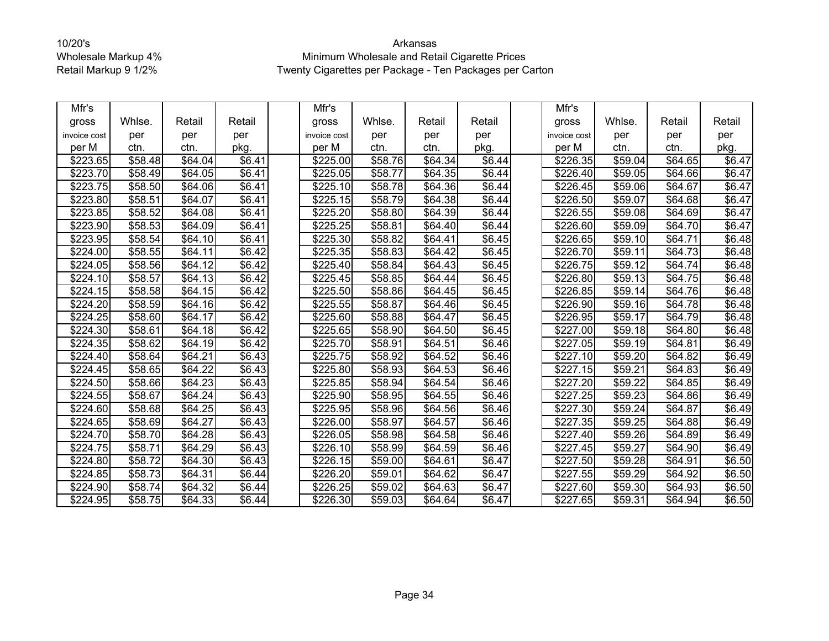| Mfr's                |         |         |                    | Mfr's            |         |                     |                    | Mfr's                |         |                     |        |
|----------------------|---------|---------|--------------------|------------------|---------|---------------------|--------------------|----------------------|---------|---------------------|--------|
| gross                | Whlse.  | Retail  | Retail             | gross            | Whlse.  | Retail              | Retail             | gross                | Whlse.  | Retail              | Retail |
| invoice cost         | per     | per     | per                | invoice cost     | per     | per                 | per                | invoice cost         | per     | per                 | per    |
| per M                | ctn.    | ctn.    | pkg.               | per M            | ctn.    | ctn.                | pkg.               | per M                | ctn.    | ctn.                | pkg.   |
| \$223.65             | \$58.48 | \$64.04 | \$6.41             | \$225.00         | \$58.76 | \$64.34             | \$6.44             | \$226.35             | \$59.04 | \$64.65             | \$6.47 |
| \$223.70             | \$58.49 | \$64.05 | \$6.41             | \$225.05         | \$58.77 | \$64.35             | \$6.44             | \$226.40             | \$59.05 | \$64.66             | \$6.47 |
| \$223.75             | \$58.50 | \$64.06 | \$6.41             | \$225.10         | \$58.78 | \$64.36             | \$6.44             | \$226.45             | \$59.06 | \$64.67             | \$6.47 |
| \$223.80             | \$58.51 | \$64.07 | \$6.41             | \$225.15         | \$58.79 | \$64.38             | \$6.44             | \$226.50             | \$59.07 | \$64.68             | \$6.47 |
| \$223.85             | \$58.52 | \$64.08 | \$6.41             | \$225.20         | \$58.80 | \$64.39             | \$6.44             | \$226.55             | \$59.08 | $\sqrt{$64.69}$     | \$6.47 |
| \$223.90             | \$58.53 | \$64.09 | \$6.41             | \$225.25         | \$58.81 | \$64.40             | \$6.44             | \$226.60             | \$59.09 | \$64.70             | \$6.47 |
| \$223.95             | \$58.54 | \$64.10 | \$6.41             | \$225.30         | \$58.82 | \$64.41             | $\overline{$6.45}$ | \$226.65             | \$59.10 | \$64.71             | \$6.48 |
| \$224.00             | \$58.55 | \$64.11 | \$6.42             | \$225.35         | \$58.83 | \$64.42             | \$6.45             | \$226.70             | \$59.11 | \$64.73             | \$6.48 |
| \$224.05             | \$58.56 | \$64.12 | $\overline{$}6.42$ | \$225.40         | \$58.84 | \$64.43             | \$6.45             | \$226.75             | \$59.12 | \$64.74             | \$6.48 |
| \$224.10             | \$58.57 | \$64.13 | \$6.42             | \$225.45         | \$58.85 | \$64.44             | \$6.45             | \$226.80             | \$59.13 | \$64.75             | \$6.48 |
| \$224.15             | \$58.58 | \$64.15 | \$6.42             | \$225.50         | \$58.86 | \$64.45             | \$6.45             | \$226.85             | \$59.14 | \$64.76             | \$6.48 |
| \$224.20             | \$58.59 | \$64.16 | \$6.42             | \$225.55         | \$58.87 | \$64.46             | \$6.45             | \$226.90             | \$59.16 | \$64.78             | \$6.48 |
| \$224.25             | \$58.60 | \$64.17 | \$6.42             | $\sqrt{$225.60}$ | \$58.88 | \$64.47             | $\overline{$6.45}$ | $\overline{$}226.95$ | \$59.17 | \$64.79             | \$6.48 |
| \$224.30             | \$58.61 | \$64.18 | \$6.42             | \$225.65         | \$58.90 | \$64.50             | \$6.45             | \$227.00             | \$59.18 | \$64.80             | \$6.48 |
| \$224.35             | \$58.62 | \$64.19 | \$6.42             | \$225.70         | \$58.91 | \$64.51             | \$6.46             | \$227.05             | \$59.19 | $\overline{$}64.81$ | \$6.49 |
| \$224.40             | \$58.64 | \$64.21 | \$6.43             | \$225.75         | \$58.92 | \$64.52             | \$6.46             | \$227.10             | \$59.20 | \$64.82             | \$6.49 |
| \$224.45             | \$58.65 | \$64.22 | \$6.43             | \$225.80         | \$58.93 | \$64.53             | \$6.46             | \$227.15             | \$59.21 | \$64.83             | \$6.49 |
| \$224.50             | \$58.66 | \$64.23 | \$6.43             | \$225.85         | \$58.94 | \$64.54             | \$6.46             | $\sqrt{$227.20}$     | \$59.22 | \$64.85             | \$6.49 |
| \$224.55             | \$58.67 | \$64.24 | \$6.43             | \$225.90         | \$58.95 | \$64.55             | \$6.46             | \$227.25             | \$59.23 | \$64.86             | \$6.49 |
| \$224.60             | \$58.68 | \$64.25 | \$6.43             | \$225.95         | \$58.96 | \$64.56             | \$6.46             | $\sqrt{$227.30}$     | \$59.24 | \$64.87             | \$6.49 |
| \$224.65             | \$58.69 | \$64.27 | \$6.43             | \$226.00         | \$58.97 | \$64.57             | \$6.46             | \$227.35             | \$59.25 | \$64.88             | \$6.49 |
| \$224.70             | \$58.70 | \$64.28 | \$6.43             | \$226.05         | \$58.98 | \$64.58             | \$6.46             | $\overline{$}227.40$ | \$59.26 | \$64.89             | \$6.49 |
| \$224.75             | \$58.71 | \$64.29 | \$6.43             | \$226.10         | \$58.99 | \$64.59             | \$6.46             | \$227.45             | \$59.27 | $\sqrt{$64.90}$     | \$6.49 |
| \$224.80             | \$58.72 | \$64.30 | \$6.43             | \$226.15         | \$59.00 | \$64.61             | \$6.47             | \$227.50             | \$59.28 | \$64.91             | \$6.50 |
| \$224.85             | \$58.73 | \$64.31 | \$6.44             | \$226.20         | \$59.01 | $\overline{$}64.62$ | $\sqrt{$6.47}$     | $\overline{$227.55}$ | \$59.29 | \$64.92             | \$6.50 |
| \$224.90             | \$58.74 | \$64.32 | \$6.44             | \$226.25         | \$59.02 | \$64.63             | \$6.47             | \$227.60             | \$59.30 | \$64.93             | \$6.50 |
| $\overline{$}224.95$ | \$58.75 | \$64.33 | \$6.44             | \$226.30         | \$59.03 | \$64.64             | \$6.47             | \$227.65             | \$59.31 | \$64.94             | \$6.50 |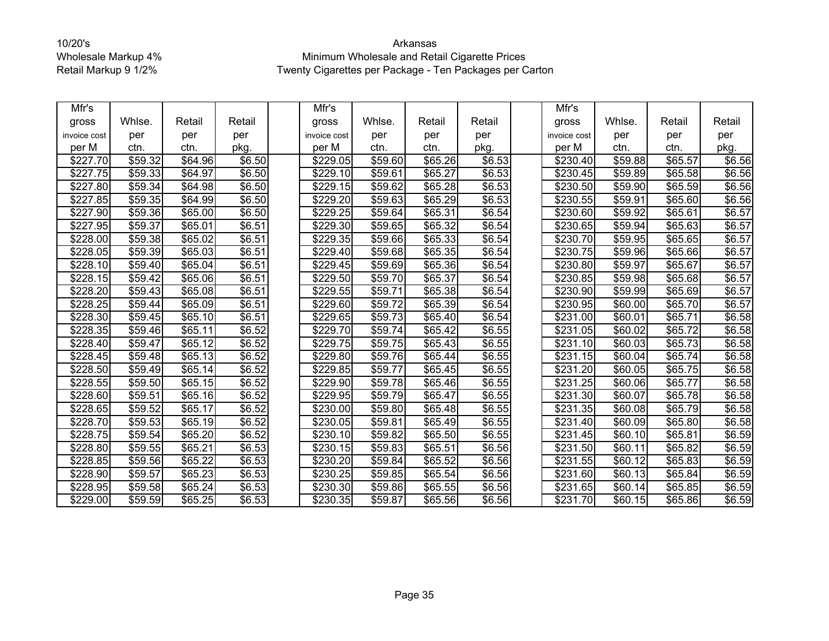| Mfr's        |         |         |                    | Mfr's        |         |         |        | Mfr's                |         |         |                    |
|--------------|---------|---------|--------------------|--------------|---------|---------|--------|----------------------|---------|---------|--------------------|
| gross        | Whlse.  | Retail  | Retail             | gross        | Whlse.  | Retail  | Retail | gross                | Whlse.  | Retail  | Retail             |
| invoice cost | per     | per     | per                | invoice cost | per     | per     | per    | invoice cost         | per     | per     | per                |
| per M        | ctn.    | ctn.    | pkg.               | per M        | ctn.    | ctn.    | pkg.   | per M                | ctn.    | ctn.    | pkg.               |
| \$227.70     | \$59.32 | \$64.96 | \$6.50             | \$229.05     | \$59.60 | \$65.26 | \$6.53 | \$230.40             | \$59.88 | \$65.57 | \$6.56             |
| \$227.75     | \$59.33 | \$64.97 | \$6.50             | \$229.10     | \$59.61 | \$65.27 | \$6.53 | \$230.45             | \$59.89 | \$65.58 | \$6.56             |
| \$227.80     | \$59.34 | \$64.98 | \$6.50             | \$229.15     | \$59.62 | \$65.28 | \$6.53 | \$230.50             | \$59.90 | \$65.59 | \$6.56             |
| \$227.85     | \$59.35 | \$64.99 | \$6.50             | \$229.20     | \$59.63 | \$65.29 | \$6.53 | \$230.55             | \$59.91 | \$65.60 | \$6.56             |
| \$227.90     | \$59.36 | \$65.00 | \$6.50             | \$229.25     | \$59.64 | \$65.31 | \$6.54 | \$230.60             | \$59.92 | \$65.61 | \$6.57             |
| \$227.95     | \$59.37 | \$65.01 | \$6.51             | \$229.30     | \$59.65 | \$65.32 | \$6.54 | \$230.65             | \$59.94 | \$65.63 | \$6.57             |
| \$228.00     | \$59.38 | \$65.02 | \$6.51             | \$229.35     | \$59.66 | \$65.33 | \$6.54 | \$230.70             | \$59.95 | \$65.65 | \$6.57             |
| \$228.05     | \$59.39 | \$65.03 | \$6.51             | \$229.40     | \$59.68 | \$65.35 | \$6.54 | \$230.75             | \$59.96 | \$65.66 | \$6.57             |
| \$228.10     | \$59.40 | \$65.04 | \$6.51             | \$229.45     | \$59.69 | \$65.36 | \$6.54 | \$230.80             | \$59.97 | \$65.67 | \$6.57             |
| \$228.15     | \$59.42 | \$65.06 | \$6.51             | \$229.50     | \$59.70 | \$65.37 | \$6.54 | \$230.85             | \$59.98 | \$65.68 | \$6.57             |
| \$228.20     | \$59.43 | \$65.08 | $\overline{$6.51}$ | \$229.55     | \$59.71 | \$65.38 | \$6.54 | \$230.90             | \$59.99 | \$65.69 | $\overline{$}6.57$ |
| \$228.25     | \$59.44 | \$65.09 | \$6.51             | \$229.60     | \$59.72 | \$65.39 | \$6.54 | \$230.95             | \$60.00 | \$65.70 | \$6.57             |
| \$228.30     | \$59.45 | \$65.10 | \$6.51             | \$229.65     | \$59.73 | \$65.40 | \$6.54 | $\overline{$}231.00$ | \$60.01 | \$65.71 | \$6.58             |
| \$228.35     | \$59.46 | \$65.11 | \$6.52             | \$229.70     | \$59.74 | \$65.42 | \$6.55 | \$231.05             | \$60.02 | \$65.72 | \$6.58             |
| \$228.40     | \$59.47 | \$65.12 | \$6.52             | \$229.75     | \$59.75 | \$65.43 | \$6.55 | \$231.10             | \$60.03 | \$65.73 | \$6.58             |
| \$228.45     | \$59.48 | \$65.13 | \$6.52             | \$229.80     | \$59.76 | \$65.44 | \$6.55 | \$231.15             | \$60.04 | \$65.74 | \$6.58             |
| \$228.50     | \$59.49 | \$65.14 | \$6.52             | \$229.85     | \$59.77 | \$65.45 | \$6.55 | \$231.20             | \$60.05 | \$65.75 | \$6.58             |
| \$228.55     | \$59.50 | \$65.15 | \$6.52             | \$229.90     | \$59.78 | \$65.46 | \$6.55 | \$231.25             | \$60.06 | \$65.77 | \$6.58             |
| \$228.60     | \$59.51 | \$65.16 | \$6.52             | \$229.95     | \$59.79 | \$65.47 | \$6.55 | \$231.30             | \$60.07 | \$65.78 | \$6.58             |
| \$228.65     | \$59.52 | \$65.17 | \$6.52             | \$230.00     | \$59.80 | \$65.48 | \$6.55 | \$231.35             | \$60.08 | \$65.79 | \$6.58             |
| \$228.70     | \$59.53 | \$65.19 | \$6.52             | \$230.05     | \$59.81 | \$65.49 | \$6.55 | \$231.40             | \$60.09 | \$65.80 | \$6.58             |
| \$228.75     | \$59.54 | \$65.20 | \$6.52             | \$230.10     | \$59.82 | \$65.50 | \$6.55 | \$231.45             | \$60.10 | \$65.81 | \$6.59             |
| \$228.80     | \$59.55 | \$65.21 | \$6.53             | \$230.15     | \$59.83 | \$65.51 | \$6.56 | \$231.50             | \$60.11 | \$65.82 | \$6.59             |
| \$228.85     | \$59.56 | \$65.22 | \$6.53             | \$230.20     | \$59.84 | \$65.52 | \$6.56 | \$231.55             | \$60.12 | \$65.83 | \$6.59             |
| \$228.90     | \$59.57 | \$65.23 | \$6.53             | \$230.25     | \$59.85 | \$65.54 | \$6.56 | \$231.60             | \$60.13 | \$65.84 | \$6.59             |
| \$228.95     | \$59.58 | \$65.24 | \$6.53             | \$230.30     | \$59.86 | \$65.55 | \$6.56 | \$231.65             | \$60.14 | \$65.85 | \$6.59             |
| \$229.00     | \$59.59 | \$65.25 | \$6.53             | \$230.35     | \$59.87 | \$65.56 | \$6.56 | \$231.70             | \$60.15 | \$65.86 | \$6.59             |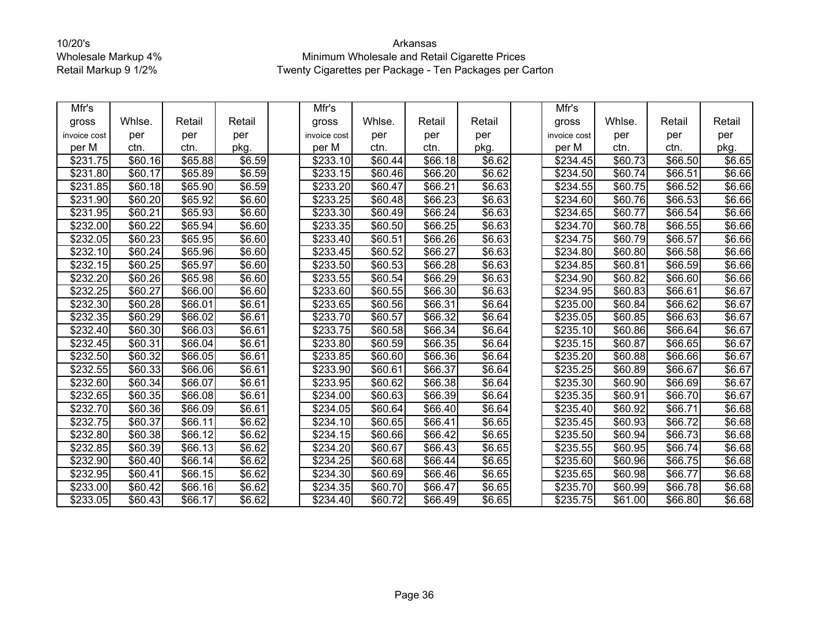| Mfr's                |                     |         |                    | Mfr's            |         |                     |                    | Mfr's                |         |                     |        |
|----------------------|---------------------|---------|--------------------|------------------|---------|---------------------|--------------------|----------------------|---------|---------------------|--------|
| gross                | Whlse.              | Retail  | Retail             | gross            | Whlse.  | Retail              | Retail             | gross                | Whlse.  | Retail              | Retail |
| invoice cost         | per                 | per     | per                | invoice cost     | per     | per                 | per                | invoice cost         | per     | per                 | per    |
| per M                | ctn.                | ctn.    | pkg.               | per M            | ctn.    | ctn.                | pkg.               | per M                | ctn.    | ctn.                | pkg.   |
| \$231.75             | \$60.16             | \$65.88 | \$6.59             | \$233.10         | \$60.44 | \$66.18             | \$6.62             | \$234.45             | \$60.73 | \$66.50             | \$6.65 |
| \$231.80             | \$60.17             | \$65.89 | \$6.59             | \$233.15         | \$60.46 | \$66.20             | \$6.62             | \$234.50             | \$60.74 | \$66.51             | \$6.66 |
| \$231.85             | \$60.18             | \$65.90 | \$6.59             | \$233.20         | \$60.47 | \$66.21             | $\overline{$6.63}$ | \$234.55             | \$60.75 | \$66.52             | \$6.66 |
| \$231.90             | \$60.20             | \$65.92 | \$6.60             | \$233.25         | \$60.48 | \$66.23             | $\overline{$6.63}$ | $\overline{$}234.60$ | \$60.76 | \$66.53             | \$6.66 |
| \$231.95             | \$60.21             | \$65.93 | \$6.60             | \$233.30         | \$60.49 | \$66.24             | \$6.63             | \$234.65             | \$60.77 | \$66.54             | \$6.66 |
| \$232.00             | $\overline{$}60.22$ | \$65.94 | \$6.60             | \$233.35         | \$60.50 | \$66.25             | \$6.63             | \$234.70             | \$60.78 | \$66.55             | \$6.66 |
| \$232.05             | \$60.23             | \$65.95 | \$6.60             | \$233.40         | \$60.51 | \$66.26             | \$6.63             | \$234.75             | \$60.79 | \$66.57             | \$6.66 |
| \$232.10             | \$60.24             | \$65.96 | \$6.60             | \$233.45         | \$60.52 | \$66.27             | \$6.63             | \$234.80             | \$60.80 | \$66.58             | \$6.66 |
| \$232.15             | \$60.25             | \$65.97 | \$6.60             | \$233.50         | \$60.53 | \$66.28             | \$6.63             | \$234.85             | \$60.81 | \$66.59             | \$6.66 |
| \$232.20             | \$60.26             | \$65.98 | \$6.60             | \$233.55         | \$60.54 | \$66.29             | \$6.63             | \$234.90             | \$60.82 | \$66.60             | \$6.66 |
| \$232.25             | \$60.27             | \$66.00 | \$6.60             | \$233.60         | \$60.55 | \$66.30             | \$6.63             | \$234.95             | \$60.83 | \$66.61             | \$6.67 |
| \$232.30             | \$60.28             | \$66.01 | \$6.61             | \$233.65         | \$60.56 | \$66.31             | \$6.64             | \$235.00             | \$60.84 | \$66.62             | \$6.67 |
| \$232.35             | \$60.29             | \$66.02 | \$6.61             | \$233.70         | \$60.57 | \$66.32             | \$6.64             | $\overline{$}235.05$ | \$60.85 | \$66.63             | \$6.67 |
| \$232.40             | \$60.30             | \$66.03 | \$6.61             | \$233.75         | \$60.58 | \$66.34             | \$6.64             | \$235.10             | \$60.86 | \$66.64             | \$6.67 |
| $\overline{$}232.45$ | \$60.31             | \$66.04 | \$6.61             | \$233.80         | \$60.59 | \$66.35             | \$6.64             | \$235.15             | \$60.87 | \$66.65             | \$6.67 |
| \$232.50             | \$60.32             | \$66.05 | $\overline{$6.61}$ | \$233.85         | \$60.60 | \$66.36             | \$6.64             | \$235.20             | \$60.88 | \$66.66             | \$6.67 |
| \$232.55             | \$60.33             | \$66.06 | \$6.61             | \$233.90         | \$60.61 | \$66.37             | \$6.64             | \$235.25             | \$60.89 | \$66.67             | \$6.67 |
| \$232.60             | \$60.34             | \$66.07 | \$6.61             | \$233.95         | \$60.62 | \$66.38             | $\overline{$6.64}$ | $\overline{$}235.30$ | \$60.90 | \$66.69             | \$6.67 |
| \$232.65             | \$60.35             | \$66.08 | \$6.61             | \$234.00         | \$60.63 | \$66.39             | \$6.64             | \$235.35             | \$60.91 | \$66.70             | \$6.67 |
| \$232.70             | \$60.36             | \$66.09 | \$6.61             | \$234.05         | \$60.64 | \$66.40             | \$6.64             | \$235.40             | \$60.92 | \$66.71             | \$6.68 |
| \$232.75             | \$60.37             | \$66.11 | \$6.62             | \$234.10         | \$60.65 | \$66.41             | \$6.65             | \$235.45             | \$60.93 | \$66.72             | \$6.68 |
| \$232.80             | \$60.38             | \$66.12 | \$6.62             | \$234.15         | \$60.66 | \$66.42             | \$6.65             | \$235.50             | \$60.94 | \$66.73             | \$6.68 |
| \$232.85             | \$60.39             | \$66.13 | \$6.62             | \$234.20         | \$60.67 | \$66.43             | \$6.65             | \$235.55             | \$60.95 | \$66.74             | \$6.68 |
| \$232.90             | \$60.40             | \$66.14 | \$6.62             | \$234.25         | \$60.68 | \$66.44             | \$6.65             | \$235.60             | \$60.96 | \$66.75             | \$6.68 |
| \$232.95             | \$60.41             | \$66.15 | \$6.62             | $\sqrt{$234.30}$ | \$60.69 | $\overline{$66.46}$ | \$6.65             | \$235.65             | \$60.98 | $\overline{$}66.77$ | \$6.68 |
| \$233.00             | \$60.42             | \$66.16 | \$6.62             | \$234.35         | \$60.70 | \$66.47             | \$6.65             | \$235.70             | \$60.99 | \$66.78             | \$6.68 |
| \$233.05             | \$60.43             | \$66.17 | \$6.62             | \$234.40         | \$60.72 | \$66.49             | \$6.65             | \$235.75             | \$61.00 | \$66.80             | \$6.68 |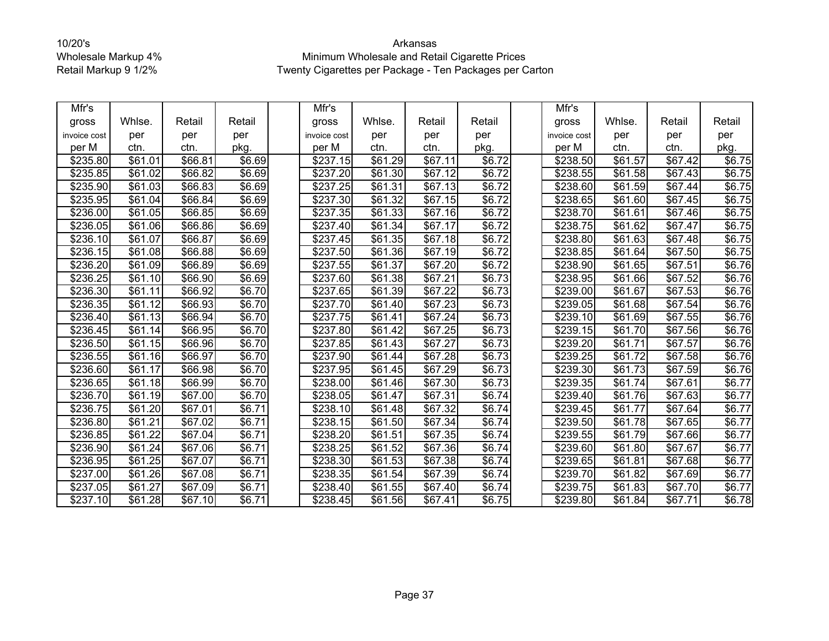| Mfr's        |                     |         |                    | Mfr's                |         |                     |        | Mfr's            |         |                     |                    |
|--------------|---------------------|---------|--------------------|----------------------|---------|---------------------|--------|------------------|---------|---------------------|--------------------|
| gross        | Whlse.              | Retail  | Retail             | gross                | Whlse.  | Retail              | Retail | gross            | Whlse.  | Retail              | Retail             |
| invoice cost | per                 | per     | per                | invoice cost         | per     | per                 | per    | invoice cost     | per     | per                 | per                |
| per M        | ctn.                | ctn.    | pkg.               | per M                | ctn.    | ctn.                | pkg.   | per M            | ctn.    | ctn.                | pkg.               |
| \$235.80     | \$61.01             | \$66.81 | \$6.69             | \$237.15             | \$61.29 | \$67.11             | \$6.72 | \$238.50         | \$61.57 | \$67.42             | $\overline{$}6.75$ |
| \$235.85     | \$61.02             | \$66.82 | \$6.69             | \$237.20             | \$61.30 | \$67.12             | \$6.72 | \$238.55         | \$61.58 | \$67.43             | \$6.75             |
| \$235.90     | \$61.03             | \$66.83 | \$6.69             | \$237.25             | \$61.31 | \$67.13             | \$6.72 | \$238.60         | \$61.59 | \$67.44             | \$6.75             |
| \$235.95     | \$61.04             | \$66.84 | \$6.69             | \$237.30             | \$61.32 | \$67.15             | \$6.72 | \$238.65         | \$61.60 | \$67.45             | \$6.75             |
| \$236.00     | \$61.05             | \$66.85 | \$6.69             | \$237.35             | \$61.33 | \$67.16             | \$6.72 | \$238.70         | \$61.61 | $\overline{$67.46}$ | \$6.75             |
| \$236.05     | \$61.06             | \$66.86 | \$6.69             | \$237.40             | \$61.34 | \$67.17             | \$6.72 | \$238.75         | \$61.62 | \$67.47             | \$6.75             |
| \$236.10     | \$61.07             | \$66.87 | $\overline{$6.69}$ | $\overline{$}237.45$ | \$61.35 | \$67.18             | \$6.72 | $\sqrt{$238.80}$ | \$61.63 | \$67.48             | \$6.75             |
| \$236.15     | \$61.08             | \$66.88 | \$6.69             | \$237.50             | \$61.36 | \$67.19             | \$6.72 | \$238.85         | \$61.64 | \$67.50             | \$6.75             |
| \$236.20     | \$61.09             | \$66.89 | \$6.69             | \$237.55             | \$61.37 | \$67.20             | \$6.72 | \$238.90         | \$61.65 | \$67.51             | \$6.76             |
| \$236.25     | \$61.10             | \$66.90 | \$6.69             | \$237.60             | \$61.38 | \$67.21             | \$6.73 | \$238.95         | \$61.66 | \$67.52             | \$6.76             |
| \$236.30     | \$61.11             | \$66.92 | $\overline{$}6.70$ | \$237.65             | \$61.39 | $\overline{$67.22}$ | \$6.73 | \$239.00         | \$61.67 | \$67.53             | \$6.76             |
| \$236.35     | $\overline{$61.12}$ | \$66.93 | \$6.70             | \$237.70             | \$61.40 | \$67.23             | \$6.73 | \$239.05         | \$61.68 | $\overline{$}67.54$ | \$6.76             |
| \$236.40     | \$61.13             | \$66.94 | \$6.70             | \$237.75             | \$61.41 | $\overline{$67.24}$ | \$6.73 | $\sqrt{$239.10}$ | \$61.69 | $\overline{$}67.55$ | \$6.76             |
| \$236.45     | \$61.14             | \$66.95 | \$6.70             | \$237.80             | \$61.42 | \$67.25             | \$6.73 | \$239.15         | \$61.70 | \$67.56             | \$6.76             |
| \$236.50     | \$61.15             | \$66.96 | \$6.70             | \$237.85             | \$61.43 | \$67.27             | \$6.73 | \$239.20         | \$61.71 | \$67.57             | \$6.76             |
| \$236.55     | \$61.16             | \$66.97 | \$6.70             | \$237.90             | \$61.44 | \$67.28             | \$6.73 | \$239.25         | \$61.72 | \$67.58             | \$6.76             |
| \$236.60     | \$61.17             | \$66.98 | \$6.70             | \$237.95             | \$61.45 | \$67.29             | \$6.73 | \$239.30         | \$61.73 | $\overline{$}67.59$ | \$6.76             |
| \$236.65     | \$61.18             | \$66.99 | \$6.70             | \$238.00             | \$61.46 | \$67.30             | \$6.73 | \$239.35         | \$61.74 | \$67.61             | \$6.77             |
| \$236.70     | \$61.19             | \$67.00 | \$6.70             | \$238.05             | \$61.47 | \$67.31             | \$6.74 | \$239.40         | \$61.76 | \$67.63             | \$6.77             |
| \$236.75     | $\overline{$}61.20$ | \$67.01 | \$6.71             | \$238.10             | \$61.48 | \$67.32             | \$6.74 | \$239.45         | \$61.77 | \$67.64             | \$6.77             |
| \$236.80     | \$61.21             | \$67.02 | \$6.71             | \$238.15             | \$61.50 | \$67.34             | \$6.74 | \$239.50         | \$61.78 | \$67.65             | \$6.77             |
| \$236.85     | \$61.22             | \$67.04 | \$6.71             | \$238.20             | \$61.51 | \$67.35             | \$6.74 | \$239.55         | \$61.79 | \$67.66             | \$6.77             |
| \$236.90     | \$61.24             | \$67.06 | \$6.71             | \$238.25             | \$61.52 | \$67.36             | \$6.74 | \$239.60         | \$61.80 | \$67.67             | \$6.77             |
| \$236.95     | \$61.25             | \$67.07 | \$6.71             | \$238.30             | \$61.53 | \$67.38             | \$6.74 | \$239.65         | \$61.81 | \$67.68             | \$6.77             |
| \$237.00     | $\overline{$}61.26$ | \$67.08 | \$6.71             | \$238.35             | \$61.54 | $\overline{$67.39}$ | \$6.74 | $\sqrt{$239.70}$ | \$61.82 | \$67.69             | \$6.77             |
| \$237.05     | \$61.27             | \$67.09 | \$6.71             | \$238.40             | \$61.55 | \$67.40             | \$6.74 | \$239.75         | \$61.83 | \$67.70             | \$6.77             |
| \$237.10     | \$61.28             | \$67.10 | \$6.71             | \$238.45             | \$61.56 | \$67.41             | \$6.75 | \$239.80         | \$61.84 | \$67.71             | \$6.78             |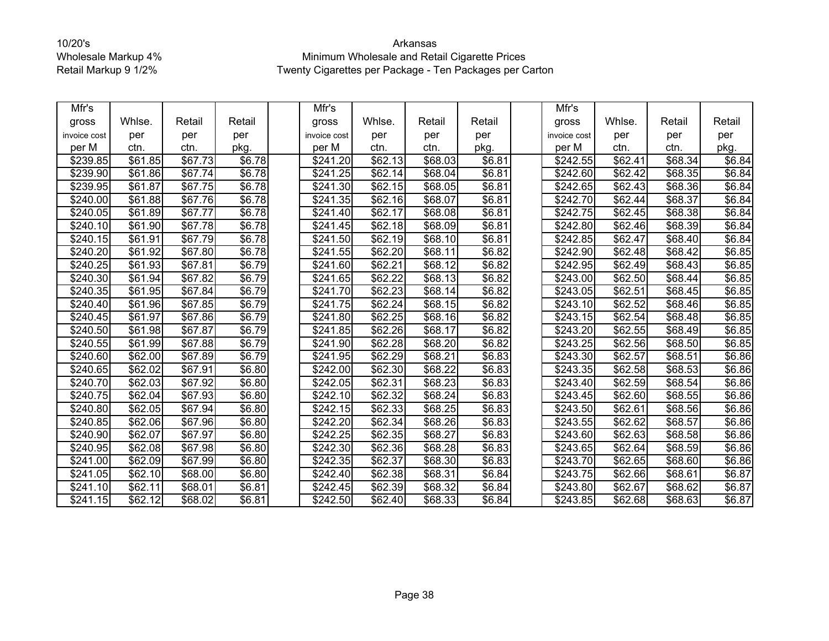| Mfr's        |                 |         |        | Mfr's                |                 |                     |                    | Mfr's                |                     |         |        |
|--------------|-----------------|---------|--------|----------------------|-----------------|---------------------|--------------------|----------------------|---------------------|---------|--------|
| gross        | Whlse.          | Retail  | Retail | gross                | Whlse.          | Retail              | Retail             | gross                | Whlse.              | Retail  | Retail |
| invoice cost | per             | per     | per    | invoice cost         | per             | per                 | per                | invoice cost         | per                 | per     | per    |
| per M        | ctn.            | ctn.    | pkg.   | per M                | ctn.            | ctn.                | pkg.               | per M                | ctn.                | ctn.    | pkg.   |
| \$239.85     | \$61.85         | \$67.73 | \$6.78 | \$241.20             | \$62.13         | \$68.03             | \$6.81             | \$242.55             | \$62.41             | \$68.34 | \$6.84 |
| \$239.90     | \$61.86         | \$67.74 | \$6.78 | \$241.25             | \$62.14         | \$68.04             | \$6.81             | $\overline{$}242.60$ | \$62.42             | \$68.35 | \$6.84 |
| \$239.95     | \$61.87         | \$67.75 | \$6.78 | \$241.30             | \$62.15         | \$68.05             | \$6.81             | \$242.65             | \$62.43             | \$68.36 | \$6.84 |
| \$240.00     | \$61.88         | \$67.76 | \$6.78 | \$241.35             | \$62.16         | \$68.07             | \$6.81             | \$242.70             | \$62.44             | \$68.37 | \$6.84 |
| \$240.05     | \$61.89         | \$67.77 | \$6.78 | \$241.40             | \$62.17         | \$68.08             | \$6.81             | \$242.75             | \$62.45             | \$68.38 | \$6.84 |
| \$240.10     | \$61.90         | \$67.78 | \$6.78 | \$241.45             | \$62.18         | \$68.09             | \$6.81             | \$242.80             | \$62.46             | \$68.39 | \$6.84 |
| \$240.15     | \$61.91         | \$67.79 | \$6.78 | \$241.50             | \$62.19         | \$68.10             | \$6.81             | \$242.85             | \$62.47             | \$68.40 | \$6.84 |
| \$240.20     | \$61.92         | \$67.80 | \$6.78 | \$241.55             | \$62.20         | \$68.11             | \$6.82             | \$242.90             | \$62.48             | \$68.42 | \$6.85 |
| \$240.25     | \$61.93         | \$67.81 | \$6.79 | \$241.60             | \$62.21         | \$68.12             | \$6.82             | \$242.95             | \$62.49             | \$68.43 | \$6.85 |
| \$240.30     | \$61.94         | \$67.82 | \$6.79 | \$241.65             | \$62.22         | \$68.13             | \$6.82             | \$243.00             | \$62.50             | \$68.44 | \$6.85 |
| \$240.35     | \$61.95         | \$67.84 | \$6.79 | \$241.70             | \$62.23         | \$68.14             | $\overline{$6.82}$ | \$243.05             | \$62.51             | \$68.45 | \$6.85 |
| \$240.40     | \$61.96         | \$67.85 | \$6.79 | \$241.75             | $\sqrt{$62.24}$ | \$68.15             | \$6.82             | \$243.10             | \$62.52             | \$68.46 | \$6.85 |
| \$240.45     | \$61.97         | \$67.86 | \$6.79 | \$241.80             | \$62.25         | \$68.16             | \$6.82             | \$243.15             | \$62.54             | \$68.48 | \$6.85 |
| \$240.50     | \$61.98         | \$67.87 | \$6.79 | \$241.85             | \$62.26         | \$68.17             | \$6.82             | \$243.20             | \$62.55             | \$68.49 | \$6.85 |
| \$240.55     | \$61.99         | \$67.88 | \$6.79 | \$241.90             | \$62.28         | \$68.20             | \$6.82             | \$243.25             | \$62.56             | \$68.50 | \$6.85 |
| \$240.60     | \$62.00         | \$67.89 | \$6.79 | \$241.95             | \$62.29         | \$68.21             | \$6.83             | \$243.30             | \$62.57             | \$68.51 | \$6.86 |
| \$240.65     | \$62.02         | \$67.91 | \$6.80 | \$242.00             | \$62.30         | \$68.22             | \$6.83             | \$243.35             | $\overline{$}62.58$ | \$68.53 | \$6.86 |
| \$240.70     | \$62.03         | \$67.92 | \$6.80 | \$242.05             | \$62.31         | \$68.23             | \$6.83             | \$243.40             | \$62.59             | \$68.54 | \$6.86 |
| \$240.75     | \$62.04         | \$67.93 | \$6.80 | \$242.10             | \$62.32         | \$68.24             | \$6.83             | \$243.45             | \$62.60             | \$68.55 | \$6.86 |
| \$240.80     | \$62.05         | \$67.94 | \$6.80 | \$242.15             | \$62.33         | $\overline{$68.25}$ | \$6.83             | \$243.50             | \$62.61             | \$68.56 | \$6.86 |
| \$240.85     | \$62.06         | \$67.96 | \$6.80 | \$242.20             | \$62.34         | \$68.26             | \$6.83             | \$243.55             | \$62.62             | \$68.57 | \$6.86 |
| \$240.90     | $\sqrt{$62.07}$ | \$67.97 | \$6.80 | $\overline{$242.25}$ | \$62.35         | \$68.27             | \$6.83             | \$243.60             | \$62.63             | \$68.58 | \$6.86 |
| \$240.95     | \$62.08         | \$67.98 | \$6.80 | \$242.30             | \$62.36         | \$68.28             | \$6.83             | \$243.65             | \$62.64             | \$68.59 | \$6.86 |
| \$241.00     | \$62.09         | \$67.99 | \$6.80 | \$242.35             | \$62.37         | \$68.30             | \$6.83             | \$243.70             | \$62.65             | \$68.60 | \$6.86 |
| \$241.05     | \$62.10         | \$68.00 | \$6.80 | \$242.40             | \$62.38         | \$68.31             | \$6.84             | \$243.75             | \$62.66             | \$68.61 | \$6.87 |
| \$241.10     | \$62.11         | \$68.01 | \$6.81 | \$242.45             | \$62.39         | \$68.32             | \$6.84             | \$243.80             | \$62.67             | \$68.62 | \$6.87 |
| \$241.15     | \$62.12         | \$68.02 | \$6.81 | \$242.50             | \$62.40         | \$68.33             | \$6.84             | \$243.85             | \$62.68             | \$68.63 | \$6.87 |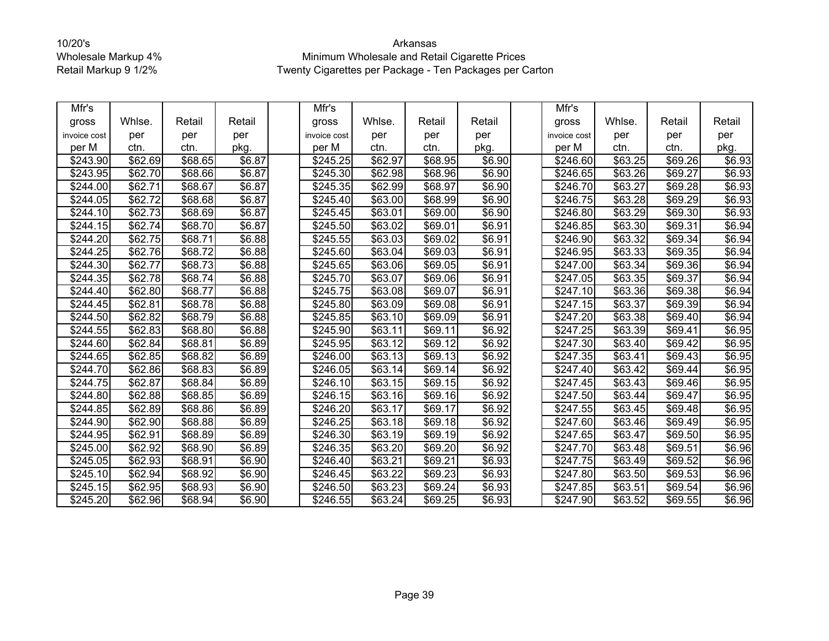| Mfr's        |                     |         |                    | Mfr's                |                     |         |                    | Mfr's                |         |         |        |
|--------------|---------------------|---------|--------------------|----------------------|---------------------|---------|--------------------|----------------------|---------|---------|--------|
| gross        | Whlse.              | Retail  | Retail             | gross                | Whlse.              | Retail  | Retail             | gross                | Whlse.  | Retail  | Retail |
| invoice cost | per                 | per     | per                | invoice cost         | per                 | per     | per                | invoice cost         | per     | per     | per    |
| per M        | ctn.                | ctn.    | pkg.               | per M                | ctn.                | ctn.    | pkg.               | per M                | ctn.    | ctn.    | pkg.   |
| \$243.90     | \$62.69             | \$68.65 | \$6.87             | \$245.25             | \$62.97             | \$68.95 | \$6.90             | \$246.60             | \$63.25 | \$69.26 | \$6.93 |
| \$243.95     | \$62.70             | \$68.66 | \$6.87             | \$245.30             | \$62.98             | \$68.96 | \$6.90             | $\overline{$}246.65$ | \$63.26 | \$69.27 | \$6.93 |
| \$244.00     | \$62.71             | \$68.67 | \$6.87             | \$245.35             | \$62.99             | \$68.97 | \$6.90             | \$246.70             | \$63.27 | \$69.28 | \$6.93 |
| \$244.05     | \$62.72             | \$68.68 | \$6.87             | \$245.40             | \$63.00             | \$68.99 | \$6.90             | \$246.75             | \$63.28 | \$69.29 | \$6.93 |
| \$244.10     | \$62.73             | \$68.69 | \$6.87             | \$245.45             | \$63.01             | \$69.00 | \$6.90             | \$246.80             | \$63.29 | \$69.30 | \$6.93 |
| \$244.15     | \$62.74             | \$68.70 | \$6.87             | \$245.50             | \$63.02             | \$69.01 | \$6.91             | \$246.85             | \$63.30 | \$69.31 | \$6.94 |
| \$244.20     | $\overline{$62.75}$ | \$68.71 | \$6.88             | \$245.55             | \$63.03             | \$69.02 | \$6.91             | \$246.90             | \$63.32 | \$69.34 | \$6.94 |
| \$244.25     | \$62.76             | \$68.72 | \$6.88             | \$245.60             | \$63.04             | \$69.03 | \$6.91             | \$246.95             | \$63.33 | \$69.35 | \$6.94 |
| \$244.30     | \$62.77             | \$68.73 | \$6.88             | \$245.65             | \$63.06             | \$69.05 | \$6.91             | \$247.00             | \$63.34 | \$69.36 | \$6.94 |
| \$244.35     | \$62.78             | \$68.74 | \$6.88             | \$245.70             | \$63.07             | \$69.06 | \$6.91             | \$247.05             | \$63.35 | \$69.37 | \$6.94 |
| \$244.40     | \$62.80             | \$68.77 | $\overline{$6.88}$ | \$245.75             | \$63.08             | \$69.07 | \$6.91             | \$247.10             | \$63.36 | \$69.38 | \$6.94 |
| \$244.45     | $\overline{$62.81}$ | \$68.78 | \$6.88             | \$245.80             | \$63.09             | \$69.08 | \$6.91             | \$247.15             | \$63.37 | \$69.39 | \$6.94 |
| \$244.50     | \$62.82             | \$68.79 | \$6.88             | $\overline{$}245.85$ | \$63.10             | \$69.09 | $\overline{$}6.91$ | \$247.20             | \$63.38 | \$69.40 | \$6.94 |
| \$244.55     | \$62.83             | \$68.80 | \$6.88             | \$245.90             | \$63.11             | \$69.11 | \$6.92             | \$247.25             | \$63.39 | \$69.41 | \$6.95 |
| \$244.60     | \$62.84             | \$68.81 | \$6.89             | \$245.95             | \$63.12             | \$69.12 | \$6.92             | \$247.30             | \$63.40 | \$69.42 | \$6.95 |
| \$244.65     | \$62.85             | \$68.82 | \$6.89             | \$246.00             | \$63.13             | \$69.13 | \$6.92             | \$247.35             | \$63.41 | \$69.43 | \$6.95 |
| \$244.70     | \$62.86             | \$68.83 | \$6.89             | \$246.05             | $\overline{$}63.14$ | \$69.14 | \$6.92             | \$247.40             | \$63.42 | \$69.44 | \$6.95 |
| \$244.75     | \$62.87             | \$68.84 | \$6.89             | \$246.10             | \$63.15             | \$69.15 | \$6.92             | $\sqrt{$247.45}$     | \$63.43 | \$69.46 | \$6.95 |
| \$244.80     | \$62.88             | \$68.85 | \$6.89             | \$246.15             | \$63.16             | \$69.16 | \$6.92             | \$247.50             | \$63.44 | \$69.47 | \$6.95 |
| \$244.85     | \$62.89             | \$68.86 | \$6.89             | \$246.20             | \$63.17             | \$69.17 | \$6.92             | \$247.55             | \$63.45 | \$69.48 | \$6.95 |
| \$244.90     | \$62.90             | \$68.88 | \$6.89             | \$246.25             | \$63.18             | \$69.18 | \$6.92             | \$247.60             | \$63.46 | \$69.49 | \$6.95 |
| \$244.95     | \$62.91             | \$68.89 | \$6.89             | \$246.30             | \$63.19             | \$69.19 | \$6.92             | \$247.65             | \$63.47 | \$69.50 | \$6.95 |
| \$245.00     | \$62.92             | \$68.90 | \$6.89             | \$246.35             | \$63.20             | \$69.20 | \$6.92             | \$247.70             | \$63.48 | \$69.51 | \$6.96 |
| \$245.05     | \$62.93             | \$68.91 | \$6.90             | \$246.40             | \$63.21             | \$69.21 | \$6.93             | \$247.75             | \$63.49 | \$69.52 | \$6.96 |
| \$245.10     | \$62.94             | \$68.92 | \$6.90             | \$246.45             | \$63.22             | \$69.23 | \$6.93             | \$247.80             | \$63.50 | \$69.53 | \$6.96 |
| \$245.15     | \$62.95             | \$68.93 | \$6.90             | \$246.50             | \$63.23             | \$69.24 | \$6.93             | \$247.85             | \$63.51 | \$69.54 | \$6.96 |
| \$245.20     | \$62.96             | \$68.94 | \$6.90             | $\overline{$}246.55$ | \$63.24             | \$69.25 | \$6.93             | \$247.90             | \$63.52 | \$69.55 | \$6.96 |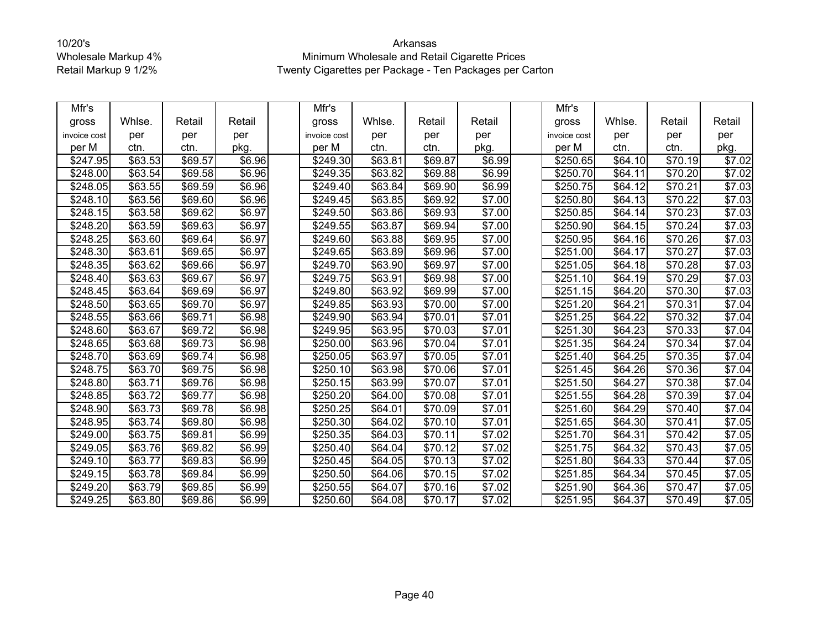| Mfr's        |                     |         |                    | Mfr's                |         |                     |                    | Mfr's            |                     |                     |        |
|--------------|---------------------|---------|--------------------|----------------------|---------|---------------------|--------------------|------------------|---------------------|---------------------|--------|
| gross        | Whlse.              | Retail  | Retail             | gross                | Whlse.  | Retail              | Retail             | gross            | Whlse.              | Retail              | Retail |
| invoice cost | per                 | per     | per                | invoice cost         | per     | per                 | per                | invoice cost     | per                 | per                 | per    |
| per M        | ctn.                | ctn.    | pkg.               | per M                | ctn.    | ctn.                | pkg.               | per M            | ctn.                | ctn.                | pkg.   |
| \$247.95     | \$63.53             | \$69.57 | \$6.96             | \$249.30             | \$63.81 | \$69.87             | \$6.99             | \$250.65         | \$64.10             | \$70.19             | \$7.02 |
| \$248.00     | $\overline{$}63.54$ | \$69.58 | \$6.96             | \$249.35             | \$63.82 | \$69.88             | \$6.99             | \$250.70         | \$64.11             | \$70.20             | \$7.02 |
| \$248.05     | \$63.55             | \$69.59 | \$6.96             | $\sqrt{$249.40}$     | \$63.84 | \$69.90             | \$6.99             | \$250.75         | \$64.12             | \$70.21             | \$7.03 |
| \$248.10     | \$63.56             | \$69.60 | \$6.96             | \$249.45             | \$63.85 | \$69.92             | \$7.00             | \$250.80         | \$64.13             | \$70.22             | \$7.03 |
| \$248.15     | \$63.58             | \$69.62 | \$6.97             | \$249.50             | \$63.86 | \$69.93             | \$7.00             | \$250.85         | \$64.14             | \$70.23             | \$7.03 |
| \$248.20     | \$63.59             | \$69.63 | \$6.97             | \$249.55             | \$63.87 | \$69.94             | \$7.00             | \$250.90         | $\overline{$}64.15$ | $\overline{$}70.24$ | \$7.03 |
| \$248.25     | \$63.60             | \$69.64 | \$6.97             | \$249.60             | \$63.88 | \$69.95             | \$7.00             | \$250.95         | \$64.16             | \$70.26             | \$7.03 |
| \$248.30     | \$63.61             | \$69.65 | \$6.97             | \$249.65             | \$63.89 | \$69.96             | \$7.00             | \$251.00         | \$64.17             | \$70.27             | \$7.03 |
| \$248.35     | \$63.62             | \$69.66 | \$6.97             | \$249.70             | \$63.90 | \$69.97             | \$7.00             | \$251.05         | \$64.18             | \$70.28             | \$7.03 |
| \$248.40     | \$63.63             | \$69.67 | \$6.97             | \$249.75             | \$63.91 | \$69.98             | \$7.00             | \$251.10         | \$64.19             | $\overline{$70.29}$ | \$7.03 |
| \$248.45     | \$63.64             | \$69.69 | \$6.97             | \$249.80             | \$63.92 | \$69.99             | \$7.00             | \$251.15         | \$64.20             | \$70.30             | \$7.03 |
| \$248.50     | \$63.65             | \$69.70 | \$6.97             | \$249.85             | \$63.93 | $\overline{$}70.00$ | \$7.00             | \$251.20         | \$64.21             | \$70.31             | \$7.04 |
| \$248.55     | \$63.66             | \$69.71 | \$6.98             | $\sqrt{$249.90}$     | \$63.94 | \$70.01             | $\frac{1}{157.01}$ | \$251.25         | \$64.22             | \$70.32             | \$7.04 |
| \$248.60     | $\overline{$}63.67$ | \$69.72 | \$6.98             | \$249.95             | \$63.95 | \$70.03             | \$7.01             | \$251.30         | \$64.23             | \$70.33             | \$7.04 |
| \$248.65     | \$63.68             | \$69.73 | \$6.98             | \$250.00             | \$63.96 | \$70.04             | \$7.01             | \$251.35         | \$64.24             | \$70.34             | \$7.04 |
| \$248.70     | \$63.69             | \$69.74 | \$6.98             | \$250.05             | \$63.97 | \$70.05             | \$7.01             | \$251.40         | \$64.25             | \$70.35             | \$7.04 |
| \$248.75     | \$63.70             | \$69.75 | \$6.98             | \$250.10             | \$63.98 | \$70.06             | \$7.01             | \$251.45         | \$64.26             | \$70.36             | \$7.04 |
| \$248.80     | \$63.71             | \$69.76 | $\overline{$6.98}$ | \$250.15             | \$63.99 | $\overline{$}70.07$ | \$7.01             | \$251.50         | \$64.27             | \$70.38             | \$7.04 |
| \$248.85     | \$63.72             | \$69.77 | \$6.98             | \$250.20             | \$64.00 | \$70.08             | \$7.01             | \$251.55         | \$64.28             | \$70.39             | \$7.04 |
| \$248.90     | \$63.73             | \$69.78 | \$6.98             | \$250.25             | \$64.01 | \$70.09             | \$7.01             | $\sqrt{$251.60}$ | \$64.29             | \$70.40             | \$7.04 |
| \$248.95     | \$63.74]            | \$69.80 | \$6.98             | \$250.30             | \$64.02 | \$70.10             | \$7.01             | \$251.65         | \$64.30             | \$70.41             | \$7.05 |
| \$249.00     | \$63.75             | \$69.81 | \$6.99             | $\overline{$}250.35$ | \$64.03 | \$70.11             | \$7.02             | \$251.70         | \$64.31             | \$70.42             | \$7.05 |
| \$249.05     | \$63.76             | \$69.82 | \$6.99             | \$250.40             | \$64.04 | \$70.12             | \$7.02             | \$251.75         | \$64.32             | \$70.43             | \$7.05 |
| \$249.10     | \$63.77             | \$69.83 | \$6.99             | \$250.45             | \$64.05 | \$70.13             | \$7.02             | \$251.80         | \$64.33             | \$70.44             | \$7.05 |
| \$249.15     | \$63.78             | \$69.84 | $\overline{$6.99}$ | \$250.50             | \$64.06 | \$70.15             | \$7.02             | \$251.85         | \$64.34             | \$70.45             | \$7.05 |
| \$249.20     | \$63.79             | \$69.85 | \$6.99             | \$250.55             | \$64.07 | \$70.16             | \$7.02             | \$251.90         | \$64.36             | \$70.47             | \$7.05 |
| \$249.25     | \$63.80             | \$69.86 | \$6.99             | \$250.60             | \$64.08 | \$70.17             | \$7.02             | \$251.95         | \$64.37             | \$70.49             | \$7.05 |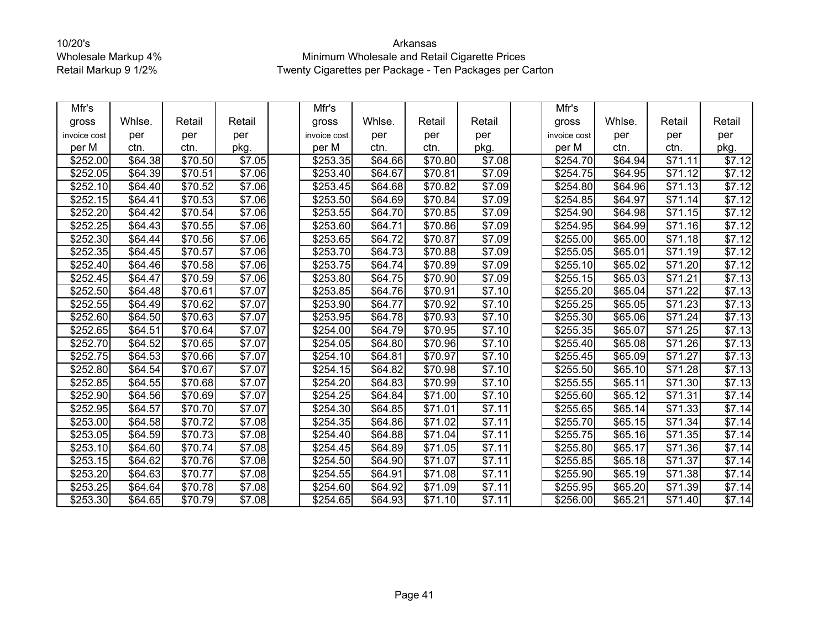| Mfr's        |         |                     |                    | Mfr's        |                     |                     |        | Mfr's                |         |                     |        |
|--------------|---------|---------------------|--------------------|--------------|---------------------|---------------------|--------|----------------------|---------|---------------------|--------|
| gross        | Whlse.  | Retail              | Retail             | gross        | Whlse.              | Retail              | Retail | gross                | Whlse.  | Retail              | Retail |
| invoice cost | per     | per                 | per                | invoice cost | per                 | per                 | per    | invoice cost         | per     | per                 | per    |
| per M        | ctn.    | ctn.                | pkg.               | per M        | ctn.                | ctn.                | pkg.   | per M                | ctn.    | ctn.                | pkg.   |
| \$252.00     | \$64.38 | \$70.50             | \$7.05             | \$253.35     | \$64.66             | \$70.80             | \$7.08 | \$254.70             | \$64.94 | \$71.11             | \$7.12 |
| \$252.05     | \$64.39 | $\overline{$}70.51$ | \$7.06             | \$253.40     | \$64.67             | \$70.81             | \$7.09 | $\overline{$}254.75$ | \$64.95 | \$71.12             | \$7.12 |
| \$252.10     | \$64.40 | \$70.52             | \$7.06             | \$253.45     | \$64.68             | \$70.82             | \$7.09 | \$254.80             | \$64.96 | $\overline{$}71.13$ | \$7.12 |
| \$252.15     | \$64.41 | \$70.53             | $\overline{$}7.06$ | \$253.50     | \$64.69             | \$70.84             | \$7.09 | \$254.85             | \$64.97 | \$71.14             | \$7.12 |
| \$252.20     | \$64.42 | \$70.54             | \$7.06             | \$253.55     | \$64.70             | $\overline{$70.85}$ | \$7.09 | \$254.90             | \$64.98 | \$71.15             | \$7.12 |
| \$252.25     | \$64.43 | \$70.55             | \$7.06             | \$253.60     | $\overline{$}64.71$ | \$70.86             | \$7.09 | \$254.95             | \$64.99 | $\overline{$}71.16$ | \$7.12 |
| \$252.30     | \$64.44 | \$70.56             | \$7.06             | \$253.65     | \$64.72             | \$70.87             | \$7.09 | \$255.00             | \$65.00 | \$71.18             | \$7.12 |
| \$252.35     | \$64.45 | \$70.57             | \$7.06             | \$253.70     | \$64.73             | \$70.88             | \$7.09 | \$255.05             | \$65.01 | $\overline{$}71.19$ | \$7.12 |
| \$252.40     | \$64.46 | \$70.58             | $\overline{$}7.06$ | \$253.75     | \$64.74             | \$70.89             | \$7.09 | \$255.10             | \$65.02 | $\overline{$}71.20$ | \$7.12 |
| \$252.45     | \$64.47 | $\overline{$70.59}$ | \$7.06             | \$253.80     | \$64.75             | \$70.90             | \$7.09 | \$255.15             | \$65.03 | \$71.21             | \$7.13 |
| \$252.50     | \$64.48 | \$70.61             | \$7.07             | \$253.85     | \$64.76             | \$70.91             | \$7.10 | \$255.20             | \$65.04 | \$71.22             | \$7.13 |
| \$252.55     | \$64.49 | \$70.62             | \$7.07             | \$253.90     | \$64.77             | \$70.92             | \$7.10 | \$255.25             | \$65.05 | $\overline{$}71.23$ | \$7.13 |
| \$252.60     | \$64.50 | $\overline{$70.63}$ | \$7.07             | \$253.95     | $\overline{$}64.78$ | \$70.93             | \$7.10 | $\overline{$}255.30$ | \$65.06 | \$71.24             | \$7.13 |
| \$252.65     | \$64.51 | \$70.64             | \$7.07             | \$254.00     | \$64.79             | \$70.95             | \$7.10 | \$255.35             | \$65.07 | \$71.25             | \$7.13 |
| \$252.70     | \$64.52 | \$70.65             | \$7.07             | \$254.05     | \$64.80             | \$70.96             | \$7.10 | \$255.40             | \$65.08 | \$71.26             | \$7.13 |
| \$252.75     | \$64.53 | \$70.66             | \$7.07             | \$254.10     | \$64.81             | \$70.97             | \$7.10 | \$255.45             | \$65.09 | \$71.27             | \$7.13 |
| \$252.80     | \$64.54 | \$70.67             | \$7.07             | \$254.15     | \$64.82             | \$70.98             | \$7.10 | \$255.50             | \$65.10 | \$71.28             | \$7.13 |
| \$252.85     | \$64.55 | \$70.68             | \$7.07             | \$254.20     | \$64.83             | $\sqrt{$70.99}$     | \$7.10 | \$255.55             | \$65.11 | $\overline{$}71.30$ | \$7.13 |
| \$252.90     | \$64.56 | \$70.69             | \$7.07             | \$254.25     | \$64.84             | \$71.00             | \$7.10 | \$255.60             | \$65.12 | \$71.31             | \$7.14 |
| \$252.95     | \$64.57 | \$70.70             | \$7.07             | \$254.30     | \$64.85             | \$71.01             | \$7.11 | \$255.65             | \$65.14 | \$71.33             | \$7.14 |
| \$253.00     | \$64.58 | \$70.72             | \$7.08             | \$254.35     | \$64.86             | \$71.02             | \$7.11 | \$255.70             | \$65.15 | \$71.34             | \$7.14 |
| \$253.05     | \$64.59 | \$70.73             | \$7.08             | \$254.40     | \$64.88             | \$71.04             | \$7.11 | \$255.75             | \$65.16 | $\overline{$}71.35$ | \$7.14 |
| \$253.10     | \$64.60 | \$70.74             | $\overline{$}7.08$ | \$254.45     | \$64.89             | \$71.05             | \$7.11 | \$255.80             | \$65.17 | \$71.36             | \$7.14 |
| \$253.15     | \$64.62 | \$70.76             | \$7.08             | \$254.50     | \$64.90             | \$71.07             | \$7.11 | \$255.85             | \$65.18 | \$71.37             | \$7.14 |
| \$253.20     | \$64.63 | \$70.77             | \$7.08             | \$254.55     | \$64.91             | \$71.08             | \$7.11 | \$255.90             | \$65.19 | \$71.38             | \$7.14 |
| \$253.25     | \$64.64 | \$70.78             | \$7.08             | \$254.60     | \$64.92             | \$71.09             | \$7.11 | \$255.95             | \$65.20 | \$71.39             | \$7.14 |
| \$253.30     | \$64.65 | \$70.79             | \$7.08             | \$254.65     | \$64.93             | \$71.10             | \$7.11 | \$256.00             | \$65.21 | \$71.40             | \$7.14 |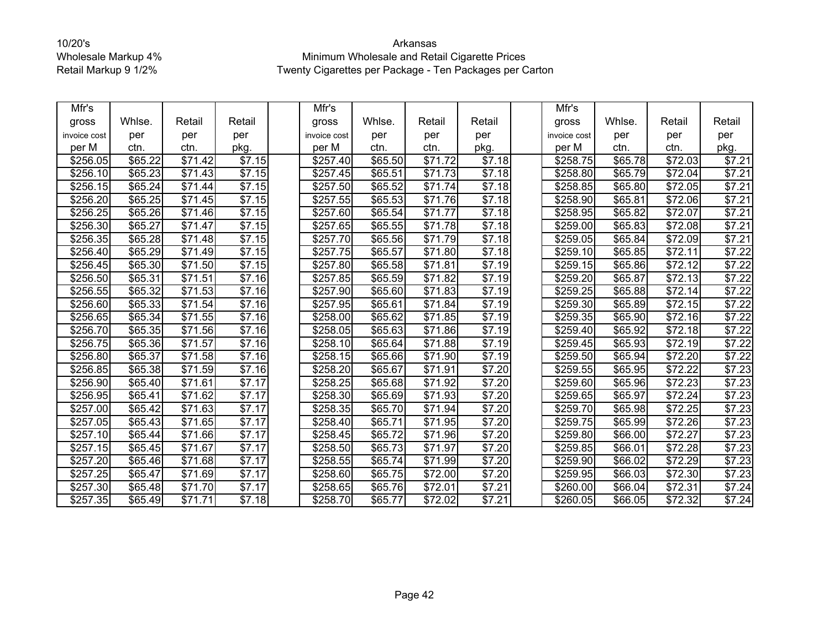| Mfr's        |                     |                     |                    | Mfr's        |         |                       |                    | Mfr's                |         |                     |        |
|--------------|---------------------|---------------------|--------------------|--------------|---------|-----------------------|--------------------|----------------------|---------|---------------------|--------|
| gross        | Whlse.              | Retail              | Retail             | gross        | Whlse.  | Retail                | Retail             | gross                | Whlse.  | Retail              | Retail |
| invoice cost | per                 | per                 | per                | invoice cost | per     | per                   | per                | invoice cost         | per     | per                 | per    |
| per M        | ctn.                | ctn.                | pkg.               | per M        | ctn.    | ctn.                  | pkg.               | per M                | ctn.    | ctn.                | pkg.   |
| \$256.05     | \$65.22             | \$71.42             | \$7.15             | \$257.40     | \$65.50 | \$71.72               | \$7.18             | \$258.75             | \$65.78 | \$72.03             | \$7.21 |
| \$256.10     | \$65.23             | \$71.43             | \$7.15             | \$257.45     | \$65.51 | \$71.73               | \$7.18             | \$258.80             | \$65.79 | \$72.04             | \$7.21 |
| \$256.15     | \$65.24             | \$71.44             | \$7.15             | \$257.50     | \$65.52 | \$71.74               | \$7.18             | \$258.85             | \$65.80 | \$72.05             | \$7.21 |
| \$256.20     | \$65.25             | \$71.45             | \$7.15             | \$257.55     | \$65.53 | \$71.76               | \$7.18             | \$258.90             | \$65.81 | \$72.06             | \$7.21 |
| \$256.25     | \$65.26             | \$71.46             | \$7.15             | \$257.60     | \$65.54 | \$71.77               | \$7.18             | \$258.95             | \$65.82 | \$72.07             | \$7.21 |
| \$256.30     | \$65.27             | \$71.47             | \$7.15             | \$257.65     | \$65.55 | \$71.78               | $\overline{$7.18}$ | \$259.00             | \$65.83 | \$72.08             | \$7.21 |
| \$256.35     | \$65.28             | \$71.48             | \$7.15             | \$257.70     | \$65.56 | \$71.79               | \$7.18             | \$259.05             | \$65.84 | \$72.09             | \$7.21 |
| \$256.40     | \$65.29             | \$71.49             | \$7.15             | \$257.75     | \$65.57 | $\overline{$}71.80$   | \$7.18             | \$259.10             | \$65.85 | \$72.11             | \$7.22 |
| \$256.45     | \$65.30             | \$71.50             | \$7.15             | \$257.80     | \$65.58 | \$71.81               | \$7.19             | \$259.15             | \$65.86 | \$72.12             | \$7.22 |
| \$256.50     | \$65.31             | $\overline{$}71.51$ | \$7.16             | \$257.85     | \$65.59 | \$71.82               | $\sqrt{57.19}$     | \$259.20             | \$65.87 | \$72.13             | \$7.22 |
| \$256.55     | \$65.32             | \$71.53             | $\sqrt{$7.16}$     | \$257.90     | \$65.60 | $\overline{$}71.83$   | \$7.19             | \$259.25             | \$65.88 | \$72.14             | \$7.22 |
| \$256.60     | \$65.33             | \$71.54             | \$7.16             | \$257.95     | \$65.61 | \$71.84               | \$7.19             | \$259.30             | \$65.89 | \$72.15             | \$7.22 |
| \$256.65     | \$65.34             | $\overline{$}71.55$ | $\overline{$7.16}$ | \$258.00     | \$65.62 | $\overline{$}71.85$   | \$7.19             | $\overline{$}259.35$ | \$65.90 | \$72.16             | \$7.22 |
| \$256.70     | \$65.35             | \$71.56             | \$7.16             | \$258.05     | \$65.63 | \$71.86               | \$7.19             | \$259.40             | \$65.92 | \$72.18             | \$7.22 |
| \$256.75     | \$65.36             | \$71.57             | \$7.16             | \$258.10     | \$65.64 | \$71.88               | \$7.19             | \$259.45             | \$65.93 | \$72.19             | \$7.22 |
| \$256.80     | \$65.37             | \$71.58             | \$7.16             | \$258.15     | \$65.66 | \$71.90               | \$7.19             | \$259.50             | \$65.94 | \$72.20             | \$7.22 |
| \$256.85     | \$65.38             | \$71.59             | \$7.16             | \$258.20     | \$65.67 | $\frac{1}{1}$ \$71.91 | \$7.20             | \$259.55             | \$65.95 | \$72.22             | \$7.23 |
| \$256.90     | \$65.40             | \$71.61             | \$7.17             | \$258.25     | \$65.68 | \$71.92               | \$7.20             | \$259.60             | \$65.96 | \$72.23             | \$7.23 |
| \$256.95     | \$65.41             | \$71.62             | \$7.17             | \$258.30     | \$65.69 | \$71.93               | \$7.20             | \$259.65             | \$65.97 | \$72.24             | \$7.23 |
| \$257.00     | \$65.42             | \$71.63             | \$7.17             | \$258.35     | \$65.70 | \$71.94               | \$7.20             | \$259.70             | \$65.98 | $\overline{$72.25}$ | \$7.23 |
| \$257.05     | \$65.43             | \$71.65             | \$7.17             | \$258.40     | \$65.71 | \$71.95               | \$7.20             | \$259.75             | \$65.99 | \$72.26             | \$7.23 |
| \$257.10     | \$65.44             | \$71.66             | \$7.17             | \$258.45     | \$65.72 | $\overline{$71.96}$   | \$7.20             | \$259.80             | \$66.00 | \$72.27             | \$7.23 |
| \$257.15     | $\overline{$65.45}$ | \$71.67             | \$7.17             | \$258.50     | \$65.73 | \$71.97               | \$7.20             | \$259.85             | \$66.01 | \$72.28             | \$7.23 |
| \$257.20     | \$65.46             | \$71.68             | \$7.17             | \$258.55     | \$65.74 | \$71.99               | \$7.20             | \$259.90             | \$66.02 | \$72.29             | \$7.23 |
| \$257.25     | \$65.47             | \$71.69             | \$7.17             | \$258.60     | \$65.75 | $\frac{1}{1572.00}$   | $\overline{$7.20}$ | \$259.95             | \$66.03 | $\overline{$72.30}$ | \$7.23 |
| \$257.30     | \$65.48             | \$71.70             | \$7.17             | \$258.65     | \$65.76 | \$72.01               | \$7.21             | \$260.00             | \$66.04 | \$72.31             | \$7.24 |
| \$257.35     | \$65.49             | \$71.71             | \$7.18             | \$258.70     | \$65.77 | \$72.02               | \$7.21             | \$260.05             | \$66.05 | \$72.32             | \$7.24 |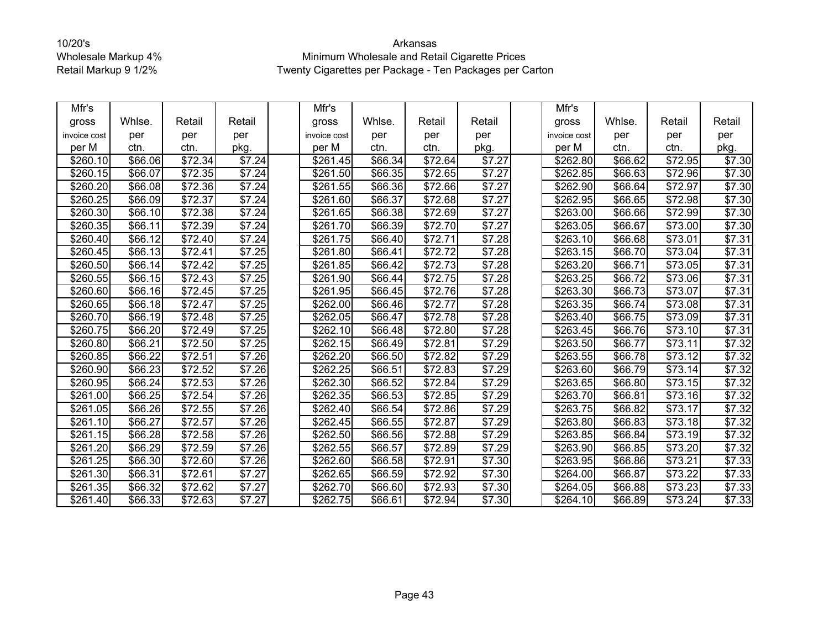| Mfr's        |         |                     |        | Mfr's                |                     |                     |                    | Mfr's            |         |                     |        |
|--------------|---------|---------------------|--------|----------------------|---------------------|---------------------|--------------------|------------------|---------|---------------------|--------|
| gross        | Whlse.  | Retail              | Retail | gross                | Whlse.              | Retail              | Retail             | gross            | Whlse.  | Retail              | Retail |
| invoice cost | per     | per                 | per    | invoice cost         | per                 | per                 | per                | invoice cost     | per     | per                 | per    |
| per M        | ctn.    | ctn.                | pkg.   | per M                | ctn.                | ctn.                | pkg.               | per M            | ctn.    | ctn.                | pkg.   |
| \$260.10     | \$66.06 | \$72.34             | \$7.24 | \$261.45             | \$66.34             | \$72.64             | \$7.27             | \$262.80         | \$66.62 | \$72.95             | \$7.30 |
| \$260.15     | \$66.07 | \$72.35             | \$7.24 | \$261.50             | $\overline{$66.35}$ | \$72.65             | \$7.27             | \$262.85         | \$66.63 | \$72.96             | \$7.30 |
| \$260.20     | \$66.08 | \$72.36             | \$7.24 | \$261.55             | \$66.36             | \$72.66             | \$7.27             | \$262.90         | \$66.64 | \$72.97             | \$7.30 |
| \$260.25     | \$66.09 | \$72.37             | \$7.24 | \$261.60             | \$66.37             | \$72.68             | \$7.27             | \$262.95         | \$66.65 | \$72.98             | \$7.30 |
| \$260.30     | \$66.10 | \$72.38             | \$7.24 | \$261.65             | \$66.38             | \$72.69             | \$7.27             | \$263.00         | \$66.66 | \$72.99             | \$7.30 |
| \$260.35     | \$66.11 | \$72.39             | \$7.24 | \$261.70             | \$66.39             | \$72.70             | \$7.27             | \$263.05         | \$66.67 | \$73.00             | \$7.30 |
| \$260.40     | \$66.12 | $\overline{$}72.40$ | \$7.24 | \$261.75             | \$66.40             | $\overline{$}72.71$ | \$7.28             | \$263.10         | \$66.68 | \$73.01             | \$7.31 |
| \$260.45     | \$66.13 | \$72.41             | \$7.25 | \$261.80             | \$66.41             | \$72.72             | \$7.28             | \$263.15         | \$66.70 | \$73.04             | \$7.31 |
| \$260.50     | \$66.14 | \$72.42             | \$7.25 | \$261.85             | \$66.42             | \$72.73             | \$7.28             | \$263.20         | \$66.71 | \$73.05             | \$7.31 |
| \$260.55     | \$66.15 | \$72.43             | \$7.25 | \$261.90             | \$66.44             | \$72.75             | \$7.28             | \$263.25         | \$66.72 | $\overline{$}73.06$ | \$7.31 |
| \$260.60     | \$66.16 | \$72.45             | \$7.25 | \$261.95             | \$66.45             | \$72.76             | \$7.28             | \$263.30         | \$66.73 | \$73.07             | \$7.31 |
| \$260.65     | \$66.18 | \$72.47             | \$7.25 | \$262.00             | \$66.46             | \$72.77             | \$7.28             | \$263.35         | \$66.74 | $\overline{$}73.08$ | \$7.31 |
| \$260.70     | \$66.19 | \$72.48             | \$7.25 | $\overline{$}262.05$ | \$66.47             | \$72.78             | \$7.28             | $\sqrt{$263.40}$ | \$66.75 | $\overline{$}73.09$ | \$7.31 |
| \$260.75     | \$66.20 | \$72.49             | \$7.25 | \$262.10             | \$66.48             | \$72.80             | \$7.28             | \$263.45         | \$66.76 | \$73.10             | \$7.31 |
| \$260.80     | \$66.21 | \$72.50             | \$7.25 | \$262.15             | \$66.49             | \$72.81             | \$7.29             | \$263.50         | \$66.77 | \$73.11             | \$7.32 |
| \$260.85     | \$66.22 | \$72.51             | \$7.26 | \$262.20             | \$66.50             | \$72.82             | \$7.29             | \$263.55         | \$66.78 | \$73.12             | \$7.32 |
| \$260.90     | \$66.23 | \$72.52             | \$7.26 | \$262.25             | \$66.51             | \$72.83             | \$7.29             | \$263.60         | \$66.79 | \$73.14             | \$7.32 |
| \$260.95     | \$66.24 | \$72.53             | \$7.26 | \$262.30             | \$66.52             | \$72.84             | \$7.29             | \$263.65         | \$66.80 | \$73.15             | \$7.32 |
| \$261.00     | \$66.25 | \$72.54             | \$7.26 | \$262.35             | \$66.53             | \$72.85             | \$7.29             | \$263.70         | \$66.81 | \$73.16             | \$7.32 |
| \$261.05     | \$66.26 | \$72.55             | \$7.26 | \$262.40             | \$66.54             | $\overline{$72.86}$ | \$7.29             | \$263.75         | \$66.82 | \$73.17             | \$7.32 |
| \$261.10     | \$66.27 | \$72.57             | \$7.26 | \$262.45             | \$66.55             | \$72.87             | \$7.29             | \$263.80         | \$66.83 | \$73.18             | \$7.32 |
| \$261.15     | \$66.28 | \$72.58             | \$7.26 | \$262.50             | \$66.56             | $\overline{$72.88}$ | \$7.29             | \$263.85         | \$66.84 | \$73.19             | \$7.32 |
| \$261.20     | \$66.29 | \$72.59             | \$7.26 | \$262.55             | \$66.57             | \$72.89             | \$7.29             | \$263.90         | \$66.85 | \$73.20             | \$7.32 |
| \$261.25     | \$66.30 | \$72.60             | \$7.26 | \$262.60             | \$66.58             | \$72.91             | \$7.30             | \$263.95         | \$66.86 | \$73.21             | \$7.33 |
| \$261.30     | \$66.31 | $\overline{$}72.61$ | \$7.27 | \$262.65             | \$66.59             | $\overline{$72.92}$ | $\overline{$7.30}$ | \$264.00         | \$66.87 | $\overline{$73.22}$ | \$7.33 |
| \$261.35     | \$66.32 | \$72.62             | \$7.27 | \$262.70             | \$66.60             | \$72.93             | \$7.30             | \$264.05         | \$66.88 | \$73.23             | \$7.33 |
| \$261.40     | \$66.33 | \$72.63             | \$7.27 | $\overline{$}262.75$ | \$66.61             | \$72.94             | \$7.30             | \$264.10         | \$66.89 | \$73.24             | \$7.33 |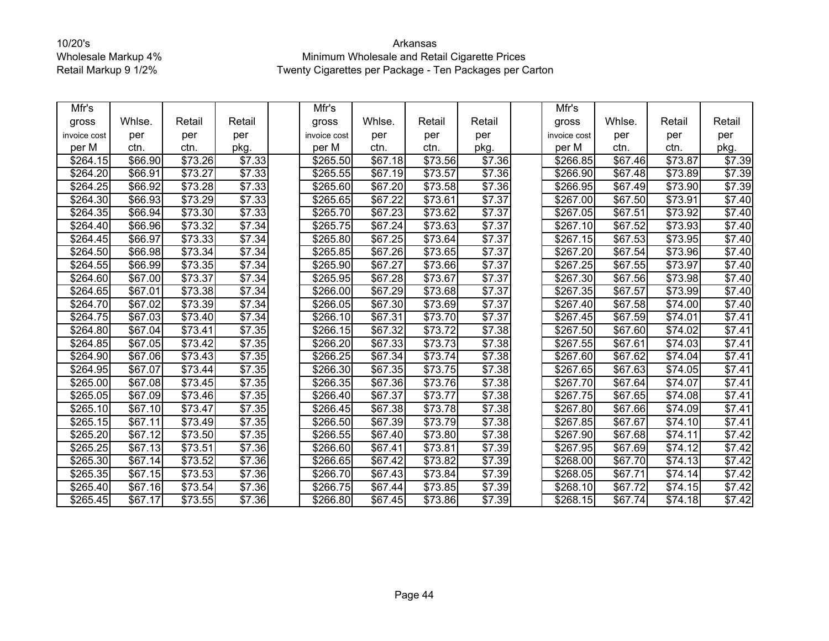| Mfr's                |                     |                     |        | Mfr's        |                     |                     |                    | Mfr's                |         |                     |                    |
|----------------------|---------------------|---------------------|--------|--------------|---------------------|---------------------|--------------------|----------------------|---------|---------------------|--------------------|
| gross                | Whlse.              | Retail              | Retail | gross        | Whlse.              | Retail              | Retail             | gross                | Whlse.  | Retail              | Retail             |
| invoice cost         | per                 | per                 | per    | invoice cost | per                 | per                 | per                | invoice cost         | per     | per                 | per                |
| per M                | ctn.                | ctn.                | pkg.   | per M        | ctn.                | ctn.                | pkg.               | per M                | ctn.    | ctn.                | pkg.               |
| \$264.15             | \$66.90             | \$73.26             | \$7.33 | \$265.50     | \$67.18             | \$73.56             | \$7.36             | \$266.85             | \$67.46 | \$73.87             | \$7.39             |
| \$264.20             | \$66.91             | \$73.27             | \$7.33 | \$265.55     | \$67.19             | \$73.57             | \$7.36             | \$266.90             | \$67.48 | \$73.89             | \$7.39             |
| \$264.25             | \$66.92             | \$73.28             | \$7.33 | \$265.60     | \$67.20             | \$73.58             | \$7.36             | \$266.95             | \$67.49 | $\overline{$}73.90$ | \$7.39             |
| \$264.30             | $\overline{$}66.93$ | \$73.29             | \$7.33 | \$265.65     | \$67.22             | $\overline{$}73.61$ | \$7.37             | \$267.00             | \$67.50 | \$73.91             | \$7.40             |
| \$264.35             | \$66.94             | \$73.30             | \$7.33 | \$265.70     | \$67.23             | \$73.62             | \$7.37             | \$267.05             | \$67.51 | \$73.92             | \$7.40             |
| \$264.40             | \$66.96             | $\overline{$73.32}$ | \$7.34 | \$265.75     | $\overline{$}67.24$ | \$73.63             | \$7.37             | \$267.10             | \$67.52 | \$73.93             | \$7.40             |
| \$264.45             | \$66.97             | \$73.33             | \$7.34 | \$265.80     | \$67.25             | \$73.64             | \$7.37             | \$267.15             | \$67.53 | \$73.95             | \$7.40             |
| \$264.50             | \$66.98             | $\overline{$}73.34$ | \$7.34 | \$265.85     | \$67.26             | \$73.65             | \$7.37             | \$267.20             | \$67.54 | \$73.96             | \$7.40             |
| \$264.55             | \$66.99             | \$73.35             | \$7.34 | \$265.90     | \$67.27             | \$73.66             | \$7.37             | \$267.25             | \$67.55 | \$73.97             | \$7.40             |
| \$264.60             | \$67.00             | \$73.37             | \$7.34 | \$265.95     | \$67.28             | \$73.67             | \$7.37             | \$267.30             | \$67.56 | \$73.98             | \$7.40             |
| \$264.65             | \$67.01             | \$73.38             | \$7.34 | \$266.00     | \$67.29             | \$73.68             | \$7.37             | \$267.35             | \$67.57 | \$73.99             | \$7.40             |
| \$264.70             | \$67.02             | \$73.39             | \$7.34 | \$266.05     | \$67.30             | \$73.69             | \$7.37             | \$267.40             | \$67.58 | \$74.00             | $\overline{$}7.40$ |
| \$264.75             | \$67.03             | \$73.40             | \$7.34 | \$266.10     | \$67.31             | \$73.70             | \$7.37             | \$267.45             | \$67.59 | $\overline{$}74.01$ | \$7.41             |
| \$264.80             | \$67.04             | \$73.41             | \$7.35 | \$266.15     | \$67.32             | $\overline{$}73.72$ | \$7.38             | $\sqrt{$267.50}$     | \$67.60 | $\overline{$}74.02$ | \$7.41             |
| \$264.85             | \$67.05             | \$73.42             | \$7.35 | \$266.20     | \$67.33             | \$73.73             | \$7.38             | $\overline{$}267.55$ | \$67.61 | $\overline{$}74.03$ | \$7.41             |
| \$264.90             | \$67.06             | \$73.43             | \$7.35 | \$266.25     | \$67.34             | \$73.74             | \$7.38             | \$267.60             | \$67.62 | \$74.04             | \$7.41             |
| \$264.95             | \$67.07             | \$73.44             | \$7.35 | \$266.30     | \$67.35             | \$73.75             | \$7.38             | $\overline{$}267.65$ | \$67.63 | \$74.05             | \$7.41             |
| \$265.00             | \$67.08             | \$73.45             | \$7.35 | \$266.35     | \$67.36             | \$73.76             | \$7.38             | \$267.70             | \$67.64 | \$74.07             | \$7.41             |
| \$265.05             | \$67.09             | \$73.46             | \$7.35 | \$266.40     | \$67.37             | \$73.77             | \$7.38             | \$267.75             | \$67.65 | \$74.08             | \$7.41             |
| \$265.10             | \$67.10             | \$73.47             | \$7.35 | \$266.45     | \$67.38             | $\overline{$73.78}$ | \$7.38             | $\sqrt{$267.80}$     | \$67.66 | $\sqrt{$74.09}$     | \$7.41             |
| \$265.15             | \$67.11             | \$73.49             | \$7.35 | \$266.50     | \$67.39             | \$73.79             | \$7.38             | \$267.85             | \$67.67 | \$74.10             | \$7.41             |
| \$265.20             | \$67.12             | \$73.50             | \$7.35 | \$266.55     | \$67.40             | \$73.80             | \$7.38             | \$267.90             | \$67.68 | $\sqrt{$74.11}$     | \$7.42             |
| \$265.25             | \$67.13             | \$73.51             | \$7.36 | \$266.60     | \$67.41             | \$73.81             | \$7.39             | \$267.95             | \$67.69 | \$74.12             | \$7.42             |
| \$265.30             | \$67.14             | \$73.52             | \$7.36 | \$266.65     | \$67.42             | \$73.82             | \$7.39             | \$268.00             | \$67.70 | \$74.13             | \$7.42             |
| \$265.35             | \$67.15             | $\overline{$}73.53$ | \$7.36 | \$266.70     | \$67.43             | $\overline{$}73.84$ | $\overline{$7.39}$ | \$268.05             | \$67.71 | $\overline{$}74.14$ | \$7.42             |
| \$265.40             | \$67.16             | \$73.54             | \$7.36 | \$266.75     | \$67.44             | \$73.85             | \$7.39             | \$268.10             | \$67.72 | \$74.15             | \$7.42             |
| $\overline{$}265.45$ | \$67.17             | \$73.55             | \$7.36 | \$266.80     | \$67.45             | \$73.86             | \$7.39             | $\overline{$}268.15$ | \$67.74 | $\sqrt{$74.18}$     | \$7.42             |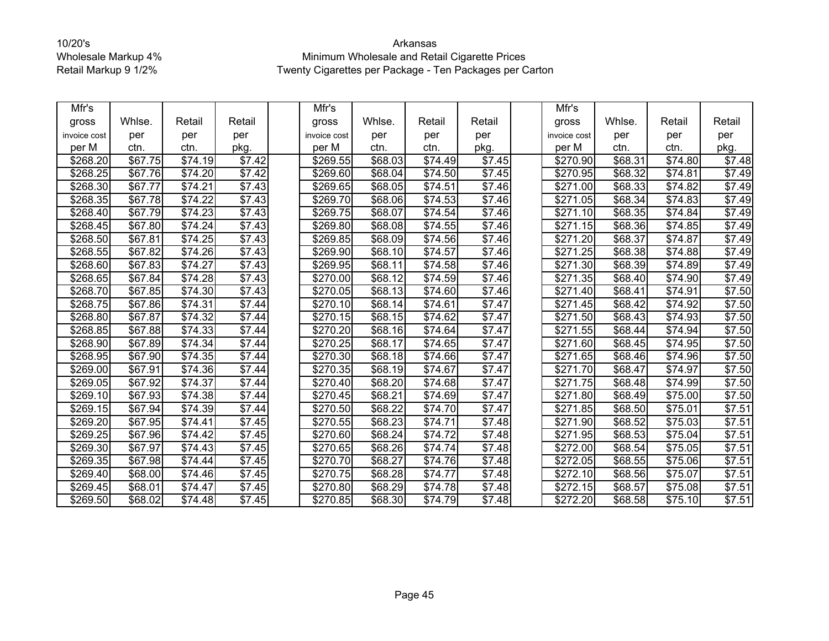| Mfr's        |                     |                     |                | Mfr's        |         |                     |                    | Mfr's            |         |                     |                |
|--------------|---------------------|---------------------|----------------|--------------|---------|---------------------|--------------------|------------------|---------|---------------------|----------------|
| gross        | Whlse.              | Retail              | Retail         | gross        | Whlse.  | Retail              | Retail             | gross            | Whlse.  | Retail              | Retail         |
| invoice cost | per                 | per                 | per            | invoice cost | per     | per                 | per                | invoice cost     | per     | per                 | per            |
| per M        | ctn.                | ctn.                | pkg.           | per M        | ctn.    | ctn.                | pkg.               | per M            | ctn.    | ctn.                | pkg.           |
| \$268.20     | \$67.75             | \$74.19             | \$7.42         | \$269.55     | \$68.03 | \$74.49             | \$7.45             | \$270.90         | \$68.31 | \$74.80             | \$7.48         |
| \$268.25     | \$67.76             | \$74.20             | \$7.42         | \$269.60     | \$68.04 | \$74.50             | \$7.45             | \$270.95         | \$68.32 | \$74.81             | \$7.49         |
| \$268.30     | \$67.77             | \$74.21             | \$7.43         | \$269.65     | \$68.05 | $\sqrt{$74.51}$     | \$7.46             | \$271.00         | \$68.33 | $\sqrt{$74.82}$     | \$7.49         |
| \$268.35     | \$67.78             | \$74.22             | \$7.43         | \$269.70     | \$68.06 | \$74.53             | $\overline{$}7.46$ | \$271.05         | \$68.34 | \$74.83             | \$7.49         |
| \$268.40     | \$67.79             | \$74.23             | \$7.43         | \$269.75     | \$68.07 | $\overline{$}74.54$ | \$7.46             | \$271.10         | \$68.35 | $\overline{$74.84}$ | $\sqrt{$7.49}$ |
| \$268.45     | \$67.80             | \$74.24             | \$7.43         | \$269.80     | \$68.08 | \$74.55             | \$7.46             | \$271.15         | \$68.36 | \$74.85             | \$7.49         |
| \$268.50     | \$67.81             | \$74.25             | \$7.43         | \$269.85     | \$68.09 | \$74.56             | \$7.46             | \$271.20         | \$68.37 | \$74.87             | \$7.49         |
| \$268.55     | \$67.82             | \$74.26             | \$7.43         | \$269.90     | \$68.10 | \$74.57             | \$7.46             | \$271.25         | \$68.38 | \$74.88             | \$7.49         |
| \$268.60     | \$67.83             | \$74.27             | \$7.43         | \$269.95     | \$68.11 | \$74.58             | \$7.46             | \$271.30         | \$68.39 | \$74.89             | \$7.49         |
| \$268.65     | \$67.84             | $\sqrt{$74.28}$     | \$7.43         | \$270.00     | \$68.12 | $\overline{$74.59}$ | \$7.46             | \$271.35         | \$68.40 | $\overline{$}74.90$ | \$7.49         |
| \$268.70     | \$67.85             | \$74.30             | \$7.43         | \$270.05     | \$68.13 | \$74.60             | \$7.46             | \$271.40         | \$68.41 | \$74.91             | \$7.50         |
| \$268.75     | \$67.86             | $\overline{$}74.31$ | \$7.44         | \$270.10     | \$68.14 | \$74.61             | \$7.47             | \$271.45         | \$68.42 | \$74.92             | \$7.50         |
| \$268.80     | $\overline{$}67.87$ | \$74.32             | \$7.44         | \$270.15     | \$68.15 | $\sqrt{$74.62}$     | \$7.47             | $\sqrt{$271.50}$ | \$68.43 | \$74.93             | \$7.50         |
| \$268.85     | \$67.88             | \$74.33             | \$7.44         | \$270.20     | \$68.16 | \$74.64             | \$7.47             | \$271.55         | \$68.44 | \$74.94             | \$7.50         |
| \$268.90     | \$67.89             | \$74.34             | \$7.44         | \$270.25     | \$68.17 | $\overline{$}74.65$ | \$7.47             | \$271.60         | \$68.45 | $\overline{$}74.95$ | \$7.50         |
| \$268.95     | \$67.90             | \$74.35             | $\sqrt{$7.44}$ | \$270.30     | \$68.18 | \$74.66             | \$7.47             | \$271.65         | \$68.46 | $\overline{$}74.96$ | \$7.50         |
| \$269.00     | \$67.91             | \$74.36             | \$7.44         | \$270.35     | \$68.19 | \$74.67             | \$7.47             | \$271.70         | \$68.47 | \$74.97             | \$7.50         |
| \$269.05     | \$67.92             | \$74.37             | \$7.44         | \$270.40     | \$68.20 | $\overline{$}74.68$ | $\overline{$7.47}$ | \$271.75         | \$68.48 | \$74.99             | \$7.50         |
| \$269.10     | \$67.93             | \$74.38             | \$7.44         | \$270.45     | \$68.21 | \$74.69             | \$7.47             | \$271.80         | \$68.49 | \$75.00             | \$7.50         |
| \$269.15     | \$67.94             | \$74.39             | \$7.44         | \$270.50     | \$68.22 | \$74.70             | \$7.47             | \$271.85         | \$68.50 | \$75.01             | \$7.51         |
| \$269.20     | \$67.95             | \$74.41             | \$7.45         | \$270.55     | \$68.23 | \$74.71             | \$7.48             | \$271.90         | \$68.52 | \$75.03             | \$7.51         |
| \$269.25     | \$67.96             | \$74.42             | \$7.45         | \$270.60     | \$68.24 | \$74.72             | \$7.48             | \$271.95         | \$68.53 | \$75.04             | \$7.51         |
| \$269.30     | $\overline{$}67.97$ | \$74.43             | \$7.45         | \$270.65     | \$68.26 | \$74.74             | \$7.48             | \$272.00         | \$68.54 | \$75.05             | \$7.51         |
| \$269.35     | \$67.98             | \$74.44             | \$7.45         | \$270.70     | \$68.27 | \$74.76             | \$7.48             | \$272.05         | \$68.55 | \$75.06             | \$7.51         |
| \$269.40     | \$68.00             | \$74.46             | \$7.45         | \$270.75     | \$68.28 | \$74.77             | \$7.48             | \$272.10         | \$68.56 | \$75.07             | \$7.51         |
| \$269.45     | \$68.01             | \$74.47             | \$7.45         | \$270.80     | \$68.29 | \$74.78             | \$7.48             | \$272.15         | \$68.57 | \$75.08             | \$7.51         |
| \$269.50     | \$68.02             | \$74.48             | \$7.45         | \$270.85     | \$68.30 | $\sqrt{$74.79}$     | \$7.48             | \$272.20         | \$68.58 | $\overline{$}75.10$ | \$7.51         |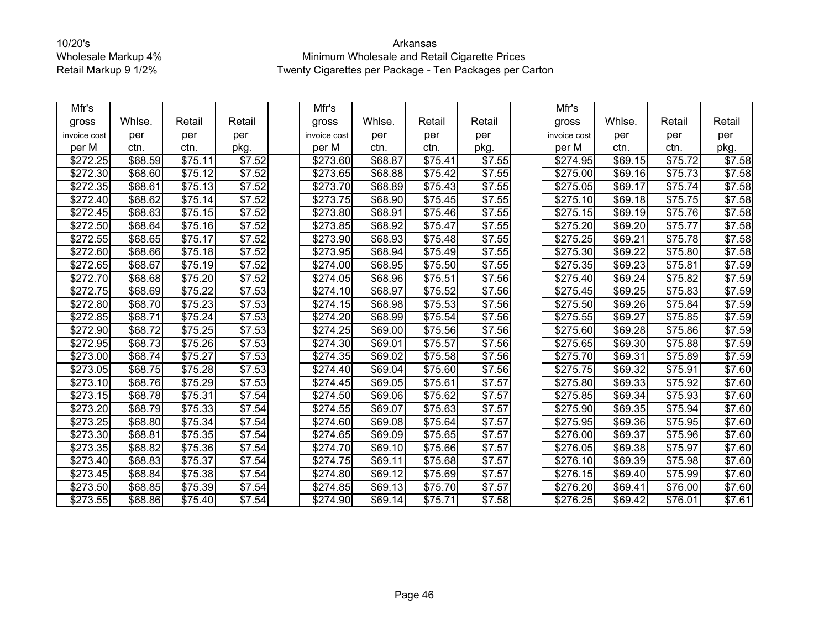| Mfr's        |         |                     |                    | Mfr's            |         |                     |                    | Mfr's                |         |         |                    |
|--------------|---------|---------------------|--------------------|------------------|---------|---------------------|--------------------|----------------------|---------|---------|--------------------|
| gross        | Whlse.  | Retail              | Retail             | gross            | Whlse.  | Retail              | Retail             | gross                | Whlse.  | Retail  | Retail             |
| invoice cost | per     | per                 | per                | invoice cost     | per     | per                 | per                | invoice cost         | per     | per     | per                |
| per M        | ctn.    | ctn.                | pkg.               | per M            | ctn.    | ctn.                | pkg.               | per M                | ctn.    | ctn.    | pkg.               |
| \$272.25     | \$68.59 | \$75.11             | \$7.52             | \$273.60         | \$68.87 | \$75.41             | \$7.55             | \$274.95             | \$69.15 | \$75.72 | \$7.58             |
| \$272.30     | \$68.60 | \$75.12             | \$7.52             | \$273.65         | \$68.88 | \$75.42             | \$7.55             | \$275.00             | \$69.16 | \$75.73 | \$7.58             |
| \$272.35     | \$68.61 | \$75.13             | \$7.52             | \$273.70         | \$68.89 | $\overline{$75.43}$ | \$7.55             | \$275.05             | \$69.17 | \$75.74 | \$7.58             |
| \$272.40     | \$68.62 | \$75.14             | \$7.52             | \$273.75         | \$68.90 | \$75.45             | \$7.55             | \$275.10             | \$69.18 | \$75.75 | \$7.58             |
| \$272.45     | \$68.63 | \$75.15             | \$7.52             | \$273.80         | \$68.91 | $\overline{$}75.46$ | \$7.55             | \$275.15             | \$69.19 | \$75.76 | \$7.58             |
| \$272.50     | \$68.64 | \$75.16             | \$7.52             | \$273.85         | \$68.92 | \$75.47             | \$7.55             | \$275.20             | \$69.20 | \$75.77 | \$7.58             |
| \$272.55     | \$68.65 | \$75.17             | \$7.52             | \$273.90         | \$68.93 | \$75.48             | \$7.55             | \$275.25             | \$69.21 | \$75.78 | \$7.58             |
| \$272.60     | \$68.66 | \$75.18             | \$7.52             | \$273.95         | \$68.94 | \$75.49             | \$7.55             | \$275.30             | \$69.22 | \$75.80 | \$7.58             |
| \$272.65     | \$68.67 | \$75.19             | \$7.52             | \$274.00         | \$68.95 | \$75.50             | \$7.55             | \$275.35             | \$69.23 | \$75.81 | \$7.59             |
| \$272.70     | \$68.68 | \$75.20             | \$7.52             | \$274.05         | \$68.96 | \$75.51             | \$7.56             | \$275.40             | \$69.24 | \$75.82 | \$7.59             |
| \$272.75     | \$68.69 | \$75.22             | \$7.53             | \$274.10         | \$68.97 | $\overline{$}75.52$ | \$7.56             | \$275.45             | \$69.25 | \$75.83 | \$7.59             |
| \$272.80     | \$68.70 | \$75.23             | \$7.53             | \$274.15         | \$68.98 | \$75.53             | \$7.56             | \$275.50             | \$69.26 | \$75.84 | \$7.59             |
| \$272.85     | \$68.71 | $\overline{$75.24}$ | \$7.53             | $\sqrt{$274.20}$ | \$68.99 | \$75.54             | \$7.56             | $\overline{$}275.55$ | \$69.27 | \$75.85 | \$7.59             |
| \$272.90     | \$68.72 | \$75.25             | \$7.53             | \$274.25         | \$69.00 | \$75.56             | \$7.56             | \$275.60             | \$69.28 | \$75.86 | \$7.59             |
| \$272.95     | \$68.73 | \$75.26             | \$7.53             | \$274.30         | \$69.01 | \$75.57             | \$7.56             | \$275.65             | \$69.30 | \$75.88 | \$7.59             |
| \$273.00     | \$68.74 | \$75.27             | \$7.53             | \$274.35         | \$69.02 | \$75.58             | \$7.56             | \$275.70             | \$69.31 | \$75.89 | \$7.59             |
| \$273.05     | \$68.75 | \$75.28             | \$7.53             | \$274.40         | \$69.04 | \$75.60             | \$7.56             | \$275.75             | \$69.32 | \$75.91 | \$7.60             |
| \$273.10     | \$68.76 | \$75.29             | $\overline{$7.53}$ | \$274.45         | \$69.05 | \$75.61             | $\overline{$7.57}$ | $\sqrt{$275.80}$     | \$69.33 | \$75.92 | $\overline{$}7.60$ |
| \$273.15     | \$68.78 | \$75.31             | \$7.54             | \$274.50         | \$69.06 | \$75.62             | \$7.57             | \$275.85             | \$69.34 | \$75.93 | \$7.60             |
| \$273.20     | \$68.79 | \$75.33             | \$7.54             | \$274.55         | \$69.07 | \$75.63             | \$7.57             | \$275.90             | \$69.35 | \$75.94 | \$7.60             |
| \$273.25     | \$68.80 | \$75.34             | \$7.54             | \$274.60         | \$69.08 | \$75.64             | \$7.57             | \$275.95             | \$69.36 | \$75.95 | \$7.60             |
| \$273.30     | \$68.81 | \$75.35             | \$7.54             | \$274.65         | \$69.09 | \$75.65             | \$7.57             | \$276.00             | \$69.37 | \$75.96 | \$7.60             |
| \$273.35     | \$68.82 | \$75.36             | \$7.54             | \$274.70         | \$69.10 | \$75.66             | \$7.57             | \$276.05             | \$69.38 | \$75.97 | \$7.60             |
| \$273.40     | \$68.83 | \$75.37             | \$7.54             | \$274.75         | \$69.11 | \$75.68             | \$7.57             | \$276.10             | \$69.39 | \$75.98 | \$7.60             |
| \$273.45     | \$68.84 | \$75.38             | \$7.54             | \$274.80         | \$69.12 | \$75.69             | \$7.57             | \$276.15             | \$69.40 | \$75.99 | \$7.60             |
| \$273.50     | \$68.85 | \$75.39             | \$7.54             | \$274.85         | \$69.13 | \$75.70             | \$7.57             | \$276.20             | \$69.41 | \$76.00 | \$7.60             |
| \$273.55     | \$68.86 | \$75.40             | \$7.54             | \$274.90         | \$69.14 | \$75.71             | \$7.58             | \$276.25             | \$69.42 | \$76.01 | \$7.61             |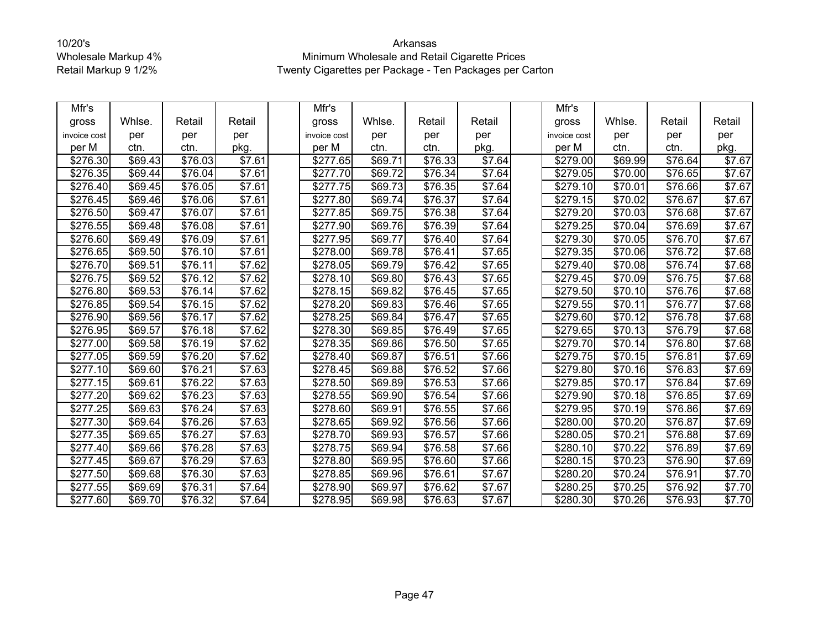| Mfr's        |         |                     |                    | Mfr's                |         |                     |                    | Mfr's                |         |                     |        |
|--------------|---------|---------------------|--------------------|----------------------|---------|---------------------|--------------------|----------------------|---------|---------------------|--------|
| gross        | Whlse.  | Retail              | Retail             | gross                | Whlse.  | Retail              | Retail             | gross                | Whlse.  | Retail              | Retail |
| invoice cost | per     | per                 | per                | invoice cost         | per     | per                 | per                | invoice cost         | per     | per                 | per    |
| per M        | ctn.    | ctn.                | pkg.               | per M                | ctn.    | ctn.                | pkg.               | per M                | ctn.    | ctn.                | pkg.   |
| \$276.30     | \$69.43 | \$76.03             | \$7.61             | \$277.65             | \$69.71 | \$76.33             | \$7.64             | \$279.00             | \$69.99 | \$76.64             | \$7.67 |
| \$276.35     | \$69.44 | \$76.04             | \$7.61             | \$277.70             | \$69.72 | \$76.34             | \$7.64             | \$279.05             | \$70.00 | \$76.65             | \$7.67 |
| \$276.40     | \$69.45 | \$76.05             | \$7.61             | \$277.75             | \$69.73 | \$76.35             | \$7.64             | \$279.10             | \$70.01 | \$76.66             | \$7.67 |
| \$276.45     | \$69.46 | \$76.06             | \$7.61             | \$277.80             | \$69.74 | $\overline{$}76.37$ | \$7.64             | \$279.15             | \$70.02 | \$76.67             | \$7.67 |
| \$276.50     | \$69.47 | \$76.07             | \$7.61             | \$277.85             | \$69.75 | \$76.38             | \$7.64             | \$279.20             | \$70.03 | \$76.68             | \$7.67 |
| \$276.55     | \$69.48 | \$76.08             | $\overline{$}7.61$ | \$277.90             | \$69.76 | \$76.39             | \$7.64             | \$279.25             | \$70.04 | $\overline{$}76.69$ | \$7.67 |
| \$276.60     | \$69.49 | \$76.09             | \$7.61             | \$277.95             | \$69.77 | \$76.40             | \$7.64             | \$279.30             | \$70.05 | \$76.70             | \$7.67 |
| \$276.65     | \$69.50 | \$76.10             | \$7.61             | \$278.00             | \$69.78 | \$76.41             | \$7.65             | \$279.35             | \$70.06 | \$76.72             | \$7.68 |
| \$276.70     | \$69.51 | \$76.11             | \$7.62             | \$278.05             | \$69.79 | \$76.42             | \$7.65             | \$279.40             | \$70.08 | \$76.74             | \$7.68 |
| \$276.75     | \$69.52 | $\overline{$76.12}$ | \$7.62             | \$278.10             | \$69.80 | $\overline{$76.43}$ | \$7.65             | \$279.45             | \$70.09 | $\overline{$}76.75$ | \$7.68 |
| \$276.80     | \$69.53 | \$76.14             | $\overline{$7.62}$ | \$278.15             | \$69.82 | \$76.45             | \$7.65             | \$279.50             | \$70.10 | \$76.76             | \$7.68 |
| \$276.85     | \$69.54 | \$76.15             | \$7.62             | \$278.20             | \$69.83 | \$76.46             | \$7.65             | \$279.55             | \$70.11 | \$76.77             | \$7.68 |
| \$276.90     | \$69.56 | $\overline{$76.17}$ | \$7.62             | $\overline{$}278.25$ | \$69.84 | $\overline{$}76.47$ | $\overline{$7.65}$ | $\sqrt{$279.60}$     | \$70.12 | \$76.78             | \$7.68 |
| \$276.95     | \$69.57 | \$76.18             | \$7.62             | \$278.30             | \$69.85 | \$76.49             | \$7.65             | \$279.65             | \$70.13 | \$76.79             | \$7.68 |
| \$277.00     | \$69.58 | \$76.19             | \$7.62             | \$278.35             | \$69.86 | \$76.50             | \$7.65             | \$279.70             | \$70.14 | \$76.80             | \$7.68 |
| \$277.05     | \$69.59 | \$76.20             | \$7.62             | \$278.40             | \$69.87 | \$76.51             | \$7.66             | \$279.75             | \$70.15 | \$76.81             | \$7.69 |
| \$277.10     | \$69.60 | \$76.21             | \$7.63             | \$278.45             | \$69.88 | \$76.52             | \$7.66             | \$279.80             | \$70.16 | \$76.83             | \$7.69 |
| \$277.15     | \$69.61 | \$76.22             | $\overline{$7.63}$ | \$278.50             | \$69.89 | $\overline{$}76.53$ | \$7.66             | $\overline{$}279.85$ | \$70.17 | \$76.84             | \$7.69 |
| \$277.20     | \$69.62 | \$76.23             | \$7.63             | \$278.55             | \$69.90 | \$76.54             | \$7.66             | \$279.90             | \$70.18 | \$76.85             | \$7.69 |
| \$277.25     | \$69.63 | \$76.24             | \$7.63             | \$278.60             | \$69.91 | $\overline{$}76.55$ | \$7.66             | \$279.95             | \$70.19 | \$76.86             | \$7.69 |
| \$277.30     | \$69.64 | \$76.26             | \$7.63             | \$278.65             | \$69.92 | \$76.56             | \$7.66             | \$280.00             | \$70.20 | \$76.87             | \$7.69 |
| \$277.35     | \$69.65 | \$76.27             | \$7.63             | \$278.70             | \$69.93 | \$76.57             | \$7.66             | \$280.05             | \$70.21 | \$76.88             | \$7.69 |
| \$277.40     | \$69.66 | \$76.28             | \$7.63             | \$278.75             | \$69.94 | \$76.58             | \$7.66             | \$280.10             | \$70.22 | \$76.89             | \$7.69 |
| \$277.45     | \$69.67 | \$76.29             | \$7.63             | \$278.80             | \$69.95 | \$76.60             | \$7.66             | \$280.15             | \$70.23 | \$76.90             | \$7.69 |
| \$277.50     | \$69.68 | \$76.30             | \$7.63             | \$278.85             | \$69.96 | $\overline{$}76.61$ | \$7.67             | \$280.20             | \$70.24 | $\overline{$}76.91$ | \$7.70 |
| \$277.55     | \$69.69 | \$76.31             | \$7.64             | \$278.90             | \$69.97 | \$76.62             | \$7.67             | \$280.25             | \$70.25 | \$76.92             | \$7.70 |
| \$277.60     | \$69.70 | \$76.32             | \$7.64             | \$278.95             | \$69.98 | \$76.63             | $\overline{$7.67}$ | $\overline{$}280.30$ | \$70.26 | \$76.93             | \$7.70 |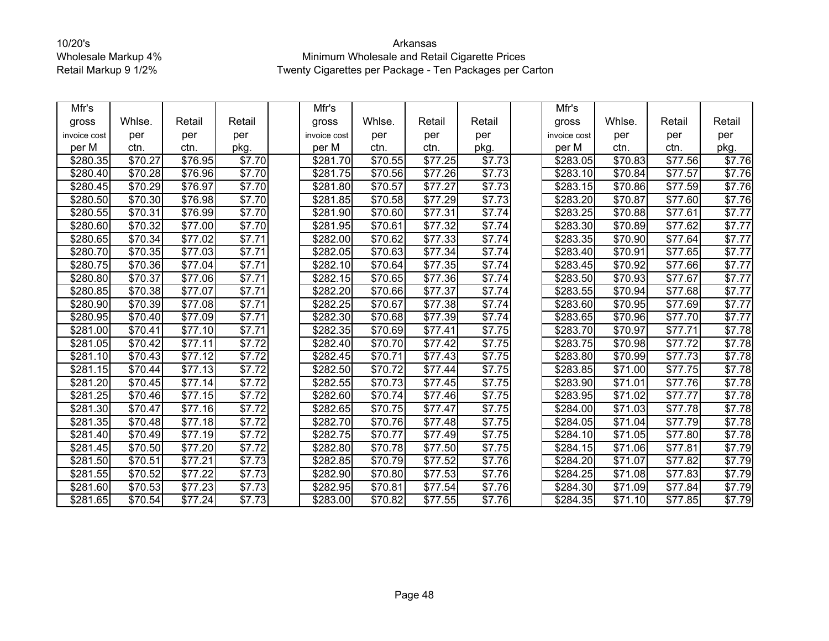| Mfr's            |                     |                     |                | Mfr's                |                     |                     |                    | Mfr's                |                     |                     |                    |
|------------------|---------------------|---------------------|----------------|----------------------|---------------------|---------------------|--------------------|----------------------|---------------------|---------------------|--------------------|
| gross            | Whlse.              | Retail              | Retail         | gross                | Whlse.              | Retail              | Retail             | gross                | Whlse.              | Retail              | Retail             |
| invoice cost     | per                 | per                 | per            | invoice cost         | per                 | per                 | per                | invoice cost         | per                 | per                 | per                |
| per M            | ctn.                | ctn.                | pkg.           | per M                | ctn.                | ctn.                | pkg.               | per M                | ctn.                | ctn.                | pkg.               |
| \$280.35         | \$70.27             | \$76.95             | \$7.70         | \$281.70             | \$70.55             | \$77.25             | \$7.73             | \$283.05             | \$70.83             | \$77.56             | \$7.76             |
| \$280.40         | \$70.28             | \$76.96             | \$7.70         | \$281.75             | \$70.56             | \$77.26             | \$7.73             | \$283.10             | \$70.84             | \$77.57             | \$7.76             |
| \$280.45         | $\overline{$}70.29$ | $\frac{1}{1576.97}$ | \$7.70         | \$281.80             | \$70.57             | $\overline{$}77.27$ | \$7.73             | \$283.15             | \$70.86             | $\overline{$}77.59$ | \$7.76             |
| \$280.50         | \$70.30             | \$76.98             | \$7.70         | \$281.85             | \$70.58             | \$77.29             | \$7.73             | \$283.20             | \$70.87             | \$77.60             | \$7.76             |
| \$280.55         | \$70.31             | \$76.99             | \$7.70         | \$281.90             | \$70.60             | $\overline{$77.31}$ | \$7.74             | \$283.25             | \$70.88             | $\overline{$77.61}$ | \$7.77             |
| \$280.60         | \$70.32             | \$77.00             | \$7.70         | \$281.95             | \$70.61             | \$77.32             | \$7.74             | \$283.30             | \$70.89             | \$77.62             | \$7.77             |
| \$280.65         | \$70.34             | \$77.02             | \$7.71         | \$282.00             | \$70.62             | \$77.33             | \$7.74             | \$283.35             | \$70.90             | \$77.64             | \$7.77             |
| \$280.70         | \$70.35             | \$77.03             | \$7.71         | \$282.05             | \$70.63             | \$77.34             | \$7.74             | \$283.40             | \$70.91             | \$77.65             | \$7.77             |
| \$280.75         | \$70.36             | \$77.04             | \$7.71         | \$282.10             | \$70.64             | \$77.35             | \$7.74             | \$283.45             | \$70.92             | \$77.66             | \$7.77             |
| \$280.80         | \$70.37             | \$77.06             | \$7.71         | \$282.15             | \$70.65             | $\overline{$}77.36$ | \$7.74             | \$283.50             | \$70.93             | $\overline{$}77.67$ | \$7.77             |
| \$280.85         | \$70.38             | \$77.07             | \$7.71         | \$282.20             | \$70.66             | \$77.37             | \$7.74             | \$283.55             | $\overline{$}70.94$ | \$77.68             | \$7.77             |
| \$280.90         | \$70.39             | \$77.08             | \$7.71         | \$282.25             | \$70.67             | $\overline{$77.38}$ | \$7.74             | $\sqrt{$283.60}$     | \$70.95             | \$77.69             | \$7.77             |
| \$280.95         | \$70.40             | \$77.09             | \$7.71         | \$282.30             | \$70.68             | \$77.39             | \$7.74             | \$283.65             | \$70.96             | \$77.70             | \$7.77             |
| \$281.00         | \$70.41             | \$77.10             | \$7.71         | \$282.35             | \$70.69             | \$77.41             | \$7.75             | \$283.70             | \$70.97             | $\overline{$}77.71$ | $\overline{$}7.78$ |
| \$281.05         | \$70.42             | \$77.11             | \$7.72         | $\sqrt{$282.40}$     | \$70.70             | $\overline{$77.42}$ | \$7.75             | $\overline{$}283.75$ | \$70.98             | $\overline{$77.72}$ | \$7.78             |
| \$281.10         | \$70.43             | \$77.12             | \$7.72         | \$282.45             | \$70.71             | \$77.43             | \$7.75             | \$283.80             | $\overline{$}70.99$ | \$77.73             | \$7.78             |
| \$281.15         | \$70.44             | \$77.13             | \$7.72         | \$282.50             | \$70.72             | \$77.44             | \$7.75             | \$283.85             | \$71.00             | $\overline{$77.75}$ | \$7.78             |
| \$281.20         | \$70.45             | \$77.14             | \$7.72         | \$282.55             | \$70.73             | \$77.45             | \$7.75             | \$283.90             | \$71.01             | \$77.76             | \$7.78             |
| \$281.25         | \$70.46             | \$77.15             | \$7.72         | \$282.60             | \$70.74             | \$77.46             | \$7.75             | \$283.95             | \$71.02             | \$77.77             | \$7.78             |
| \$281.30         | \$70.47             | \$77.16             | $\sqrt{$7.72}$ | \$282.65             | $\overline{$}70.75$ | $\overline{$77.47}$ | \$7.75             | \$284.00             | \$71.03             | $\overline{$77.78}$ | \$7.78             |
| \$281.35         | \$70.48             | \$77.18             | \$7.72         | \$282.70             | \$70.76             | \$77.48             | \$7.75             | \$284.05             | \$71.04             | \$77.79             | \$7.78             |
| \$281.40         | \$70.49             | \$77.19             | \$7.72         | \$282.75             | \$70.77             | $\overline{$}77.49$ | \$7.75             | \$284.10             | $\overline{$}71.05$ | $\overline{$77.80}$ | \$7.78             |
| \$281.45         | \$70.50             | \$77.20             | \$7.72         | \$282.80             | \$70.78             | \$77.50             | \$7.75             | \$284.15             | \$71.06             | \$77.81             | \$7.79             |
| \$281.50         | \$70.51             | \$77.21             | \$7.73         | \$282.85             | \$70.79             | \$77.52             | \$7.76             | \$284.20             | \$71.07             | \$77.82             | \$7.79             |
| \$281.55         | \$70.52             | \$77.22             | \$7.73         | \$282.90             | \$70.80             | \$77.53             | $\overline{$}7.76$ | \$284.25             | \$71.08             | $\overline{$}77.83$ | \$7.79             |
| \$281.60         | \$70.53             | \$77.23             | \$7.73         | \$282.95             | \$70.81             | \$77.54             | \$7.76             | \$284.30             | \$71.09             | \$77.84             | \$7.79             |
| $\sqrt{$281.65}$ | \$70.54             | $\overline{$}77.24$ | \$7.73         | $\overline{$}283.00$ | $\overline{$}70.82$ | $\overline{$}77.55$ | \$7.76             | $\sqrt{$284.35}$     | \$71.10             | $\overline{$}77.85$ | \$7.79             |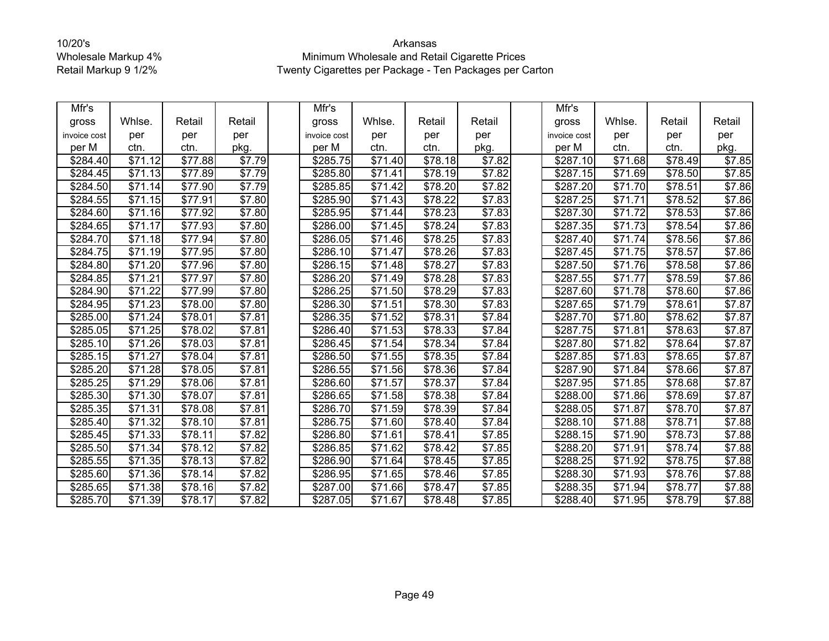| Mfr's        |         |                     |                    | Mfr's        |                     |                     |                    | Mfr's                |                     |                     |        |
|--------------|---------|---------------------|--------------------|--------------|---------------------|---------------------|--------------------|----------------------|---------------------|---------------------|--------|
| gross        | Whlse.  | Retail              | Retail             | gross        | Whlse.              | Retail              | Retail             | gross                | Whlse.              | Retail              | Retail |
| invoice cost | per     | per                 | per                | invoice cost | per                 | per                 | per                | invoice cost         | per                 | per                 | per    |
| per M        | ctn.    | ctn.                | pkg.               | per M        | ctn.                | ctn.                | pkg.               | per M                | ctn.                | ctn.                | pkg.   |
| \$284.40     | \$71.12 | \$77.88             | \$7.79             | \$285.75     | \$71.40             | \$78.18             | \$7.82             | \$287.10             | \$71.68             | \$78.49             | \$7.85 |
| \$284.45     | \$71.13 | \$77.89             | \$7.79             | \$285.80     | \$71.41             | \$78.19             | $\overline{$7.82}$ | \$287.15             | \$71.69             | \$78.50             | \$7.85 |
| \$284.50     | \$71.14 | \$77.90             | \$7.79             | \$285.85     | $\overline{$}71.42$ | $\sqrt{$78.20}$     | \$7.82             | $\sqrt{$287.20}$     | \$71.70             | $\overline{$}78.51$ | \$7.86 |
| \$284.55     | \$71.15 | \$77.91             | \$7.80             | \$285.90     | \$71.43             | \$78.22             | \$7.83             | \$287.25             | \$71.71             | \$78.52             | \$7.86 |
| \$284.60     | \$71.16 | $\overline{$77.92}$ | \$7.80             | \$285.95     | \$71.44             | \$78.23             | \$7.83             | \$287.30             | \$71.72             | \$78.53             | \$7.86 |
| \$284.65     | \$71.17 | \$77.93             | $\sqrt{$7.80}$     | \$286.00     | $\overline{$}71.45$ | \$78.24             | \$7.83             | \$287.35             | \$71.73             | \$78.54             | \$7.86 |
| \$284.70     | \$71.18 | \$77.94             | \$7.80             | \$286.05     | \$71.46             | \$78.25             | \$7.83             | \$287.40             | \$71.74             | \$78.56             | \$7.86 |
| \$284.75     | \$71.19 | \$77.95             | \$7.80             | \$286.10     | \$71.47             | $\overline{$}78.26$ | \$7.83             | \$287.45             | \$71.75             | $\overline{$}78.57$ | \$7.86 |
| \$284.80     | \$71.20 | \$77.96             | \$7.80             | \$286.15     | \$71.48             | \$78.27             | \$7.83             | \$287.50             | \$71.76             | \$78.58             | \$7.86 |
| \$284.85     | \$71.21 | \$77.97             | \$7.80             | \$286.20     | \$71.49             | \$78.28             | \$7.83             | \$287.55             | \$71.77             | \$78.59             | \$7.86 |
| \$284.90     | \$71.22 | \$77.99             | \$7.80             | \$286.25     | \$71.50             | $\overline{$}78.29$ | \$7.83             | \$287.60             | \$71.78             | \$78.60             | \$7.86 |
| \$284.95     | \$71.23 | \$78.00             | \$7.80             | \$286.30     | \$71.51             | \$78.30             | \$7.83             | \$287.65             | \$71.79             | \$78.61             | \$7.87 |
| \$285.00     | \$71.24 | \$78.01             | $\overline{$}7.81$ | \$286.35     | \$71.52             | \$78.31             | \$7.84             | \$287.70             | \$71.80             | $\overline{$}78.62$ | \$7.87 |
| \$285.05     | \$71.25 | \$78.02             | \$7.81             | \$286.40     | \$71.53             | \$78.33             | \$7.84             | \$287.75             | \$71.81             | \$78.63             | \$7.87 |
| \$285.10     | \$71.26 | \$78.03             | \$7.81             | \$286.45     | \$71.54             | \$78.34             | \$7.84             | $\sqrt{$287.80}$     | $\overline{$71.82}$ | \$78.64             | \$7.87 |
| \$285.15     | \$71.27 | \$78.04             | \$7.81             | \$286.50     | \$71.55             | \$78.35             | \$7.84             | \$287.85             | \$71.83             | \$78.65             | \$7.87 |
| \$285.20     | \$71.28 | \$78.05             | \$7.81             | \$286.55     | \$71.56             | \$78.36             | \$7.84             | \$287.90             | \$71.84             | \$78.66             | \$7.87 |
| \$285.25     | \$71.29 | \$78.06             | \$7.81             | \$286.60     | \$71.57             | \$78.37             | \$7.84             | \$287.95             | \$71.85             | \$78.68             | \$7.87 |
| \$285.30     | \$71.30 | \$78.07             | \$7.81             | \$286.65     | \$71.58             | \$78.38             | \$7.84             | \$288.00             | \$71.86             | \$78.69             | \$7.87 |
| \$285.35     | \$71.31 | $\frac{1}{1578.08}$ | \$7.81             | \$286.70     | \$71.59             | $\overline{$78.39}$ | \$7.84             | \$288.05             | \$71.87             | \$78.70             | \$7.87 |
| \$285.40     | \$71.32 | $\overline{$}78.10$ | \$7.81             | \$286.75     | \$71.60             | \$78.40             | \$7.84             | \$288.10             | \$71.88             | \$78.71             | \$7.88 |
| \$285.45     | \$71.33 | \$78.11             | \$7.82             | \$286.80     | $\overline{$71.61}$ | \$78.41             | \$7.85             | \$288.15             | $\overline{$71.90}$ | $\overline{$78.73}$ | \$7.88 |
| \$285.50     | \$71.34 | \$78.12             | \$7.82             | \$286.85     | \$71.62             | \$78.42             | \$7.85             | \$288.20             | \$71.91             | \$78.74             | \$7.88 |
| \$285.55     | \$71.35 | \$78.13             | \$7.82             | \$286.90     | \$71.64             | \$78.45             | \$7.85             | \$288.25             | \$71.92             | \$78.75             | \$7.88 |
| \$285.60     | \$71.36 | \$78.14             | \$7.82             | \$286.95     | \$71.65             | $\overline{$}78.46$ | \$7.85             | $\overline{$}288.30$ | $\overline{$}71.93$ | $\overline{$}78.76$ | \$7.88 |
| \$285.65     | \$71.38 | \$78.16             | \$7.82             | \$287.00     | \$71.66             | \$78.47             | \$7.85             | \$288.35             | \$71.94             | \$78.77             | \$7.88 |
| \$285.70     | \$71.39 | $\overline{$78.17}$ | \$7.82             | \$287.05     | $\overline{$}71.67$ | $\overline{$78.48}$ | \$7.85             | \$288.40             | $\overline{$}71.95$ | $\overline{$}78.79$ | \$7.88 |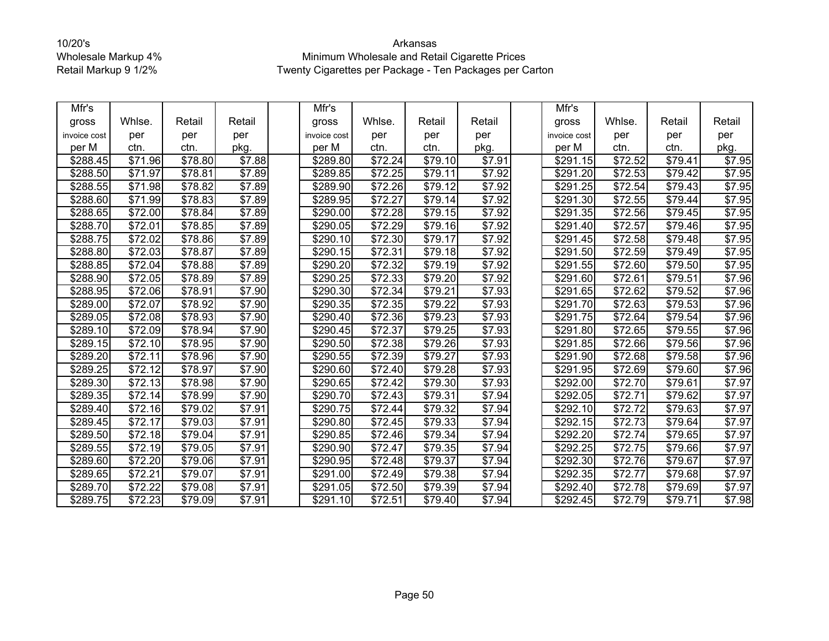| Mfr's        |                     |                     |                    | Mfr's                |                     |                     |                    | Mfr's            |                     |                     |        |
|--------------|---------------------|---------------------|--------------------|----------------------|---------------------|---------------------|--------------------|------------------|---------------------|---------------------|--------|
| gross        | Whlse.              | Retail              | Retail             | gross                | Whlse.              | Retail              | Retail             | gross            | Whlse.              | Retail              | Retail |
| invoice cost | per                 | per                 | per                | invoice cost         | per                 | per                 | per                | invoice cost     | per                 | per                 | per    |
| per M        | ctn.                | ctn.                | pkg.               | per M                | ctn.                | ctn.                | pkg.               | per M            | ctn.                | ctn.                | pkg.   |
| \$288.45     | \$71.96             | \$78.80             | \$7.88             | \$289.80             | \$72.24             | \$79.10             | \$7.91             | \$291.15         | \$72.52             | \$79.41             | \$7.95 |
| \$288.50     | \$71.97             | \$78.81             | \$7.89             | \$289.85             | \$72.25             | \$79.11             | \$7.92             | \$291.20         | \$72.53             | \$79.42             | \$7.95 |
| \$288.55     | \$71.98             | \$78.82             | \$7.89             | \$289.90             | \$72.26             | \$79.12             | \$7.92             | \$291.25         | \$72.54             | $\overline{$}79.43$ | \$7.95 |
| \$288.60     | \$71.99             | \$78.83             | \$7.89             | \$289.95             | \$72.27             | \$79.14             | \$7.92             | \$291.30         | \$72.55             | \$79.44             | \$7.95 |
| \$288.65     | \$72.00             | \$78.84             | \$7.89             | \$290.00             | \$72.28             | $\overline{$}79.15$ | \$7.92             | \$291.35         | \$72.56             | \$79.45             | \$7.95 |
| \$288.70     | \$72.01             | $\overline{$}78.85$ | \$7.89             | \$290.05             | \$72.29             | \$79.16             | \$7.92             | \$291.40         | \$72.57             | \$79.46             | \$7.95 |
| \$288.75     | \$72.02             | \$78.86             | \$7.89             | \$290.10             | \$72.30             | \$79.17             | \$7.92             | \$291.45         | \$72.58             | \$79.48             | \$7.95 |
| \$288.80     | \$72.03             | \$78.87             | \$7.89             | \$290.15             | \$72.31             | \$79.18             | \$7.92             | \$291.50         | \$72.59             | $\overline{$}79.49$ | \$7.95 |
| \$288.85     | \$72.04             | \$78.88             | \$7.89             | \$290.20             | \$72.32             | \$79.19             | $\overline{$}7.92$ | \$291.55         | \$72.60             | \$79.50             | \$7.95 |
| \$288.90     | \$72.05             | \$78.89             | \$7.89             | \$290.25             | \$72.33             | \$79.20             | \$7.92             | \$291.60         | \$72.61             | \$79.51             | \$7.96 |
| \$288.95     | \$72.06             | \$78.91             | \$7.90             | \$290.30             | \$72.34             | \$79.21             | \$7.93             | \$291.65         | \$72.62             | \$79.52             | \$7.96 |
| \$289.00     | $\overline{$72.07}$ | \$78.92             | \$7.90             | \$290.35             | \$72.35             | \$79.22             | \$7.93             | \$291.70         | $\overline{$72.63}$ | \$79.53             | \$7.96 |
| \$289.05     | \$72.08             | \$78.93             | \$7.90             | \$290.40             | \$72.36             | $\overline{$}79.23$ | \$7.93             | \$291.75         | \$72.64             | $\overline{$}79.54$ | \$7.96 |
| \$289.10     | \$72.09             | \$78.94             | \$7.90             | \$290.45             | \$72.37             | \$79.25             | \$7.93             | \$291.80         | \$72.65             | $\overline{$}79.55$ | \$7.96 |
| \$289.15     | \$72.10             | \$78.95             | \$7.90             | \$290.50             | \$72.38             | $\overline{$79.26}$ | \$7.93             | \$291.85         | \$72.66             | $\overline{$79.56}$ | \$7.96 |
| \$289.20     | \$72.11             | \$78.96             | \$7.90             | \$290.55             | \$72.39             | \$79.27             | \$7.93             | \$291.90         | \$72.68             | \$79.58             | \$7.96 |
| \$289.25     | \$72.12             | \$78.97             | \$7.90             | \$290.60             | \$72.40             | $\overline{$79.28}$ | \$7.93             | \$291.95         | $\overline{$72.69}$ | \$79.60             | \$7.96 |
| \$289.30     | \$72.13             | \$78.98             | $\overline{$}7.90$ | \$290.65             | \$72.42             | \$79.30             | \$7.93             | \$292.00         | \$72.70             | \$79.61             | \$7.97 |
| \$289.35     | \$72.14             | \$78.99             | \$7.90             | \$290.70             | \$72.43             | \$79.31             | \$7.94             | \$292.05         | \$72.71             | \$79.62             | \$7.97 |
| \$289.40     | \$72.16             | $\overline{$}79.02$ | \$7.91             | $\overline{$}290.75$ | \$72.44             | $\overline{$79.32}$ | \$7.94             | $\sqrt{$292.10}$ | $\overline{$72.72}$ | $\overline{$79.63}$ | \$7.97 |
| \$289.45     | \$72.17             | \$79.03             | \$7.91             | \$290.80             | \$72.45             | \$79.33             | \$7.94             | \$292.15         | \$72.73             | \$79.64             | \$7.97 |
| \$289.50     | \$72.18             | \$79.04             | \$7.91             | \$290.85             | \$72.46             | \$79.34             | \$7.94             | \$292.20         | \$72.74             | $\overline{$}79.65$ | \$7.97 |
| \$289.55     | \$72.19             | \$79.05             | \$7.91             | \$290.90             | \$72.47             | \$79.35             | \$7.94             | \$292.25         | \$72.75             | \$79.66             | \$7.97 |
| \$289.60     | \$72.20             | \$79.06             | \$7.91             | \$290.95             | \$72.48             | \$79.37             | \$7.94             | \$292.30         | \$72.76             | \$79.67             | \$7.97 |
| \$289.65     | \$72.21             | \$79.07             | $\overline{$}7.91$ | \$291.00             | \$72.49             | \$79.38             | \$7.94             | \$292.35         | $\overline{$}72.77$ | $\overline{$}79.68$ | \$7.97 |
| \$289.70     | \$72.22             | \$79.08             | \$7.91             | \$291.05             | \$72.50             | \$79.39             | \$7.94             | \$292.40         | \$72.78             | \$79.69             | \$7.97 |
| \$289.75     | \$72.23             | \$79.09             | \$7.91             | \$291.10             | $\overline{$}72.51$ | $\overline{$}79.40$ | \$7.94             | \$292.45         | $\overline{$}72.79$ | \$79.71             | \$7.98 |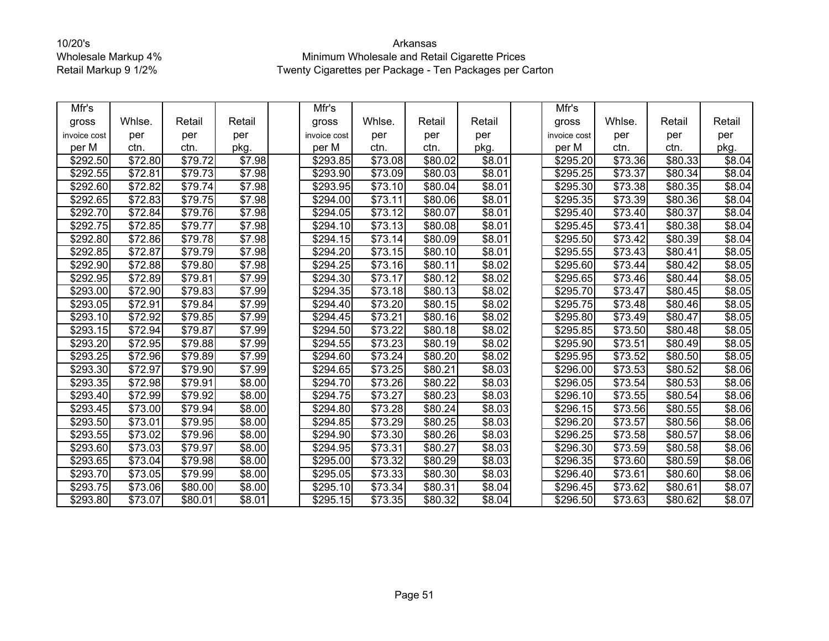| Mfr's            |                     |                     |                    | Mfr's            |                     |                     |                    | Mfr's                |                     |                 |        |
|------------------|---------------------|---------------------|--------------------|------------------|---------------------|---------------------|--------------------|----------------------|---------------------|-----------------|--------|
| gross            | Whlse.              | Retail              | Retail             | gross            | Whlse.              | Retail              | Retail             | gross                | Whlse.              | Retail          | Retail |
| invoice cost     | per                 | per                 | per                | invoice cost     | per                 | per                 | per                | invoice cost         | per                 | per             | per    |
| per M            | ctn.                | ctn.                | pkg.               | per M            | ctn.                | ctn.                | pkg.               | per M                | ctn.                | ctn.            | pkg.   |
| \$292.50         | \$72.80             | \$79.72             | \$7.98             | \$293.85         | \$73.08             | \$80.02             | \$8.01             | \$295.20             | \$73.36             | \$80.33         | \$8.04 |
| \$292.55         | $\overline{$}72.81$ | \$79.73             | \$7.98             | \$293.90         | \$73.09             | \$80.03             | \$8.01             | \$295.25             | \$73.37             | \$80.34         | \$8.04 |
| \$292.60         | \$72.82             | \$79.74             | \$7.98             | \$293.95         | \$73.10             | \$80.04             | $\overline{$8.01}$ | \$295.30             | $\overline{$73.38}$ | \$80.35         | \$8.04 |
| \$292.65         | \$72.83             | \$79.75             | \$7.98             | \$294.00         | \$73.11             | \$80.06             | \$8.01             | \$295.35             | \$73.39             | \$80.36         | \$8.04 |
| \$292.70         | \$72.84             | \$79.76             | \$7.98             | \$294.05         | $\overline{$}73.12$ | \$80.07             | \$8.01             | \$295.40             | \$73.40             | \$80.37         | \$8.04 |
| \$292.75         | \$72.85             | $\overline{$}79.77$ | \$7.98             | \$294.10         | $\overline{$}73.13$ | \$80.08             | \$8.01             | \$295.45             | \$73.41             | \$80.38         | \$8.04 |
| \$292.80         | \$72.86             | \$79.78             | $\overline{$}7.98$ | \$294.15         | $\overline{$}73.14$ | \$80.09             | \$8.01             | $\sqrt{$295.50}$     | $\overline{$}73.42$ | \$80.39         | \$8.04 |
| \$292.85         | $\overline{$}72.87$ | \$79.79             | \$7.98             | \$294.20         | \$73.15             | \$80.10             | \$8.01             | \$295.55             | \$73.43             | \$80.41         | \$8.05 |
| \$292.90         | \$72.88             | \$79.80             | \$7.98             | \$294.25         | \$73.16             | \$80.11             | \$8.02             | \$295.60             | \$73.44             | \$80.42         | \$8.05 |
| \$292.95         | \$72.89             | \$79.81             | \$7.99             | \$294.30         | \$73.17             | \$80.12             | \$8.02             | \$295.65             | \$73.46             | \$80.44         | \$8.05 |
| \$293.00         | \$72.90             | $\overline{$}79.83$ | \$7.99             | \$294.35         | \$73.18             | \$80.13             | \$8.02             | \$295.70             | \$73.47             | \$80.45         | \$8.05 |
| \$293.05         | \$72.91             | $\overline{$}79.84$ | \$7.99             | \$294.40         | $\overline{$}73.20$ | \$80.15             | \$8.02             | \$295.75             | \$73.48             | \$80.46         | \$8.05 |
| \$293.10         | $\overline{$}72.92$ | $\overline{$}79.85$ | $\overline{$}7.99$ | $\sqrt{$294.45}$ | \$73.21             | $\overline{$80.16}$ | \$8.02             | $\overline{$}295.80$ | \$73.49             | $\sqrt{$80.47}$ | \$8.05 |
| \$293.15         | \$72.94             | \$79.87             | \$7.99             | \$294.50         | \$73.22             | \$80.18             | \$8.02             | \$295.85             | \$73.50             | \$80.48         | \$8.05 |
| $\sqrt{$293.20}$ | \$72.95             | \$79.88             | \$7.99             | \$294.55         | $\overline{$}73.23$ | $\overline{$80.19}$ | \$8.02             | \$295.90             | \$73.51             | \$80.49         | \$8.05 |
| \$293.25         | \$72.96             | \$79.89             | \$7.99             | \$294.60         | \$73.24             | \$80.20             | \$8.02             | \$295.95             | \$73.52             | \$80.50         | \$8.05 |
| $\sqrt{$293.30}$ | \$72.97             | \$79.90             | \$7.99             | \$294.65         | \$73.25             | \$80.21             | \$8.03             | \$296.00             | \$73.53             | \$80.52         | \$8.06 |
| \$293.35         | \$72.98             | \$79.91             | \$8.00             | \$294.70         | \$73.26             | \$80.22             | \$8.03             | \$296.05             | \$73.54             | \$80.53         | \$8.06 |
| \$293.40         | \$72.99             | \$79.92             | \$8.00             | \$294.75         | \$73.27             | \$80.23             | \$8.03             | \$296.10             | \$73.55             | \$80.54         | \$8.06 |
| \$293.45         | \$73.00             | \$79.94             | \$8.00             | \$294.80         | \$73.28             | \$80.24             | \$8.03             | $\overline{$}296.15$ | \$73.56             | \$80.55         | \$8.06 |
| \$293.50         | \$73.01             | $\overline{$}79.95$ | \$8.00             | \$294.85         | \$73.29             | \$80.25             | \$8.03             | \$296.20             | \$73.57             | \$80.56         | \$8.06 |
| \$293.55         | \$73.02             | \$79.96             | \$8.00             | \$294.90         | \$73.30             | \$80.26             | \$8.03             | \$296.25             | \$73.58             | \$80.57         | \$8.06 |
| \$293.60         | \$73.03             | \$79.97             | \$8.00             | \$294.95         | \$73.31             | \$80.27             | \$8.03             | \$296.30             | \$73.59             | \$80.58         | \$8.06 |
| \$293.65         | \$73.04             | \$79.98             | \$8.00             | \$295.00         | \$73.32             | \$80.29             | \$8.03             | \$296.35             | \$73.60             | \$80.59         | \$8.06 |
| \$293.70         | \$73.05             | \$79.99             | \$8.00             | \$295.05         | $\overline{$}73.33$ | \$80.30             | $\overline{$8.03}$ | \$296.40             | \$73.61             | \$80.60         | \$8.06 |
| \$293.75         | \$73.06             | \$80.00             | \$8.00             | \$295.10         | \$73.34             | \$80.31             | \$8.04             | \$296.45             | \$73.62             | \$80.61         | \$8.07 |
| \$293.80         | \$73.07             | \$80.01             | \$8.01             | \$295.15         | \$73.35             | \$80.32             | \$8.04             | \$296.50             | \$73.63             | \$80.62         | \$8.07 |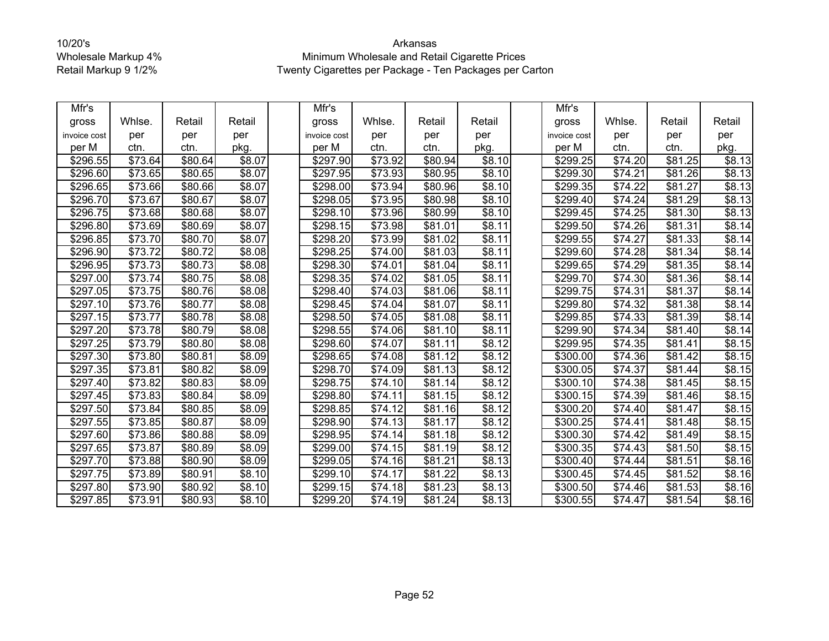| Mfr's                |                     |         |                | Mfr's                |                     |         |                | Mfr's        |                     |                     |        |
|----------------------|---------------------|---------|----------------|----------------------|---------------------|---------|----------------|--------------|---------------------|---------------------|--------|
| gross                | Whlse.              | Retail  | Retail         | gross                | Whlse.              | Retail  | Retail         | gross        | Whlse.              | Retail              | Retail |
| invoice cost         | per                 | per     | per            | invoice cost         | per                 | per     | per            | invoice cost | per                 | per                 | per    |
| per M                | ctn.                | ctn.    | pkg.           | per M                | ctn.                | ctn.    | pkg.           | per M        | ctn.                | ctn.                | pkg.   |
| \$296.55             | \$73.64             | \$80.64 | \$8.07         | \$297.90             | \$73.92             | \$80.94 | \$8.10         | \$299.25     | \$74.20             | \$81.25             | \$8.13 |
| \$296.60             | \$73.65             | \$80.65 | \$8.07         | \$297.95             | \$73.93             | \$80.95 | \$8.10         | \$299.30     | \$74.21             | \$81.26             | \$8.13 |
| \$296.65             | \$73.66             | \$80.66 | \$8.07         | \$298.00             | \$73.94             | \$80.96 | \$8.10         | \$299.35     | $\sqrt{$74.22}$     | \$81.27             | \$8.13 |
| \$296.70             | \$73.67             | \$80.67 | \$8.07         | \$298.05             | \$73.95             | \$80.98 | \$8.10         | \$299.40     | \$74.24             | \$81.29             | \$8.13 |
| \$296.75             | \$73.68             | \$80.68 | \$8.07         | \$298.10             | \$73.96             | \$80.99 | \$8.10         | \$299.45     | \$74.25             | \$81.30             | \$8.13 |
| \$296.80             | \$73.69             | \$80.69 | \$8.07         | \$298.15             | \$73.98             | \$81.01 | \$8.11         | \$299.50     | $\overline{$}74.26$ | \$81.31             | \$8.14 |
| \$296.85             | \$73.70             | \$80.70 | \$8.07         | \$298.20             | \$73.99             | \$81.02 | \$8.11         | \$299.55     | \$74.27             | \$81.33             | \$8.14 |
| \$296.90             | \$73.72             | \$80.72 | \$8.08         | \$298.25             | \$74.00             | \$81.03 | \$8.11         | \$299.60     | $\overline{$}74.28$ | \$81.34             | \$8.14 |
| \$296.95             | \$73.73             | \$80.73 | \$8.08         | \$298.30             | \$74.01             | \$81.04 | \$8.11         | \$299.65     | \$74.29             | \$81.35             | \$8.14 |
| \$297.00             | \$73.74             | \$80.75 | $\sqrt{$8.08}$ | \$298.35             | \$74.02             | \$81.05 | \$8.11         | \$299.70     | \$74.30             | \$81.36             | \$8.14 |
| \$297.05             | \$73.75             | \$80.76 | \$8.08         | \$298.40             | \$74.03             | \$81.06 | \$8.11         | \$299.75     | \$74.31             | \$81.37             | \$8.14 |
| \$297.10             | \$73.76             | \$80.77 | \$8.08         | \$298.45             | \$74.04             | \$81.07 | \$8.11         | \$299.80     | \$74.32             | \$81.38             | \$8.14 |
| \$297.15             | \$73.77             | \$80.78 | \$8.08         | \$298.50             | \$74.05             | \$81.08 | \$8.11         | \$299.85     | \$74.33             | $\overline{$81.39}$ | \$8.14 |
| \$297.20             | \$73.78             | \$80.79 | \$8.08         | \$298.55             | \$74.06             | \$81.10 | \$8.11         | \$299.90     | \$74.34             | \$81.40             | \$8.14 |
| \$297.25             | \$73.79             | \$80.80 | \$8.08         | \$298.60             | \$74.07             | \$81.11 | \$8.12         | \$299.95     | \$74.35             | \$81.41             | \$8.15 |
| $\overline{$}297.30$ | \$73.80             | \$80.81 | \$8.09         | \$298.65             | \$74.08             | \$81.12 | \$8.12         | \$300.00     | \$74.36             | \$81.42             | \$8.15 |
| \$297.35             | \$73.81             | \$80.82 | \$8.09         | \$298.70             | \$74.09             | \$81.13 | $\sqrt{$8.12}$ | \$300.05     | \$74.37             | \$81.44             | \$8.15 |
| \$297.40             | \$73.82             | \$80.83 | \$8.09         | \$298.75             | \$74.10             | \$81.14 | \$8.12         | \$300.10     | \$74.38             | \$81.45             | \$8.15 |
| \$297.45             | \$73.83             | \$80.84 | \$8.09         | \$298.80             | \$74.11             | \$81.15 | \$8.12         | \$300.15     | \$74.39             | \$81.46             | \$8.15 |
| \$297.50             | $\overline{$}73.84$ | \$80.85 | \$8.09         | $\overline{$}298.85$ | $\sqrt{$74.12}$     | \$81.16 | \$8.12         | \$300.20     | \$74.40             | \$81.47             | \$8.15 |
| \$297.55             | \$73.85             | \$80.87 | \$8.09         | \$298.90             | \$74.13             | \$81.17 | \$8.12         | \$300.25     | \$74.41             | \$81.48             | \$8.15 |
| \$297.60             | \$73.86             | \$80.88 | \$8.09         | \$298.95             | \$74.14             | \$81.18 | \$8.12         | \$300.30     | \$74.42             | \$81.49             | \$8.15 |
| \$297.65             | \$73.87             | \$80.89 | \$8.09         | \$299.00             | \$74.15             | \$81.19 | \$8.12         | \$300.35     | \$74.43             | \$81.50             | \$8.15 |
| \$297.70             | \$73.88             | \$80.90 | \$8.09         | \$299.05             | \$74.16             | \$81.21 | \$8.13         | \$300.40     | \$74.44             | \$81.51             | \$8.16 |
| \$297.75             | \$73.89             | \$80.91 | \$8.10         | \$299.10             | $\overline{$}74.17$ | \$81.22 | \$8.13         | \$300.45     | $\overline{$}74.45$ | \$81.52             | \$8.16 |
| \$297.80             | \$73.90             | \$80.92 | \$8.10         | \$299.15             | \$74.18             | \$81.23 | \$8.13         | \$300.50     | \$74.46             | \$81.53             | \$8.16 |
| \$297.85             | \$73.91             | \$80.93 | $\sqrt{$8.10}$ | $\overline{$}299.20$ | $\overline{$}74.19$ | \$81.24 | $\sqrt{$8.13}$ | \$300.55     | \$74.47             | $\overline{$81.54}$ | \$8.16 |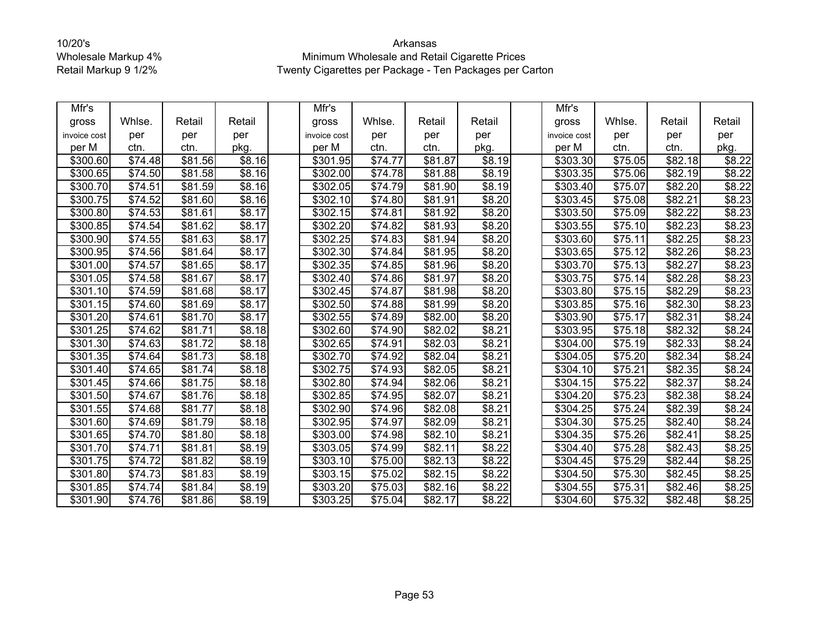| Mfr's                |                     |         |                    | Mfr's                |         |                 |        | Mfr's                |         |         |        |
|----------------------|---------------------|---------|--------------------|----------------------|---------|-----------------|--------|----------------------|---------|---------|--------|
| gross                | Whlse.              | Retail  | Retail             | gross                | Whlse.  | Retail          | Retail | gross                | Whlse.  | Retail  | Retail |
| invoice cost         | per                 | per     | per                | invoice cost         | per     | per             | per    | invoice cost         | per     | per     | per    |
| per M                | ctn.                | ctn.    | pkg.               | per M                | ctn.    | ctn.            | pkg.   | per M                | ctn.    | ctn.    | pkg.   |
| \$300.60             | \$74.48             | \$81.56 | \$8.16             | \$301.95             | \$74.77 | \$81.87         | \$8.19 | \$303.30             | \$75.05 | \$82.18 | \$8.22 |
| \$300.65             | \$74.50             | \$81.58 | $\overline{$8.16}$ | \$302.00             | \$74.78 | \$81.88         | \$8.19 | \$303.35             | \$75.06 | \$82.19 | \$8.22 |
| \$300.70             | \$74.51             | \$81.59 | $\overline{$8.16}$ | \$302.05             | \$74.79 | \$81.90         | \$8.19 | \$303.40             | \$75.07 | \$82.20 | \$8.22 |
| \$300.75             | \$74.52             | \$81.60 | \$8.16             | \$302.10             | \$74.80 | \$81.91         | \$8.20 | \$303.45             | \$75.08 | \$82.21 | \$8.23 |
| \$300.80             | \$74.53             | \$81.61 | \$8.17             | \$302.15             | \$74.81 | \$81.92         | \$8.20 | \$303.50             | \$75.09 | \$82.22 | \$8.23 |
| \$300.85             | \$74.54             | \$81.62 | \$8.17             | \$302.20             | \$74.82 | \$81.93         | \$8.20 | \$303.55             | \$75.10 | \$82.23 | \$8.23 |
| \$300.90             | \$74.55             | \$81.63 | \$8.17             | \$302.25             | \$74.83 | \$81.94         | \$8.20 | \$303.60             | \$75.11 | \$82.25 | \$8.23 |
| \$300.95             | \$74.56             | \$81.64 | \$8.17             | \$302.30             | \$74.84 | \$81.95         | \$8.20 | \$303.65             | \$75.12 | \$82.26 | \$8.23 |
| \$301.00             | \$74.57             | \$81.65 | \$8.17             | \$302.35             | \$74.85 | \$81.96         | \$8.20 | \$303.70             | \$75.13 | \$82.27 | \$8.23 |
| \$301.05             | \$74.58             | \$81.67 | \$8.17             | \$302.40             | \$74.86 | \$81.97         | \$8.20 | \$303.75             | \$75.14 | \$82.28 | \$8.23 |
| \$301.10             | \$74.59             | \$81.68 | \$8.17             | \$302.45             | \$74.87 | \$81.98         | \$8.20 | \$303.80             | \$75.15 | \$82.29 | \$8.23 |
| \$301.15             | \$74.60             | \$81.69 | \$8.17             | \$302.50             | \$74.88 | \$81.99         | \$8.20 | \$303.85             | \$75.16 | \$82.30 | \$8.23 |
| \$301.20             | \$74.61             | \$81.70 | \$8.17             | \$302.55             | \$74.89 | \$82.00         | \$8.20 | \$303.90             | \$75.17 | \$82.31 | \$8.24 |
| \$301.25             | \$74.62             | \$81.71 | \$8.18             | \$302.60             | \$74.90 | \$82.02         | \$8.21 | \$303.95             | \$75.18 | \$82.32 | \$8.24 |
| \$301.30             | \$74.63             | \$81.72 | \$8.18             | \$302.65             | \$74.91 | \$82.03         | \$8.21 | \$304.00             | \$75.19 | \$82.33 | \$8.24 |
| \$301.35             | \$74.64             | \$81.73 | \$8.18             | \$302.70             | \$74.92 | \$82.04         | \$8.21 | \$304.05             | \$75.20 | \$82.34 | \$8.24 |
| \$301.40             | \$74.65             | \$81.74 | \$8.18             | \$302.75             | \$74.93 | \$82.05         | \$8.21 | $\overline{$}304.10$ | \$75.21 | \$82.35 | \$8.24 |
| \$301.45             | \$74.66             | \$81.75 | \$8.18             | \$302.80             | \$74.94 | \$82.06         | \$8.21 | \$304.15             | \$75.22 | \$82.37 | \$8.24 |
| \$301.50             | \$74.67             | \$81.76 | \$8.18             | \$302.85             | \$74.95 | \$82.07         | \$8.21 | \$304.20             | \$75.23 | \$82.38 | \$8.24 |
| \$301.55             | $\sqrt{$74.68}$     | \$81.77 | \$8.18             | \$302.90             | \$74.96 | $\sqrt{$82.08}$ | \$8.21 | \$304.25             | \$75.24 | \$82.39 | \$8.24 |
| \$301.60             | \$74.69             | \$81.79 | \$8.18             | \$302.95             | \$74.97 | \$82.09         | \$8.21 | \$304.30             | \$75.25 | \$82.40 | \$8.24 |
| \$301.65             | \$74.70             | \$81.80 | \$8.18             | \$303.00             | \$74.98 | \$82.10         | \$8.21 | \$304.35             | \$75.26 | \$82.41 | \$8.25 |
| \$301.70             | \$74.71             | \$81.81 | \$8.19             | \$303.05             | \$74.99 | \$82.11         | \$8.22 | \$304.40             | \$75.28 | \$82.43 | \$8.25 |
| \$301.75             | \$74.72             | \$81.82 | \$8.19             | \$303.10             | \$75.00 | \$82.13         | \$8.22 | \$304.45             | \$75.29 | \$82.44 | \$8.25 |
| \$301.80             | $\overline{$}74.73$ | \$81.83 | \$8.19             | \$303.15             | \$75.02 | \$82.15         | \$8.22 | $\sqrt{$}304.50$     | \$75.30 | \$82.45 | \$8.25 |
| \$301.85             | \$74.74             | \$81.84 | \$8.19             | \$303.20             | \$75.03 | \$82.16         | \$8.22 | \$304.55             | \$75.31 | \$82.46 | \$8.25 |
| $\overline{$}301.90$ | \$74.76             | \$81.86 | \$8.19             | $\overline{$}303.25$ | \$75.04 | \$82.17         | \$8.22 | \$304.60             | \$75.32 | \$82.48 | \$8.25 |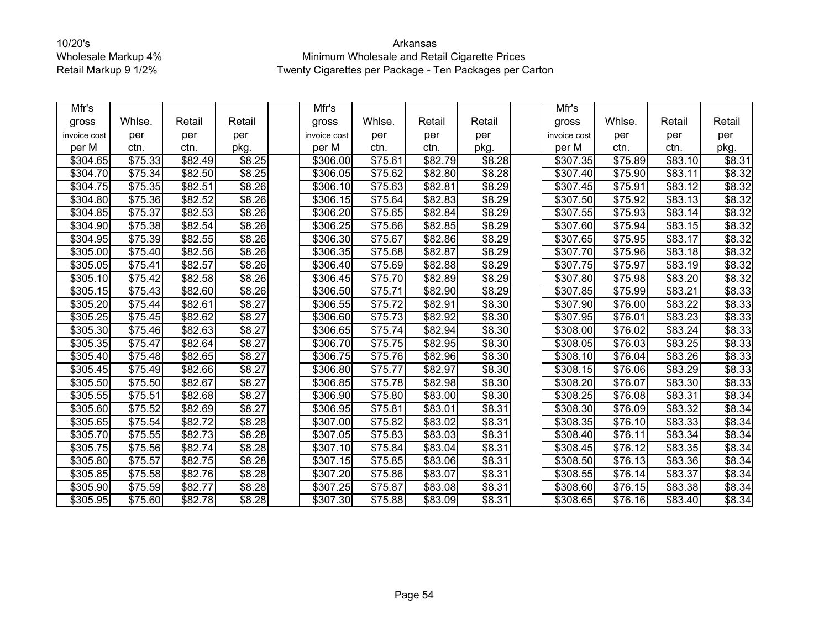| Mfr's        |                     |         |        | Mfr's                |                     |         |        | Mfr's                |         |                     |        |
|--------------|---------------------|---------|--------|----------------------|---------------------|---------|--------|----------------------|---------|---------------------|--------|
| gross        | Whlse.              | Retail  | Retail | gross                | Whlse.              | Retail  | Retail | gross                | Whlse.  | Retail              | Retail |
| invoice cost | per                 | per     | per    | invoice cost         | per                 | per     | per    | invoice cost         | per     | per                 | per    |
| per M        | ctn.                | ctn.    | pkg.   | per M                | ctn.                | ctn.    | pkg.   | per M                | ctn.    | ctn.                | pkg.   |
| \$304.65     | \$75.33             | \$82.49 | \$8.25 | \$306.00             | \$75.61             | \$82.79 | \$8.28 | \$307.35             | \$75.89 | \$83.10             | \$8.31 |
| \$304.70     | $\overline{$}75.34$ | \$82.50 | \$8.25 | $\overline{$}306.05$ | \$75.62             | \$82.80 | \$8.28 | \$307.40             | \$75.90 | \$83.11             | \$8.32 |
| \$304.75     | \$75.35             | \$82.51 | \$8.26 | \$306.10             | \$75.63             | \$82.81 | \$8.29 | \$307.45             | \$75.91 | \$83.12             | \$8.32 |
| \$304.80     | \$75.36             | \$82.52 | \$8.26 | \$306.15             | \$75.64             | \$82.83 | \$8.29 | \$307.50             | \$75.92 | \$83.13             | \$8.32 |
| \$304.85     | \$75.37             | \$82.53 | \$8.26 | \$306.20             | \$75.65             | \$82.84 | \$8.29 | \$307.55             | \$75.93 | \$83.14             | \$8.32 |
| \$304.90     | \$75.38             | \$82.54 | \$8.26 | \$306.25             | \$75.66             | \$82.85 | \$8.29 | \$307.60             | \$75.94 | \$83.15             | \$8.32 |
| \$304.95     | \$75.39             | \$82.55 | \$8.26 | \$306.30             | \$75.67             | \$82.86 | \$8.29 | \$307.65             | \$75.95 | \$83.17             | \$8.32 |
| \$305.00     | \$75.40             | \$82.56 | \$8.26 | \$306.35             | \$75.68             | \$82.87 | \$8.29 | \$307.70             | \$75.96 | \$83.18             | \$8.32 |
| \$305.05     | \$75.41             | \$82.57 | \$8.26 | \$306.40             | \$75.69             | \$82.88 | \$8.29 | \$307.75             | \$75.97 | \$83.19             | \$8.32 |
| \$305.10     | \$75.42             | \$82.58 | \$8.26 | \$306.45             | \$75.70             | \$82.89 | \$8.29 | \$307.80             | \$75.98 | $\overline{$83.20}$ | \$8.32 |
| \$305.15     | \$75.43             | \$82.60 | \$8.26 | \$306.50             | \$75.71             | \$82.90 | \$8.29 | \$307.85             | \$75.99 | \$83.21             | \$8.33 |
| \$305.20     | \$75.44             | \$82.61 | \$8.27 | \$306.55             | \$75.72             | \$82.91 | \$8.30 | \$307.90             | \$76.00 | \$83.22             | \$8.33 |
| \$305.25     | \$75.45             | \$82.62 | \$8.27 | \$306.60             | $\overline{$75.73}$ | \$82.92 | \$8.30 | \$307.95             | \$76.01 | $\overline{$83.23}$ | \$8.33 |
| \$305.30     | \$75.46             | \$82.63 | \$8.27 | \$306.65             | \$75.74             | \$82.94 | \$8.30 | \$308.00             | \$76.02 | \$83.24             | \$8.33 |
| \$305.35     | \$75.47             | \$82.64 | \$8.27 | \$306.70             | \$75.75             | \$82.95 | \$8.30 | \$308.05             | \$76.03 | \$83.25             | \$8.33 |
| \$305.40     | \$75.48             | \$82.65 | \$8.27 | \$306.75             | \$75.76             | \$82.96 | \$8.30 | \$308.10             | \$76.04 | \$83.26             | \$8.33 |
| \$305.45     | \$75.49             | \$82.66 | \$8.27 | \$306.80             | \$75.77             | \$82.97 | \$8.30 | \$308.15             | \$76.06 | \$83.29             | \$8.33 |
| \$305.50     | $\overline{$75.50}$ | \$82.67 | \$8.27 | \$306.85             | \$75.78             | \$82.98 | \$8.30 | \$308.20             | \$76.07 | \$83.30             | \$8.33 |
| \$305.55     | \$75.51             | \$82.68 | \$8.27 | \$306.90             | \$75.80             | \$83.00 | \$8.30 | \$308.25             | \$76.08 | \$83.31             | \$8.34 |
| \$305.60     | \$75.52             | \$82.69 | \$8.27 | \$306.95             | \$75.81             | \$83.01 | \$8.31 | \$308.30             | \$76.09 | \$83.32             | \$8.34 |
| \$305.65     | \$75.54             | \$82.72 | \$8.28 | \$307.00             | \$75.82             | \$83.02 | \$8.31 | \$308.35             | \$76.10 | \$83.33             | \$8.34 |
| \$305.70     | \$75.55             | \$82.73 | \$8.28 | \$307.05             | \$75.83             | \$83.03 | \$8.31 | \$308.40             | \$76.11 | \$83.34             | \$8.34 |
| \$305.75     | \$75.56             | \$82.74 | \$8.28 | \$307.10             | \$75.84             | \$83.04 | \$8.31 | \$308.45             | \$76.12 | \$83.35             | \$8.34 |
| \$305.80     | \$75.57             | \$82.75 | \$8.28 | \$307.15             | \$75.85             | \$83.06 | \$8.31 | \$308.50             | \$76.13 | \$83.36             | \$8.34 |
| \$305.85     | \$75.58             | \$82.76 | \$8.28 | \$307.20             | \$75.86             | \$83.07 | \$8.31 | $\overline{$}308.55$ | \$76.14 | \$83.37             | \$8.34 |
| \$305.90     | \$75.59             | \$82.77 | \$8.28 | \$307.25             | \$75.87             | \$83.08 | \$8.31 | \$308.60             | \$76.15 | \$83.38             | \$8.34 |
| \$305.95     | \$75.60             | \$82.78 | \$8.28 | \$307.30             | \$75.88             | \$83.09 | \$8.31 | \$308.65             | \$76.16 | \$83.40             | \$8.34 |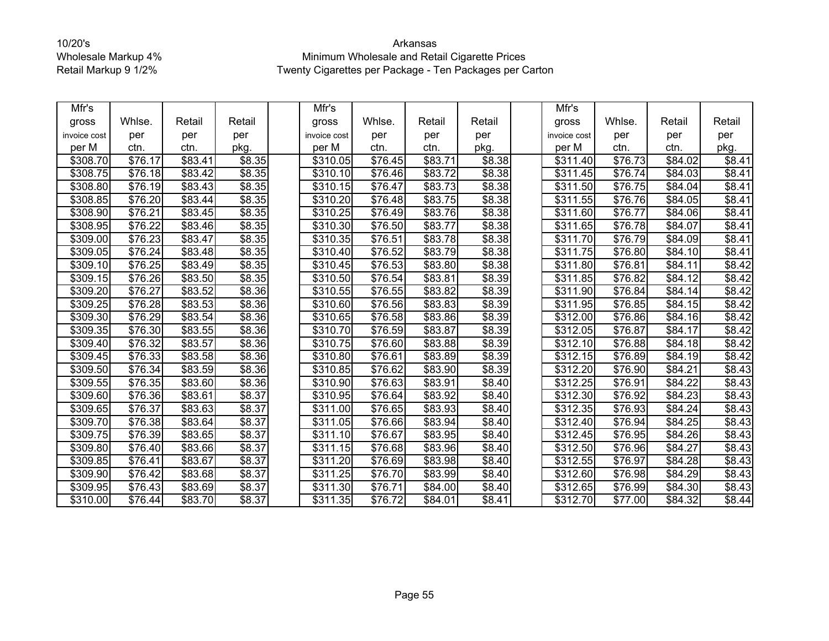| Mfr's                |                     |         |                    | Mfr's                |                     |         |                | Mfr's                |                     |                 |        |
|----------------------|---------------------|---------|--------------------|----------------------|---------------------|---------|----------------|----------------------|---------------------|-----------------|--------|
| gross                | Whlse.              | Retail  | Retail             | gross                | Whlse.              | Retail  | Retail         | gross                | Whlse.              | Retail          | Retail |
| invoice cost         | per                 | per     | per                | invoice cost         | per                 | per     | per            | invoice cost         | per                 | per             | per    |
| per M                | ctn.                | ctn.    | pkg.               | per M                | ctn.                | ctn.    | pkg.           | per M                | ctn.                | ctn.            | pkg.   |
| \$308.70             | \$76.17             | \$83.41 | \$8.35             | \$310.05             | \$76.45             | \$83.71 | \$8.38         | \$311.40             | \$76.73             | \$84.02         | \$8.41 |
| \$308.75             | \$76.18             | \$83.42 | \$8.35             | \$310.10             | \$76.46             | \$83.72 | \$8.38         | \$311.45             | \$76.74             | \$84.03         | \$8.41 |
| \$308.80             | \$76.19             | \$83.43 | \$8.35             | \$310.15             | \$76.47             | \$83.73 | \$8.38         | \$311.50             | \$76.75             | \$84.04         | \$8.41 |
| \$308.85             | \$76.20             | \$83.44 | \$8.35             | \$310.20             | \$76.48             | \$83.75 | \$8.38         | \$311.55             | \$76.76             | \$84.05         | \$8.41 |
| \$308.90             | \$76.21             | \$83.45 | \$8.35             | \$310.25             | \$76.49             | \$83.76 | \$8.38         | \$311.60             | \$76.77             | \$84.06         | \$8.41 |
| \$308.95             | \$76.22             | \$83.46 | \$8.35             | $\overline{$}310.30$ | \$76.50             | \$83.77 | \$8.38         | \$311.65             | \$76.78             | \$84.07         | \$8.41 |
| \$309.00             | \$76.23             | \$83.47 | \$8.35             | \$310.35             | \$76.51             | \$83.78 | \$8.38         | \$311.70             | \$76.79             | \$84.09         | \$8.41 |
| \$309.05             | $\overline{$}76.24$ | \$83.48 | \$8.35             | \$310.40             | \$76.52             | \$83.79 | \$8.38         | \$311.75             | \$76.80             | \$84.10         | \$8.41 |
| \$309.10             | \$76.25             | \$83.49 | \$8.35             | \$310.45             | \$76.53             | \$83.80 | \$8.38         | \$311.80             | \$76.81             | \$84.11         | \$8.42 |
| \$309.15             | \$76.26             | \$83.50 | \$8.35             | \$310.50             | \$76.54             | \$83.81 | \$8.39         | \$311.85             | \$76.82             | \$84.12         | \$8.42 |
| \$309.20             | \$76.27             | \$83.52 | \$8.36             | \$310.55             | \$76.55             | \$83.82 | \$8.39         | \$311.90             | \$76.84             | \$84.14         | \$8.42 |
| \$309.25             | $\overline{$76.28}$ | \$83.53 | \$8.36             | \$310.60             | \$76.56             | \$83.83 | \$8.39         | \$311.95             | $\overline{$}76.85$ | \$84.15         | \$8.42 |
| \$309.30             | $\overline{$}76.29$ | \$83.54 | \$8.36             | $\overline{$}310.65$ | $\overline{$}76.58$ | \$83.86 | \$8.39         | $\sqrt{$312.00}$     | \$76.86             | $\sqrt{$84.16}$ | \$8.42 |
| \$309.35             | \$76.30             | \$83.55 | \$8.36             | \$310.70             | \$76.59             | \$83.87 | \$8.39         | \$312.05             | \$76.87             | \$84.17         | \$8.42 |
| \$309.40             | \$76.32             | \$83.57 | \$8.36             | \$310.75             | \$76.60             | \$83.88 | \$8.39         | \$312.10             | \$76.88             | \$84.18         | \$8.42 |
| \$309.45             | \$76.33             | \$83.58 | $\overline{$8.36}$ | \$310.80             | \$76.61             | \$83.89 | \$8.39         | \$312.15             | \$76.89             | \$84.19         | \$8.42 |
| \$309.50             | \$76.34             | \$83.59 | \$8.36             | \$310.85             | \$76.62             | \$83.90 | \$8.39         | \$312.20             | \$76.90             | \$84.21         | \$8.43 |
| \$309.55             | \$76.35             | \$83.60 | \$8.36             | \$310.90             | \$76.63             | \$83.91 | \$8.40         | \$312.25             | \$76.91             | \$84.22         | \$8.43 |
| \$309.60             | \$76.36             | \$83.61 | \$8.37             | \$310.95             | \$76.64             | \$83.92 | \$8.40         | \$312.30             | \$76.92             | \$84.23         | \$8.43 |
| \$309.65             | \$76.37             | \$83.63 | \$8.37             | \$311.00             | \$76.65             | \$83.93 | \$8.40         | $\overline{$}312.35$ | \$76.93             | $\sqrt{$84.24}$ | \$8.43 |
| \$309.70             | \$76.38             | \$83.64 | \$8.37             | \$311.05             | \$76.66             | \$83.94 | \$8.40         | \$312.40             | $\overline{$}76.94$ | \$84.25         | \$8.43 |
| \$309.75             | \$76.39             | \$83.65 | \$8.37             | \$311.10             | \$76.67             | \$83.95 | $\sqrt{$8.40}$ | \$312.45             | \$76.95             | \$84.26         | \$8.43 |
| \$309.80             | \$76.40             | \$83.66 | \$8.37             | \$311.15             | \$76.68             | \$83.96 | \$8.40         | \$312.50             | \$76.96             | \$84.27         | \$8.43 |
| \$309.85             | \$76.41             | \$83.67 | \$8.37             | \$311.20             | \$76.69             | \$83.98 | \$8.40         | \$312.55             | \$76.97             | \$84.28         | \$8.43 |
| \$309.90             | \$76.42             | \$83.68 | $\overline{$8.37}$ | 3311.25              | $\frac{1}{100}$ 70  | \$83.99 | \$8.40         | $\overline{$}312.60$ | \$76.98             | $\sqrt{$84.29}$ | \$8.43 |
| \$309.95             | \$76.43             | \$83.69 | \$8.37             | \$311.30             | \$76.71             | \$84.00 | \$8.40         | \$312.65             | \$76.99             | \$84.30         | \$8.43 |
| $\overline{$}310.00$ | \$76.44             | \$83.70 | \$8.37             | \$311.35             | \$76.72             | \$84.01 | \$8.41         | \$312.70             | \$77.00             | \$84.32         | \$8.44 |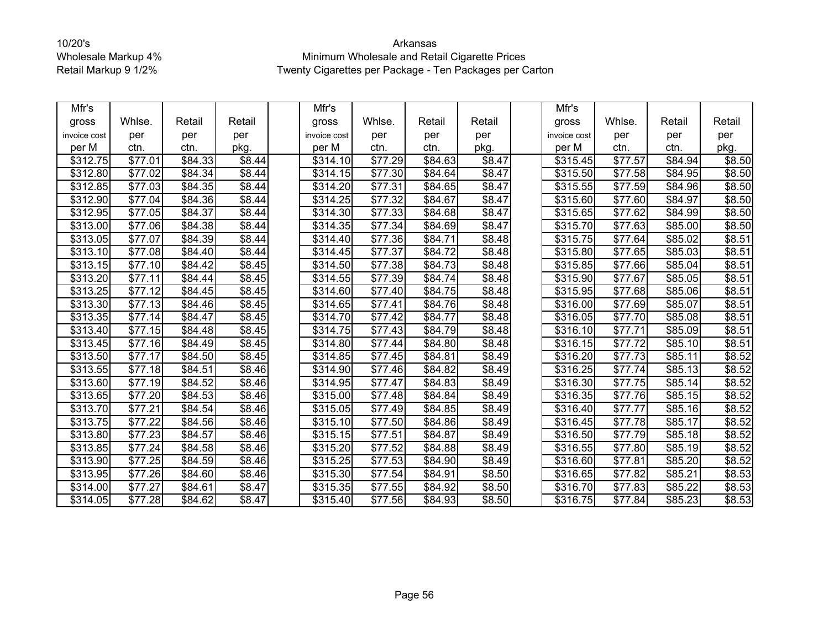| Mfr's        |                     |         |                    | Mfr's                |                     |                     |                    | Mfr's                |                     |         |        |
|--------------|---------------------|---------|--------------------|----------------------|---------------------|---------------------|--------------------|----------------------|---------------------|---------|--------|
| gross        | Whlse.              | Retail  | Retail             | gross                | Whlse.              | Retail              | Retail             | gross                | Whlse.              | Retail  | Retail |
| invoice cost | per                 | per     | per                | invoice cost         | per                 | per                 | per                | invoice cost         | per                 | per     | per    |
| per M        | ctn.                | ctn.    | pkg.               | per M                | ctn.                | ctn.                | pkg.               | per M                | ctn.                | ctn.    | pkg.   |
| \$312.75     | \$77.01             | \$84.33 | \$8.44             | \$314.10             | \$77.29             | \$84.63             | \$8.47             | \$315.45             | \$77.57             | \$84.94 | \$8.50 |
| \$312.80     | \$77.02             | \$84.34 | \$8.44             | \$314.15             | \$77.30             | \$84.64             | \$8.47             | \$315.50             | \$77.58             | \$84.95 | \$8.50 |
| \$312.85     | $\overline{$}77.03$ | \$84.35 | \$8.44             | $\overline{$}314.20$ | \$77.31             | \$84.65             | \$8.47             | $\overline{$}315.55$ | $\overline{$}77.59$ | \$84.96 | \$8.50 |
| \$312.90     | \$77.04             | \$84.36 | $\sqrt{$8.44}$     | \$314.25             | \$77.32             | \$84.67             | \$8.47             | \$315.60             | \$77.60             | \$84.97 | \$8.50 |
| \$312.95     | \$77.05             | \$84.37 | \$8.44             | \$314.30             | \$77.33             | \$84.68             | \$8.47             | \$315.65             | \$77.62             | \$84.99 | \$8.50 |
| \$313.00     | \$77.06             | \$84.38 | \$8.44             | \$314.35             | \$77.34             | \$84.69             | \$8.47             | \$315.70             | \$77.63             | \$85.00 | \$8.50 |
| \$313.05     | \$77.07             | \$84.39 | \$8.44             | \$314.40             | \$77.36             | \$84.71             | \$8.48             | \$315.75             | \$77.64             | \$85.02 | \$8.51 |
| \$313.10     | \$77.08             | \$84.40 | \$8.44             | \$314.45             | \$77.37             | \$84.72             | \$8.48             | \$315.80             | \$77.65             | \$85.03 | \$8.51 |
| \$313.15     | \$77.10             | \$84.42 | \$8.45             | \$314.50             | \$77.38             | \$84.73             | \$8.48             | \$315.85             | \$77.66             | \$85.04 | \$8.51 |
| \$313.20     | \$77.11             | \$84.44 | \$8.45             | \$314.55             | $\overline{$}77.39$ | $\sqrt{$84.74}$     | \$8.48             | \$315.90             | \$77.67             | \$85.05 | \$8.51 |
| \$313.25     | \$77.12             | \$84.45 | \$8.45             | \$314.60             | \$77.40             | \$84.75             | \$8.48             | \$315.95             | \$77.68             | \$85.06 | \$8.51 |
| \$313.30     | \$77.13             | \$84.46 | \$8.45             | \$314.65             | $\overline{$}77.41$ | \$84.76             | \$8.48             | \$316.00             | \$77.69             | \$85.07 | \$8.51 |
| \$313.35     | $\overline{$77.14}$ | \$84.47 | $\overline{$8.45}$ | $\sqrt{$314.70}$     | $\overline{$}77.42$ | \$84.77             | $\overline{$8.48}$ | $\overline{$}316.05$ | $\overline{$}77.70$ | \$85.08 | \$8.51 |
| \$313.40     | \$77.15             | \$84.48 | \$8.45             | \$314.75             | \$77.43             | \$84.79             | \$8.48             | \$316.10             | \$77.71             | \$85.09 | \$8.51 |
| \$313.45     | \$77.16             | \$84.49 | \$8.45             | \$314.80             | \$77.44             | $\overline{$84.80}$ | \$8.48             | \$316.15             | \$77.72             | \$85.10 | \$8.51 |
| \$313.50     | \$77.17             | \$84.50 | \$8.45             | \$314.85             | $\overline{$}77.45$ | \$84.81             | \$8.49             | \$316.20             | \$77.73             | \$85.11 | \$8.52 |
| 3313.55      | \$77.18             | \$84.51 | \$8.46             | \$314.90             | \$77.46             | \$84.82             | \$8.49             | \$316.25             | \$77.74             | \$85.13 | \$8.52 |
| \$313.60     | \$77.19             | \$84.52 | \$8.46             | \$314.95             | \$77.47             | \$84.83             | \$8.49             | $\overline{$}316.30$ | \$77.75             | \$85.14 | \$8.52 |
| \$313.65     | \$77.20             | \$84.53 | \$8.46             | \$315.00             | \$77.48             | \$84.84             | \$8.49             | \$316.35             | \$77.76             | \$85.15 | \$8.52 |
| \$313.70     | \$77.21             | \$84.54 | \$8.46             | \$315.05             | \$77.49             | \$84.85             | \$8.49             | \$316.40             | \$77.77             | \$85.16 | \$8.52 |
| \$313.75     | \$77.22             | \$84.56 | \$8.46             | \$315.10             | \$77.50             | \$84.86             | \$8.49             | \$316.45             | \$77.78             | \$85.17 | \$8.52 |
| \$313.80     | \$77.23             | \$84.57 | \$8.46             | \$315.15             | \$77.51             | \$84.87             | \$8.49             | $\overline{$}316.50$ | \$77.79             | \$85.18 | \$8.52 |
| \$313.85     | \$77.24             | \$84.58 | \$8.46             | \$315.20             | \$77.52             | \$84.88             | \$8.49             | \$316.55             | \$77.80             | \$85.19 | \$8.52 |
| \$313.90     | \$77.25             | \$84.59 | \$8.46             | \$315.25             | \$77.53             | \$84.90             | \$8.49             | \$316.60             | \$77.81             | \$85.20 | \$8.52 |
| \$313.95     | $\overline{$}77.26$ | \$84.60 | \$8.46             | \$315.30             | \$77.54             | \$84.91             | \$8.50             | \$316.65             | \$77.82             | \$85.21 | \$8.53 |
| \$314.00     | \$77.27             | \$84.61 | \$8.47             | \$315.35             | \$77.55             | \$84.92             | \$8.50             | \$316.70             | \$77.83             | \$85.22 | \$8.53 |
| \$314.05     | \$77.28             | \$84.62 | \$8.47             | \$315.40             | \$77.56             | \$84.93             | \$8.50             | \$316.75             | \$77.84             | \$85.23 | \$8.53 |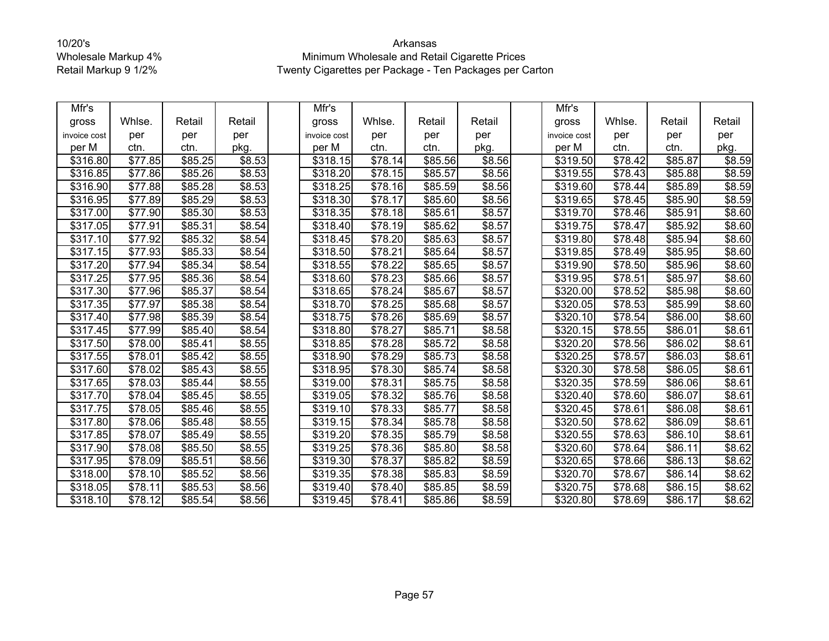| Mfr's        |                     |                     |                    | Mfr's                |                     |         |                    | Mfr's                |                     |         |        |
|--------------|---------------------|---------------------|--------------------|----------------------|---------------------|---------|--------------------|----------------------|---------------------|---------|--------|
| gross        | Whlse.              | Retail              | Retail             | gross                | Whlse.              | Retail  | Retail             | gross                | Whlse.              | Retail  | Retail |
| invoice cost | per                 | per                 | per                | invoice cost         | per                 | per     | per                | invoice cost         | per                 | per     | per    |
| per M        | ctn.                | ctn.                | pkg.               | per M                | ctn.                | ctn.    | pkg.               | per M                | ctn.                | ctn.    | pkg.   |
| \$316.80     | \$77.85             | \$85.25             | \$8.53             | \$318.15             | \$78.14             | \$85.56 | \$8.56             | \$319.50             | \$78.42             | \$85.87 | \$8.59 |
| \$316.85     | \$77.86             | \$85.26             | \$8.53             | \$318.20             | \$78.15             | \$85.57 | \$8.56             | \$319.55             | \$78.43             | \$85.88 | \$8.59 |
| \$316.90     | \$77.88             | \$85.28             | \$8.53             | $\overline{$}318.25$ | \$78.16             | \$85.59 | \$8.56             | \$319.60             | \$78.44             | \$85.89 | \$8.59 |
| \$316.95     | \$77.89             | \$85.29             | \$8.53             | \$318.30             | \$78.17             | \$85.60 | \$8.56             | \$319.65             | \$78.45             | \$85.90 | \$8.59 |
| \$317.00     | \$77.90             | \$85.30             | \$8.53             | \$318.35             | \$78.18             | \$85.61 | \$8.57             | \$319.70             | \$78.46             | \$85.91 | \$8.60 |
| \$317.05     | \$77.91             | \$85.31             | \$8.54             | \$318.40             | \$78.19             | \$85.62 | \$8.57             | \$319.75             | \$78.47             | \$85.92 | \$8.60 |
| \$317.10     | \$77.92             | \$85.32             | \$8.54             | \$318.45             | \$78.20             | \$85.63 | $\overline{$8.57}$ | \$319.80             | \$78.48             | \$85.94 | \$8.60 |
| \$317.15     | \$77.93             | $\overline{$85.33}$ | \$8.54             | \$318.50             | \$78.21             | \$85.64 | \$8.57             | \$319.85             | \$78.49             | \$85.95 | \$8.60 |
| \$317.20     | \$77.94             | \$85.34             | \$8.54             | \$318.55             | \$78.22             | \$85.65 | \$8.57             | \$319.90             | \$78.50             | \$85.96 | \$8.60 |
| \$317.25     | \$77.95             | \$85.36             | \$8.54             | \$318.60             | \$78.23             | \$85.66 | \$8.57             | \$319.95             | \$78.51             | \$85.97 | \$8.60 |
| \$317.30     | \$77.96             | \$85.37             | \$8.54             | \$318.65             | \$78.24             | \$85.67 | \$8.57             | \$320.00             | \$78.52             | \$85.98 | \$8.60 |
| \$317.35     | \$77.97             | \$85.38             | \$8.54             | \$318.70             | \$78.25             | \$85.68 | \$8.57             | \$320.05             | \$78.53             | \$85.99 | \$8.60 |
| \$317.40     | $\overline{$}77.98$ | \$85.39             | \$8.54             | $\overline{$}318.75$ | $\overline{$78.26}$ | \$85.69 | \$8.57             | \$320.10             | $\overline{$78.54}$ | \$86.00 | \$8.60 |
| \$317.45     | \$77.99             | \$85.40             | \$8.54             | \$318.80             | \$78.27             | \$85.71 | \$8.58             | \$320.15             | \$78.55             | \$86.01 | \$8.61 |
| \$317.50     | \$78.00             | \$85.41             | \$8.55             | \$318.85             | \$78.28             | \$85.72 | \$8.58             | \$320.20             | \$78.56             | \$86.02 | \$8.61 |
| \$317.55     | \$78.01             | \$85.42             | \$8.55             | \$318.90             | \$78.29             | \$85.73 | \$8.58             | \$320.25             | \$78.57             | \$86.03 | \$8.61 |
| \$317.60     | \$78.02             | \$85.43             | \$8.55             | \$318.95             | \$78.30             | \$85.74 | \$8.58             | \$320.30             | \$78.58             | \$86.05 | \$8.61 |
| \$317.65     | \$78.03             | \$85.44             | $\overline{$8.55}$ | \$319.00             | \$78.31             | \$85.75 | \$8.58             | \$320.35             | \$78.59             | \$86.06 | \$8.61 |
| \$317.70     | \$78.04             | \$85.45             | \$8.55             | \$319.05             | \$78.32             | \$85.76 | \$8.58             | \$320.40             | \$78.60             | \$86.07 | \$8.61 |
| \$317.75     | \$78.05             | \$85.46             | \$8.55             | \$319.10             | \$78.33             | \$85.77 | \$8.58             | \$320.45             | \$78.61             | \$86.08 | \$8.61 |
| \$317.80     | \$78.06             | \$85.48             | \$8.55             | \$319.15             | \$78.34             | \$85.78 | \$8.58             | \$320.50             | \$78.62             | \$86.09 | \$8.61 |
| \$317.85     | \$78.07             | \$85.49             | \$8.55             | \$319.20             | \$78.35             | \$85.79 | \$8.58             | $\overline{$}320.55$ | \$78.63             | \$86.10 | \$8.61 |
| \$317.90     | \$78.08             | \$85.50             | \$8.55             | \$319.25             | \$78.36             | \$85.80 | \$8.58             | \$320.60             | \$78.64             | \$86.11 | \$8.62 |
| \$317.95     | \$78.09             | \$85.51             | \$8.56             | \$319.30             | \$78.37             | \$85.82 | \$8.59             | \$320.65             | \$78.66             | \$86.13 | \$8.62 |
| \$318.00     | \$78.10             | \$85.52             | \$8.56             | \$319.35             | \$78.38             | \$85.83 | \$8.59             | \$320.70             | \$78.67             | \$86.14 | \$8.62 |
| \$318.05     | \$78.11             | \$85.53             | \$8.56             | \$319.40             | \$78.40             | \$85.85 | \$8.59             | \$320.75             | \$78.68             | \$86.15 | \$8.62 |
| \$318.10     | \$78.12             | \$85.54             | \$8.56             | \$319.45             | \$78.41             | \$85.86 | \$8.59             | \$320.80             | \$78.69             | \$86.17 | \$8.62 |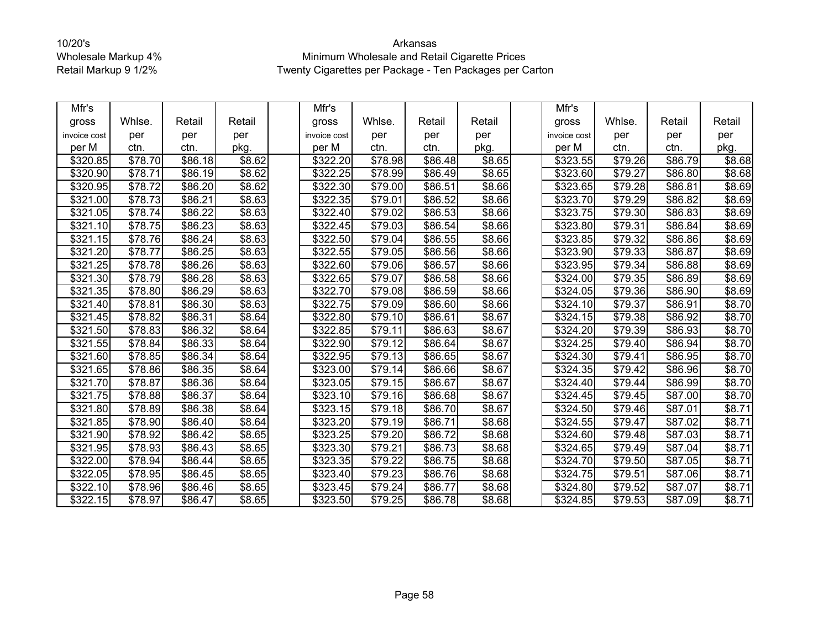| Mfr's                |                       |                     |                    | Mfr's        |                     |         |        | Mfr's            |                     |         |        |
|----------------------|-----------------------|---------------------|--------------------|--------------|---------------------|---------|--------|------------------|---------------------|---------|--------|
| gross                | Whlse.                | Retail              | Retail             | gross        | Whlse.              | Retail  | Retail | gross            | Whlse.              | Retail  | Retail |
| invoice cost         | per                   | per                 | per                | invoice cost | per                 | per     | per    | invoice cost     | per                 | per     | per    |
| per M                | ctn.                  | ctn.                | pkg.               | per M        | ctn.                | ctn.    | pkg.   | per M            | ctn.                | ctn.    | pkg.   |
| \$320.85             | \$78.70               | \$86.18             | $\overline{$8.62}$ | \$322.20     | \$78.98             | \$86.48 | \$8.65 | \$323.55         | \$79.26             | \$86.79 | \$8.68 |
| \$320.90             | \$78.71               | \$86.19             | \$8.62             | \$322.25     | \$78.99             | \$86.49 | \$8.65 | \$323.60         | \$79.27             | \$86.80 | \$8.68 |
| \$320.95             | \$78.72               | \$86.20             | \$8.62             | \$322.30     | \$79.00             | \$86.51 | \$8.66 | \$323.65         | \$79.28             | \$86.81 | \$8.69 |
| \$321.00             | \$78.73               | \$86.21             | \$8.63             | \$322.35     | \$79.01             | \$86.52 | \$8.66 | \$323.70         | \$79.29             | \$86.82 | \$8.69 |
| \$321.05             | \$78.74               | \$86.22             | \$8.63             | \$322.40     | \$79.02             | \$86.53 | \$8.66 | \$323.75         | \$79.30             | \$86.83 | \$8.69 |
| \$321.10             | \$78.75               | \$86.23             | \$8.63             | \$322.45     | \$79.03             | \$86.54 | \$8.66 | \$323.80         | \$79.31             | \$86.84 | \$8.69 |
| \$321.15             | \$78.76               | \$86.24             | \$8.63             | \$322.50     | \$79.04             | \$86.55 | \$8.66 | \$323.85         | \$79.32             | \$86.86 | \$8.69 |
| \$321.20             | \$78.77               | $\overline{$86.25}$ | \$8.63             | \$322.55     | \$79.05             | \$86.56 | \$8.66 | \$323.90         | \$79.33             | \$86.87 | \$8.69 |
| \$321.25             | \$78.78               | \$86.26             | \$8.63             | \$322.60     | \$79.06             | \$86.57 | \$8.66 | \$323.95         | \$79.34             | \$86.88 | \$8.69 |
| \$321.30             | \$78.79               | \$86.28             | \$8.63             | \$322.65     | \$79.07             | \$86.58 | \$8.66 | \$324.00         | $\overline{$79.35}$ | \$86.89 | \$8.69 |
| \$321.35             | \$78.80               | \$86.29             | \$8.63             | \$322.70     | \$79.08             | \$86.59 | \$8.66 | \$324.05         | \$79.36             | \$86.90 | \$8.69 |
| \$321.40             | $\overline{$78.81}$   | \$86.30             | \$8.63             | \$322.75     | $\sqrt{$79.09}$     | \$86.60 | \$8.66 | \$324.10         | \$79.37             | \$86.91 | \$8.70 |
| \$321.45             | $\frac{1}{1}$ \$78.82 | \$86.31             | \$8.64             | \$322.80     | $\overline{$79.10}$ | \$86.61 | \$8.67 | \$324.15         | $\overline{$79.38}$ | \$86.92 | \$8.70 |
| \$321.50             | \$78.83               | \$86.32             | \$8.64             | \$322.85     | \$79.11             | \$86.63 | \$8.67 | \$324.20         | \$79.39             | \$86.93 | \$8.70 |
| \$321.55             | \$78.84               | \$86.33             | \$8.64             | \$322.90     | \$79.12             | \$86.64 | \$8.67 | \$324.25         | \$79.40             | \$86.94 | \$8.70 |
| \$321.60             | \$78.85               | \$86.34             | \$8.64             | \$322.95     | \$79.13             | \$86.65 | \$8.67 | \$324.30         | \$79.41             | \$86.95 | \$8.70 |
| \$321.65             | \$78.86               | \$86.35             | \$8.64             | \$323.00     | \$79.14             | \$86.66 | \$8.67 | \$324.35         | \$79.42             | \$86.96 | \$8.70 |
| \$321.70             | \$78.87               | \$86.36             | \$8.64             | \$323.05     | \$79.15             | \$86.67 | \$8.67 | $\sqrt{$324.40}$ | \$79.44             | \$86.99 | \$8.70 |
| \$321.75             | \$78.88               | \$86.37             | \$8.64             | \$323.10     | \$79.16             | \$86.68 | \$8.67 | \$324.45         | \$79.45             | \$87.00 | \$8.70 |
| \$321.80             | \$78.89               | \$86.38             | \$8.64             | \$323.15     | \$79.18             | \$86.70 | \$8.67 | \$324.50         | \$79.46             | \$87.01 | \$8.71 |
| \$321.85             | \$78.90               | \$86.40             | \$8.64             | \$323.20     | \$79.19             | \$86.71 | \$8.68 | \$324.55         | \$79.47             | \$87.02 | \$8.71 |
| \$321.90             | \$78.92               | \$86.42             | \$8.65             | \$323.25     | \$79.20             | \$86.72 | \$8.68 | \$324.60         | \$79.48             | \$87.03 | \$8.71 |
| \$321.95             | \$78.93               | \$86.43             | \$8.65             | \$323.30     | \$79.21             | \$86.73 | \$8.68 | \$324.65         | \$79.49             | \$87.04 | \$8.71 |
| \$322.00             | \$78.94               | \$86.44             | \$8.65             | \$323.35     | \$79.22             | \$86.75 | \$8.68 | \$324.70         | \$79.50             | \$87.05 | \$8.71 |
| \$322.05             | \$78.95               | \$86.45             | \$8.65             | \$323.40     | \$79.23             | \$86.76 | \$8.68 | \$324.75         | \$79.51             | \$87.06 | \$8.71 |
| \$322.10             | \$78.96               | \$86.46             | \$8.65             | \$323.45     | \$79.24             | \$86.77 | \$8.68 | \$324.80         | \$79.52             | \$87.07 | \$8.71 |
| $\overline{$}322.15$ | \$78.97               | \$86.47             | \$8.65             | \$323.50     | \$79.25             | \$86.78 | \$8.68 | \$324.85         | \$79.53             | \$87.09 | \$8.71 |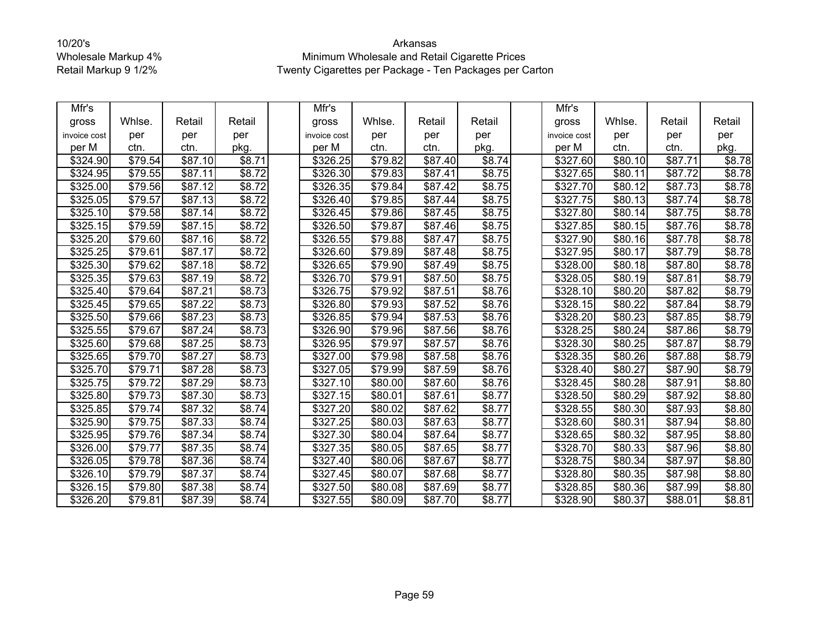| Mfr's        |         |                     |                | Mfr's                |                     |                     |        | Mfr's        |                     |                     |                    |
|--------------|---------|---------------------|----------------|----------------------|---------------------|---------------------|--------|--------------|---------------------|---------------------|--------------------|
| gross        | Whlse.  | Retail              | Retail         | gross                | Whlse.              | Retail              | Retail | gross        | Whlse.              | Retail              | Retail             |
| invoice cost | per     | per                 | per            | invoice cost         | per                 | per                 | per    | invoice cost | per                 | per                 | per                |
| per M        | ctn.    | ctn.                | pkg.           | per M                | ctn.                | ctn.                | pkg.   | per M        | ctn.                | ctn.                | pkg.               |
| \$324.90     | \$79.54 | \$87.10             | \$8.71         | \$326.25             | \$79.82             | \$87.40             | \$8.74 | \$327.60     | \$80.10             | \$87.71             | \$8.78             |
| \$324.95     | \$79.55 | \$87.11             | \$8.72         | \$326.30             | \$79.83             | \$87.41             | \$8.75 | \$327.65     | \$80.11             | \$87.72             | \$8.78             |
| \$325.00     | \$79.56 | \$87.12             | \$8.72         | \$326.35             | \$79.84             | \$87.42             | \$8.75 | \$327.70     | \$80.12             | $\overline{$87.73}$ | \$8.78             |
| \$325.05     | \$79.57 | \$87.13             | \$8.72         | \$326.40             | \$79.85             | \$87.44             | \$8.75 | \$327.75     | \$80.13             | \$87.74             | \$8.78             |
| \$325.10     | \$79.58 | \$87.14             | \$8.72         | \$326.45             | \$79.86             | \$87.45             | \$8.75 | \$327.80     | \$80.14             | \$87.75             | \$8.78             |
| \$325.15     | \$79.59 | \$87.15             | \$8.72         | \$326.50             | \$79.87             | \$87.46             | \$8.75 | \$327.85     | \$80.15             | \$87.76             | \$8.78             |
| \$325.20     | \$79.60 | \$87.16             | \$8.72         | \$326.55             | $\overline{$}79.88$ | \$87.47             | \$8.75 | \$327.90     | \$80.16             | \$87.78             | \$8.78             |
| \$325.25     | \$79.61 | \$87.17             | \$8.72         | \$326.60             | \$79.89             | \$87.48             | \$8.75 | \$327.95     | \$80.17             | \$87.79             | \$8.78             |
| \$325.30     | \$79.62 | \$87.18             | \$8.72         | \$326.65             | \$79.90             | \$87.49             | \$8.75 | \$328.00     | \$80.18             | \$87.80             | \$8.78             |
| \$325.35     | \$79.63 | \$87.19             | \$8.72         | \$326.70             | \$79.91             | $\overline{$87.50}$ | \$8.75 | \$328.05     | \$80.19             | \$87.81             | \$8.79             |
| \$325.40     | \$79.64 | \$87.21             | \$8.73         | \$326.75             | \$79.92             | \$87.51             | \$8.76 | \$328.10     | \$80.20             | \$87.82             | \$8.79             |
| \$325.45     | \$79.65 | \$87.22             | \$8.73         | \$326.80             | \$79.93             | \$87.52             | \$8.76 | \$328.15     | $\overline{$80.22}$ | \$87.84             | \$8.79             |
| \$325.50     | \$79.66 | $\overline{$87.23}$ | \$8.73         | $\overline{$}326.85$ | $\overline{$}79.94$ | \$87.53             | \$8.76 | \$328.20     | \$80.23             | \$87.85             | \$8.79             |
| \$325.55     | \$79.67 | \$87.24             | \$8.73         | \$326.90             | \$79.96             | \$87.56             | \$8.76 | \$328.25     | \$80.24             | \$87.86             | \$8.79             |
| \$325.60     | \$79.68 | \$87.25             | \$8.73         | \$326.95             | \$79.97             | \$87.57             | \$8.76 | \$328.30     | \$80.25             | \$87.87             | \$8.79             |
| \$325.65     | \$79.70 | \$87.27             | \$8.73         | \$327.00             | \$79.98             | \$87.58             | \$8.76 | \$328.35     | \$80.26             | \$87.88             | \$8.79             |
| \$325.70     | \$79.71 | \$87.28             | \$8.73         | \$327.05             | \$79.99             | \$87.59             | \$8.76 | \$328.40     | \$80.27             | \$87.90             | \$8.79             |
| \$325.75     | \$79.72 | \$87.29             | $\sqrt{$8.73}$ | \$327.10             | \$80.00             | $\overline{$87.60}$ | \$8.76 | \$328.45     | \$80.28             | \$87.91             | $\overline{$8.80}$ |
| \$325.80     | \$79.73 | \$87.30             | \$8.73         | \$327.15             | \$80.01             | \$87.61             | \$8.77 | \$328.50     | \$80.29             | \$87.92             | \$8.80             |
| \$325.85     | \$79.74 | \$87.32             | \$8.74         | \$327.20             | \$80.02             | \$87.62             | \$8.77 | \$328.55     | \$80.30             | \$87.93             | \$8.80             |
| \$325.90     | \$79.75 | \$87.33             | \$8.74         | \$327.25             | \$80.03             | \$87.63             | \$8.77 | \$328.60     | \$80.31             | \$87.94             | \$8.80             |
| \$325.95     | \$79.76 | \$87.34             | \$8.74         | \$327.30             | \$80.04             | \$87.64             | \$8.77 | \$328.65     | \$80.32             | \$87.95             | \$8.80             |
| \$326.00     | \$79.77 | \$87.35             | \$8.74         | \$327.35             | \$80.05             | \$87.65             | \$8.77 | \$328.70     | \$80.33             | \$87.96             | \$8.80             |
| \$326.05     | \$79.78 | \$87.36             | \$8.74         | \$327.40             | \$80.06             | \$87.67             | \$8.77 | \$328.75     | \$80.34             | \$87.97             | \$8.80             |
| \$326.10     | \$79.79 | \$87.37             | \$8.74         | \$327.45             | \$80.07             | \$87.68             | \$8.77 | \$328.80     | \$80.35             | \$87.98             | \$8.80             |
| \$326.15     | \$79.80 | \$87.38             | \$8.74         | \$327.50             | \$80.08             | \$87.69             | \$8.77 | \$328.85     | \$80.36             | \$87.99             | \$8.80             |
| \$326.20     | \$79.81 | \$87.39             | \$8.74         | \$327.55             | \$80.09             | \$87.70             | \$8.77 | \$328.90     | \$80.37             | \$88.01             | \$8.81             |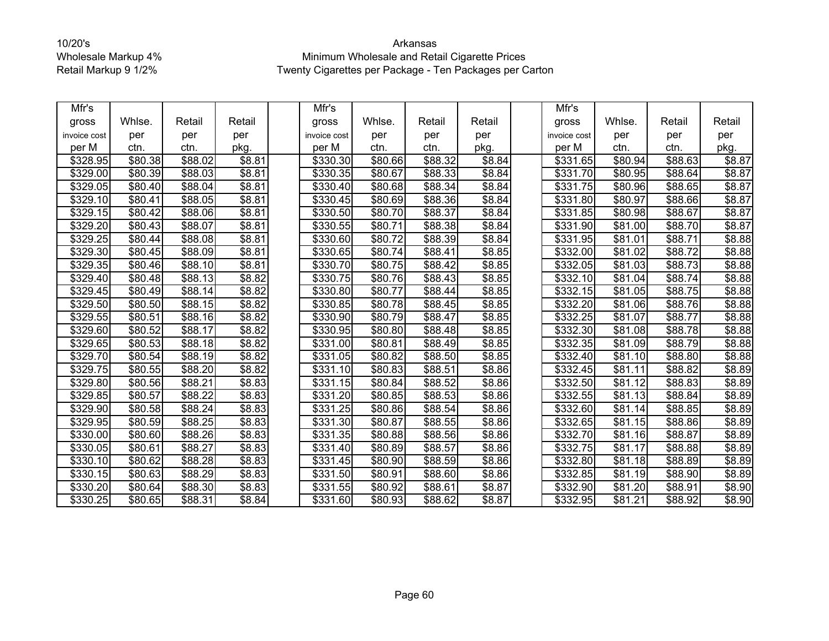| Mfr's        |         |         |                | Mfr's        |         |         |        | Mfr's                |                     |                     |        |
|--------------|---------|---------|----------------|--------------|---------|---------|--------|----------------------|---------------------|---------------------|--------|
| gross        | Whlse.  | Retail  | Retail         | gross        | Whlse.  | Retail  | Retail | gross                | Whlse.              | Retail              | Retail |
| invoice cost | per     | per     | per            | invoice cost | per     | per     | per    | invoice cost         | per                 | per                 | per    |
| per M        | ctn.    | ctn.    | pkg.           | per M        | ctn.    | ctn.    | pkg.   | per M                | ctn.                | ctn.                | pkg.   |
| \$328.95     | \$80.38 | \$88.02 | \$8.81         | \$330.30     | \$80.66 | \$88.32 | \$8.84 | \$331.65             | \$80.94             | \$88.63             | \$8.87 |
| \$329.00     | \$80.39 | \$88.03 | \$8.81         | \$330.35     | \$80.67 | \$88.33 | \$8.84 | \$331.70             | \$80.95             | \$88.64             | \$8.87 |
| \$329.05     | \$80.40 | \$88.04 | \$8.81         | \$330.40     | \$80.68 | \$88.34 | \$8.84 | \$331.75             | \$80.96             | \$88.65             | \$8.87 |
| \$329.10     | \$80.41 | \$88.05 | \$8.81         | \$330.45     | \$80.69 | \$88.36 | \$8.84 | \$331.80             | \$80.97             | \$88.66             | \$8.87 |
| \$329.15     | \$80.42 | \$88.06 | \$8.81         | \$330.50     | \$80.70 | \$88.37 | \$8.84 | \$331.85             | \$80.98             | \$88.67             | \$8.87 |
| \$329.20     | \$80.43 | \$88.07 | \$8.81         | \$330.55     | \$80.71 | \$88.38 | \$8.84 | \$331.90             | \$81.00             | \$88.70             | \$8.87 |
| \$329.25     | \$80.44 | \$88.08 | \$8.81         | \$330.60     | \$80.72 | \$88.39 | \$8.84 | \$331.95             | \$81.01             | \$88.71             | \$8.88 |
| \$329.30     | \$80.45 | \$88.09 | \$8.81         | \$330.65     | \$80.74 | \$88.41 | \$8.85 | \$332.00             | \$81.02             | \$88.72             | \$8.88 |
| \$329.35     | \$80.46 | \$88.10 | \$8.81         | \$330.70     | \$80.75 | \$88.42 | \$8.85 | \$332.05             | \$81.03             | \$88.73             | \$8.88 |
| \$329.40     | \$80.48 | \$88.13 | \$8.82         | \$330.75     | \$80.76 | \$88.43 | \$8.85 | \$332.10             | \$81.04             | $\overline{$88.74}$ | \$8.88 |
| \$329.45     | \$80.49 | \$88.14 | \$8.82         | \$330.80     | \$80.77 | \$88.44 | \$8.85 | \$332.15             | \$81.05             | \$88.75             | \$8.88 |
| \$329.50     | \$80.50 | \$88.15 | \$8.82         | \$330.85     | \$80.78 | \$88.45 | \$8.85 | \$332.20             | \$81.06             | \$88.76             | \$8.88 |
| \$329.55     | \$80.51 | \$88.16 | $\sqrt{$8.82}$ | \$330.90     | \$80.79 | \$88.47 | \$8.85 | \$332.25             | \$81.07             | \$88.77             | \$8.88 |
| \$329.60     | \$80.52 | \$88.17 | \$8.82         | \$330.95     | \$80.80 | \$88.48 | \$8.85 | \$332.30             | \$81.08             | \$88.78             | \$8.88 |
| \$329.65     | \$80.53 | \$88.18 | \$8.82         | \$331.00     | \$80.81 | \$88.49 | \$8.85 | \$332.35             | \$81.09             | \$88.79             | \$8.88 |
| \$329.70     | \$80.54 | \$88.19 | \$8.82         | \$331.05     | \$80.82 | \$88.50 | \$8.85 | \$332.40             | \$81.10             | \$88.80             | \$8.88 |
| \$329.75     | \$80.55 | \$88.20 | \$8.82         | \$331.10     | \$80.83 | \$88.51 | \$8.86 | \$332.45             | $\overline{$81.11}$ | \$88.82             | \$8.89 |
| \$329.80     | \$80.56 | \$88.21 | \$8.83         | \$331.15     | \$80.84 | \$88.52 | \$8.86 | $\overline{$}332.50$ | \$81.12             | \$88.83             | \$8.89 |
| \$329.85     | \$80.57 | \$88.22 | \$8.83         | \$331.20     | \$80.85 | \$88.53 | \$8.86 | \$332.55             | \$81.13             | \$88.84             | \$8.89 |
| \$329.90     | \$80.58 | \$88.24 | \$8.83         | \$331.25     | \$80.86 | \$88.54 | \$8.86 | \$332.60             | \$81.14             | \$88.85             | \$8.89 |
| \$329.95     | \$80.59 | \$88.25 | \$8.83         | \$331.30     | \$80.87 | \$88.55 | \$8.86 | \$332.65             | \$81.15             | \$88.86             | \$8.89 |
| \$330.00     | \$80.60 | \$88.26 | \$8.83         | \$331.35     | \$80.88 | \$88.56 | \$8.86 | \$332.70             | \$81.16             | \$88.87             | \$8.89 |
| \$330.05     | \$80.61 | \$88.27 | \$8.83         | \$331.40     | \$80.89 | \$88.57 | \$8.86 | \$332.75             | \$81.17             | \$88.88             | \$8.89 |
| \$330.10     | \$80.62 | \$88.28 | \$8.83         | \$331.45     | \$80.90 | \$88.59 | \$8.86 | \$332.80             | \$81.18             | \$88.89             | \$8.89 |
| \$330.15     | \$80.63 | \$88.29 | \$8.83         | \$331.50     | \$80.91 | \$88.60 | \$8.86 | \$332.85             | \$81.19             | \$88.90             | \$8.89 |
| \$330.20     | \$80.64 | \$88.30 | \$8.83         | \$331.55     | \$80.92 | \$88.61 | \$8.87 | \$332.90             | \$81.20             | \$88.91             | \$8.90 |
| \$330.25     | \$80.65 | \$88.31 | \$8.84         | \$331.60     | \$80.93 | \$88.62 | \$8.87 | \$332.95             | \$81.21             | \$88.92             | \$8.90 |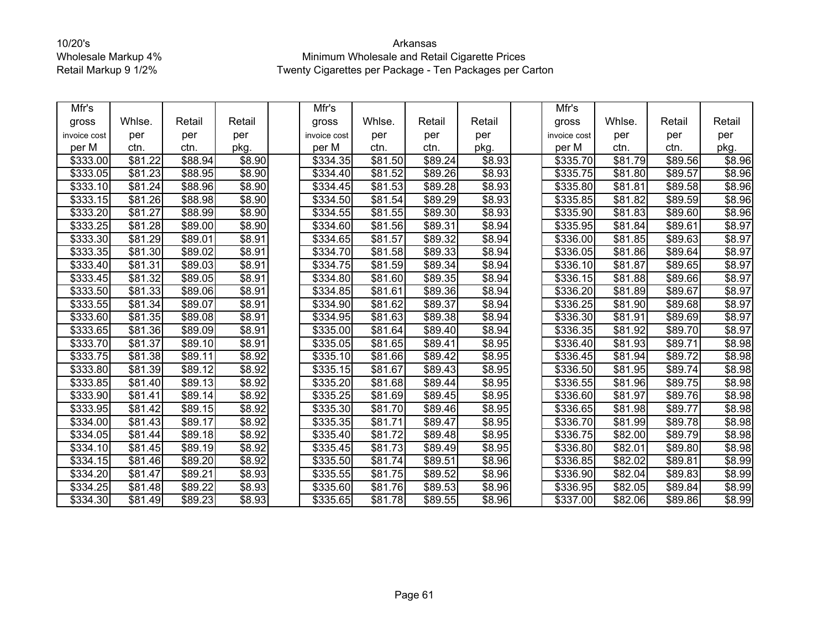| Mfr's        |                     |                     |                    | Mfr's        |         |                     |        | Mfr's        |                     |         |        |
|--------------|---------------------|---------------------|--------------------|--------------|---------|---------------------|--------|--------------|---------------------|---------|--------|
| gross        | Whlse.              | Retail              | Retail             | gross        | Whlse.  | Retail              | Retail | gross        | Whlse.              | Retail  | Retail |
| invoice cost | per                 | per                 | per                | invoice cost | per     | per                 | per    | invoice cost | per                 | per     | per    |
| per M        | ctn.                | ctn.                | pkg.               | per M        | ctn.    | ctn.                | pkg.   | per M        | ctn.                | ctn.    | pkg.   |
| \$333.00     | \$81.22             | \$88.94             | \$8.90             | \$334.35     | \$81.50 | \$89.24             | \$8.93 | \$335.70     | \$81.79             | \$89.56 | \$8.96 |
| \$333.05     | \$81.23             | \$88.95             | \$8.90             | \$334.40     | \$81.52 | \$89.26             | \$8.93 | \$335.75     | \$81.80             | \$89.57 | \$8.96 |
| \$333.10     | $\sqrt{$81.24}$     | \$88.96             | \$8.90             | \$334.45     | \$81.53 | $\overline{$89.28}$ | \$8.93 | \$335.80     | $\overline{$81.81}$ | \$89.58 | \$8.96 |
| \$333.15     | \$81.26             | \$88.98             | \$8.90             | \$334.50     | \$81.54 | \$89.29             | \$8.93 | \$335.85     | \$81.82             | \$89.59 | \$8.96 |
| \$333.20     | \$81.27             | \$88.99             | \$8.90             | \$334.55     | \$81.55 | \$89.30             | \$8.93 | \$335.90     | \$81.83             | \$89.60 | \$8.96 |
| \$333.25     | $\overline{$81.28}$ | \$89.00             | \$8.90             | \$334.60     | \$81.56 | \$89.31             | \$8.94 | \$335.95     | \$81.84             | \$89.61 | \$8.97 |
| \$333.30     | \$81.29             | \$89.01             | \$8.91             | \$334.65     | \$81.57 | \$89.32             | \$8.94 | \$336.00     | \$81.85             | \$89.63 | \$8.97 |
| \$333.35     | \$81.30             | \$89.02             | \$8.91             | \$334.70     | \$81.58 | \$89.33             | \$8.94 | \$336.05     | \$81.86             | \$89.64 | \$8.97 |
| \$333.40     | \$81.31             | \$89.03             | \$8.91             | \$334.75     | \$81.59 | \$89.34             | \$8.94 | \$336.10     | \$81.87             | \$89.65 | \$8.97 |
| \$333.45     | \$81.32             | \$89.05             | \$8.91             | \$334.80     | \$81.60 | $\overline{$89.35}$ | \$8.94 | \$336.15     | \$81.88             | \$89.66 | \$8.97 |
| \$333.50     | \$81.33             | \$89.06             | \$8.91             | \$334.85     | \$81.61 | \$89.36             | \$8.94 | \$336.20     | \$81.89             | \$89.67 | \$8.97 |
| \$333.55     | \$81.34             | \$89.07             | \$8.91             | \$334.90     | \$81.62 | \$89.37             | \$8.94 | \$336.25     | \$81.90             | \$89.68 | \$8.97 |
| \$333.60     | \$81.35             | \$89.08             | \$8.91             | \$334.95     | \$81.63 | \$89.38             | \$8.94 | \$336.30     | \$81.91             | \$89.69 | \$8.97 |
| \$333.65     | \$81.36             | \$89.09             | \$8.91             | \$335.00     | \$81.64 | \$89.40             | \$8.94 | \$336.35     | \$81.92             | \$89.70 | \$8.97 |
| \$333.70     | \$81.37             | \$89.10             | \$8.91             | \$335.05     | \$81.65 | \$89.41             | \$8.95 | \$336.40     | \$81.93             | \$89.71 | \$8.98 |
| \$333.75     | \$81.38             | \$89.11             | \$8.92             | \$335.10     | \$81.66 | \$89.42             | \$8.95 | \$336.45     | \$81.94             | \$89.72 | \$8.98 |
| \$333.80     | \$81.39             | \$89.12             | \$8.92             | \$335.15     | \$81.67 | \$89.43             | \$8.95 | \$336.50     | \$81.95             | \$89.74 | \$8.98 |
| \$333.85     | \$81.40             | \$89.13             | \$8.92             | \$335.20     | \$81.68 | \$89.44             | \$8.95 | \$336.55     | \$81.96             | \$89.75 | \$8.98 |
| \$333.90     | \$81.41             | \$89.14             | \$8.92             | \$335.25     | \$81.69 | \$89.45             | \$8.95 | \$336.60     | \$81.97             | \$89.76 | \$8.98 |
| \$333.95     | \$81.42             | \$89.15             | \$8.92             | \$335.30     | \$81.70 | \$89.46             | \$8.95 | \$336.65     | \$81.98             | \$89.77 | \$8.98 |
| \$334.00     | \$81.43             | \$89.17             | \$8.92             | \$335.35     | \$81.71 | \$89.47             | \$8.95 | \$336.70     | \$81.99             | \$89.78 | \$8.98 |
| \$334.05     | \$81.44             | \$89.18             | \$8.92             | \$335.40     | \$81.72 | \$89.48             | \$8.95 | \$336.75     | \$82.00             | \$89.79 | \$8.98 |
| \$334.10     | $\overline{$81.45}$ | \$89.19             | \$8.92             | \$335.45     | \$81.73 | \$89.49             | \$8.95 | \$336.80     | \$82.01             | \$89.80 | \$8.98 |
| \$334.15     | \$81.46             | \$89.20             | \$8.92             | \$335.50     | \$81.74 | \$89.51             | \$8.96 | \$336.85     | \$82.02             | \$89.81 | \$8.99 |
| \$334.20     | \$81.47             | $\overline{$89.21}$ | $\overline{$8.93}$ | \$335.55     | \$81.75 | $\overline{$89.52}$ | \$8.96 | \$336.90     | \$82.04             | \$89.83 | \$8.99 |
| \$334.25     | \$81.48             | \$89.22             | \$8.93             | \$335.60     | \$81.76 | \$89.53             | \$8.96 | \$336.95     | \$82.05             | \$89.84 | \$8.99 |
| \$334.30     | \$81.49             | \$89.23             | \$8.93             | \$335.65     | \$81.78 | \$89.55             | \$8.96 | \$337.00     | \$82.06             | \$89.86 | \$8.99 |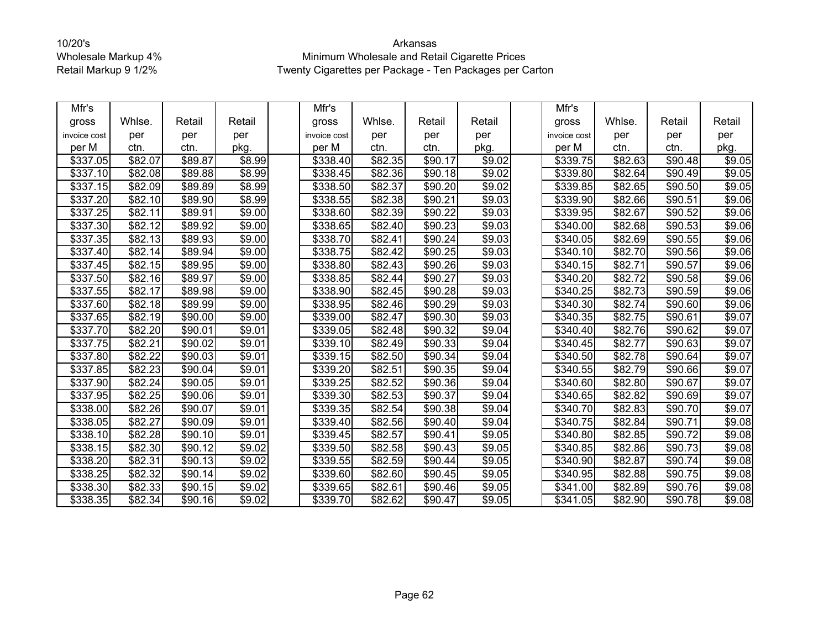| Mfr's        |                     |         |                    | Mfr's                |                     |         |                    | Mfr's                |                     |                     |        |
|--------------|---------------------|---------|--------------------|----------------------|---------------------|---------|--------------------|----------------------|---------------------|---------------------|--------|
| gross        | Whlse.              | Retail  | Retail             | gross                | Whlse.              | Retail  | Retail             | gross                | Whlse.              | Retail              | Retail |
| invoice cost | per                 | per     | per                | invoice cost         | per                 | per     | per                | invoice cost         | per                 | per                 | per    |
| per M        | ctn.                | ctn.    | pkg.               | per M                | ctn.                | ctn.    | pkg.               | per M                | ctn.                | ctn.                | pkg.   |
| \$337.05     | \$82.07             | \$89.87 | \$8.99             | \$338.40             | \$82.35             | \$90.17 | \$9.02             | \$339.75             | \$82.63             | \$90.48             | \$9.05 |
| \$337.10     | \$82.08             | \$89.88 | \$8.99             | \$338.45             | \$82.36             | \$90.18 | \$9.02             | \$339.80             | \$82.64             | \$90.49             | \$9.05 |
| \$337.15     | \$82.09             | \$89.89 | \$8.99             | \$338.50             | \$82.37             | \$90.20 | \$9.02             | \$339.85             | \$82.65             | \$90.50             | \$9.05 |
| \$337.20     | \$82.10             | \$89.90 | \$8.99             | \$338.55             | \$82.38             | \$90.21 | \$9.03             | \$339.90             | \$82.66             | \$90.51             | \$9.06 |
| \$337.25     | \$82.11             | \$89.91 | \$9.00             | \$338.60             | \$82.39             | \$90.22 | \$9.03             | \$339.95             | \$82.67             | \$90.52             | \$9.06 |
| \$337.30     | \$82.12             | \$89.92 | \$9.00             | \$338.65             | \$82.40             | \$90.23 | \$9.03             | \$340.00             | \$82.68             | \$90.53             | \$9.06 |
| \$337.35     | \$82.13             | \$89.93 | \$9.00             | $\overline{$}338.70$ | \$82.41             | \$90.24 | \$9.03             | \$340.05             | \$82.69             | \$90.55             | \$9.06 |
| \$337.40     | \$82.14             | \$89.94 | \$9.00             | \$338.75             | \$82.42             | \$90.25 | \$9.03             | \$340.10             | \$82.70             | \$90.56             | \$9.06 |
| \$337.45     | \$82.15             | \$89.95 | \$9.00             | \$338.80             | \$82.43             | \$90.26 | \$9.03             | \$340.15             | \$82.71             | \$90.57             | \$9.06 |
| \$337.50     | \$82.16             | \$89.97 | \$9.00             | \$338.85             | \$82.44             | \$90.27 | \$9.03             | \$340.20             | \$82.72             | \$90.58             | \$9.06 |
| \$337.55     | \$82.17             | \$89.98 | \$9.00             | \$338.90             | \$82.45             | \$90.28 | \$9.03             | \$340.25             | \$82.73             | \$90.59             | \$9.06 |
| \$337.60     | $\overline{$82.18}$ | \$89.99 | \$9.00             | \$338.95             | \$82.46             | \$90.29 | \$9.03             | \$340.30             | \$82.74             | \$90.60             | \$9.06 |
| \$337.65     | \$82.19             | \$90.00 | $\sqrt{$9.00}$     | \$339.00             | $\sqrt{$82.47}$     | \$90.30 | $\sqrt{$9.03}$     | \$340.35             | \$82.75             | \$90.61             | \$9.07 |
| \$337.70     | \$82.20             | \$90.01 | $\overline{$}9.01$ | \$339.05             | \$82.48             | \$90.32 | \$9.04             | \$340.40             | \$82.76             | \$90.62             | \$9.07 |
| \$337.75     | \$82.21             | \$90.02 | $\overline{$}9.01$ | \$339.10             | \$82.49             | \$90.33 | \$9.04             | \$340.45             | $\overline{$82.77}$ | \$90.63             | \$9.07 |
| \$337.80     | $\overline{$82.22}$ | \$90.03 | \$9.01             | \$339.15             | \$82.50             | \$90.34 | \$9.04             | \$340.50             | \$82.78             | \$90.64             | \$9.07 |
| \$337.85     | \$82.23             | \$90.04 | \$9.01             | \$339.20             | $\overline{$82.51}$ | \$90.35 | \$9.04             | \$340.55             | \$82.79             | \$90.66             | \$9.07 |
| \$337.90     | $\sqrt{$82.24}$     | \$90.05 | \$9.01             | \$339.25             | \$82.52             | \$90.36 | \$9.04             | \$340.60             | \$82.80             | \$90.67             | \$9.07 |
| \$337.95     | \$82.25             | \$90.06 | \$9.01             | \$339.30             | \$82.53             | \$90.37 | \$9.04             | \$340.65             | \$82.82             | \$90.69             | \$9.07 |
| \$338.00     | \$82.26             | \$90.07 | \$9.01             | \$339.35             | \$82.54             | \$90.38 | \$9.04             | \$340.70             | \$82.83             | \$90.70             | \$9.07 |
| \$338.05     | \$82.27             | \$90.09 | \$9.01             | \$339.40             | \$82.56             | \$90.40 | \$9.04             | \$340.75             | \$82.84             | \$90.71             | \$9.08 |
| \$338.10     | \$82.28             | \$90.10 | \$9.01             | \$339.45             | \$82.57             | \$90.41 | \$9.05             | \$340.80             | \$82.85             | \$90.72             | \$9.08 |
| \$338.15     | \$82.30             | \$90.12 | \$9.02             | \$339.50             | \$82.58             | \$90.43 | $\overline{$9.05}$ | $\overline{$}340.85$ | \$82.86             | \$90.73             | \$9.08 |
| \$338.20     | \$82.31             | \$90.13 | \$9.02             | \$339.55             | \$82.59             | \$90.44 | \$9.05             | \$340.90             | \$82.87             | \$90.74             | \$9.08 |
| \$338.25     | \$82.32             | \$90.14 | \$9.02             | $\sqrt{$339.60}$     | \$82.60             | \$90.45 | \$9.05             | \$340.95             | \$82.88             | $\overline{$}90.75$ | \$9.08 |
| \$338.30     | \$82.33             | \$90.15 | \$9.02             | \$339.65             | \$82.61             | \$90.46 | \$9.05             | \$341.00             | \$82.89             | \$90.76             | \$9.08 |
| \$338.35     | \$82.34             | \$90.16 | \$9.02             | \$339.70             | \$82.62             | \$90.47 | \$9.05             | \$341.05             | \$82.90             | \$90.78             | \$9.08 |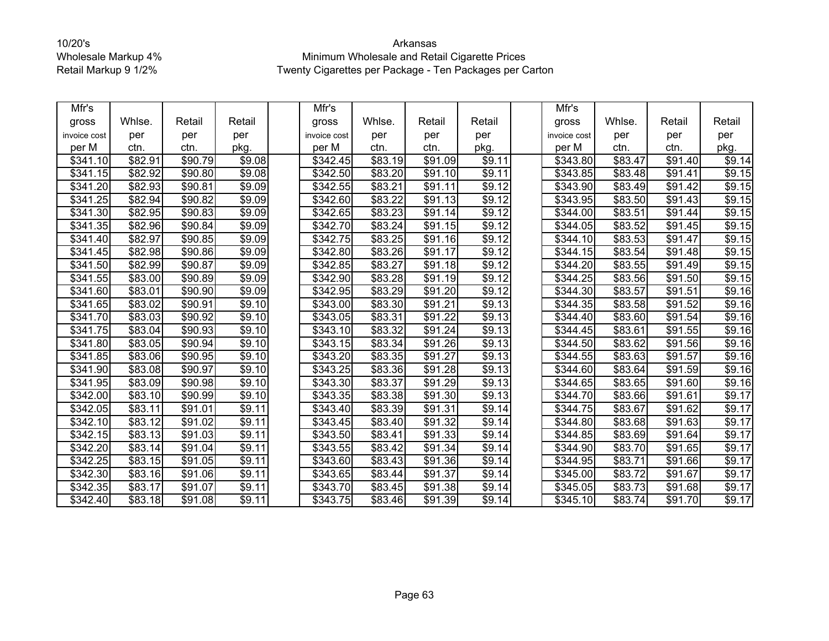| Mfr's                |         |                     |        | Mfr's                |                     |                     |                    | Mfr's                |         |                     |                    |
|----------------------|---------|---------------------|--------|----------------------|---------------------|---------------------|--------------------|----------------------|---------|---------------------|--------------------|
| gross                | Whlse.  | Retail              | Retail | gross                | Whlse.              | Retail              | Retail             | gross                | Whlse.  | Retail              | Retail             |
| invoice cost         | per     | per                 | per    | invoice cost         | per                 | per                 | per                | invoice cost         | per     | per                 | per                |
| per M                | ctn.    | ctn.                | pkg.   | per M                | ctn.                | ctn.                | pkg.               | per M                | ctn.    | ctn.                | pkg.               |
| \$341.10             | \$82.91 | \$90.79             | \$9.08 | \$342.45             | \$83.19             | \$91.09             | \$9.11             | \$343.80             | \$83.47 | \$91.40             | $\overline{$9.14}$ |
| \$341.15             | \$82.92 | \$90.80             | \$9.08 | \$342.50             | \$83.20             | \$91.10             | \$9.11             | \$343.85             | \$83.48 | \$91.41             | \$9.15             |
| \$341.20             | \$82.93 | \$90.81             | \$9.09 | \$342.55             | \$83.21             | \$91.11             | \$9.12             | \$343.90             | \$83.49 | \$91.42             | \$9.15             |
| \$341.25             | \$82.94 | \$90.82             | \$9.09 | \$342.60             | $\overline{$83.22}$ | \$91.13             | \$9.12             | \$343.95             | \$83.50 | \$91.43             | \$9.15             |
| \$341.30             | \$82.95 | \$90.83             | \$9.09 | \$342.65             | \$83.23             | \$91.14             | \$9.12             | \$344.00             | \$83.51 | \$91.44             | \$9.15             |
| \$341.35             | \$82.96 | \$90.84             | \$9.09 | \$342.70             | \$83.24             | $\overline{$}91.15$ | \$9.12             | $\sqrt{$344.05}$     | \$83.52 | \$91.45             | \$9.15             |
| \$341.40             | \$82.97 | \$90.85             | \$9.09 | \$342.75             | \$83.25             | \$91.16             | $\sqrt{$9.12}$     | \$344.10             | \$83.53 | \$91.47             | \$9.15             |
| \$341.45             | \$82.98 | \$90.86             | \$9.09 | \$342.80             | \$83.26             | \$91.17             | \$9.12             | \$344.15             | \$83.54 | \$91.48             | \$9.15             |
| \$341.50             | \$82.99 | \$90.87             | \$9.09 | \$342.85             | \$83.27             | \$91.18             | \$9.12             | \$344.20             | \$83.55 | \$91.49             | \$9.15             |
| \$341.55             | \$83.00 | \$90.89             | \$9.09 | \$342.90             | \$83.28             | \$91.19             | \$9.12             | \$344.25             | \$83.56 | \$91.50             | \$9.15             |
| \$341.60             | \$83.01 | \$90.90             | \$9.09 | \$342.95             | \$83.29             | \$91.20             | \$9.12             | \$344.30             | \$83.57 | \$91.51             | \$9.16             |
| \$341.65             | \$83.02 | \$90.91             | \$9.10 | \$343.00             | \$83.30             | $\overline{$}91.21$ | \$9.13             | $\overline{$}344.35$ | \$83.58 | $\overline{$}91.52$ | \$9.16             |
| \$341.70             | \$83.03 | \$90.92             | \$9.10 | $\overline{$}343.05$ | \$83.31             | $\overline{$}91.22$ | \$9.13             | \$344.40             | \$83.60 | \$91.54             | \$9.16             |
| \$341.75             | \$83.04 | \$90.93             | \$9.10 | \$343.10             | \$83.32             | \$91.24             | \$9.13             | \$344.45             | \$83.61 | \$91.55             | \$9.16             |
| \$341.80             | \$83.05 | \$90.94             | \$9.10 | \$343.15             | \$83.34             | \$91.26             | \$9.13             | $\sqrt{$344.50}$     | \$83.62 | \$91.56             | \$9.16             |
| \$341.85             | \$83.06 | \$90.95             | \$9.10 | \$343.20             | \$83.35             | \$91.27             | \$9.13             | \$344.55             | \$83.63 | \$91.57             | \$9.16             |
| \$341.90             | \$83.08 | \$90.97             | \$9.10 | 343.25               | \$83.36             | \$91.28             | \$9.13             | \$344.60             | \$83.64 | \$91.59             | \$9.16             |
| \$341.95             | \$83.09 | \$90.98             | \$9.10 | \$343.30             | \$83.37             | \$91.29             | $\overline{$9.13}$ | $\overline{$}344.65$ | \$83.65 | \$91.60             | \$9.16             |
| \$342.00             | \$83.10 | \$90.99             | \$9.10 | \$343.35             | \$83.38             | \$91.30             | \$9.13             | \$344.70             | \$83.66 | \$91.61             | \$9.17             |
| \$342.05             | \$83.11 | $\overline{$}91.01$ | \$9.11 | $\sqrt{$}343.40$     | \$83.39             | $\overline{$}91.31$ | \$9.14             | \$344.75             | \$83.67 | \$91.62             | \$9.17             |
| \$342.10             | \$83.12 | \$91.02             | \$9.11 | \$343.45             | \$83.40             | \$91.32             | \$9.14             | \$344.80             | \$83.68 | \$91.63             | \$9.17             |
| \$342.15             | \$83.13 | \$91.03             | \$9.11 | \$343.50             | \$83.41             | \$91.33             | \$9.14             | \$344.85             | \$83.69 | \$91.64             | \$9.17             |
| \$342.20             | \$83.14 | \$91.04             | \$9.11 | \$343.55             | \$83.42             | $\overline{$}91.34$ | \$9.14             | \$344.90             | \$83.70 | \$91.65             | \$9.17             |
| \$342.25             | \$83.15 | \$91.05             | \$9.11 | \$343.60             | \$83.43             | \$91.36             | \$9.14             | \$344.95             | \$83.71 | \$91.66             | \$9.17             |
| \$342.30             | \$83.16 | \$91.06             | \$9.11 | $\overline{$}343.65$ | \$83.44             | $\overline{$}91.37$ | \$9.14             | \$345.00             | \$83.72 | \$91.67             | \$9.17             |
| \$342.35             | \$83.17 | \$91.07             | \$9.11 | \$343.70             | \$83.45             | \$91.38             | \$9.14             | \$345.05             | \$83.73 | \$91.68             | \$9.17             |
| $\overline{$}342.40$ | \$83.18 | \$91.08             | \$9.11 | \$343.75             | \$83.46             | $\overline{$91.39}$ | $\sqrt{$9.14}$     | \$345.10             | \$83.74 | \$91.70             | \$9.17             |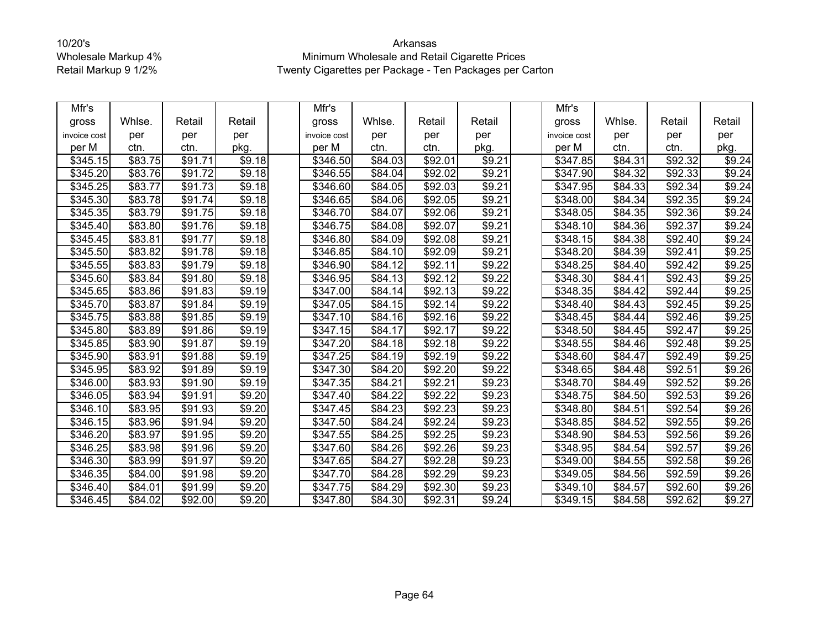| Mfr's        |         |                     |                    | Mfr's            |         |         |        | Mfr's        |         |         |        |
|--------------|---------|---------------------|--------------------|------------------|---------|---------|--------|--------------|---------|---------|--------|
| gross        | Whlse.  | Retail              | Retail             | gross            | Whlse.  | Retail  | Retail | gross        | Whlse.  | Retail  | Retail |
| invoice cost | per     | per                 | per                | invoice cost     | per     | per     | per    | invoice cost | per     | per     | per    |
| per M        | ctn.    | ctn.                | pkg.               | per M            | ctn.    | ctn.    | pkg.   | per M        | ctn.    | ctn.    | pkg.   |
| \$345.15     | \$83.75 | \$91.71             | \$9.18             | \$346.50         | \$84.03 | \$92.01 | \$9.21 | \$347.85     | \$84.31 | \$92.32 | \$9.24 |
| \$345.20     | \$83.76 | \$91.72             | \$9.18             | \$346.55         | \$84.04 | \$92.02 | \$9.21 | \$347.90     | \$84.32 | \$92.33 | \$9.24 |
| \$345.25     | \$83.77 | \$91.73             | \$9.18             | $\sqrt{$346.60}$ | \$84.05 | \$92.03 | \$9.21 | \$347.95     | \$84.33 | \$92.34 | \$9.24 |
| \$345.30     | \$83.78 | \$91.74             | \$9.18             | \$346.65         | \$84.06 | \$92.05 | \$9.21 | \$348.00     | \$84.34 | \$92.35 | \$9.24 |
| \$345.35     | \$83.79 | \$91.75             | \$9.18             | \$346.70         | \$84.07 | \$92.06 | \$9.21 | \$348.05     | \$84.35 | \$92.36 | \$9.24 |
| \$345.40     | \$83.80 | \$91.76             | \$9.18             | \$346.75         | \$84.08 | \$92.07 | \$9.21 | \$348.10     | \$84.36 | \$92.37 | \$9.24 |
| \$345.45     | \$83.81 | \$91.77             | \$9.18             | \$346.80         | \$84.09 | \$92.08 | \$9.21 | \$348.15     | \$84.38 | \$92.40 | \$9.24 |
| \$345.50     | \$83.82 | \$91.78             | \$9.18             | \$346.85         | \$84.10 | \$92.09 | \$9.21 | \$348.20     | \$84.39 | \$92.41 | \$9.25 |
| \$345.55     | \$83.83 | \$91.79             | \$9.18             | \$346.90         | \$84.12 | \$92.11 | \$9.22 | \$348.25     | \$84.40 | \$92.42 | \$9.25 |
| \$345.60     | \$83.84 | \$91.80             | $\overline{$9.18}$ | \$346.95         | \$84.13 | \$92.12 | \$9.22 | \$348.30     | \$84.41 | \$92.43 | \$9.25 |
| \$345.65     | \$83.86 | \$91.83             | \$9.19             | \$347.00         | \$84.14 | \$92.13 | \$9.22 | \$348.35     | \$84.42 | \$92.44 | \$9.25 |
| \$345.70     | \$83.87 | $\overline{$}91.84$ | $\overline{$9.19}$ | \$347.05         | \$84.15 | \$92.14 | \$9.22 | \$348.40     | \$84.43 | \$92.45 | \$9.25 |
| \$345.75     | \$83.88 | \$91.85             | \$9.19             | $\sqrt{$347.10}$ | \$84.16 | \$92.16 | \$9.22 | \$348.45     | \$84.44 | \$92.46 | \$9.25 |
| \$345.80     | \$83.89 | \$91.86             | \$9.19             | \$347.15         | \$84.17 | \$92.17 | \$9.22 | \$348.50     | \$84.45 | \$92.47 | \$9.25 |
| \$345.85     | \$83.90 | \$91.87             | \$9.19             | \$347.20         | \$84.18 | \$92.18 | \$9.22 | \$348.55     | \$84.46 | \$92.48 | \$9.25 |
| \$345.90     | \$83.91 | \$91.88             | \$9.19             | \$347.25         | \$84.19 | \$92.19 | \$9.22 | \$348.60     | \$84.47 | \$92.49 | \$9.25 |
| \$345.95     | \$83.92 | \$91.89             | \$9.19             | \$347.30         | \$84.20 | \$92.20 | \$9.22 | \$348.65     | \$84.48 | \$92.51 | \$9.26 |
| \$346.00     | \$83.93 | \$91.90             | \$9.19             | \$347.35         | \$84.21 | \$92.21 | \$9.23 | \$348.70     | \$84.49 | \$92.52 | \$9.26 |
| \$346.05     | \$83.94 | \$91.91             | \$9.20             | \$347.40         | \$84.22 | \$92.22 | \$9.23 | \$348.75     | \$84.50 | \$92.53 | \$9.26 |
| \$346.10     | \$83.95 | \$91.93             | \$9.20             | \$347.45         | \$84.23 | \$92.23 | \$9.23 | \$348.80     | \$84.51 | \$92.54 | \$9.26 |
| \$346.15     | \$83.96 | \$91.94             | \$9.20             | \$347.50         | \$84.24 | \$92.24 | \$9.23 | \$348.85     | \$84.52 | \$92.55 | \$9.26 |
| 346.20       | \$83.97 | \$91.95             | \$9.20             | \$347.55         | \$84.25 | \$92.25 | \$9.23 | \$348.90     | \$84.53 | \$92.56 | \$9.26 |
| \$346.25     | \$83.98 | \$91.96             | \$9.20             | \$347.60         | \$84.26 | \$92.26 | \$9.23 | \$348.95     | \$84.54 | \$92.57 | \$9.26 |
| \$346.30     | \$83.99 | \$91.97             | \$9.20             | \$347.65         | \$84.27 | \$92.28 | \$9.23 | \$349.00     | \$84.55 | \$92.58 | \$9.26 |
| \$346.35     | \$84.00 | \$91.98             | \$9.20             | \$347.70         | \$84.28 | \$92.29 | \$9.23 | \$349.05     | \$84.56 | \$92.59 | \$9.26 |
| \$346.40     | \$84.01 | \$91.99             | \$9.20             | \$347.75         | \$84.29 | \$92.30 | \$9.23 | \$349.10     | \$84.57 | \$92.60 | \$9.26 |
| \$346.45     | \$84.02 | \$92.00             | \$9.20             | \$347.80         | \$84.30 | \$92.31 | \$9.24 | \$349.15     | \$84.58 | \$92.62 | \$9.27 |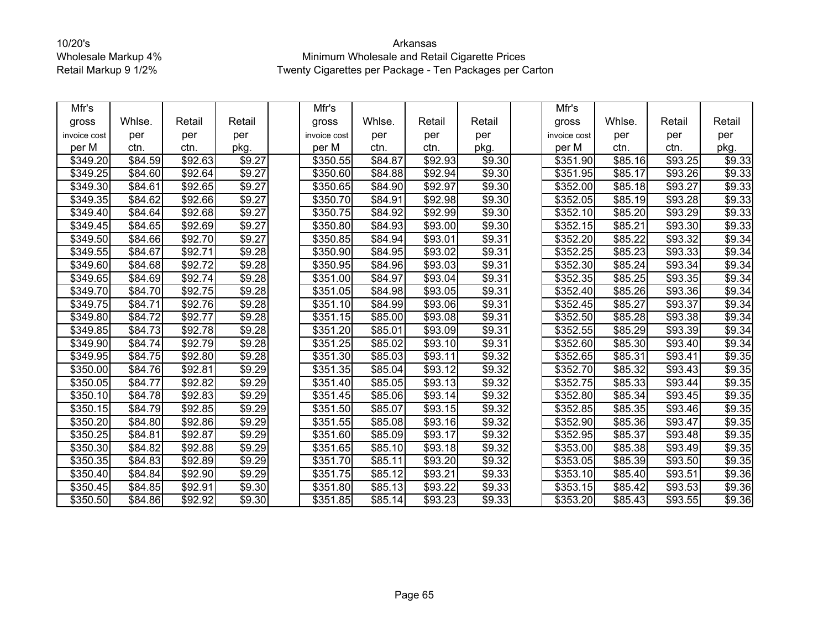| Mfr's        |                     |         |                    | Mfr's        |                     |         |                    | Mfr's                |                     |                     |        |
|--------------|---------------------|---------|--------------------|--------------|---------------------|---------|--------------------|----------------------|---------------------|---------------------|--------|
| gross        | Whlse.              | Retail  | Retail             | gross        | Whlse.              | Retail  | Retail             | gross                | Whlse.              | Retail              | Retail |
| invoice cost | per                 | per     | per                | invoice cost | per                 | per     | per                | invoice cost         | per                 | per                 | per    |
| per M        | ctn.                | ctn.    | pkg.               | per M        | ctn.                | ctn.    | pkg.               | per M                | ctn.                | ctn.                | pkg.   |
| \$349.20     | \$84.59             | \$92.63 | \$9.27             | \$350.55     | \$84.87             | \$92.93 | \$9.30             | \$351.90             | \$85.16             | \$93.25             | \$9.33 |
| \$349.25     | \$84.60             | \$92.64 | \$9.27             | \$350.60     | \$84.88             | \$92.94 | \$9.30             | \$351.95             | \$85.17             | \$93.26             | \$9.33 |
| \$349.30     | \$84.61             | \$92.65 | \$9.27             | \$350.65     | \$84.90             | \$92.97 | \$9.30             | \$352.00             | \$85.18             | \$93.27             | \$9.33 |
| \$349.35     | $\overline{$84.62}$ | \$92.66 | \$9.27             | \$350.70     | \$84.91             | \$92.98 | \$9.30             | \$352.05             | \$85.19             | \$93.28             | \$9.33 |
| \$349.40     | \$84.64             | \$92.68 | \$9.27             | \$350.75     | \$84.92             | \$92.99 | \$9.30             | \$352.10             | \$85.20             | $\overline{$93.29}$ | \$9.33 |
| \$349.45     | \$84.65             | \$92.69 | $\overline{$}9.27$ | \$350.80     | \$84.93             | \$93.00 | \$9.30             | \$352.15             | \$85.21             | \$93.30             | \$9.33 |
| \$349.50     | \$84.66             | \$92.70 | $\overline{$9.27}$ | \$350.85     | \$84.94             | \$93.01 | \$9.31             | \$352.20             | $\overline{$85.22}$ | \$93.32             | \$9.34 |
| \$349.55     | $\overline{$84.67}$ | \$92.71 | \$9.28             | \$350.90     | \$84.95             | \$93.02 | \$9.31             | \$352.25             | \$85.23             | \$93.33             | \$9.34 |
| \$349.60     | \$84.68             | \$92.72 | \$9.28             | \$350.95     | \$84.96             | \$93.03 | \$9.31             | \$352.30             | \$85.24             | \$93.34             | \$9.34 |
| \$349.65     | \$84.69             | \$92.74 | \$9.28             | \$351.00     | \$84.97             | \$93.04 | \$9.31             | \$352.35             | \$85.25             | \$93.35             | \$9.34 |
| \$349.70     | \$84.70             | \$92.75 | \$9.28             | \$351.05     | \$84.98             | \$93.05 | \$9.31             | \$352.40             | \$85.26             | \$93.36             | \$9.34 |
| \$349.75     | \$84.71             | \$92.76 | \$9.28             | \$351.10     | \$84.99             | \$93.06 | \$9.31             | \$352.45             | \$85.27             | \$93.37             | \$9.34 |
| \$349.80     | \$84.72             | \$92.77 | \$9.28             | \$351.15     | \$85.00             | \$93.08 | \$9.31             | \$352.50             | \$85.28             | \$93.38             | \$9.34 |
| \$349.85     | \$84.73             | \$92.78 | \$9.28             | \$351.20     | \$85.01             | \$93.09 | \$9.31             | \$352.55             | \$85.29             | \$93.39             | \$9.34 |
| \$349.90     | \$84.74             | \$92.79 | \$9.28             | \$351.25     | \$85.02             | \$93.10 | \$9.31             | \$352.60             | \$85.30             | \$93.40             | \$9.34 |
| \$349.95     | $\overline{$84.75}$ | \$92.80 | \$9.28             | \$351.30     | \$85.03             | \$93.11 | \$9.32             | \$352.65             | \$85.31             | \$93.41             | \$9.35 |
| \$350.00     | \$84.76             | \$92.81 | \$9.29             | \$351.35     | $\overline{$85.04}$ | \$93.12 | \$9.32             | \$352.70             | \$85.32             | \$93.43             | \$9.35 |
| \$350.05     | \$84.77             | \$92.82 | \$9.29             | \$351.40     | \$85.05             | \$93.13 | \$9.32             | $\overline{$}352.75$ | \$85.33             | \$93.44             | \$9.35 |
| \$350.10     | \$84.78             | \$92.83 | \$9.29             | \$351.45     | \$85.06             | \$93.14 | \$9.32             | \$352.80             | \$85.34             | \$93.45             | \$9.35 |
| \$350.15     | \$84.79             | \$92.85 | \$9.29             | \$351.50     | \$85.07             | \$93.15 | \$9.32             | \$352.85             | \$85.35             | \$93.46             | \$9.35 |
| \$350.20     | \$84.80             | \$92.86 | \$9.29             | \$351.55     | \$85.08             | \$93.16 | \$9.32             | \$352.90             | \$85.36             | \$93.47             | \$9.35 |
| \$350.25     | \$84.81             | \$92.87 | \$9.29             | \$351.60     | \$85.09             | \$93.17 | \$9.32             | \$352.95             | \$85.37             | \$93.48             | \$9.35 |
| \$350.30     | \$84.82             | \$92.88 | $\overline{$}9.29$ | \$351.65     | \$85.10             | \$93.18 | \$9.32             | \$353.00             | \$85.38             | \$93.49             | \$9.35 |
| \$350.35     | \$84.83             | \$92.89 | \$9.29             | \$351.70     | \$85.11             | \$93.20 | \$9.32             | \$353.05             | \$85.39             | \$93.50             | \$9.35 |
| \$350.40     | \$84.84             | \$92.90 | \$9.29             | \$351.75     | \$85.12             | \$93.21 | \$9.33             | $\overline{$}353.10$ | \$85.40             | \$93.51             | \$9.36 |
| \$350.45     | \$84.85             | \$92.91 | \$9.30             | \$351.80     | \$85.13             | \$93.22 | \$9.33             | \$353.15             | \$85.42             | \$93.53             | \$9.36 |
| \$350.50     | \$84.86             | \$92.92 | $\sqrt{$9.30}$     | \$351.85     | \$85.14             | \$93.23 | $\overline{$9.33}$ | \$353.20             | \$85.43             | \$93.55             | \$9.36 |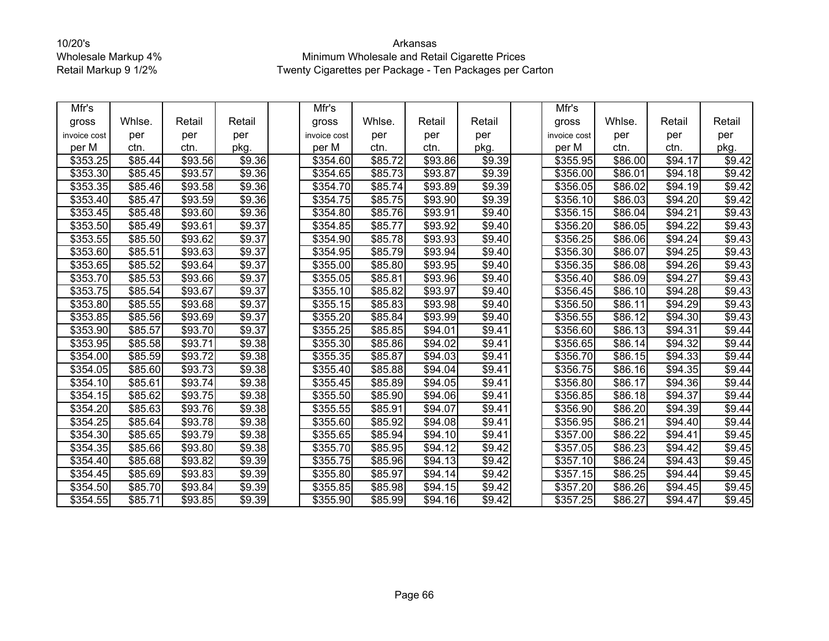| Mfr's        |         |                     |                    | Mfr's        |         |                     |                    | Mfr's        |         |                     |        |
|--------------|---------|---------------------|--------------------|--------------|---------|---------------------|--------------------|--------------|---------|---------------------|--------|
| gross        | Whlse.  | Retail              | Retail             | gross        | Whlse.  | Retail              | Retail             | gross        | Whlse.  | Retail              | Retail |
| invoice cost | per     | per                 | per                | invoice cost | per     | per                 | per                | invoice cost | per     | per                 | per    |
| per M        | ctn.    | ctn.                | pkg.               | per M        | ctn.    | ctn.                | pkg.               | per M        | ctn.    | ctn.                | pkg.   |
| \$353.25     | \$85.44 | \$93.56             | \$9.36             | \$354.60     | \$85.72 | \$93.86             | \$9.39             | \$355.95     | \$86.00 | \$94.17             | \$9.42 |
| \$353.30     | \$85.45 | \$93.57             | \$9.36             | \$354.65     | \$85.73 | \$93.87             | \$9.39             | \$356.00     | \$86.01 | \$94.18             | \$9.42 |
| \$353.35     | \$85.46 | \$93.58             | \$9.36             | \$354.70     | \$85.74 | \$93.89             | \$9.39             | \$356.05     | \$86.02 | \$94.19             | \$9.42 |
| \$353.40     | \$85.47 | $\overline{$93.59}$ | \$9.36             | \$354.75     | \$85.75 | \$93.90             | \$9.39             | \$356.10     | \$86.03 | \$94.20             | \$9.42 |
| \$353.45     | \$85.48 | \$93.60             | \$9.36             | \$354.80     | \$85.76 | \$93.91             | \$9.40             | \$356.15     | \$86.04 | \$94.21             | \$9.43 |
| \$353.50     | \$85.49 | \$93.61             | \$9.37             | \$354.85     | \$85.77 | \$93.92             | \$9.40             | \$356.20     | \$86.05 | $\overline{$94.22}$ | \$9.43 |
| \$353.55     | \$85.50 | \$93.62             | \$9.37             | \$354.90     | \$85.78 | \$93.93             | \$9.40             | \$356.25     | \$86.06 | \$94.24             | \$9.43 |
| \$353.60     | \$85.51 | \$93.63             | \$9.37             | \$354.95     | \$85.79 | \$93.94             | \$9.40             | \$356.30     | \$86.07 | \$94.25             | \$9.43 |
| \$353.65     | \$85.52 | \$93.64             | \$9.37             | \$355.00     | \$85.80 | $\overline{$}93.95$ | \$9.40             | \$356.35     | \$86.08 | \$94.26             | \$9.43 |
| \$353.70     | \$85.53 | \$93.66             | \$9.37             | \$355.05     | \$85.81 | \$93.96             | \$9.40             | \$356.40     | \$86.09 | $\sqrt{$94.27}$     | \$9.43 |
| \$353.75     | \$85.54 | \$93.67             | \$9.37             | \$355.10     | \$85.82 | \$93.97             | \$9.40             | \$356.45     | \$86.10 | \$94.28             | \$9.43 |
| \$353.80     | \$85.55 | \$93.68             | \$9.37             | \$355.15     | \$85.83 | \$93.98             | \$9.40             | \$356.50     | \$86.11 | \$94.29             | \$9.43 |
| \$353.85     | \$85.56 | \$93.69             | \$9.37             | \$355.20     | \$85.84 | \$93.99             | \$9.40             | \$356.55     | \$86.12 | \$94.30             | \$9.43 |
| \$353.90     | \$85.57 | \$93.70             | \$9.37             | \$355.25     | \$85.85 | \$94.01             | \$9.41             | \$356.60     | \$86.13 | \$94.31             | \$9.44 |
| \$353.95     | \$85.58 | \$93.71             | \$9.38             | \$355.30     | \$85.86 | \$94.02             | \$9.41             | \$356.65     | \$86.14 | \$94.32             | \$9.44 |
| \$354.00     | \$85.59 | \$93.72             | \$9.38             | \$355.35     | \$85.87 | \$94.03             | \$9.41             | \$356.70     | \$86.15 | \$94.33             | \$9.44 |
| \$354.05     | \$85.60 | \$93.73             | \$9.38             | \$355.40     | \$85.88 | \$94.04             | \$9.41             | \$356.75     | \$86.16 | \$94.35             | \$9.44 |
| \$354.10     | \$85.61 | \$93.74             | \$9.38             | \$355.45     | \$85.89 | \$94.05             | \$9.41             | \$356.80     | \$86.17 | \$94.36             | \$9.44 |
| \$354.15     | \$85.62 | \$93.75             | \$9.38             | \$355.50     | \$85.90 | \$94.06             | \$9.41             | \$356.85     | \$86.18 | \$94.37             | \$9.44 |
| \$354.20     | \$85.63 | \$93.76             | \$9.38             | \$355.55     | \$85.91 | \$94.07             | \$9.41             | \$356.90     | \$86.20 | \$94.39             | \$9.44 |
| \$354.25     | \$85.64 | \$93.78             | \$9.38             | \$355.60     | \$85.92 | \$94.08             | \$9.41             | \$356.95     | \$86.21 | \$94.40             | \$9.44 |
| \$354.30     | \$85.65 | \$93.79             | \$9.38             | \$355.65     | \$85.94 | \$94.10             | \$9.41             | \$357.00     | \$86.22 | \$94.41             | \$9.45 |
| \$354.35     | \$85.66 | \$93.80             | $\overline{$}9.38$ | \$355.70     | \$85.95 | \$94.12             | $\overline{$9.42}$ | \$357.05     | \$86.23 | \$94.42             | \$9.45 |
| \$354.40     | \$85.68 | \$93.82             | \$9.39             | \$355.75     | \$85.96 | \$94.13             | \$9.42             | \$357.10     | \$86.24 | \$94.43             | \$9.45 |
| \$354.45     | \$85.69 | \$93.83             | \$9.39             | \$355.80     | \$85.97 | \$94.14             | \$9.42             | \$357.15     | \$86.25 | \$94.44             | \$9.45 |
| \$354.50     | \$85.70 | \$93.84             | \$9.39             | \$355.85     | \$85.98 | \$94.15             | \$9.42             | \$357.20     | \$86.26 | \$94.45             | \$9.45 |
| \$354.55     | \$85.71 | \$93.85             | \$9.39             | \$355.90     | \$85.99 | \$94.16             | \$9.42             | \$357.25     | \$86.27 | \$94.47             | \$9.45 |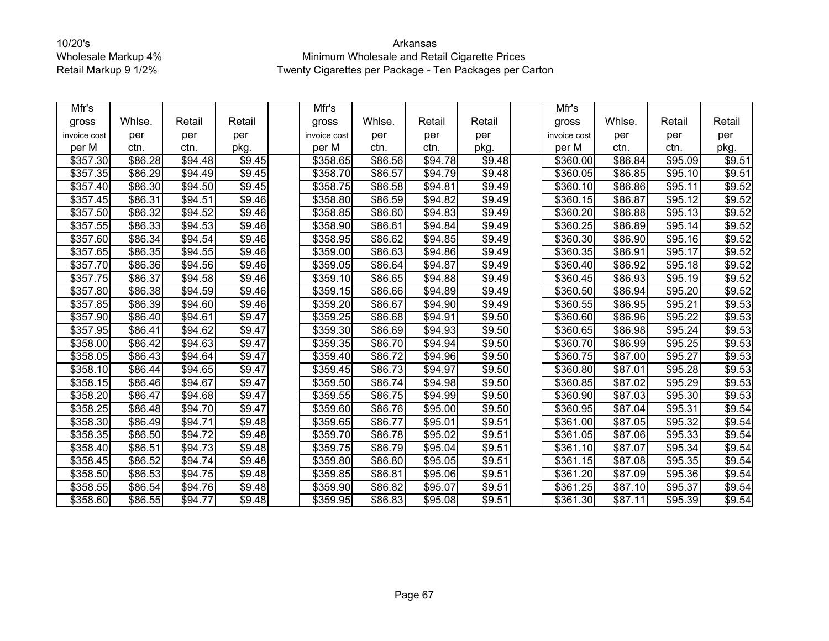| Mfr's        |                     |         |        | Mfr's                |                     |                     |                    | Mfr's                |         |         |        |
|--------------|---------------------|---------|--------|----------------------|---------------------|---------------------|--------------------|----------------------|---------|---------|--------|
| gross        | Whlse.              | Retail  | Retail | gross                | Whlse.              | Retail              | Retail             | gross                | Whlse.  | Retail  | Retail |
| invoice cost | per                 | per     | per    | invoice cost         | per                 | per                 | per                | invoice cost         | per     | per     | per    |
| per M        | ctn.                | ctn.    | pkg.   | per M                | ctn.                | ctn.                | pkg.               | per M                | ctn.    | ctn.    | pkg.   |
| \$357.30     | \$86.28             | \$94.48 | \$9.45 | \$358.65             | \$86.56             | \$94.78             | \$9.48             | \$360.00             | \$86.84 | \$95.09 | \$9.51 |
| \$357.35     | \$86.29             | \$94.49 | \$9.45 | \$358.70             | \$86.57             | \$94.79             | \$9.48             | \$360.05             | \$86.85 | \$95.10 | \$9.51 |
| \$357.40     | \$86.30             | \$94.50 | \$9.45 | \$358.75             | \$86.58             | \$94.81             | \$9.49             | \$360.10             | \$86.86 | \$95.11 | \$9.52 |
| \$357.45     | \$86.31             | \$94.51 | \$9.46 | \$358.80             | \$86.59             | \$94.82             | \$9.49             | \$360.15             | \$86.87 | \$95.12 | \$9.52 |
| \$357.50     | \$86.32             | \$94.52 | \$9.46 | \$358.85             | \$86.60             | \$94.83             | \$9.49             | \$360.20             | \$86.88 | \$95.13 | \$9.52 |
| \$357.55     | \$86.33             | \$94.53 | \$9.46 | \$358.90             | \$86.61             | \$94.84             | \$9.49             | \$360.25             | \$86.89 | \$95.14 | \$9.52 |
| \$357.60     | \$86.34             | \$94.54 | \$9.46 | \$358.95             | \$86.62             | \$94.85             | \$9.49             | \$360.30             | \$86.90 | \$95.16 | \$9.52 |
| \$357.65     | \$86.35             | \$94.55 | \$9.46 | \$359.00             | \$86.63             | \$94.86             | \$9.49             | \$360.35             | \$86.91 | \$95.17 | \$9.52 |
| \$357.70     | $\overline{$86.36}$ | \$94.56 | \$9.46 | \$359.05             | \$86.64             | \$94.87             | \$9.49             | \$360.40             | \$86.92 | \$95.18 | \$9.52 |
| \$357.75     | \$86.37             | \$94.58 | \$9.46 | \$359.10             | \$86.65             | \$94.88             | \$9.49             | \$360.45             | \$86.93 | \$95.19 | \$9.52 |
| \$357.80     | \$86.38             | \$94.59 | \$9.46 | \$359.15             | \$86.66             | \$94.89             | \$9.49             | \$360.50             | \$86.94 | \$95.20 | \$9.52 |
| \$357.85     | \$86.39             | \$94.60 | \$9.46 | \$359.20             | \$86.67             | \$94.90             | \$9.49             | \$360.55             | \$86.95 | \$95.21 | \$9.53 |
| \$357.90     | \$86.40             | \$94.61 | \$9.47 | $\overline{$}359.25$ | \$86.68             | \$94.91             | \$9.50             | \$360.60             | \$86.96 | \$95.22 | \$9.53 |
| \$357.95     | \$86.41             | \$94.62 | \$9.47 | \$359.30             | \$86.69             | \$94.93             | \$9.50             | \$360.65             | \$86.98 | \$95.24 | \$9.53 |
| \$358.00     | \$86.42             | \$94.63 | \$9.47 | \$359.35             | \$86.70             | \$94.94             | \$9.50             | \$360.70             | \$86.99 | \$95.25 | \$9.53 |
| \$358.05     | \$86.43             | \$94.64 | \$9.47 | \$359.40             | \$86.72             | \$94.96             | \$9.50             | \$360.75             | \$87.00 | \$95.27 | \$9.53 |
| \$358.10     | \$86.44             | \$94.65 | \$9.47 | \$359.45             | \$86.73             | \$94.97             | \$9.50             | \$360.80             | \$87.01 | \$95.28 | \$9.53 |
| \$358.15     | \$86.46             | \$94.67 | \$9.47 | \$359.50             | $\overline{$}86.74$ | $\overline{$}94.98$ | $\overline{$9.50}$ | \$360.85             | \$87.02 | \$95.29 | \$9.53 |
| \$358.20     | \$86.47             | \$94.68 | \$9.47 | \$359.55             | \$86.75             | \$94.99             | \$9.50             | \$360.90             | \$87.03 | \$95.30 | \$9.53 |
| \$358.25     | \$86.48             | \$94.70 | \$9.47 | \$359.60             | \$86.76             | \$95.00             | \$9.50             | \$360.95             | \$87.04 | \$95.31 | \$9.54 |
| \$358.30     | \$86.49             | \$94.71 | \$9.48 | \$359.65             | \$86.77             | \$95.01             | \$9.51             | \$361.00             | \$87.05 | \$95.32 | \$9.54 |
| \$358.35     | \$86.50             | \$94.72 | \$9.48 | \$359.70             | \$86.78             | \$95.02             | \$9.51             | \$361.05             | \$87.06 | \$95.33 | \$9.54 |
| \$358.40     | \$86.51             | \$94.73 | \$9.48 | \$359.75             | \$86.79             | \$95.04             | $\overline{$}9.51$ | \$361.10             | \$87.07 | \$95.34 | \$9.54 |
| \$358.45     | \$86.52             | \$94.74 | \$9.48 | \$359.80             | \$86.80             | \$95.05             | \$9.51             | \$361.15             | \$87.08 | \$95.35 | \$9.54 |
| \$358.50     | \$86.53             | \$94.75 | \$9.48 | \$359.85             | \$86.81             | \$95.06             | \$9.51             | $\overline{$}361.20$ | \$87.09 | \$95.36 | \$9.54 |
| \$358.55     | \$86.54             | \$94.76 | \$9.48 | \$359.90             | \$86.82             | \$95.07             | \$9.51             | \$361.25             | \$87.10 | \$95.37 | \$9.54 |
| \$358.60     | \$86.55             | \$94.77 | \$9.48 | $\overline{$}359.95$ | \$86.83             | \$95.08             | $\sqrt{$9.51}$     | \$361.30             | \$87.11 | \$95.39 | \$9.54 |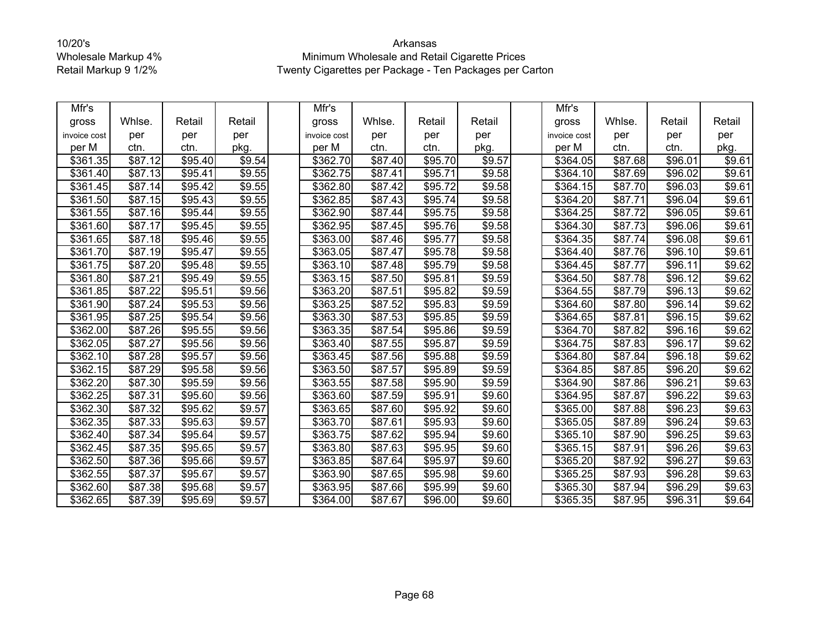| Mfr's        |         |                     |        | Mfr's        |                     |         |        | Mfr's            |         |                     |        |
|--------------|---------|---------------------|--------|--------------|---------------------|---------|--------|------------------|---------|---------------------|--------|
| gross        | Whlse.  | Retail              | Retail | gross        | Whlse.              | Retail  | Retail | gross            | Whlse.  | Retail              | Retail |
| invoice cost | per     | per                 | per    | invoice cost | per                 | per     | per    | invoice cost     | per     | per                 | per    |
| per M        | ctn.    | ctn.                | pkg.   | per M        | ctn.                | ctn.    | pkg.   | per M            | ctn.    | ctn.                | pkg.   |
| \$361.35     | \$87.12 | \$95.40             | \$9.54 | \$362.70     | \$87.40             | \$95.70 | \$9.57 | \$364.05         | \$87.68 | \$96.01             | \$9.61 |
| \$361.40     | \$87.13 | \$95.41             | \$9.55 | \$362.75     | \$87.41             | \$95.71 | \$9.58 | \$364.10         | \$87.69 | \$96.02             | \$9.61 |
| \$361.45     | \$87.14 | \$95.42             | \$9.55 | \$362.80     | \$87.42             | \$95.72 | \$9.58 | \$364.15         | \$87.70 | \$96.03             | \$9.61 |
| \$361.50     | \$87.15 | \$95.43             | \$9.55 | \$362.85     | \$87.43             | \$95.74 | \$9.58 | \$364.20         | \$87.71 | \$96.04             | \$9.61 |
| \$361.55     | \$87.16 | \$95.44             | \$9.55 | \$362.90     | \$87.44             | \$95.75 | \$9.58 | \$364.25         | \$87.72 | \$96.05             | \$9.61 |
| \$361.60     | \$87.17 | \$95.45             | \$9.55 | \$362.95     | \$87.45             | \$95.76 | \$9.58 | \$364.30         | \$87.73 | \$96.06             | \$9.61 |
| \$361.65     | \$87.18 | \$95.46             | \$9.55 | \$363.00     | \$87.46             | \$95.77 | \$9.58 | \$364.35         | \$87.74 | \$96.08             | \$9.61 |
| \$361.70     | \$87.19 | \$95.47             | \$9.55 | \$363.05     | \$87.47             | \$95.78 | \$9.58 | \$364.40         | \$87.76 | \$96.10             | \$9.61 |
| \$361.75     | \$87.20 | \$95.48             | \$9.55 | \$363.10     | \$87.48             | \$95.79 | \$9.58 | \$364.45         | \$87.77 | \$96.11             | \$9.62 |
| \$361.80     | \$87.21 | \$95.49             | \$9.55 | \$363.15     | \$87.50             | \$95.81 | \$9.59 | \$364.50         | \$87.78 | \$96.12             | \$9.62 |
| \$361.85     | \$87.22 | \$95.51             | \$9.56 | \$363.20     | \$87.51             | \$95.82 | \$9.59 | \$364.55         | \$87.79 | \$96.13             | \$9.62 |
| \$361.90     | \$87.24 | \$95.53             | \$9.56 | \$363.25     | \$87.52             | \$95.83 | \$9.59 | \$364.60         | \$87.80 | \$96.14             | \$9.62 |
| \$361.95     | \$87.25 | \$95.54             | \$9.56 | \$363.30     | $\overline{$87.53}$ | \$95.85 | \$9.59 | \$364.65         | \$87.81 | \$96.15             | \$9.62 |
| \$362.00     | \$87.26 | \$95.55             | \$9.56 | \$363.35     | \$87.54             | \$95.86 | \$9.59 | \$364.70         | \$87.82 | \$96.16             | \$9.62 |
| \$362.05     | \$87.27 | \$95.56             | \$9.56 | \$363.40     | \$87.55             | \$95.87 | \$9.59 | \$364.75         | \$87.83 | \$96.17             | \$9.62 |
| \$362.10     | \$87.28 | $\overline{$95.57}$ | \$9.56 | \$363.45     | \$87.56             | \$95.88 | \$9.59 | \$364.80         | \$87.84 | \$96.18             | \$9.62 |
| \$362.15     | \$87.29 | \$95.58             | \$9.56 | \$363.50     | \$87.57             | \$95.89 | \$9.59 | \$364.85         | \$87.85 | \$96.20             | \$9.62 |
| \$362.20     | \$87.30 | \$95.59             | \$9.56 | \$363.55     | \$87.58             | \$95.90 | \$9.59 | $\sqrt{$}364.90$ | \$87.86 | \$96.21             | \$9.63 |
| \$362.25     | \$87.31 | \$95.60             | \$9.56 | \$363.60     | \$87.59             | \$95.91 | \$9.60 | \$364.95         | \$87.87 | \$96.22             | \$9.63 |
| \$362.30     | \$87.32 | \$95.62             | \$9.57 | \$363.65     | \$87.60             | \$95.92 | \$9.60 | \$365.00         | \$87.88 | \$96.23             | \$9.63 |
| \$362.35     | \$87.33 | \$95.63             | \$9.57 | \$363.70     | \$87.61             | \$95.93 | \$9.60 | \$365.05         | \$87.89 | \$96.24             | \$9.63 |
| \$362.40     | \$87.34 | \$95.64             | \$9.57 | \$363.75     | \$87.62             | \$95.94 | \$9.60 | \$365.10         | \$87.90 | $\overline{$96.25}$ | \$9.63 |
| \$362.45     | \$87.35 | \$95.65             | \$9.57 | \$363.80     | \$87.63             | \$95.95 | \$9.60 | \$365.15         | \$87.91 | \$96.26             | \$9.63 |
| \$362.50     | \$87.36 | \$95.66             | \$9.57 | \$363.85     | \$87.64             | \$95.97 | \$9.60 | \$365.20         | \$87.92 | \$96.27             | \$9.63 |
| \$362.55     | \$87.37 | \$95.67             | \$9.57 | \$363.90     | \$87.65             | \$95.98 | \$9.60 | \$365.25         | \$87.93 | $\overline{$}96.28$ | \$9.63 |
| \$362.60     | \$87.38 | \$95.68             | \$9.57 | \$363.95     | \$87.66             | \$95.99 | \$9.60 | \$365.30         | \$87.94 | \$96.29             | \$9.63 |
| \$362.65     | \$87.39 | \$95.69             | \$9.57 | \$364.00     | \$87.67             | \$96.00 | \$9.60 | \$365.35         | \$87.95 | \$96.31             | \$9.64 |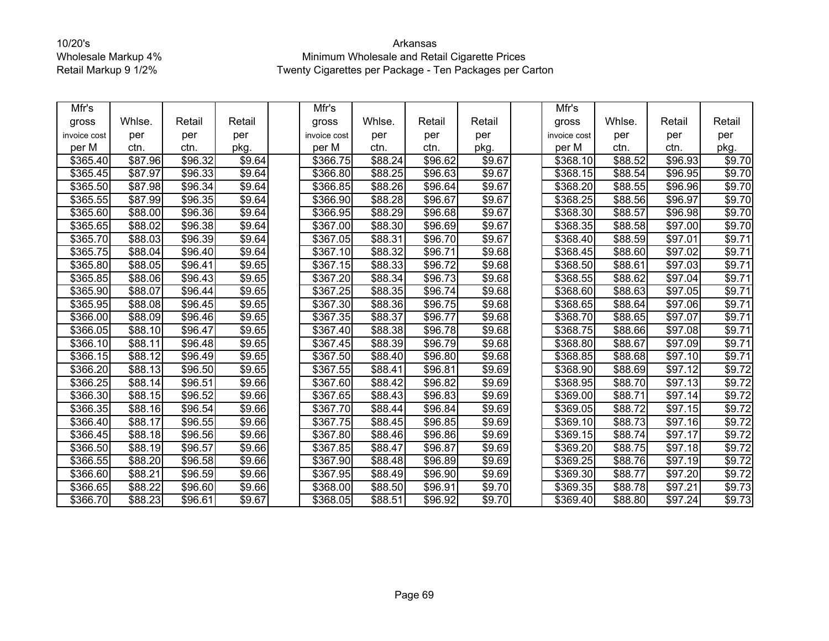| Mfr's        |         |         |        | Mfr's                |         |         |                    | Mfr's            |         |                     |                    |
|--------------|---------|---------|--------|----------------------|---------|---------|--------------------|------------------|---------|---------------------|--------------------|
| gross        | Whlse.  | Retail  | Retail | gross                | Whlse.  | Retail  | Retail             | gross            | Whlse.  | Retail              | Retail             |
| invoice cost | per     | per     | per    | invoice cost         | per     | per     | per                | invoice cost     | per     | per                 | per                |
| per M        | ctn.    | ctn.    | pkg.   | per M                | ctn.    | ctn.    | pkg.               | per M            | ctn.    | ctn.                | pkg.               |
| \$365.40     | \$87.96 | \$96.32 | \$9.64 | \$366.75             | \$88.24 | \$96.62 | $\overline{$9.67}$ | \$368.10         | \$88.52 | \$96.93             | \$9.70             |
| \$365.45     | \$87.97 | \$96.33 | \$9.64 | \$366.80             | \$88.25 | \$96.63 | \$9.67             | \$368.15         | \$88.54 | \$96.95             | $\overline{$}9.70$ |
| \$365.50     | \$87.98 | \$96.34 | \$9.64 | \$366.85             | \$88.26 | \$96.64 | \$9.67             | \$368.20         | \$88.55 | \$96.96             | \$9.70             |
| \$365.55     | \$87.99 | \$96.35 | \$9.64 | \$366.90             | \$88.28 | \$96.67 | \$9.67             | \$368.25         | \$88.56 | \$96.97             | \$9.70             |
| \$365.60     | \$88.00 | \$96.36 | \$9.64 | \$366.95             | \$88.29 | \$96.68 | \$9.67             | \$368.30         | \$88.57 | \$96.98             | \$9.70             |
| \$365.65     | \$88.02 | \$96.38 | \$9.64 | \$367.00             | \$88.30 | \$96.69 | \$9.67             | \$368.35         | \$88.58 | \$97.00             | \$9.70             |
| \$365.70     | \$88.03 | \$96.39 | \$9.64 | \$367.05             | \$88.31 | \$96.70 | $\overline{$9.67}$ | \$368.40         | \$88.59 | \$97.01             | \$9.71             |
| \$365.75     | \$88.04 | \$96.40 | \$9.64 | \$367.10             | \$88.32 | \$96.71 | \$9.68             | \$368.45         | \$88.60 | \$97.02             | \$9.71             |
| \$365.80     | \$88.05 | \$96.41 | \$9.65 | $\overline{$}367.15$ | \$88.33 | \$96.72 | \$9.68             | \$368.50         | \$88.61 | \$97.03             | \$9.71             |
| \$365.85     | \$88.06 | \$96.43 | \$9.65 | \$367.20             | \$88.34 | \$96.73 | \$9.68             | \$368.55         | \$88.62 | \$97.04             | \$9.71             |
| \$365.90     | \$88.07 | \$96.44 | \$9.65 | \$367.25             | \$88.35 | \$96.74 | \$9.68             | \$368.60         | \$88.63 | \$97.05             | \$9.71             |
| \$365.95     | \$88.08 | \$96.45 | \$9.65 | \$367.30             | \$88.36 | \$96.75 | \$9.68             | \$368.65         | \$88.64 | $\overline{$97.06}$ | \$9.71             |
| \$366.00     | \$88.09 | \$96.46 | \$9.65 | $\overline{$}367.35$ | \$88.37 | \$96.77 | \$9.68             | \$368.70         | \$88.65 | \$97.07             | $\sqrt{$9.71}$     |
| \$366.05     | \$88.10 | \$96.47 | \$9.65 | \$367.40             | \$88.38 | \$96.78 | \$9.68             | \$368.75         | \$88.66 | \$97.08             | \$9.71             |
| \$366.10     | \$88.11 | \$96.48 | \$9.65 | \$367.45             | \$88.39 | \$96.79 | \$9.68             | \$368.80         | \$88.67 | \$97.09             | \$9.71             |
| \$366.15     | \$88.12 | \$96.49 | \$9.65 | \$367.50             | \$88.40 | \$96.80 | \$9.68             | \$368.85         | \$88.68 | \$97.10             | \$9.71             |
| \$366.20     | \$88.13 | \$96.50 | \$9.65 | \$367.55             | \$88.41 | \$96.81 | \$9.69             | \$368.90         | \$88.69 | \$97.12             | \$9.72             |
| \$366.25     | \$88.14 | \$96.51 | \$9.66 | \$367.60             | \$88.42 | \$96.82 | \$9.69             | \$368.95         | \$88.70 | \$97.13             | \$9.72             |
| \$366.30     | \$88.15 | \$96.52 | \$9.66 | \$367.65             | \$88.43 | \$96.83 | \$9.69             | \$369.00         | \$88.71 | \$97.14             | \$9.72             |
| \$366.35     | \$88.16 | \$96.54 | \$9.66 | \$367.70             | \$88.44 | \$96.84 | \$9.69             | \$369.05         | \$88.72 | \$97.15             | \$9.72             |
| \$366.40     | \$88.17 | \$96.55 | \$9.66 | \$367.75             | \$88.45 | \$96.85 | \$9.69             | \$369.10         | \$88.73 | \$97.16             | \$9.72             |
| \$366.45     | \$88.18 | \$96.56 | \$9.66 | \$367.80             | \$88.46 | \$96.86 | \$9.69             | \$369.15         | \$88.74 | \$97.17             | \$9.72             |
| \$366.50     | \$88.19 | \$96.57 | \$9.66 | \$367.85             | \$88.47 | \$96.87 | \$9.69             | \$369.20         | \$88.75 | \$97.18             | \$9.72             |
| \$366.55     | \$88.20 | \$96.58 | \$9.66 | \$367.90             | \$88.48 | \$96.89 | \$9.69             | \$369.25         | \$88.76 | \$97.19             | \$9.72             |
| \$366.60     | \$88.21 | \$96.59 | \$9.66 | \$367.95             | \$88.49 | \$96.90 | \$9.69             | $\sqrt{$}369.30$ | \$88.77 | \$97.20             | \$9.72             |
| \$366.65     | \$88.22 | \$96.60 | \$9.66 | \$368.00             | \$88.50 | \$96.91 | \$9.70             | \$369.35         | \$88.78 | \$97.21             | \$9.73             |
| \$366.70     | \$88.23 | \$96.61 | \$9.67 | \$368.05             | \$88.51 | \$96.92 | \$9.70             | \$369.40         | \$88.80 | \$97.24             | \$9.73             |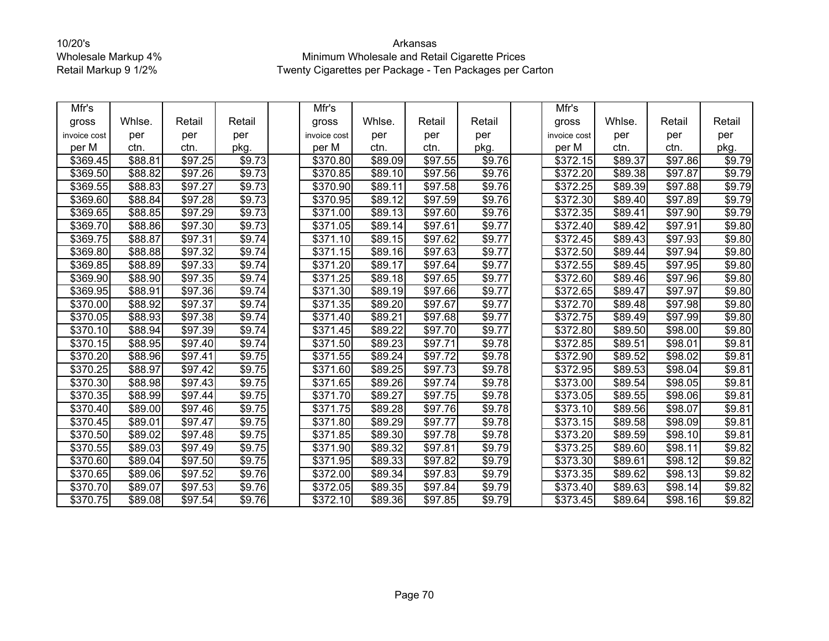| Mfr's        |                    |         |        | Mfr's        |                     |         |        | Mfr's                |         |                     |                    |
|--------------|--------------------|---------|--------|--------------|---------------------|---------|--------|----------------------|---------|---------------------|--------------------|
| gross        | Whlse.             | Retail  | Retail | gross        | Whlse.              | Retail  | Retail | gross                | Whlse.  | Retail              | Retail             |
| invoice cost | per                | per     | per    | invoice cost | per                 | per     | per    | invoice cost         | per     | per                 | per                |
| per M        | ctn.               | ctn.    | pkg.   | per M        | ctn.                | ctn.    | pkg.   | per M                | ctn.    | ctn.                | pkg.               |
| \$369.45     | \$88.81            | \$97.25 | \$9.73 | \$370.80     | \$89.09             | \$97.55 | \$9.76 | \$372.15             | \$89.37 | \$97.86             | \$9.79             |
| \$369.50     | \$88.82            | \$97.26 | \$9.73 | \$370.85     | \$89.10             | \$97.56 | \$9.76 | \$372.20             | \$89.38 | \$97.87             | $\overline{$9.79}$ |
| \$369.55     | \$88.83            | \$97.27 | \$9.73 | \$370.90     | \$89.11             | \$97.58 | \$9.76 | $\overline{$}372.25$ | \$89.39 | \$97.88             | \$9.79             |
| \$369.60     | \$88.84            | \$97.28 | \$9.73 | \$370.95     | \$89.12             | \$97.59 | \$9.76 | \$372.30             | \$89.40 | \$97.89             | \$9.79             |
| \$369.65     | \$88.85            | \$97.29 | \$9.73 | \$371.00     | \$89.13             | \$97.60 | \$9.76 | \$372.35             | \$89.41 | \$97.90             | \$9.79             |
| \$369.70     | \$88.86            | \$97.30 | \$9.73 | \$371.05     | \$89.14             | \$97.61 | \$9.77 | \$372.40             | \$89.42 | \$97.91             | \$9.80             |
| \$369.75     | \$88.87            | \$97.31 | \$9.74 | \$371.10     | \$89.15             | \$97.62 | \$9.77 | \$372.45             | \$89.43 | \$97.93             | \$9.80             |
| \$369.80     | \$88.88            | \$97.32 | \$9.74 | \$371.15     | \$89.16             | \$97.63 | \$9.77 | \$372.50             | \$89.44 | \$97.94             | \$9.80             |
| \$369.85     | \$88.89            | \$97.33 | \$9.74 | \$371.20     | \$89.17             | \$97.64 | \$9.77 | \$372.55             | \$89.45 | \$97.95             | \$9.80             |
| \$369.90     | \$88.90            | \$97.35 | \$9.74 | \$371.25     | \$89.18             | \$97.65 | \$9.77 | \$372.60             | \$89.46 | \$97.96             | \$9.80             |
| \$369.95     | \$88.91            | \$97.36 | \$9.74 | \$371.30     | \$89.19             | \$97.66 | \$9.77 | \$372.65             | \$89.47 | \$97.97             | \$9.80             |
| \$370.00     | $\frac{1}{$88.92}$ | \$97.37 | \$9.74 | \$371.35     | \$89.20             | \$97.67 | \$9.77 | \$372.70             | \$89.48 | \$97.98             | \$9.80             |
| \$370.05     | \$88.93            | \$97.38 | \$9.74 | \$371.40     | $\overline{$89.21}$ | \$97.68 | \$9.77 | \$372.75             | \$89.49 | $\overline{$97.99}$ | \$9.80             |
| \$370.10     | \$88.94            | \$97.39 | \$9.74 | \$371.45     | \$89.22             | \$97.70 | \$9.77 | \$372.80             | \$89.50 | \$98.00             | \$9.80             |
| \$370.15     | \$88.95            | \$97.40 | \$9.74 | \$371.50     | \$89.23             | \$97.71 | \$9.78 | \$372.85             | \$89.51 | \$98.01             | \$9.81             |
| \$370.20     | \$88.96            | \$97.41 | \$9.75 | \$371.55     | \$89.24             | \$97.72 | \$9.78 | \$372.90             | \$89.52 | \$98.02             | \$9.81             |
| \$370.25     | \$88.97            | \$97.42 | \$9.75 | \$371.60     | \$89.25             | \$97.73 | \$9.78 | \$372.95             | \$89.53 | \$98.04             | \$9.81             |
| \$370.30     | \$88.98            | \$97.43 | \$9.75 | \$371.65     | \$89.26             | \$97.74 | \$9.78 | $\sqrt{$373.00}$     | \$89.54 | \$98.05             | \$9.81             |
| \$370.35     | \$88.99            | \$97.44 | \$9.75 | \$371.70     | \$89.27             | \$97.75 | \$9.78 | \$373.05             | \$89.55 | \$98.06             | \$9.81             |
| \$370.40     | \$89.00            | \$97.46 | \$9.75 | \$371.75     | \$89.28             | \$97.76 | \$9.78 | \$373.10             | \$89.56 | \$98.07             | \$9.81             |
| \$370.45     | \$89.01            | \$97.47 | \$9.75 | \$371.80     | \$89.29             | \$97.77 | \$9.78 | \$373.15             | \$89.58 | \$98.09             | \$9.81             |
| \$370.50     | \$89.02            | \$97.48 | \$9.75 | \$371.85     | \$89.30             | \$97.78 | \$9.78 | \$373.20             | \$89.59 | \$98.10             | \$9.81             |
| \$370.55     | \$89.03            | \$97.49 | \$9.75 | \$371.90     | \$89.32             | \$97.81 | \$9.79 | \$373.25             | \$89.60 | \$98.11             | \$9.82             |
| \$370.60     | \$89.04            | \$97.50 | \$9.75 | \$371.95     | \$89.33             | \$97.82 | \$9.79 | \$373.30             | \$89.61 | \$98.12             | \$9.82             |
| \$370.65     | \$89.06            | \$97.52 | \$9.76 | \$372.00     | \$89.34             | \$97.83 | \$9.79 | $\overline{$}373.35$ | \$89.62 | \$98.13             | \$9.82             |
| \$370.70     | \$89.07            | \$97.53 | \$9.76 | \$372.05     | \$89.35             | \$97.84 | \$9.79 | \$373.40             | \$89.63 | \$98.14             | \$9.82             |
| \$370.75     | \$89.08            | \$97.54 | \$9.76 | \$372.10     | \$89.36             | \$97.85 | \$9.79 | \$373.45             | \$89.64 | \$98.16             | \$9.82             |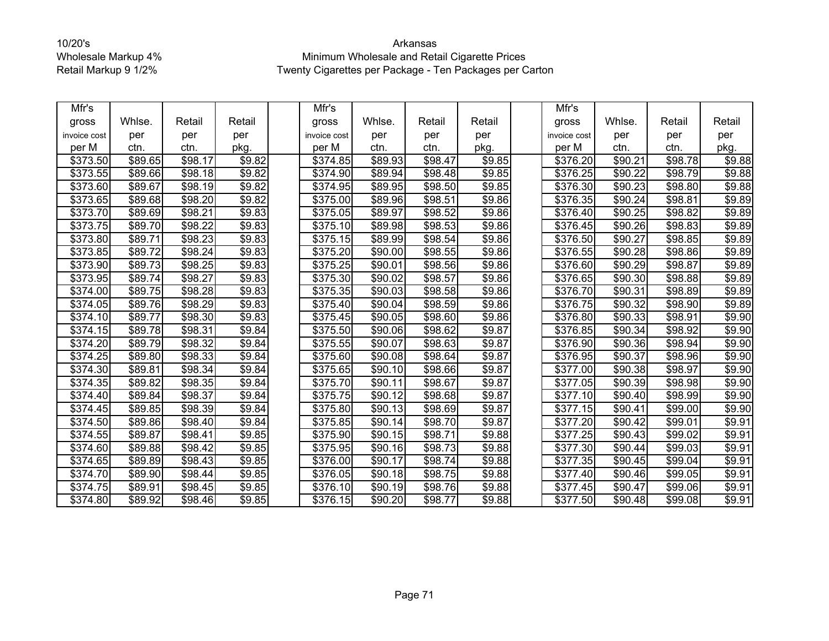| Mfr's                |         |                     |                    | Mfr's                |         |                     |        | Mfr's                |         |         |                    |
|----------------------|---------|---------------------|--------------------|----------------------|---------|---------------------|--------|----------------------|---------|---------|--------------------|
| gross                | Whlse.  | Retail              | Retail             | gross                | Whlse.  | Retail              | Retail | gross                | Whlse.  | Retail  | Retail             |
| invoice cost         | per     | per                 | per                | invoice cost         | per     | per                 | per    | invoice cost         | per     | per     | per                |
| per M                | ctn.    | ctn.                | pkg.               | per M                | ctn.    | ctn.                | pkg.   | per M                | ctn.    | ctn.    | pkg.               |
| \$373.50             | \$89.65 | \$98.17             | \$9.82             | \$374.85             | \$89.93 | \$98.47             | \$9.85 | \$376.20             | \$90.21 | \$98.78 | \$9.88             |
| \$373.55             | \$89.66 | \$98.18             | \$9.82             | \$374.90             | \$89.94 | \$98.48             | \$9.85 | \$376.25             | \$90.22 | \$98.79 | \$9.88             |
| \$373.60             | \$89.67 | \$98.19             | \$9.82             | $\sqrt{$374.95}$     | \$89.95 | \$98.50             | \$9.85 | $\overline{$}376.30$ | \$90.23 | \$98.80 | \$9.88             |
| \$373.65             | \$89.68 | \$98.20             | \$9.82             | \$375.00             | \$89.96 | \$98.51             | \$9.86 | \$376.35             | \$90.24 | \$98.81 | \$9.89             |
| \$373.70             | \$89.69 | \$98.21             | \$9.83             | \$375.05             | \$89.97 | \$98.52             | \$9.86 | \$376.40             | \$90.25 | \$98.82 | $\overline{$9.89}$ |
| \$373.75             | \$89.70 | \$98.22             | \$9.83             | \$375.10             | \$89.98 | \$98.53             | \$9.86 | \$376.45             | \$90.26 | \$98.83 | \$9.89             |
| \$373.80             | \$89.71 | \$98.23             | \$9.83             | \$375.15             | \$89.99 | \$98.54             | \$9.86 | $\overline{$}376.50$ | \$90.27 | \$98.85 | \$9.89             |
| \$373.85             | \$89.72 | $\overline{$}98.24$ | \$9.83             | \$375.20             | \$90.00 | \$98.55             | \$9.86 | \$376.55             | \$90.28 | \$98.86 | \$9.89             |
| \$373.90             | \$89.73 | \$98.25             | \$9.83             | \$375.25             | \$90.01 | \$98.56             | \$9.86 | \$376.60             | \$90.29 | \$98.87 | \$9.89             |
| \$373.95             | \$89.74 | \$98.27             | \$9.83             | \$375.30             | \$90.02 | \$98.57             | \$9.86 | \$376.65             | \$90.30 | \$98.88 | \$9.89             |
| \$374.00             | \$89.75 | \$98.28             | \$9.83             | \$375.35             | \$90.03 | \$98.58             | \$9.86 | \$376.70             | \$90.31 | \$98.89 | \$9.89             |
| \$374.05             | \$89.76 | \$98.29             | \$9.83             | \$375.40             | \$90.04 | \$98.59             | \$9.86 | \$376.75             | \$90.32 | \$98.90 | \$9.89             |
| $\sqrt{$374.10}$     | \$89.77 | \$98.30             | $\overline{$}9.83$ | $\overline{$}375.45$ | \$90.05 | \$98.60             | \$9.86 | \$376.80             | \$90.33 | \$98.91 | \$9.90             |
| \$374.15             | \$89.78 | \$98.31             | \$9.84             | \$375.50             | \$90.06 | \$98.62             | \$9.87 | \$376.85             | \$90.34 | \$98.92 | \$9.90             |
| \$374.20             | \$89.79 | \$98.32             | \$9.84             | \$375.55             | \$90.07 | \$98.63             | \$9.87 | \$376.90             | \$90.36 | \$98.94 | \$9.90             |
| \$374.25             | \$89.80 | \$98.33             | \$9.84             | \$375.60             | \$90.08 | \$98.64             | \$9.87 | \$376.95             | \$90.37 | \$98.96 | \$9.90             |
| \$374.30             | \$89.81 | $\overline{$}98.34$ | \$9.84             | \$375.65             | \$90.10 | $\overline{$}98.66$ | \$9.87 | \$377.00             | \$90.38 | \$98.97 | \$9.90             |
| $\overline{$}374.35$ | \$89.82 | \$98.35             | \$9.84             | \$375.70             | \$90.11 | \$98.67             | \$9.87 | \$377.05             | \$90.39 | \$98.98 | \$9.90             |
| \$374.40             | \$89.84 | \$98.37             | \$9.84             | \$375.75             | \$90.12 | \$98.68             | \$9.87 | \$377.10             | \$90.40 | \$98.99 | \$9.90             |
| \$374.45             | \$89.85 | \$98.39             | \$9.84             | \$375.80             | \$90.13 | \$98.69             | \$9.87 | \$377.15             | \$90.41 | \$99.00 | \$9.90             |
| \$374.50             | \$89.86 | \$98.40             | \$9.84             | \$375.85             | \$90.14 | \$98.70             | \$9.87 | \$377.20             | \$90.42 | \$99.01 | \$9.91             |
| \$374.55             | \$89.87 | \$98.41             | \$9.85             | \$375.90             | \$90.15 | \$98.71             | \$9.88 | \$377.25             | \$90.43 | \$99.02 | \$9.91             |
| \$374.60             | \$89.88 | \$98.42             | \$9.85             | \$375.95             | \$90.16 | \$98.73             | \$9.88 | \$377.30             | \$90.44 | \$99.03 | \$9.91             |
| \$374.65             | \$89.89 | \$98.43             | \$9.85             | \$376.00             | \$90.17 | \$98.74             | \$9.88 | \$377.35             | \$90.45 | \$99.04 | \$9.91             |
| \$374.70             | \$89.90 | \$98.44             | \$9.85             | \$376.05             | \$90.18 | \$98.75             | \$9.88 | \$377.40             | \$90.46 | \$99.05 | \$9.91             |
| \$374.75             | \$89.91 | \$98.45             | \$9.85             | \$376.10             | \$90.19 | \$98.76             | \$9.88 | \$377.45             | \$90.47 | \$99.06 | \$9.91             |
| \$374.80             | \$89.92 | \$98.46             | \$9.85             | \$376.15             | \$90.20 | \$98.77             | \$9.88 | \$377.50             | \$90.48 | \$99.08 | \$9.91             |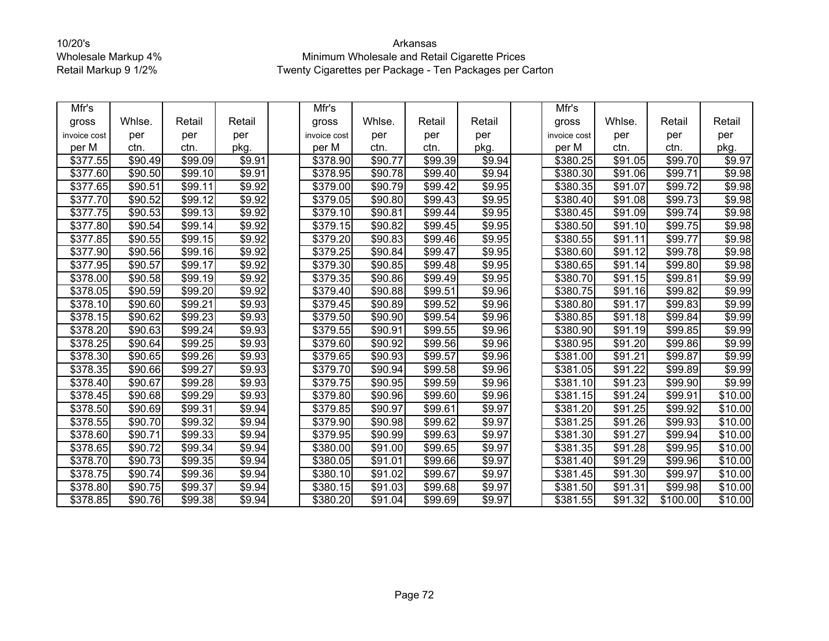| Mfr's        |         |                     |                | Mfr's                |         |         |        | Mfr's                |         |          |         |
|--------------|---------|---------------------|----------------|----------------------|---------|---------|--------|----------------------|---------|----------|---------|
| gross        | Whlse.  | Retail              | Retail         | gross                | Whlse.  | Retail  | Retail | gross                | Whlse.  | Retail   | Retail  |
| invoice cost | per     | per                 | per            | invoice cost         | per     | per     | per    | invoice cost         | per     | per      | per     |
| per M        | ctn.    | ctn.                | pkg.           | per M                | ctn.    | ctn.    | pkg.   | per M                | ctn.    | ctn.     | pkg.    |
| \$377.55     | \$90.49 | \$99.09             | \$9.91         | \$378.90             | \$90.77 | \$99.39 | \$9.94 | \$380.25             | \$91.05 | \$99.70  | \$9.97  |
| \$377.60     | \$90.50 | \$99.10             | \$9.91         | \$378.95             | \$90.78 | \$99.40 | \$9.94 | $\overline{$}380.30$ | \$91.06 | \$99.71  | \$9.98  |
| \$377.65     | \$90.51 | \$99.11             | \$9.92         | \$379.00             | \$90.79 | \$99.42 | \$9.95 | \$380.35             | \$91.07 | \$99.72  | \$9.98  |
| \$377.70     | \$90.52 | \$99.12             | \$9.92         | \$379.05             | \$90.80 | \$99.43 | \$9.95 | \$380.40             | \$91.08 | \$99.73  | \$9.98  |
| \$377.75     | \$90.53 | \$99.13             | \$9.92         | \$379.10             | \$90.81 | \$99.44 | \$9.95 | \$380.45             | \$91.09 | \$99.74  | \$9.98  |
| \$377.80     | \$90.54 | \$99.14             | \$9.92         | \$379.15             | \$90.82 | \$99.45 | \$9.95 | \$380.50             | \$91.10 | \$99.75  | \$9.98  |
| \$377.85     | \$90.55 | \$99.15             | \$9.92         | \$379.20             | \$90.83 | \$99.46 | \$9.95 | \$380.55             | \$91.11 | \$99.77  | \$9.98  |
| \$377.90     | \$90.56 | \$99.16             | \$9.92         | \$379.25             | \$90.84 | \$99.47 | \$9.95 | \$380.60             | \$91.12 | \$99.78  | \$9.98  |
| \$377.95     | \$90.57 | \$99.17             | \$9.92         | \$379.30             | \$90.85 | \$99.48 | \$9.95 | \$380.65             | \$91.14 | \$99.80  | \$9.98  |
| \$378.00     | \$90.58 | \$99.19             | \$9.92         | \$379.35             | \$90.86 | \$99.49 | \$9.95 | \$380.70             | \$91.15 | \$99.81  | \$9.99  |
| \$378.05     | \$90.59 | \$99.20             | \$9.92         | \$379.40             | \$90.88 | \$99.51 | \$9.96 | \$380.75             | \$91.16 | \$99.82  | \$9.99  |
| \$378.10     | \$90.60 | $\overline{$99.21}$ | \$9.93         | \$379.45             | \$90.89 | \$99.52 | \$9.96 | \$380.80             | \$91.17 | \$99.83  | \$9.99  |
| \$378.15     | \$90.62 | $\overline{$}99.23$ | \$9.93         | \$379.50             | \$90.90 | \$99.54 | \$9.96 | \$380.85             | \$91.18 | \$99.84  | \$9.99  |
| \$378.20     | \$90.63 | \$99.24             | \$9.93         | \$379.55             | \$90.91 | \$99.55 | \$9.96 | \$380.90             | \$91.19 | \$99.85  | \$9.99  |
| \$378.25     | \$90.64 | \$99.25             | \$9.93         | \$379.60             | \$90.92 | \$99.56 | \$9.96 | \$380.95             | \$91.20 | \$99.86  | \$9.99  |
| \$378.30     | \$90.65 | \$99.26             | \$9.93         | \$379.65             | \$90.93 | \$99.57 | \$9.96 | \$381.00             | \$91.21 | \$99.87  | \$9.99  |
| \$378.35     | \$90.66 | \$99.27             | \$9.93         | $\overline{$}379.70$ | \$90.94 | \$99.58 | \$9.96 | $\overline{$}381.05$ | \$91.22 | \$99.89  | \$9.99  |
| \$378.40     | \$90.67 | \$99.28             | \$9.93         | \$379.75             | \$90.95 | \$99.59 | \$9.96 | \$381.10             | \$91.23 | \$99.90  | \$9.99  |
| \$378.45     | \$90.68 | \$99.29             | \$9.93         | \$379.80             | \$90.96 | \$99.60 | \$9.96 | \$381.15             | \$91.24 | \$99.91  | \$10.00 |
| \$378.50     | \$90.69 | \$99.31             | \$9.94         | \$379.85             | \$90.97 | \$99.61 | \$9.97 | \$381.20             | \$91.25 | \$99.92  | \$10.00 |
| \$378.55     | \$90.70 | \$99.32             | \$9.94         | \$379.90             | \$90.98 | \$99.62 | \$9.97 | \$381.25             | \$91.26 | \$99.93  | \$10.00 |
| \$378.60     | \$90.71 | \$99.33             | \$9.94         | \$379.95             | \$90.99 | \$99.63 | \$9.97 | \$381.30             | \$91.27 | \$99.94  | \$10.00 |
| \$378.65     | \$90.72 | \$99.34             | $\sqrt{$9.94}$ | \$380.00             | \$91.00 | \$99.65 | \$9.97 | \$381.35             | \$91.28 | \$99.95  | \$10.00 |
| \$378.70     | \$90.73 | \$99.35             | \$9.94         | \$380.05             | \$91.01 | \$99.66 | \$9.97 | \$381.40             | \$91.29 | \$99.96  | \$10.00 |
| \$378.75     | \$90.74 | \$99.36             | \$9.94         | \$380.10             | \$91.02 | \$99.67 | \$9.97 | \$381.45             | \$91.30 | \$99.97  | \$10.00 |
| \$378.80     | \$90.75 | \$99.37             | \$9.94         | \$380.15             | \$91.03 | \$99.68 | \$9.97 | \$381.50             | \$91.31 | \$99.98  | \$10.00 |
| 378.85       | \$90.76 | \$99.38             | \$9.94         | \$380.20             | \$91.04 | \$99.69 | \$9.97 | \$381.55             | \$91.32 | \$100.00 | \$10.00 |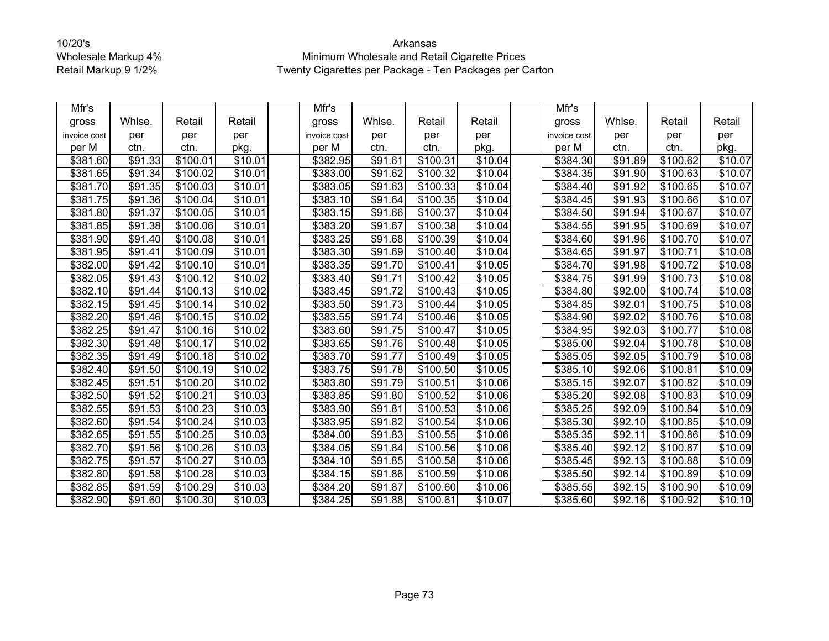| Mfr's                |         |          |         | Mfr's        |                     |                      |         | Mfr's                |         |          |                     |
|----------------------|---------|----------|---------|--------------|---------------------|----------------------|---------|----------------------|---------|----------|---------------------|
| gross                | Whlse.  | Retail   | Retail  | gross        | Whlse.              | Retail               | Retail  | gross                | Whlse.  | Retail   | Retail              |
| invoice cost         | per     | per      | per     | invoice cost | per                 | per                  | per     | invoice cost         | per     | per      | per                 |
| per M                | ctn.    | ctn.     | pkg.    | per M        | ctn.                | ctn.                 | pkg.    | per M                | ctn.    | ctn.     | pkg.                |
| \$381.60             | \$91.33 | \$100.01 | \$10.01 | \$382.95     | \$91.61             | $\overline{$}100.31$ | \$10.04 | \$384.30             | \$91.89 | \$100.62 | \$10.07             |
| \$381.65             | \$91.34 | \$100.02 | \$10.01 | \$383.00     | \$91.62             | \$100.32             | \$10.04 | \$384.35             | \$91.90 | \$100.63 | \$10.07             |
| \$381.70             | \$91.35 | \$100.03 | \$10.01 | \$383.05     | \$91.63             | \$100.33             | \$10.04 | \$384.40             | \$91.92 | \$100.65 | \$10.07             |
| \$381.75             | \$91.36 | \$100.04 | \$10.01 | \$383.10     | \$91.64             | \$100.35             | \$10.04 | \$384.45             | \$91.93 | \$100.66 | \$10.07             |
| \$381.80             | \$91.37 | \$100.05 | \$10.01 | \$383.15     | \$91.66             | \$100.37             | \$10.04 | \$384.50             | \$91.94 | \$100.67 | \$10.07             |
| \$381.85             | \$91.38 | \$100.06 | \$10.01 | \$383.20     | \$91.67             | \$100.38             | \$10.04 | \$384.55             | \$91.95 | \$100.69 | \$10.07             |
| \$381.90             | \$91.40 | \$100.08 | \$10.01 | \$383.25     | \$91.68             | \$100.39             | \$10.04 | \$384.60             | \$91.96 | \$100.70 | \$10.07             |
| \$381.95             | \$91.41 | \$100.09 | \$10.01 | \$383.30     | \$91.69             | \$100.40             | \$10.04 | \$384.65             | \$91.97 | \$100.71 | \$10.08             |
| \$382.00             | \$91.42 | \$100.10 | \$10.01 | \$383.35     | \$91.70             | \$100.41             | \$10.05 | \$384.70             | \$91.98 | \$100.72 | \$10.08             |
| \$382.05             | \$91.43 | \$100.12 | \$10.02 | \$383.40     | \$91.71             | \$100.42             | \$10.05 | \$384.75             | \$91.99 | \$100.73 | \$10.08             |
| \$382.10             | \$91.44 | \$100.13 | \$10.02 | \$383.45     | \$91.72             | \$100.43             | \$10.05 | \$384.80             | \$92.00 | \$100.74 | \$10.08             |
| \$382.15             | \$91.45 | \$100.14 | \$10.02 | \$383.50     | $\overline{$}91.73$ | \$100.44             | \$10.05 | \$384.85             | \$92.01 | \$100.75 | \$10.08             |
| \$382.20             | \$91.46 | \$100.15 | \$10.02 | \$383.55     | \$91.74             | \$100.46             | \$10.05 | $\sqrt{$}384.90$     | \$92.02 | \$100.76 | $\overline{$}10.08$ |
| \$382.25             | \$91.47 | \$100.16 | \$10.02 | \$383.60     | \$91.75             | \$100.47             | \$10.05 | \$384.95             | \$92.03 | \$100.77 | \$10.08             |
| \$382.30             | \$91.48 | \$100.17 | \$10.02 | \$383.65     | \$91.76             | \$100.48             | \$10.05 | \$385.00             | \$92.04 | \$100.78 | \$10.08             |
| \$382.35             | \$91.49 | \$100.18 | \$10.02 | \$383.70     | \$91.77             | \$100.49             | \$10.05 | \$385.05             | \$92.05 | \$100.79 | \$10.08             |
| \$382.40             | \$91.50 | \$100.19 | \$10.02 | \$383.75     | \$91.78             | \$100.50             | \$10.05 | \$385.10             | \$92.06 | \$100.81 | \$10.09             |
| \$382.45             | \$91.51 | \$100.20 | \$10.02 | \$383.80     | \$91.79             | \$100.51             | \$10.06 | \$385.15             | \$92.07 | \$100.82 | \$10.09             |
| \$382.50             | \$91.52 | \$100.21 | \$10.03 | \$383.85     | \$91.80             | \$100.52             | \$10.06 | \$385.20             | \$92.08 | \$100.83 | \$10.09             |
| \$382.55             | \$91.53 | \$100.23 | \$10.03 | \$383.90     | \$91.81             | \$100.53             | \$10.06 | \$385.25             | \$92.09 | \$100.84 | \$10.09             |
| \$382.60             | \$91.54 | \$100.24 | \$10.03 | \$383.95     | \$91.82             | \$100.54             | \$10.06 | \$385.30             | \$92.10 | \$100.85 | \$10.09             |
| \$382.65             | \$91.55 | \$100.25 | \$10.03 | \$384.00     | \$91.83             | $\overline{$}100.55$ | \$10.06 | \$385.35             | \$92.11 | \$100.86 | \$10.09             |
| \$382.70             | \$91.56 | \$100.26 | \$10.03 | \$384.05     | \$91.84             | \$100.56             | \$10.06 | \$385.40             | \$92.12 | \$100.87 | \$10.09             |
| \$382.75             | \$91.57 | \$100.27 | \$10.03 | \$384.10     | \$91.85             | \$100.58             | \$10.06 | \$385.45             | \$92.13 | \$100.88 | \$10.09             |
| \$382.80             | \$91.58 | \$100.28 | \$10.03 | \$384.15     | \$91.86             | \$100.59             | \$10.06 | $\overline{$}385.50$ | \$92.14 | \$100.89 | \$10.09             |
| \$382.85             | \$91.59 | \$100.29 | \$10.03 | \$384.20     | \$91.87             | \$100.60             | \$10.06 | \$385.55             | \$92.15 | \$100.90 | \$10.09             |
| $\overline{$}382.90$ | \$91.60 | \$100.30 | \$10.03 | \$384.25     | \$91.88             | \$100.61             | \$10.07 | \$385.60             | \$92.16 | \$100.92 | \$10.10             |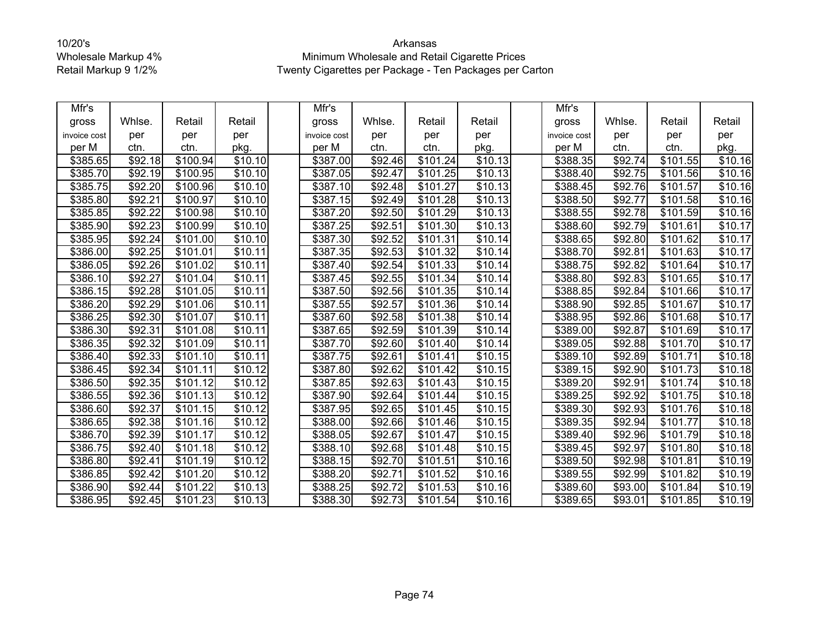| Mfr's        |                     |          |                 | Mfr's        |                     |          |                     | Mfr's                |         |          |                     |
|--------------|---------------------|----------|-----------------|--------------|---------------------|----------|---------------------|----------------------|---------|----------|---------------------|
| gross        | Whlse.              | Retail   | Retail          | gross        | Whlse.              | Retail   | Retail              | gross                | Whlse.  | Retail   | Retail              |
| invoice cost | per                 | per      | per             | invoice cost | per                 | per      | per                 | invoice cost         | per     | per      | per                 |
| per M        | ctn.                | ctn.     | pkg.            | per M        | ctn.                | ctn.     | pkg.                | per M                | ctn.    | ctn.     | pkg.                |
| \$385.65     | \$92.18             | \$100.94 | \$10.10         | \$387.00     | \$92.46             | \$101.24 | \$10.13             | \$388.35             | \$92.74 | \$101.55 | \$10.16             |
| \$385.70     | \$92.19             | \$100.95 | \$10.10         | \$387.05     | \$92.47             | \$101.25 | \$10.13             | \$388.40             | \$92.75 | \$101.56 | $\overline{$}10.16$ |
| \$385.75     | \$92.20             | \$100.96 | $\sqrt{$10.10}$ | \$387.10     | \$92.48             | \$101.27 | \$10.13             | \$388.45             | \$92.76 | \$101.57 | \$10.16             |
| \$385.80     | \$92.21             | \$100.97 | \$10.10         | \$387.15     | \$92.49             | \$101.28 | \$10.13             | \$388.50             | \$92.77 | \$101.58 | \$10.16             |
| \$385.85     | \$92.22             | \$100.98 | \$10.10         | \$387.20     | \$92.50             | \$101.29 | \$10.13             | \$388.55             | \$92.78 | \$101.59 | \$10.16             |
| \$385.90     | \$92.23             | \$100.99 | \$10.10         | \$387.25     | \$92.51             | \$101.30 | \$10.13             | \$388.60             | \$92.79 | \$101.61 | \$10.17             |
| \$385.95     | \$92.24             | \$101.00 | \$10.10         | \$387.30     | \$92.52             | \$101.31 | \$10.14             | \$388.65             | \$92.80 | \$101.62 | \$10.17             |
| \$386.00     | \$92.25             | \$101.01 | \$10.11         | \$387.35     | \$92.53             | \$101.32 | \$10.14             | \$388.70             | \$92.81 | \$101.63 | \$10.17             |
| \$386.05     | \$92.26             | \$101.02 | \$10.11         | \$387.40     | \$92.54             | \$101.33 | \$10.14             | \$388.75             | \$92.82 | \$101.64 | \$10.17             |
| \$386.10     | \$92.27             | \$101.04 | \$10.11         | \$387.45     | \$92.55             | \$101.34 | \$10.14             | \$388.80             | \$92.83 | \$101.65 | \$10.17             |
| \$386.15     | \$92.28             | \$101.05 | \$10.11         | \$387.50     | \$92.56             | \$101.35 | \$10.14             | \$388.85             | \$92.84 | \$101.66 | \$10.17             |
| \$386.20     | $\overline{$92.29}$ | \$101.06 | \$10.11         | \$387.55     | $\overline{$92.57}$ | \$101.36 | \$10.14             | \$388.90             | \$92.85 | \$101.67 | \$10.17             |
| \$386.25     | \$92.30             | \$101.07 | \$10.11         | \$387.60     | \$92.58             | \$101.38 | \$10.14             | \$388.95             | \$92.86 | \$101.68 | \$10.17             |
| \$386.30     | \$92.31             | \$101.08 | \$10.11         | \$387.65     | \$92.59             | \$101.39 | \$10.14             | \$389.00             | \$92.87 | \$101.69 | \$10.17             |
| \$386.35     | \$92.32             | \$101.09 | \$10.11         | \$387.70     | \$92.60             | \$101.40 | $\overline{$}10.14$ | \$389.05             | \$92.88 | \$101.70 | \$10.17             |
| \$386.40     | \$92.33             | \$101.10 | \$10.11         | \$387.75     | \$92.61             | \$101.41 | \$10.15             | \$389.10             | \$92.89 | \$101.71 | \$10.18             |
| \$386.45     | \$92.34             | \$101.11 | \$10.12         | \$387.80     | \$92.62             | \$101.42 | \$10.15             | \$389.15             | \$92.90 | \$101.73 | \$10.18             |
| \$386.50     | \$92.35             | \$101.12 | \$10.12         | \$387.85     | \$92.63             | \$101.43 | \$10.15             | \$389.20             | \$92.91 | \$101.74 | \$10.18             |
| \$386.55     | \$92.36             | \$101.13 | \$10.12         | \$387.90     | \$92.64             | \$101.44 | \$10.15             | \$389.25             | \$92.92 | \$101.75 | \$10.18             |
| \$386.60     | \$92.37             | \$101.15 | \$10.12         | \$387.95     | \$92.65             | \$101.45 | \$10.15             | $\overline{$}389.30$ | \$92.93 | \$101.76 | \$10.18             |
| \$386.65     | \$92.38             | \$101.16 | \$10.12         | \$388.00     | \$92.66             | \$101.46 | \$10.15             | \$389.35             | \$92.94 | \$101.77 | \$10.18             |
| \$386.70     | \$92.39             | \$101.17 | \$10.12         | \$388.05     | \$92.67             | \$101.47 | \$10.15             | \$389.40             | \$92.96 | \$101.79 | \$10.18             |
| \$386.75     | \$92.40             | \$101.18 | \$10.12         | \$388.10     | \$92.68             | \$101.48 | \$10.15             | \$389.45             | \$92.97 | \$101.80 | $\overline{$}10.18$ |
| \$386.80     | \$92.41             | \$101.19 | \$10.12         | \$388.15     | \$92.70             | \$101.51 | \$10.16             | \$389.50             | \$92.98 | \$101.81 | \$10.19             |
| \$386.85     | \$92.42             | \$101.20 | \$10.12         | \$388.20     | \$92.71             | \$101.52 | \$10.16             | \$389.55             | \$92.99 | \$101.82 | \$10.19             |
| \$386.90     | \$92.44             | \$101.22 | \$10.13         | \$388.25     | \$92.72             | \$101.53 | \$10.16             | \$389.60             | \$93.00 | \$101.84 | \$10.19             |
| \$386.95     | \$92.45             | \$101.23 | \$10.13         | \$388.30     | \$92.73             | \$101.54 | \$10.16             | \$389.65             | \$93.01 | \$101.85 | \$10.19             |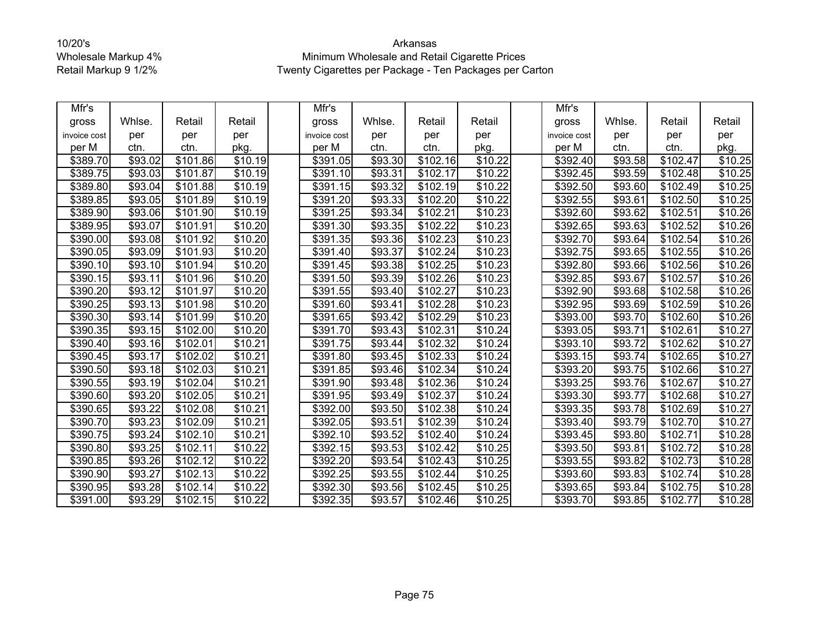| Mfr's                |         |                      |                     | Mfr's                |                     |                      |                     | Mfr's        |         |          |                     |
|----------------------|---------|----------------------|---------------------|----------------------|---------------------|----------------------|---------------------|--------------|---------|----------|---------------------|
| gross                | Whlse.  | Retail               | Retail              | gross                | Whlse.              | Retail               | Retail              | gross        | Whlse.  | Retail   | Retail              |
| invoice cost         | per     | per                  | per                 | invoice cost         | per                 | per                  | per                 | invoice cost | per     | per      | per                 |
| per M                | ctn.    | ctn.                 | pkg.                | per M                | ctn.                | ctn.                 | pkg.                | per M        | ctn.    | ctn.     | pkg.                |
| \$389.70             | \$93.02 | \$101.86             | \$10.19             | \$391.05             | \$93.30             | \$102.16             | \$10.22             | \$392.40     | \$93.58 | \$102.47 | \$10.25             |
| \$389.75             | \$93.03 | \$101.87             | \$10.19             | \$391.10             | \$93.31             | \$102.17             | \$10.22             | \$392.45     | \$93.59 | \$102.48 | \$10.25             |
| \$389.80             | \$93.04 | \$101.88             | \$10.19             | \$391.15             | \$93.32             | \$102.19             | \$10.22             | \$392.50     | \$93.60 | \$102.49 | \$10.25             |
| \$389.85             | \$93.05 | \$101.89             | \$10.19             | \$391.20             | \$93.33             | \$102.20             | \$10.22             | \$392.55     | \$93.61 | \$102.50 | \$10.25             |
| \$389.90             | \$93.06 | \$101.90             | \$10.19             | \$391.25             | \$93.34             | \$102.21             | \$10.23             | \$392.60     | \$93.62 | \$102.51 | \$10.26             |
| \$389.95             | \$93.07 | $\overline{$}101.91$ | \$10.20             | \$391.30             | \$93.35             | \$102.22             | \$10.23             | \$392.65     | \$93.63 | \$102.52 | \$10.26             |
| \$390.00             | \$93.08 | \$101.92             | \$10.20             | \$391.35             | \$93.36             | \$102.23             | $\overline{$}10.23$ | \$392.70     | \$93.64 | \$102.54 | \$10.26             |
| \$390.05             | \$93.09 | \$101.93             | \$10.20             | \$391.40             | \$93.37             | \$102.24             | \$10.23             | \$392.75     | \$93.65 | \$102.55 | $\overline{$}10.26$ |
| \$390.10             | \$93.10 | $\overline{$}101.94$ | $\overline{$}10.20$ | \$391.45             | \$93.38             | $\overline{$}102.25$ | \$10.23             | \$392.80     | \$93.66 | \$102.56 | \$10.26             |
| \$390.15             | \$93.11 | \$101.96             | \$10.20             | \$391.50             | \$93.39             | \$102.26             | \$10.23             | \$392.85     | \$93.67 | \$102.57 | \$10.26             |
| \$390.20             | \$93.12 | \$101.97             | \$10.20             | \$391.55             | \$93.40             | $\sqrt{$102.27}$     | \$10.23             | \$392.90     | \$93.68 | \$102.58 | $\overline{$10.26}$ |
| \$390.25             | \$93.13 | \$101.98             | \$10.20             | \$391.60             | $\overline{$}93.41$ | \$102.28             | $\overline{$10.23}$ | \$392.95     | \$93.69 | \$102.59 | \$10.26             |
| \$390.30             | \$93.14 | \$101.99             | $\sqrt{$10.20}$     | $\overline{$}391.65$ | \$93.42             | \$102.29             | \$10.23             | \$393.00     | \$93.70 | \$102.60 | \$10.26             |
| \$390.35             | \$93.15 | \$102.00             | \$10.20             | \$391.70             | \$93.43             | \$102.31             | \$10.24             | \$393.05     | \$93.71 | \$102.61 | \$10.27             |
| \$390.40             | \$93.16 | \$102.01             | \$10.21             | \$391.75             | \$93.44             | \$102.32             | \$10.24             | \$393.10     | \$93.72 | \$102.62 | \$10.27             |
| \$390.45             | \$93.17 | \$102.02             | \$10.21             | \$391.80             | \$93.45             | $\overline{$}102.33$ | \$10.24             | \$393.15     | \$93.74 | \$102.65 | \$10.27             |
| \$390.50             | \$93.18 | \$102.03             | \$10.21             | \$391.85             | \$93.46             | \$102.34             | \$10.24             | \$393.20     | \$93.75 | \$102.66 | $\overline{$}10.27$ |
| \$390.55             | \$93.19 | \$102.04             | \$10.21             | \$391.90             | \$93.48             | \$102.36             | \$10.24             | \$393.25     | \$93.76 | \$102.67 | $\overline{$}10.27$ |
| \$390.60             | \$93.20 | \$102.05             | \$10.21             | \$391.95             | \$93.49             | \$102.37             | \$10.24             | \$393.30     | \$93.77 | \$102.68 | \$10.27             |
| \$390.65             | \$93.22 | \$102.08             | \$10.21             | \$392.00             | \$93.50             | \$102.38             | \$10.24             | \$393.35     | \$93.78 | \$102.69 | \$10.27             |
| \$390.70             | \$93.23 | \$102.09             | $\overline{$}10.21$ | \$392.05             | \$93.51             | \$102.39             | $\overline{$}10.24$ | \$393.40     | \$93.79 | \$102.70 | \$10.27             |
| \$390.75             | \$93.24 | \$102.10             | \$10.21             | \$392.10             | \$93.52             | \$102.40             | \$10.24             | \$393.45     | \$93.80 | \$102.71 | \$10.28             |
| \$390.80             | \$93.25 | \$102.11             | \$10.22             | \$392.15             | \$93.53             | \$102.42             | \$10.25             | \$393.50     | \$93.81 | \$102.72 | \$10.28             |
| \$390.85             | \$93.26 | \$102.12             | $\overline{$}10.22$ | \$392.20             | \$93.54             | \$102.43             | \$10.25             | \$393.55     | \$93.82 | \$102.73 | \$10.28             |
| \$390.90             | \$93.27 | \$102.13             | \$10.22             | \$392.25             | \$93.55             | \$102.44             | \$10.25             | \$393.60     | \$93.83 | \$102.74 | \$10.28             |
| \$390.95             | \$93.28 | \$102.14             | \$10.22             | \$392.30             | \$93.56             | \$102.45             | \$10.25             | \$393.65     | \$93.84 | \$102.75 | \$10.28             |
| $\overline{$}391.00$ | \$93.29 | \$102.15             | $\overline{$10.22}$ | \$392.35             | \$93.57             | \$102.46             | \$10.25             | \$393.70     | \$93.85 | \$102.77 | \$10.28             |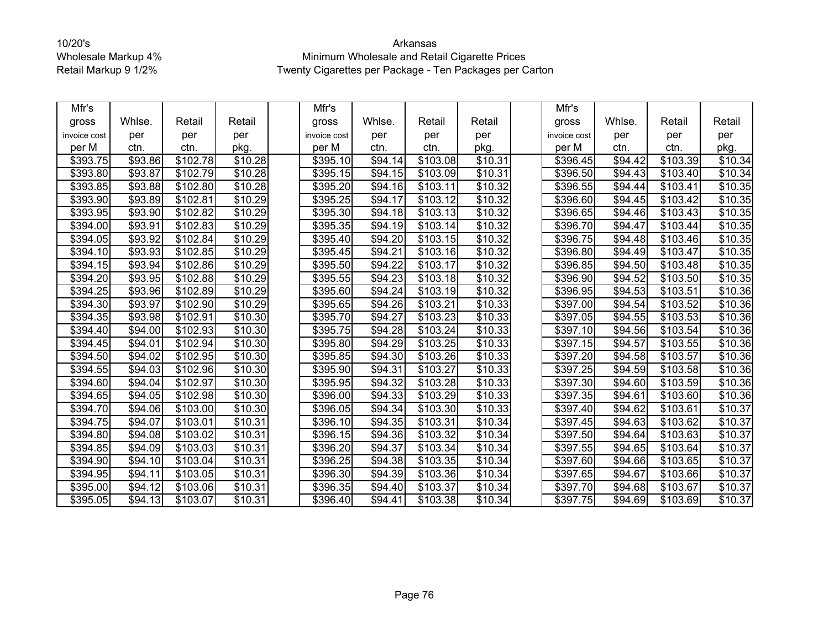| Mfr's        |                     |                      |         | Mfr's        |         |                      |                     | Mfr's            |                     |                      |                     |
|--------------|---------------------|----------------------|---------|--------------|---------|----------------------|---------------------|------------------|---------------------|----------------------|---------------------|
| gross        | Whlse.              | Retail               | Retail  | gross        | Whlse.  | Retail               | Retail              | gross            | Whlse.              | Retail               | Retail              |
| invoice cost | per                 | per                  | per     | invoice cost | per     | per                  | per                 | invoice cost     | per                 | per                  | per                 |
| per M        | ctn.                | ctn.                 | pkg.    | per M        | ctn.    | ctn.                 | pkg.                | per M            | ctn.                | ctn.                 | pkg.                |
| \$393.75     | \$93.86             | \$102.78             | \$10.28 | \$395.10     | \$94.14 | \$103.08             | \$10.31             | \$396.45         | \$94.42             | $\overline{$}103.39$ | \$10.34             |
| \$393.80     | \$93.87             | \$102.79             | \$10.28 | \$395.15     | \$94.15 | \$103.09             | \$10.31             | \$396.50         | \$94.43             | \$103.40             | \$10.34             |
| \$393.85     | \$93.88             | $\overline{$}102.80$ | \$10.28 | \$395.20     | \$94.16 | \$103.11             | \$10.32             | \$396.55         | \$94.44             | \$103.41             | \$10.35             |
| \$393.90     | \$93.89             | \$102.81             | \$10.29 | \$395.25     | \$94.17 | \$103.12             | \$10.32             | \$396.60         | \$94.45             | \$103.42             | \$10.35             |
| \$393.95     | \$93.90             | \$102.82             | \$10.29 | \$395.30     | \$94.18 | \$103.13             | \$10.32             | \$396.65         | \$94.46             | \$103.43             | \$10.35             |
| \$394.00     | \$93.91             | \$102.83             | \$10.29 | \$395.35     | \$94.19 | \$103.14             | \$10.32             | \$396.70         | $\overline{$}94.47$ | \$103.44             | \$10.35             |
| \$394.05     | $\overline{$}93.92$ | \$102.84             | \$10.29 | \$395.40     | \$94.20 | \$103.15             | \$10.32             | \$396.75         | \$94.48             | \$103.46             | \$10.35             |
| \$394.10     | \$93.93             | \$102.85             | \$10.29 | \$395.45     | \$94.21 | \$103.16             | \$10.32             | \$396.80         | \$94.49             | \$103.47             | $\overline{$}10.35$ |
| \$394.15     | $\overline{$}93.94$ | \$102.86             | \$10.29 | \$395.50     | \$94.22 | \$103.17             | \$10.32             | \$396.85         | \$94.50             | \$103.48             | \$10.35             |
| \$394.20     | \$93.95             | \$102.88             | \$10.29 | \$395.55     | \$94.23 | \$103.18             | \$10.32             | \$396.90         | \$94.52             | \$103.50             | \$10.35             |
| \$394.25     | \$93.96             | \$102.89             | \$10.29 | \$395.60     | \$94.24 | \$103.19             | \$10.32             | \$396.95         | \$94.53             | \$103.51             | \$10.36             |
| \$394.30     | \$93.97             | \$102.90             | \$10.29 | \$395.65     | \$94.26 | \$103.21             | \$10.33             | \$397.00         | \$94.54             | \$103.52             | \$10.36             |
| \$394.35     | \$93.98             | \$102.91             | \$10.30 | \$395.70     | \$94.27 | $\overline{$}103.23$ | $\overline{$}10.33$ | \$397.05         | \$94.55             | \$103.53             | \$10.36             |
| \$394.40     | \$94.00             | \$102.93             | \$10.30 | \$395.75     | \$94.28 | \$103.24             | \$10.33             | \$397.10         | \$94.56             | \$103.54             | \$10.36             |
| \$394.45     | \$94.01             | $\sqrt{$102.94}$     | \$10.30 | \$395.80     | \$94.29 | \$103.25             | \$10.33             | \$397.15         | \$94.57             | \$103.55             | \$10.36             |
| \$394.50     | \$94.02             | \$102.95             | \$10.30 | \$395.85     | \$94.30 | \$103.26             | \$10.33             | \$397.20         | \$94.58             | \$103.57             | \$10.36             |
| \$394.55     | \$94.03             | \$102.96             | \$10.30 | \$395.90     | \$94.31 | \$103.27             | \$10.33             | \$397.25         | \$94.59             | \$103.58             | \$10.36             |
| \$394.60     | \$94.04             | \$102.97             | \$10.30 | \$395.95     | \$94.32 | \$103.28             | \$10.33             | \$397.30         | \$94.60             | \$103.59             | \$10.36             |
| \$394.65     | \$94.05             | \$102.98             | \$10.30 | \$396.00     | \$94.33 | \$103.29             | \$10.33             | \$397.35         | \$94.61             | \$103.60             | \$10.36             |
| \$394.70     | \$94.06             | \$103.00             | \$10.30 | \$396.05     | \$94.34 | \$103.30             | \$10.33             | $\sqrt{$397.40}$ | \$94.62             | $\overline{$}103.61$ | \$10.37             |
| \$394.75     | \$94.07             | \$103.01             | \$10.31 | \$396.10     | \$94.35 | \$103.31             | \$10.34             | \$397.45         | \$94.63             | \$103.62             | \$10.37             |
| \$394.80     | \$94.08             | \$103.02             | \$10.31 | \$396.15     | \$94.36 | \$103.32             | \$10.34             | \$397.50         | \$94.64             | \$103.63             | \$10.37             |
| \$394.85     | \$94.09             | \$103.03             | \$10.31 | \$396.20     | \$94.37 | \$103.34             | \$10.34             | \$397.55         | \$94.65             | \$103.64             | \$10.37             |
| \$394.90     | \$94.10             | \$103.04             | \$10.31 | \$396.25     | \$94.38 | \$103.35             | \$10.34             | \$397.60         | \$94.66             | \$103.65             | \$10.37             |
| \$394.95     | \$94.11             | \$103.05             | \$10.31 | \$396.30     | \$94.39 | \$103.36             | \$10.34             | \$397.65         | $\overline{$}94.67$ | \$103.66             | \$10.37             |
| \$395.00     | \$94.12             | \$103.06             | \$10.31 | \$396.35     | \$94.40 | \$103.37             | \$10.34             | \$397.70         | \$94.68             | \$103.67             | \$10.37             |
| \$395.05     | \$94.13             | \$103.07             | \$10.31 | \$396.40     | \$94.41 | \$103.38             | \$10.34             | \$397.75         | \$94.69             | \$103.69             | \$10.37             |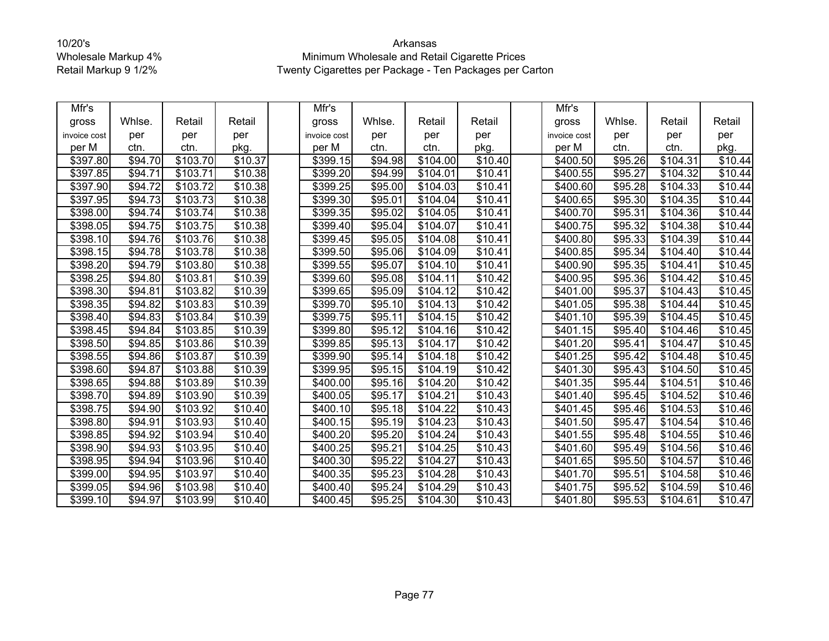| Mfr's        |         |          |                     | Mfr's        |         |          |                     | Mfr's            |         |          |                     |
|--------------|---------|----------|---------------------|--------------|---------|----------|---------------------|------------------|---------|----------|---------------------|
| gross        | Whlse.  | Retail   | Retail              | gross        | Whlse.  | Retail   | Retail              | gross            | Whlse.  | Retail   | Retail              |
| invoice cost | per     | per      | per                 | invoice cost | per     | per      | per                 | invoice cost     | per     | per      | per                 |
| per M        | ctn.    | ctn.     | pkg.                | per M        | ctn.    | ctn.     | pkg.                | per M            | ctn.    | ctn.     | pkg.                |
| \$397.80     | \$94.70 | \$103.70 | \$10.37             | \$399.15     | \$94.98 | \$104.00 | \$10.40             | \$400.50         | \$95.26 | \$104.31 | \$10.44             |
| \$397.85     | \$94.71 | \$103.71 | \$10.38             | \$399.20     | \$94.99 | \$104.01 | \$10.41             | \$400.55         | \$95.27 | \$104.32 | $\overline{$}10.44$ |
| \$397.90     | \$94.72 | \$103.72 | \$10.38             | \$399.25     | \$95.00 | \$104.03 | \$10.41             | \$400.60         | \$95.28 | \$104.33 | \$10.44             |
| \$397.95     | \$94.73 | \$103.73 | \$10.38             | \$399.30     | \$95.01 | \$104.04 | $\overline{$}10.41$ | \$400.65         | \$95.30 | \$104.35 | $\overline{$}10.44$ |
| \$398.00     | \$94.74 | \$103.74 | \$10.38             | \$399.35     | \$95.02 | \$104.05 | \$10.41             | \$400.70         | \$95.31 | \$104.36 | \$10.44             |
| \$398.05     | \$94.75 | \$103.75 | \$10.38             | \$399.40     | \$95.04 | \$104.07 | \$10.41             | \$400.75         | \$95.32 | \$104.38 | \$10.44             |
| \$398.10     | \$94.76 | \$103.76 | \$10.38             | \$399.45     | \$95.05 | \$104.08 | \$10.41             | \$400.80         | \$95.33 | \$104.39 | \$10.44             |
| \$398.15     | \$94.78 | \$103.78 | \$10.38             | \$399.50     | \$95.06 | \$104.09 | \$10.41             | \$400.85         | \$95.34 | \$104.40 | \$10.44             |
| \$398.20     | \$94.79 | \$103.80 | \$10.38             | \$399.55     | \$95.07 | \$104.10 | \$10.41             | \$400.90         | \$95.35 | \$104.41 | \$10.45             |
| \$398.25     | \$94.80 | \$103.81 | \$10.39             | \$399.60     | \$95.08 | \$104.11 | \$10.42             | \$400.95         | \$95.36 | \$104.42 | \$10.45             |
| \$398.30     | \$94.81 | \$103.82 | \$10.39             | \$399.65     | \$95.09 | \$104.12 | \$10.42             | \$401.00         | \$95.37 | \$104.43 | \$10.45             |
| \$398.35     | \$94.82 | \$103.83 | \$10.39             | \$399.70     | \$95.10 | \$104.13 | \$10.42             | \$401.05         | \$95.38 | \$104.44 | \$10.45             |
| \$398.40     | \$94.83 | \$103.84 | \$10.39             | \$399.75     | \$95.11 | \$104.15 | \$10.42             | \$401.10         | \$95.39 | \$104.45 | \$10.45             |
| \$398.45     | \$94.84 | \$103.85 | \$10.39             | \$399.80     | \$95.12 | \$104.16 | \$10.42             | \$401.15         | \$95.40 | \$104.46 | \$10.45             |
| \$398.50     | \$94.85 | \$103.86 | $\overline{$}10.39$ | \$399.85     | \$95.13 | \$104.17 | \$10.42             | \$401.20         | \$95.41 | \$104.47 | \$10.45             |
| \$398.55     | \$94.86 | \$103.87 | \$10.39             | \$399.90     | \$95.14 | \$104.18 | $\overline{$}10.42$ | \$401.25         | \$95.42 | \$104.48 | \$10.45             |
| \$398.60     | \$94.87 | \$103.88 | \$10.39             | \$399.95     | \$95.15 | \$104.19 | \$10.42             | \$401.30         | \$95.43 | \$104.50 | \$10.45             |
| \$398.65     | \$94.88 | \$103.89 | \$10.39             | \$400.00     | \$95.16 | \$104.20 | \$10.42             | \$401.35         | \$95.44 | \$104.51 | \$10.46             |
| \$398.70     | \$94.89 | \$103.90 | \$10.39             | \$400.05     | \$95.17 | \$104.21 | \$10.43             | \$401.40         | \$95.45 | \$104.52 | \$10.46             |
| \$398.75     | \$94.90 | \$103.92 | \$10.40             | \$400.10     | \$95.18 | \$104.22 | \$10.43             | $\sqrt{$401.45}$ | \$95.46 | \$104.53 | \$10.46             |
| \$398.80     | \$94.91 | \$103.93 | \$10.40             | \$400.15     | \$95.19 | \$104.23 | \$10.43             | \$401.50         | \$95.47 | \$104.54 | \$10.46             |
| \$398.85     | \$94.92 | \$103.94 | \$10.40             | \$400.20     | \$95.20 | \$104.24 | \$10.43             | \$401.55         | \$95.48 | \$104.55 | \$10.46             |
| \$398.90     | \$94.93 | \$103.95 | \$10.40             | \$400.25     | \$95.21 | \$104.25 | \$10.43             | \$401.60         | \$95.49 | \$104.56 | \$10.46             |
| \$398.95     | \$94.94 | \$103.96 | \$10.40             | \$400.30     | \$95.22 | \$104.27 | \$10.43             | \$401.65         | \$95.50 | \$104.57 | \$10.46             |
| \$399.00     | \$94.95 | \$103.97 | \$10.40             | \$400.35     | \$95.23 | \$104.28 | \$10.43             | \$401.70         | \$95.51 | \$104.58 | \$10.46             |
| \$399.05     | \$94.96 | \$103.98 | \$10.40             | \$400.40     | \$95.24 | \$104.29 | \$10.43             | \$401.75         | \$95.52 | \$104.59 | \$10.46             |
| \$399.10     | \$94.97 | \$103.99 | $\overline{$}10.40$ | \$400.45     | \$95.25 | \$104.30 | \$10.43             | \$401.80         | \$95.53 | \$104.61 | \$10.47             |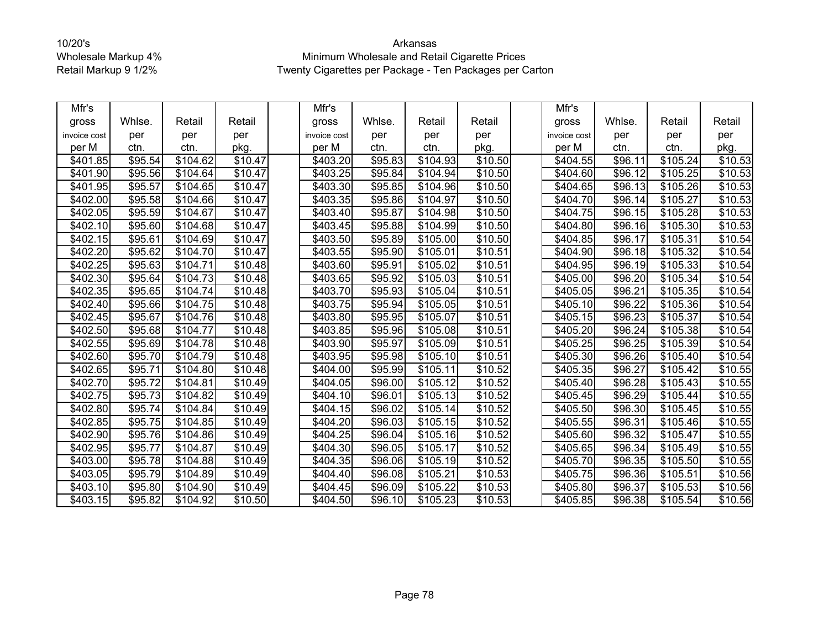| Mfr's        |         |          |                     | Mfr's           |         |          |         | Mfr's                |         |          |                     |
|--------------|---------|----------|---------------------|-----------------|---------|----------|---------|----------------------|---------|----------|---------------------|
| gross        | Whlse.  | Retail   | Retail              | gross           | Whlse.  | Retail   | Retail  | gross                | Whlse.  | Retail   | Retail              |
| invoice cost | per     | per      | per                 | invoice cost    | per     | per      | per     | invoice cost         | per     | per      | per                 |
| per M        | ctn.    | ctn.     | pkg.                | per M           | ctn.    | ctn.     | pkg.    | per M                | ctn.    | ctn.     | pkg.                |
| \$401.85     | \$95.54 | \$104.62 | $\overline{$}10.47$ | \$403.20        | \$95.83 | \$104.93 | \$10.50 | \$404.55             | \$96.11 | \$105.24 | $\overline{$}10.53$ |
| \$401.90     | \$95.56 | \$104.64 | \$10.47             | \$403.25        | \$95.84 | \$104.94 | \$10.50 | \$404.60             | \$96.12 | \$105.25 | \$10.53             |
| \$401.95     | \$95.57 | \$104.65 | \$10.47             | \$403.30        | \$95.85 | \$104.96 | \$10.50 | \$404.65             | \$96.13 | \$105.26 | \$10.53             |
| \$402.00     | \$95.58 | \$104.66 | \$10.47             | \$403.35        | \$95.86 | \$104.97 | \$10.50 | \$404.70             | \$96.14 | \$105.27 | \$10.53             |
| \$402.05     | \$95.59 | \$104.67 | \$10.47             | \$403.40        | \$95.87 | \$104.98 | \$10.50 | \$404.75             | \$96.15 | \$105.28 | \$10.53             |
| \$402.10     | \$95.60 | \$104.68 | \$10.47             | \$403.45        | \$95.88 | \$104.99 | \$10.50 | \$404.80             | \$96.16 | \$105.30 | \$10.53             |
| \$402.15     | \$95.61 | \$104.69 | \$10.47             | $\sqrt{403.50}$ | \$95.89 | \$105.00 | \$10.50 | $\overline{$}404.85$ | \$96.17 | \$105.31 | \$10.54             |
| \$402.20     | \$95.62 | \$104.70 | \$10.47             | \$403.55        | \$95.90 | \$105.01 | \$10.51 | \$404.90             | \$96.18 | \$105.32 | \$10.54             |
| \$402.25     | \$95.63 | \$104.71 | \$10.48             | \$403.60        | \$95.91 | \$105.02 | \$10.51 | \$404.95             | \$96.19 | \$105.33 | \$10.54             |
| \$402.30     | \$95.64 | \$104.73 | \$10.48             | \$403.65        | \$95.92 | \$105.03 | \$10.51 | \$405.00             | \$96.20 | \$105.34 | \$10.54             |
| \$402.35     | \$95.65 | \$104.74 | \$10.48             | \$403.70        | \$95.93 | \$105.04 | \$10.51 | \$405.05             | \$96.21 | \$105.35 | \$10.54             |
| \$402.40     | \$95.66 | \$104.75 | \$10.48             | \$403.75        | \$95.94 | \$105.05 | \$10.51 | \$405.10             | \$96.22 | \$105.36 | \$10.54             |
| \$402.45     | \$95.67 | \$104.76 | \$10.48             | \$403.80        | \$95.95 | \$105.07 | \$10.51 | $\overline{$}405.15$ | \$96.23 | \$105.37 | \$10.54             |
| \$402.50     | \$95.68 | \$104.77 | \$10.48             | \$403.85        | \$95.96 | \$105.08 | \$10.51 | \$405.20             | \$96.24 | \$105.38 | \$10.54             |
| \$402.55     | \$95.69 | \$104.78 | \$10.48             | \$403.90        | \$95.97 | \$105.09 | \$10.51 | \$405.25             | \$96.25 | \$105.39 | \$10.54             |
| \$402.60     | \$95.70 | \$104.79 | \$10.48             | \$403.95        | \$95.98 | \$105.10 | \$10.51 | \$405.30             | \$96.26 | \$105.40 | \$10.54             |
| \$402.65     | \$95.71 | \$104.80 | \$10.48             | \$404.00        | \$95.99 | \$105.11 | \$10.52 | \$405.35             | \$96.27 | \$105.42 | $\overline{$}10.55$ |
| \$402.70     | \$95.72 | \$104.81 | $\overline{$}10.49$ | \$404.05        | \$96.00 | \$105.12 | \$10.52 | \$405.40             | \$96.28 | \$105.43 | \$10.55             |
| \$402.75     | \$95.73 | \$104.82 | \$10.49             | \$404.10]       | \$96.01 | \$105.13 | \$10.52 | \$405.45             | \$96.29 | \$105.44 | \$10.55             |
| \$402.80     | \$95.74 | \$104.84 | \$10.49             | \$404.15        | \$96.02 | \$105.14 | \$10.52 | \$405.50             | \$96.30 | \$105.45 | \$10.55             |
| \$402.85     | \$95.75 | \$104.85 | \$10.49             | \$404.20        | \$96.03 | \$105.15 | \$10.52 | \$405.55             | \$96.31 | \$105.46 | \$10.55             |
| \$402.90     | \$95.76 | \$104.86 | \$10.49             | \$404.25        | \$96.04 | \$105.16 | \$10.52 | \$405.60             | \$96.32 | \$105.47 | \$10.55             |
| \$402.95     | \$95.77 | \$104.87 | \$10.49             | \$404.30        | \$96.05 | \$105.17 | \$10.52 | \$405.65             | \$96.34 | \$105.49 | \$10.55             |
| \$403.00     | \$95.78 | \$104.88 | \$10.49             | \$404.35        | \$96.06 | \$105.19 | \$10.52 | \$405.70             | \$96.35 | \$105.50 | \$10.55             |
| \$403.05     | \$95.79 | \$104.89 | \$10.49             | \$404.40        | \$96.08 | \$105.21 | \$10.53 | \$405.75             | \$96.36 | \$105.51 | \$10.56             |
| \$403.10     | \$95.80 | \$104.90 | \$10.49             | \$404.45        | \$96.09 | \$105.22 | \$10.53 | \$405.80             | \$96.37 | \$105.53 | \$10.56             |
| \$403.15     | \$95.82 | \$104.92 | \$10.50             | \$404.50        | \$96.10 | \$105.23 | \$10.53 | \$405.85             | \$96.38 | \$105.54 | \$10.56             |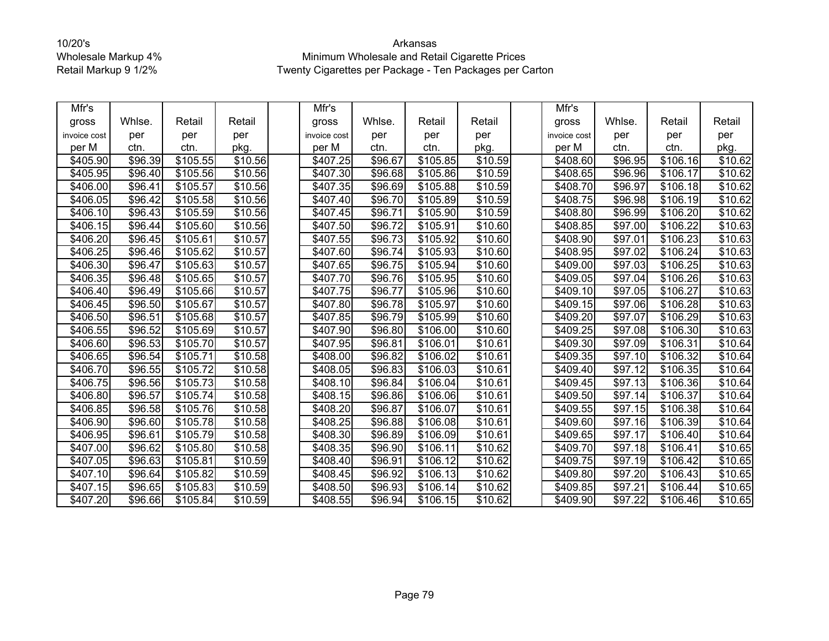| Mfr's        |                     |          |                     | Mfr's                |         |          |         | Mfr's        |                     |                      |         |
|--------------|---------------------|----------|---------------------|----------------------|---------|----------|---------|--------------|---------------------|----------------------|---------|
| gross        | Whlse.              | Retail   | Retail              | gross                | Whlse.  | Retail   | Retail  | gross        | Whlse.              | Retail               | Retail  |
| invoice cost | per                 | per      | per                 | invoice cost         | per     | per      | per     | invoice cost | per                 | per                  | per     |
| per M        | ctn.                | ctn.     | pkg.                | per M                | ctn.    | ctn.     | pkg.    | per M        | ctn.                | ctn.                 | pkg.    |
| \$405.90     | \$96.39             | \$105.55 | \$10.56             | \$407.25             | \$96.67 | \$105.85 | \$10.59 | \$408.60     | \$96.95             | $\overline{$}106.16$ | \$10.62 |
| \$405.95     | \$96.40             | \$105.56 | \$10.56             | \$407.30             | \$96.68 | \$105.86 | \$10.59 | \$408.65     | \$96.96             | \$106.17             | \$10.62 |
| \$406.00     | \$96.41             | \$105.57 | \$10.56             | \$407.35             | \$96.69 | \$105.88 | \$10.59 | \$408.70     | \$96.97             | \$106.18             | \$10.62 |
| \$406.05     | \$96.42             | \$105.58 | \$10.56             | \$407.40             | \$96.70 | \$105.89 | \$10.59 | \$408.75     | \$96.98             | \$106.19             | \$10.62 |
| \$406.10     | \$96.43             | \$105.59 | \$10.56             | \$407.45             | \$96.71 | \$105.90 | \$10.59 | \$408.80     | \$96.99             | \$106.20             | \$10.62 |
| \$406.15     | \$96.44             | \$105.60 | \$10.56             | \$407.50             | \$96.72 | \$105.91 | \$10.60 | \$408.85     | \$97.00             | \$106.22             | \$10.63 |
| \$406.20     | \$96.45             | \$105.61 | \$10.57             | $\overline{$}407.55$ | \$96.73 | \$105.92 | \$10.60 | \$408.90     | \$97.01             | \$106.23             | \$10.63 |
| \$406.25     | \$96.46             | \$105.62 | \$10.57             | \$407.60             | \$96.74 | \$105.93 | \$10.60 | \$408.95     | \$97.02             | \$106.24             | \$10.63 |
| \$406.30     | \$96.47             | \$105.63 | \$10.57             | \$407.65             | \$96.75 | \$105.94 | \$10.60 | \$409.00     | \$97.03             | \$106.25             | \$10.63 |
| \$406.35     | \$96.48             | \$105.65 | \$10.57             | \$407.70             | \$96.76 | \$105.95 | \$10.60 | \$409.05     | \$97.04             | \$106.26             | \$10.63 |
| \$406.40     | \$96.49             | \$105.66 | \$10.57             | \$407.75             | \$96.77 | \$105.96 | \$10.60 | \$409.10     | \$97.05             | \$106.27             | \$10.63 |
| \$406.45     | \$96.50             | \$105.67 | \$10.57             | \$407.80             | \$96.78 | \$105.97 | \$10.60 | \$409.15     | \$97.06             | \$106.28             | \$10.63 |
| \$406.50     | $\overline{$}96.51$ | \$105.68 | \$10.57             | \$407.85             | \$96.79 | \$105.99 | \$10.60 | \$409.20     | $\overline{$97.07}$ | \$106.29             | \$10.63 |
| \$406.55     | \$96.52             | \$105.69 | \$10.57             | \$407.90             | \$96.80 | \$106.00 | \$10.60 | \$409.25     | \$97.08             | \$106.30             | \$10.63 |
| \$406.60     | \$96.53             | \$105.70 | $\overline{$}10.57$ | \$407.95             | \$96.81 | \$106.01 | \$10.61 | \$409.30     | \$97.09             | \$106.31             | \$10.64 |
| \$406.65     | \$96.54             | \$105.71 | \$10.58             | \$408.00             | \$96.82 | \$106.02 | \$10.61 | \$409.35     | \$97.10             | \$106.32             | \$10.64 |
| \$406.70     | \$96.55             | \$105.72 | \$10.58             | \$408.05             | \$96.83 | \$106.03 | \$10.61 | \$409.40     | \$97.12             | \$106.35             | \$10.64 |
| \$406.75     | \$96.56             | \$105.73 | \$10.58             | \$408.10             | \$96.84 | \$106.04 | \$10.61 | \$409.45     | \$97.13             | \$106.36             | \$10.64 |
| \$406.80     | \$96.57             | \$105.74 | \$10.58             | \$408.15             | \$96.86 | \$106.06 | \$10.61 | \$409.50     | \$97.14             | \$106.37             | \$10.64 |
| \$406.85     | \$96.58             | \$105.76 | \$10.58             | \$408.20             | \$96.87 | \$106.07 | \$10.61 | \$409.55     | \$97.15             | \$106.38             | \$10.64 |
| \$406.90     | \$96.60             | \$105.78 | \$10.58             | \$408.25             | \$96.88 | \$106.08 | \$10.61 | \$409.60     | \$97.16             | \$106.39             | \$10.64 |
| \$406.95     | \$96.61             | \$105.79 | \$10.58             | \$408.30             | \$96.89 | \$106.09 | \$10.61 | \$409.65     | \$97.17             | \$106.40             | \$10.64 |
| \$407.00     | \$96.62             | \$105.80 | \$10.58             | \$408.35             | \$96.90 | \$106.11 | \$10.62 | \$409.70     | \$97.18             | \$106.41             | \$10.65 |
| \$407.05     | \$96.63             | \$105.81 | \$10.59             | \$408.40             | \$96.91 | \$106.12 | \$10.62 | \$409.75     | \$97.19             | \$106.42             | \$10.65 |
| \$407.10     | \$96.64             | \$105.82 | \$10.59             | \$408.45             | \$96.92 | \$106.13 | \$10.62 | \$409.80     | \$97.20             | \$106.43             | \$10.65 |
| \$407.15     | \$96.65             | \$105.83 | \$10.59             | \$408.50             | \$96.93 | \$106.14 | \$10.62 | \$409.85     | \$97.21             | \$106.44             | \$10.65 |
| \$407.20     | \$96.66             | \$105.84 | $\overline{$10.59}$ | \$408.55             | \$96.94 | \$106.15 | \$10.62 | \$409.90     | $\overline{$}97.22$ | \$106.46             | \$10.65 |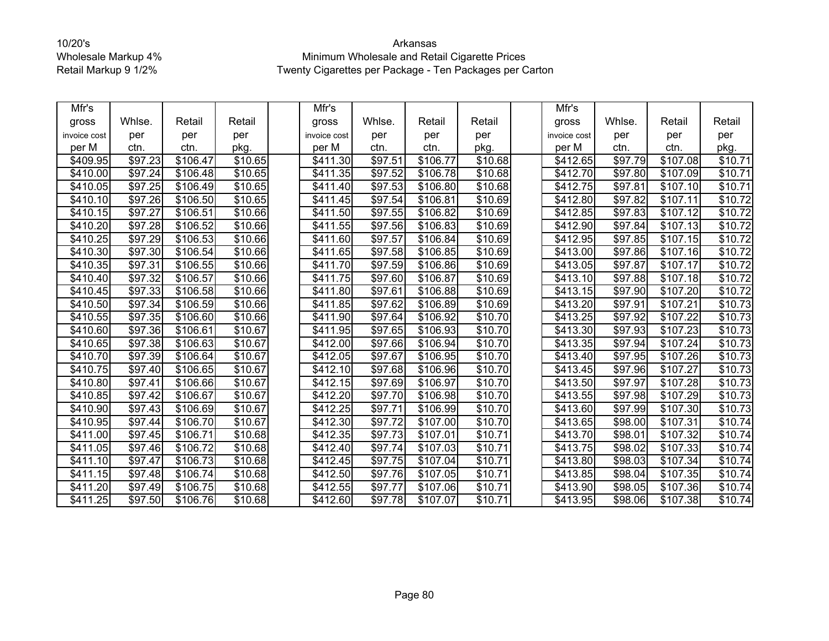| Mfr's        |                     |          |                     | Mfr's                |         |          |                     | Mfr's        |         |                      |         |
|--------------|---------------------|----------|---------------------|----------------------|---------|----------|---------------------|--------------|---------|----------------------|---------|
| gross        | Whlse.              | Retail   | Retail              | gross                | Whlse.  | Retail   | Retail              | gross        | Whlse.  | Retail               | Retail  |
| invoice cost | per                 | per      | per                 | invoice cost         | per     | per      | per                 | invoice cost | per     | per                  | per     |
| per M        | ctn.                | ctn.     | pkg.                | per M                | ctn.    | ctn.     | pkg.                | per M        | ctn.    | ctn.                 | pkg.    |
| \$409.95     | \$97.23             | \$106.47 | \$10.65             | \$411.30             | \$97.51 | \$106.77 | \$10.68             | \$412.65     | \$97.79 | \$107.08             | \$10.71 |
| \$410.00     | \$97.24             | \$106.48 | \$10.65             | \$411.35             | \$97.52 | \$106.78 | \$10.68             | \$412.70     | \$97.80 | \$107.09             | \$10.71 |
| \$410.05     | \$97.25             | \$106.49 | \$10.65             | \$411.40             | \$97.53 | \$106.80 | \$10.68             | \$412.75     | \$97.81 | \$107.10             | \$10.71 |
| \$410.10     | \$97.26             | \$106.50 | \$10.65             | \$411.45             | \$97.54 | \$106.81 | \$10.69             | \$412.80     | \$97.82 | \$107.11             | \$10.72 |
| \$410.15     | \$97.27             | \$106.51 | \$10.66             | \$41<br>1.50         | \$97.55 | \$106.82 | \$10.69             | \$412.85     | \$97.83 | \$107.12             | \$10.72 |
| \$410.20     | \$97.28             | \$106.52 | \$10.66             | \$411.55             | \$97.56 | \$106.83 | \$10.69             | \$412.90     | \$97.84 | \$107.13             | \$10.72 |
| \$410.25     | \$97.29             | \$106.53 | \$10.66             | \$411.60             | \$97.57 | \$106.84 | \$10.69             | \$412.95     | \$97.85 | \$107.15             | \$10.72 |
| \$410.30     | \$97.30             | \$106.54 | \$10.66             | \$411.65             | \$97.58 | \$106.85 | \$10.69             | \$413.00     | \$97.86 | \$107.16             | \$10.72 |
| \$410.35     | $\overline{$}97.31$ | \$106.55 | \$10.66             | \$411.70             | \$97.59 | \$106.86 | \$10.69             | \$413.05     | \$97.87 | \$107.17             | \$10.72 |
| \$410.40     | \$97.32             | \$106.57 | \$10.66             | \$411.75             | \$97.60 | \$106.87 | \$10.69             | \$413.10     | \$97.88 | \$107.18             | \$10.72 |
| \$410.45     | \$97.33             | \$106.58 | \$10.66             | \$411.80             | \$97.61 | \$106.88 | \$10.69             | \$413.15     | \$97.90 | \$107.20             | \$10.72 |
| \$410.50     | \$97.34             | \$106.59 | \$10.66             | \$411.85             | \$97.62 | \$106.89 | \$10.69             | \$413.20     | \$97.91 | \$107.21             | \$10.73 |
| \$410.55     | \$97.35             | \$106.60 | \$10.66             | \$411.90             | \$97.64 | \$106.92 | \$10.70             | \$413.25     | \$97.92 | \$107.22             | \$10.73 |
| \$410.60     | \$97.36             | \$106.61 | \$10.67             | \$411.95             | \$97.65 | \$106.93 | \$10.70             | \$413.30     | \$97.93 | \$107.23             | \$10.73 |
| \$410.65     | \$97.38             | \$106.63 | \$10.67             | \$412.00             | \$97.66 | \$106.94 | \$10.70             | \$413.35     | \$97.94 | \$107.24             | \$10.73 |
| \$410.70     | \$97.39             | \$106.64 | \$10.67             | \$412.05             | \$97.67 | \$106.95 | \$10.70             | \$413.40     | \$97.95 | \$107.26             | \$10.73 |
| \$410.75     | \$97.40             | \$106.65 | \$10.67             | \$412.10             | \$97.68 | \$106.96 | \$10.70             | \$413.45     | \$97.96 | \$107.27             | \$10.73 |
| \$410.80     | \$97.41             | \$106.66 | \$10.67             | \$412.15             | \$97.69 | \$106.97 | \$10.70             | \$413.50     | \$97.97 | \$107.28             | \$10.73 |
| \$410.85     | \$97.42             | \$106.67 | \$10.67             | \$412.20             | \$97.70 | \$106.98 | \$10.70             | \$413.55     | \$97.98 | \$107.29             | \$10.73 |
| \$410.90     | \$97.43             | \$106.69 | \$10.67             | \$412.25             | \$97.71 | \$106.99 | $\overline{$}10.70$ | \$413.60     | \$97.99 | $\overline{$}107.30$ | \$10.73 |
| \$410.95     | \$97.44             | \$106.70 | \$10.67             | $\overline{$412.30}$ | \$97.72 | \$107.00 | \$10.70             | \$413.65     | \$98.00 | \$107.31             | \$10.74 |
| \$411.00     | \$97.45             | \$106.71 | \$10.68             | \$412.35             | \$97.73 | \$107.01 | \$10.71             | \$413.70     | \$98.01 | \$107.32             | \$10.74 |
| \$411.05     | \$97.46             | \$106.72 | \$10.68             | \$412.40             | \$97.74 | \$107.03 | \$10.71             | \$413.75     | \$98.02 | \$107.33             | \$10.74 |
| \$411.10     | \$97.47             | \$106.73 | \$10.68             | \$412.45             | \$97.75 | \$107.04 | \$10.71             | \$413.80     | \$98.03 | \$107.34             | \$10.74 |
| \$411.15     | $\sqrt{$97.48}$     | \$106.74 | $\overline{$}10.68$ | \$412.50             | \$97.76 | \$107.05 | \$10.71             | \$413.85     | \$98.04 | $\overline{$}107.35$ | \$10.74 |
| \$411.20     | \$97.49             | \$106.75 | \$10.68             | \$412.55             | \$97.77 | \$107.06 | \$10.71             | \$413.90     | \$98.05 | \$107.36             | \$10.74 |
| \$411.25     | \$97.50             | \$106.76 | \$10.68             | \$412.60             | \$97.78 | \$107.07 | \$10.71             | \$413.95     | \$98.06 | \$107.38             | \$10.74 |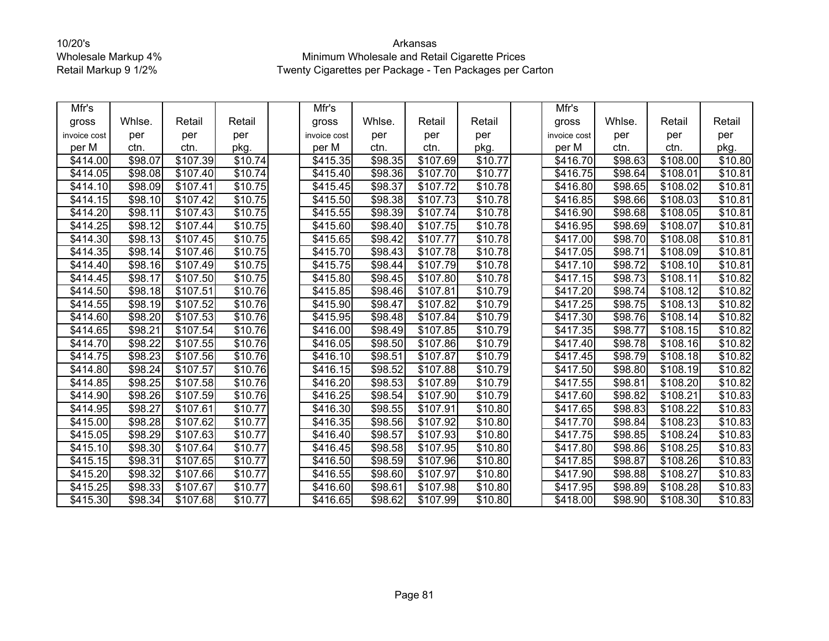| Mfr's                |                     |                      |                     | Mfr's                |         |                      |         | Mfr's                |         |          |                     |
|----------------------|---------------------|----------------------|---------------------|----------------------|---------|----------------------|---------|----------------------|---------|----------|---------------------|
| gross                | Whlse.              | Retail               | Retail              | gross                | Whlse.  | Retail               | Retail  | gross                | Whlse.  | Retail   | Retail              |
| invoice cost         | per                 | per                  | per                 | invoice cost         | per     | per                  | per     | invoice cost         | per     | per      | per                 |
| per M                | ctn.                | ctn.                 | pkg.                | per M                | ctn.    | ctn.                 | pkg.    | per M                | ctn.    | ctn.     | pkg.                |
| \$414.00             | \$98.07             | \$107.39             | \$10.74             | \$415.35             | \$98.35 | \$107.69             | \$10.77 | \$416.70             | \$98.63 | \$108.00 | \$10.80             |
| \$414.05             | \$98.08             | \$107.40             | \$10.74             | \$415.40             | \$98.36 | \$107.70             | \$10.77 | \$416.75             | \$98.64 | \$108.01 | \$10.81             |
| $\overline{$}414.10$ | \$98.09             | \$107.41             | \$10.75             | \$415.45             | \$98.37 | \$107.72             | \$10.78 | \$416.80             | \$98.65 | \$108.02 | \$10.81             |
| \$414.15             | \$98.10             | \$107.42             | \$10.75             | \$415.50             | \$98.38 | \$107.73             | \$10.78 | \$416.85             | \$98.66 | \$108.03 | $\overline{$}10.81$ |
| \$414.20             | \$98.11             | \$107.43             | \$10.75             | \$415.55             | \$98.39 | \$107.74             | \$10.78 | \$416.90             | \$98.68 | \$108.05 | \$10.81             |
| \$414.25             | \$98.12             | \$107.44             | \$10.75             | \$415.60             | \$98.40 | \$107.75             | \$10.78 | \$416.95             | \$98.69 | \$108.07 | \$10.81             |
| \$414.30             | \$98.13             | \$107.45             | \$10.75             | \$415.65             | \$98.42 | \$107.77             | \$10.78 | \$417.00             | \$98.70 | \$108.08 | \$10.81             |
| \$414.35             | \$98.14             | \$107.46             | \$10.75             | \$415.70             | \$98.43 | \$107.78             | \$10.78 | \$417.05             | \$98.71 | \$108.09 | \$10.81             |
| \$414.40             | \$98.16             | \$107.49             | \$10.75             | \$415.75             | \$98.44 | \$107.79             | \$10.78 | \$417.10             | \$98.72 | \$108.10 | \$10.81             |
| \$414.45             | \$98.17             | \$107.50             | \$10.75             | \$415.80             | \$98.45 | \$107.80             | \$10.78 | \$417.15             | \$98.73 | \$108.11 | \$10.82             |
| \$414.50             | \$98.18             | \$107.51             | \$10.76             | \$415.85             | \$98.46 | \$107.81             | \$10.79 | \$417.20             | \$98.74 | \$108.12 | \$10.82             |
| \$414.55             | \$98.19             | \$107.52             | $\overline{$}10.76$ | \$415.90             | \$98.47 | \$107.82             | \$10.79 | \$417.25             | \$98.75 | \$108.13 | \$10.82             |
| \$414.60             | \$98.20             | $\overline{$}107.53$ | \$10.76             | $\overline{$415.95}$ | \$98.48 | $\overline{$}107.84$ | \$10.79 | $\sqrt{34}17.30$     | \$98.76 | \$108.14 | \$10.82             |
| \$414.65             | \$98.21             | \$107.54             | \$10.76             | \$416.00             | \$98.49 | \$107.85             | \$10.79 | \$417.35             | \$98.77 | \$108.15 | \$10.82             |
| \$414.70             | \$98.22             | \$107.55             | \$10.76             | \$416.05             | \$98.50 | \$107.86             | \$10.79 | \$417.40             | \$98.78 | \$108.16 | \$10.82             |
| \$414.75             | \$98.23             | \$107.56             | \$10.76             | \$416.10             | \$98.51 | \$107.87             | \$10.79 | \$417.45             | \$98.79 | \$108.18 | \$10.82             |
| \$414.80             | \$98.24             | \$107.57             | \$10.76             | \$416.15             | \$98.52 | $\overline{$}107.88$ | \$10.79 | \$417.50             | \$98.80 | \$108.19 | \$10.82             |
| \$414.85             | \$98.25             | $\overline{$}107.58$ | \$10.76             | $\sqrt{3}416.20$     | \$98.53 | \$107.89             | \$10.79 | $\overline{$}417.55$ | \$98.81 | \$108.20 | \$10.82             |
| \$414.90             | \$98.26             | \$107.59             | \$10.76             | \$416.25             | \$98.54 | \$107.90             | \$10.79 | \$417.60             | \$98.82 | \$108.21 | \$10.83             |
| $\overline{$414.95}$ | \$98.27             | \$107.61             | \$10.77             | \$416.30             | \$98.55 | \$107.91             | \$10.80 | \$417.65             | \$98.83 | \$108.22 | \$10.83             |
| \$415.00             | \$98.28             | \$107.62             | \$10.77             | $\overline{$416.35}$ | \$98.56 | \$107.92             | \$10.80 | \$417.70             | \$98.84 | \$108.23 | \$10.83             |
| \$415.05             | \$98.29             | \$107.63             | \$10.77             | \$416.40             | \$98.57 | \$107.93             | \$10.80 | \$417.75             | \$98.85 | \$108.24 | \$10.83             |
| \$415.10             | \$98.30             | \$107.64             | \$10.77             | \$416.45             | \$98.58 | \$107.95             | \$10.80 | \$417.80             | \$98.86 | \$108.25 | \$10.83             |
| \$415.15             | $\overline{$}98.31$ | \$107.65             | \$10.77             | \$416.50             | \$98.59 | \$107.96             | \$10.80 | \$417.85             | \$98.87 | \$108.26 | \$10.83             |
| \$415.20             | \$98.32             | \$107.66             | \$10.77             | \$416.55             | \$98.60 | \$107.97             | \$10.80 | \$417.90             | \$98.88 | \$108.27 | \$10.83             |
| \$415.25             | \$98.33             | \$107.67             | \$10.77             | \$416.60             | \$98.61 | \$107.98             | \$10.80 | \$417.95             | \$98.89 | \$108.28 | \$10.83             |
| \$415.30             | \$98.34             | \$107.68             | \$10.77             | \$416.65             | \$98.62 | \$107.99             | \$10.80 | \$418.00             | \$98.90 | \$108.30 | \$10.83             |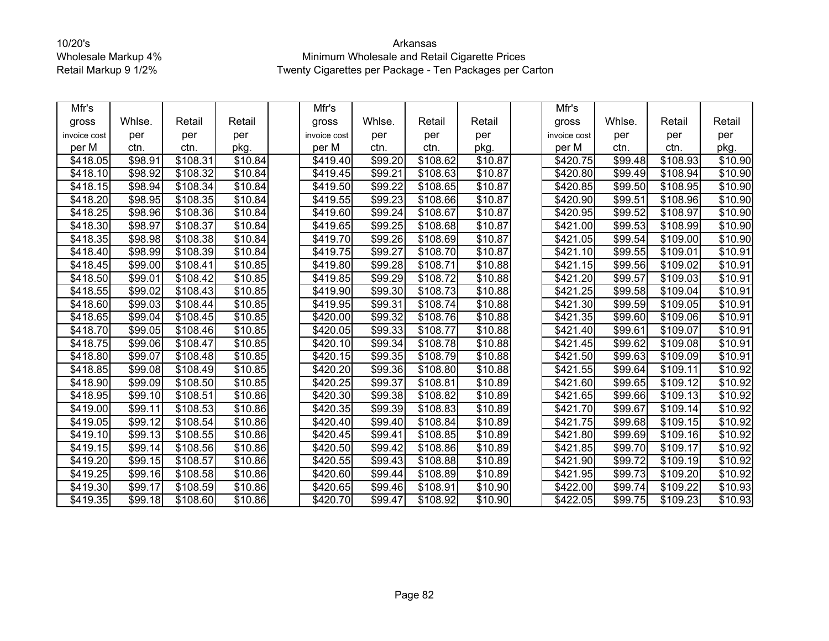| Mfr's                |         |          |                     | Mfr's            |         |                      |         | Mfr's                |         |          |         |
|----------------------|---------|----------|---------------------|------------------|---------|----------------------|---------|----------------------|---------|----------|---------|
| gross                | Whlse.  | Retail   | Retail              | gross            | Whlse.  | Retail               | Retail  | gross                | Whlse.  | Retail   | Retail  |
| invoice cost         | per     | per      | per                 | invoice cost     | per     | per                  | per     | invoice cost         | per     | per      | per     |
| per M                | ctn.    | ctn.     | pkg.                | per M            | ctn.    | ctn.                 | pkg.    | per M                | ctn.    | ctn.     | pkg.    |
| \$418.05             | \$98.91 | \$108.31 | \$10.84             | \$419.40         | \$99.20 | \$108.62             | \$10.87 | \$420.75             | \$99.48 | \$108.93 | \$10.90 |
| \$418.10             | \$98.92 | \$108.32 | \$10.84             | \$419.45         | \$99.21 | \$108.63             | \$10.87 | \$420.80             | \$99.49 | \$108.94 | \$10.90 |
| \$418.15             | \$98.94 | \$108.34 | \$10.84             | \$419.50         | \$99.22 | \$108.65             | \$10.87 | \$420.85             | \$99.50 | \$108.95 | \$10.90 |
| \$418.20             | \$98.95 | \$108.35 | \$10.84             | \$419.55         | \$99.23 | \$108.66             | \$10.87 | \$420.90             | \$99.51 | \$108.96 | \$10.90 |
| \$418.25             | \$98.96 | \$108.36 | \$10.84             | \$419.60         | \$99.24 | \$108.67             | \$10.87 | \$420.95             | \$99.52 | \$108.97 | \$10.90 |
| \$418.30             | \$98.97 | \$108.37 | \$10.84             | \$419.65         | \$99.25 | \$108.68             | \$10.87 | \$421.00             | \$99.53 | \$108.99 | \$10.90 |
| \$418.35             | \$98.98 | \$108.38 | \$10.84             | \$419.70         | \$99.26 | \$108.69             | \$10.87 | \$421.05             | \$99.54 | \$109.00 | \$10.90 |
| \$418.40             | \$98.99 | \$108.39 | \$10.84             | \$419.75         | \$99.27 | \$108.70             | \$10.87 | \$421.10             | \$99.55 | \$109.01 | \$10.91 |
| \$418.45             | \$99.00 | \$108.41 | \$10.85             | \$419.80         | \$99.28 | \$108.71             | \$10.88 | \$421.15             | \$99.56 | \$109.02 | \$10.91 |
| \$418.50             | \$99.01 | \$108.42 | \$10.85             | \$419.85         | \$99.29 | \$108.72             | \$10.88 | \$421.20             | \$99.57 | \$109.03 | \$10.91 |
| \$418.55             | \$99.02 | \$108.43 | \$10.85             | \$419.90         | \$99.30 | \$108.73             | \$10.88 | \$421.25             | \$99.58 | \$109.04 | \$10.91 |
| \$418.60             | \$99.03 | \$108.44 | \$10.85             | \$419.95         | \$99.31 | \$108.74             | \$10.88 | \$421.30             | \$99.59 | \$109.05 | \$10.91 |
| \$418.65             | \$99.04 | \$108.45 | \$10.85             | $\sqrt{$420.00}$ | \$99.32 | \$108.76             | \$10.88 | $\overline{$}421.35$ | \$99.60 | \$109.06 | \$10.91 |
| \$418.70             | \$99.05 | \$108.46 | \$10.85             | \$420.05         | \$99.33 | \$108.77             | \$10.88 | \$421.40             | \$99.61 | \$109.07 | \$10.91 |
| \$418.75             | \$99.06 | \$108.47 | \$10.85             | \$420.10         | \$99.34 | \$108.78             | \$10.88 | \$421.45             | \$99.62 | \$109.08 | \$10.91 |
| \$418.80             | \$99.07 | \$108.48 | \$10.85             | \$420.15         | \$99.35 | \$108.79             | \$10.88 | \$421.50             | \$99.63 | \$109.09 | \$10.91 |
| \$418.85             | \$99.08 | \$108.49 | $\overline{$10.85}$ | $\sqrt{$420.20}$ | \$99.36 | \$108.80             | \$10.88 | \$421.55             | \$99.64 | \$109.11 | \$10.92 |
| \$418.90             | \$99.09 | \$108.50 | $\overline{$}10.85$ | \$420.25         | \$99.37 | \$108.81             | \$10.89 | \$421.60             | \$99.65 | \$109.12 | \$10.92 |
| \$418.95             | \$99.10 | \$108.51 | \$10.86             | \$420.30         | \$99.38 | \$108.82             | \$10.89 | \$421.65             | \$99.66 | \$109.13 | \$10.92 |
| \$419.00             | \$99.11 | \$108.53 | \$10.86             | \$420.35         | \$99.39 | \$108.83             | \$10.89 | \$421.70             | \$99.67 | \$109.14 | \$10.92 |
| \$419.05             | \$99.12 | \$108.54 | \$10.86             | \$420.40         | \$99.40 | \$108.84             | \$10.89 | \$421.75             | \$99.68 | \$109.15 | \$10.92 |
| \$419.10             | \$99.13 | \$108.55 | \$10.86             | \$420.45         | \$99.41 | \$108.85             | \$10.89 | \$421.80             | \$99.69 | \$109.16 | \$10.92 |
| \$419.15             | \$99.14 | \$108.56 | $\overline{$}10.86$ | \$420.50         | \$99.42 | \$108.86             | \$10.89 | \$421.85             | \$99.70 | \$109.17 | \$10.92 |
| $\overline{$}419.20$ | \$99.15 | \$108.57 | \$10.86             | \$420.55         | \$99.43 | \$108.88             | \$10.89 | \$421.90             | \$99.72 | \$109.19 | \$10.92 |
| \$419.25             | \$99.16 | \$108.58 | \$10.86             | \$420.60         | \$99.44 | $\overline{$}108.89$ | \$10.89 | \$421.95             | \$99.73 | \$109.20 | \$10.92 |
| \$419.30             | \$99.17 | \$108.59 | \$10.86             | \$420.65         | \$99.46 | \$108.91             | \$10.90 | \$422.00             | \$99.74 | \$109.22 | \$10.93 |
| \$419.35             | \$99.18 | \$108.60 | $\overline{$10.86}$ | $\sqrt{420.70}$  | \$99.47 | \$108.92             | \$10.90 | \$422.05             | \$99.75 | \$109.23 | \$10.93 |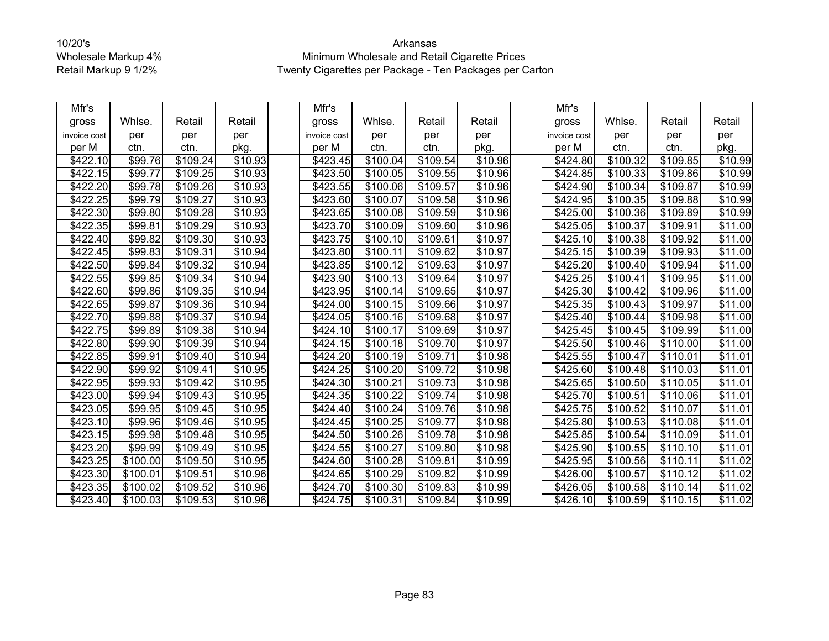| Mfr's        |          |          |                     | Mfr's            |                      |                      |         | Mfr's                |          |                      |                     |
|--------------|----------|----------|---------------------|------------------|----------------------|----------------------|---------|----------------------|----------|----------------------|---------------------|
| gross        | Whlse.   | Retail   | Retail              | gross            | Whlse.               | Retail               | Retail  | gross                | Whlse.   | Retail               | Retail              |
| invoice cost | per      | per      | per                 | invoice cost     | per                  | per                  | per     | invoice cost         | per      | per                  | per                 |
| per M        | ctn.     | ctn.     | pkg.                | per M            | ctn.                 | ctn.                 | pkg.    | per M                | ctn.     | ctn.                 | pkg.                |
| \$422.10     | \$99.76  | \$109.24 | \$10.93             | \$423.45         | \$100.04             | \$109.54             | \$10.96 | \$424.80             | \$100.32 | \$109.85             | \$10.99             |
| \$422.15     | \$99.77  | \$109.25 | \$10.93             | \$423.50         | \$100.05             | \$109.55             | \$10.96 | \$424.85             | \$100.33 | \$109.86             | $\overline{$}10.99$ |
| \$422.20     | \$99.78  | \$109.26 | \$10.93             | \$423.55         | \$100.06             | \$109.57             | \$10.96 | \$424.90             | \$100.34 | \$109.87             | \$10.99             |
| \$422.25     | \$99.79  | \$109.27 | \$10.93             | \$423.60         | \$100.07             | \$109.58             | \$10.96 | \$424.95             | \$100.35 | \$109.88             | \$10.99             |
| \$422.30     | \$99.80  | \$109.28 | \$10.93             | \$423.65         | $\overline{$}100.08$ | \$109.59             | \$10.96 | \$425.00             | \$100.36 | \$109.89             | \$10.99             |
| \$422.35     | \$99.81  | \$109.29 | $\frac{1}{10.93}$   | \$423.70         | \$100.09             | \$109.60             | \$10.96 | \$425.05             | \$100.37 | \$109.91             | \$11.00             |
| \$422.40     | \$99.82  | \$109.30 | \$10.93             | \$423.75         | \$100.10             | \$109.61             | \$10.97 | \$425.10             | \$100.38 | \$109.92             | \$11.00             |
| \$422.45     | \$99.83  | \$109.31 | \$10.94             | \$423.80         | \$100.11             | \$109.62             | \$10.97 | \$425.15             | \$100.39 | \$109.93             | \$11.00             |
| \$422.50     | \$99.84  | \$109.32 | \$10.94             | \$423.85         | \$100.12             | \$109.63             | \$10.97 | \$425.20             | \$100.40 | \$109.94             | \$11.00             |
| \$422.55     | \$99.85  | \$109.34 | \$10.94             | \$423.90         | \$100.13             | \$109.64             | \$10.97 | $\overline{$425.25}$ | \$100.41 | \$109.95             | \$11.00             |
| \$422.60     | \$99.86  | \$109.35 | \$10.94             | \$423.95         | \$100.14             | \$109.65             | \$10.97 | \$425.30             | \$100.42 | \$109.96             | \$11.00             |
| \$422.65     | \$99.87  | \$109.36 | \$10.94             | \$424.00         | \$100.15             | \$109.66             | \$10.97 | \$425.35             | \$100.43 | \$109.97             | \$11.00             |
| \$422.70     | \$99.88  | \$109.37 | \$10.94             | \$424.05         | \$100.16             | \$109.68             | \$10.97 | \$425.40             | \$100.44 | \$109.98             | \$11.00             |
| \$422.75     | \$99.89  | \$109.38 | $\overline{$}10.94$ | \$424.10         | \$100.17             | \$109.69             | \$10.97 | \$425.45             | \$100.45 | \$109.99             | \$11.00             |
| \$422.80     | \$99.90  | \$109.39 | \$10.94             | \$424.15         | \$100.18             | \$109.70             | \$10.97 | \$425.50             | \$100.46 | \$110.00             | \$11.00             |
| \$422.85     | \$99.91  | \$109.40 | \$10.94             | \$424.20         | \$100.19             | \$109.71             | \$10.98 | \$425.55             | \$100.47 | \$110.01             | \$11.01             |
| \$422.90     | \$99.92  | \$109.41 | \$10.95             | \$424.25         | \$100.20             | \$109.72             | \$10.98 | \$425.60             | \$100.48 | \$110.03             | $\overline{$}11.01$ |
| \$422.95     | \$99.93  | \$109.42 | \$10.95             | \$424.30         | \$100.21             | \$109.73             | \$10.98 | \$425.65             | \$100.50 | \$110.05             | \$11.01             |
| \$423.00     | \$99.94  | \$109.43 | \$10.95             | \$424.35         | \$100.22             | \$109.74             | \$10.98 | \$425.70             | \$100.51 | \$110.06             | \$11.01             |
| \$423.05     | \$99.95  | \$109.45 | \$10.95             | $\sqrt{$424.40}$ | \$100.24             | $\overline{$}109.76$ | \$10.98 | \$425.75             | \$100.52 | \$110.07             | \$11.01             |
| \$423.10     | \$99.96  | \$109.46 | \$10.95             | \$424.45         | \$100.25             | \$109.77             | \$10.98 | \$425.80             | \$100.53 | \$110.08             | \$11.01             |
| \$423.15     | \$99.98  | \$109.48 | \$10.95             | \$424.50         | $\overline{$}100.26$ | \$109.78             | \$10.98 | \$425.85             | \$100.54 | $\overline{$}110.09$ | \$11.01             |
| \$423.20     | \$99.99  | \$109.49 | \$10.95             | \$424.55         | \$100.27             | \$109.80             | \$10.98 | \$425.90             | \$100.55 | \$110.10             | \$11.01             |
| \$423.25     | \$100.00 | \$109.50 | \$10.95             | \$424.60         | \$100.28             | \$109.81             | \$10.99 | \$425.95             | \$100.56 | \$110.11             | \$11.02             |
| \$423.30     | \$100.01 | \$109.51 | \$10.96             | \$424.65         | \$100.29             | \$109.82             | \$10.99 | \$426.00             | \$100.57 | \$110.12             | \$11.02             |
| \$423.35     | \$100.02 | \$109.52 | \$10.96             | \$424.70         | \$100.30             | \$109.83             | \$10.99 | \$426.05             | \$100.58 | \$110.14             | \$11.02             |
| \$423.40     | \$100.03 | \$109.53 | \$10.96             | $\sqrt{424.75}$  | \$100.31             | \$109.84             | \$10.99 | \$426.10             | \$100.59 | \$110.15             | \$11.02             |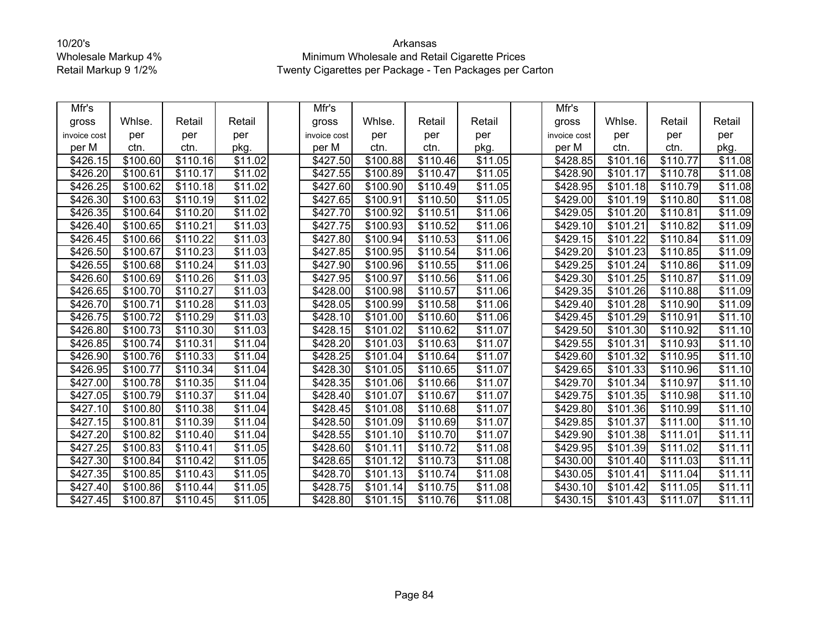| Mfr's        |                      |                      |                     | Mfr's        |                      |          |                     | Mfr's                |          |                      |                     |
|--------------|----------------------|----------------------|---------------------|--------------|----------------------|----------|---------------------|----------------------|----------|----------------------|---------------------|
| gross        | Whlse.               | Retail               | Retail              | gross        | Whlse.               | Retail   | Retail              | gross                | Whlse.   | Retail               | Retail              |
| invoice cost | per                  | per                  | per                 | invoice cost | per                  | per      | per                 | invoice cost         | per      | per                  | per                 |
| per M        | ctn.                 | ctn.                 | pkg.                | per M        | ctn.                 | ctn.     | pkg.                | per M                | ctn.     | ctn.                 | pkg.                |
| \$426.15     | \$100.60             | \$110.16             | \$11.02             | \$427.50     | \$100.88             | \$110.46 | \$11.05             | \$428.85             | \$101.16 | \$110.77             | \$11.08             |
| \$426.20     | \$100.61             | \$110.17             | \$11.02             | \$427.55     | \$100.89             | \$110.47 | \$11.05             | \$428.90             | \$101.17 | \$110.78             | \$11.08             |
| \$426.25     | \$100.62             | \$110.18             | $\sqrt{$11.02}$     | \$427.60     | \$100.90             | \$110.49 | \$11.05             | \$428.95             | \$101.18 | \$110.79             | \$11.08             |
| \$426.30     | \$100.63             | \$110.19             | \$11.02             | \$427.65     | \$100.91             | \$110.50 | \$11.05             | \$429.00             | \$101.19 | \$110.80             | \$11.08             |
| \$426.35     | $\overline{$}100.64$ | \$110.20             | \$11.02             | \$427.70     | \$100.92             | \$110.51 | \$11.06             | \$429.05             | \$101.20 | \$110.81             | \$11.09             |
| \$426.40     | \$100.65             | \$110.21             | \$11.03             | \$427.75     | \$100.93             | \$110.52 | \$11.06             | \$429.10             | \$101.21 | \$110.82             | \$11.09             |
| \$426.45     | \$100.66             | \$110.22             | \$11.03             | \$427.80     | \$100.94             | \$110.53 | \$11.06             | \$429.15             | \$101.22 | \$110.84             | \$11.09             |
| \$426.50     | \$100.67             | \$110.23             | \$11.03             | \$427.85     | \$100.95             | \$110.54 | \$11.06             | \$429.20             | \$101.23 | \$110.85             | \$11.09             |
| \$426.55     | \$100.68             | \$110.24             | \$11.03             | \$427.90     | \$100.96             | \$110.55 | \$11.06             | \$429.25             | \$101.24 | \$110.86             | \$11.09             |
| \$426.60     | \$100.69             | \$110.26             | $\overline{$}11.03$ | \$427.95     | \$100.97             | \$110.56 | \$11.06             | \$429.30             | \$101.25 | \$110.87             | $\overline{$11.09}$ |
| \$426.65     | \$100.70             | \$110.27             | \$11.03             | \$428.00     | \$100.98             | \$110.57 | \$11.06             | \$429.35             | \$101.26 | \$110.88             | \$11.09             |
| \$426.70     | \$100.71             | \$110.28             | \$11.03             | \$428.05     | \$100.99             | \$110.58 | \$11.06             | \$429.40             | \$101.28 | \$110.90             | $\overline{$11.09}$ |
| \$426.75     | \$100.72             | \$110.29             | $\overline{$}11.03$ | \$428.10     | \$101.00             | \$110.60 | \$11.06             | \$429.45             | \$101.29 | \$110.91             | $\overline{$}11.10$ |
| \$426.80     | \$100.73             | \$110.30             | $\overline{$}11.03$ | \$428.15     | \$101.02             | \$110.62 | \$11.07             | \$429.50             | \$101.30 | \$110.92             | \$11.10             |
| \$426.85     | \$100.74             | \$110.31             | $\overline{$}11.04$ | \$428.20     | \$101.03             | \$110.63 | \$11.07             | \$429.55             | \$101.31 | \$110.93             | $\overline{$}11.10$ |
| \$426.90     | \$100.76             | $\overline{$}110.33$ | \$11.04             | \$428.25     | \$101.04             | \$110.64 | \$11.07             | \$429.60             | \$101.32 | $\overline{$}110.95$ | \$11.10             |
| \$426.95     | \$100.77             | \$110.34             | $\overline{$}11.04$ | \$428.30     | $\overline{$}101.05$ | \$110.65 | \$11.07             | \$429.65             | \$101.33 | $\overline{$}110.96$ | \$11.10             |
| \$427.00     | \$100.78             | \$110.35             | \$11.04             | \$428.35     | \$101.06             | \$110.66 | \$11.07             | \$429.70             | \$101.34 | \$110.97             | \$11.10             |
| \$427.05     | \$100.79             | \$110.37             | \$11.04             | \$428.40     | \$101.07             | \$110.67 | \$11.07             | \$429.75             | \$101.35 | \$110.98             | \$11.10             |
| \$427.10     | \$100.80             | \$110.38             | $\overline{$}11.04$ | \$428.45     | \$101.08             | \$110.68 | \$11.07             | \$429.80             | \$101.36 | \$110.99             | \$11.10             |
| \$427.15     | \$100.81             | \$110.39             | \$11.04             | \$428.50     | \$101.09             | \$110.69 | \$11.07             | \$429.85             | \$101.37 | \$111.00             | \$11.10             |
| \$427.20     | \$100.82             | \$110.40             | \$11.04             | \$428.55     | \$101.10             | \$110.70 | $\overline{$}11.07$ | \$429.90             | \$101.38 | \$111.01             | \$11.11             |
| \$427.25     | \$100.83             | \$110.41             | \$11.05             | \$428.60     | \$101.11             | \$110.72 | \$11.08             | \$429.95             | \$101.39 | \$111.02             | \$11.11             |
| \$427.30     | \$100.84             | \$110.42             | \$11.05             | \$428.65     | \$101.12             | \$110.73 | \$11.08             | \$430.00             | \$101.40 | \$111.03             | \$11.11             |
| \$427.35     | \$100.85             | \$110.43             | $\overline{$}11.05$ | \$428.70     | \$101.13             | \$110.74 | $\overline{$}11.08$ | \$430.05             | \$101.41 | \$111.04             | \$11.11             |
| \$427.40     | \$100.86             | \$110.44             | \$11.05             | \$428.75     | \$101.14             | \$110.75 | \$11.08             | \$430.10             | \$101.42 | \$111.05             | \$11.11             |
| \$427.45     | \$100.87             | \$110.45             | \$11.05             | \$428.80     | \$101.15             | \$110.76 | $\overline{$11.08}$ | $\overline{$430.15}$ | \$101.43 | \$111.07             | \$11.11             |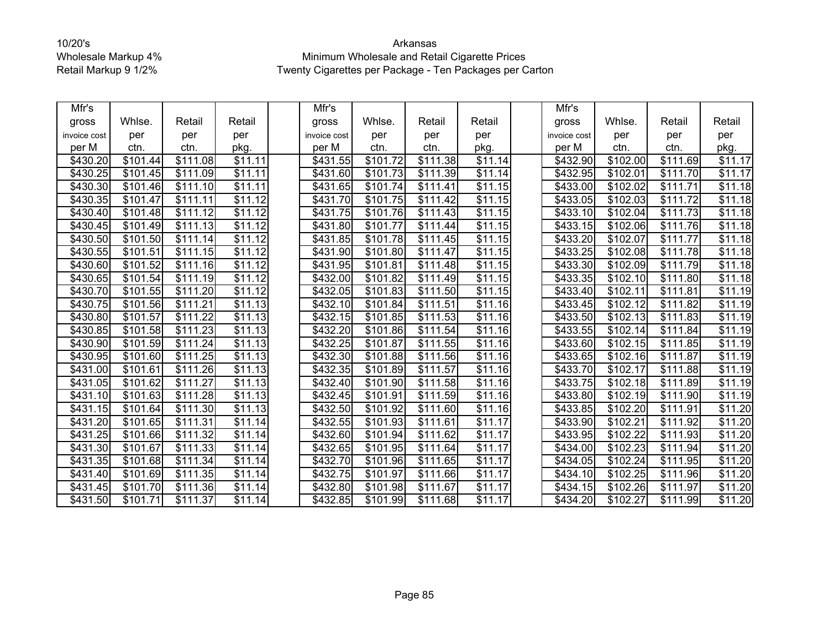| Mfr's        |          |                      |                     | Mfr's        |                      |          |                     | Mfr's           |          |          |                     |
|--------------|----------|----------------------|---------------------|--------------|----------------------|----------|---------------------|-----------------|----------|----------|---------------------|
| gross        | Whlse.   | Retail               | Retail              | gross        | Whlse.               | Retail   | Retail              | gross           | Whlse.   | Retail   | Retail              |
| invoice cost | per      | per                  | per                 | invoice cost | per                  | per      | per                 | invoice cost    | per      | per      | per                 |
| per M        | ctn.     | ctn.                 | pkg.                | per M        | ctn.                 | ctn.     | pkg.                | per M           | ctn.     | ctn.     | pkg.                |
| \$430.20     | \$101.44 | \$111.08             | \$11.11             | \$431.55     | \$101.72             | \$111.38 | \$11.14             | \$432.90        | \$102.00 | \$111.69 | \$11.17             |
| \$430.25     | \$101.45 | \$111.09             | \$11.11             | \$431.60     | \$101.73             | \$111.39 | \$11.14             | \$432.95        | \$102.01 | \$111.70 | \$11.17             |
| \$430.30     | \$101.46 | \$111.10             | $\overline{$11.11}$ | \$431.65     | \$101.74             | \$111.41 | \$11.15             | $\sqrt{433.00}$ | \$102.02 | \$111.71 | $\overline{$}11.18$ |
| \$430.35     | \$101.47 | \$111.11             | \$11.12             | \$431.70     | \$101.75             | \$111.42 | \$11.15             | \$433.05        | \$102.03 | \$111.72 | \$11.18             |
| \$430.40     | \$101.48 | \$111.12             | $\overline{$11.12}$ | \$431.75     | \$101.76             | \$111.43 | \$11.15             | \$433.10        | \$102.04 | \$111.73 | \$11.18             |
| \$430.45     | \$101.49 | \$111.13             | \$11.12             | \$431.80     | \$101.77             | \$111.44 | \$11.15             | \$433.15        | \$102.06 | \$111.76 | \$11.18             |
| \$430.50     | \$101.50 | \$111.14             | $\overline{$}11.12$ | \$431.85     | \$101.78             | \$111.45 | $\overline{$}11.15$ | \$433.20        | \$102.07 | \$111.77 | \$11.18             |
| \$430.55     | \$101.51 | \$111.15             | \$11.12             | \$431.90     | \$101.80             | \$111.47 | \$11.15             | \$433.25        | \$102.08 | \$111.78 | \$11.18             |
| \$430.60     | \$101.52 | \$111.16             | \$11.12             | \$431.95     | \$101.81             | \$111.48 | \$11.15             | \$433.30        | \$102.09 | \$111.79 | \$11.18             |
| \$430.65     | \$101.54 | \$111.19             | $\overline{$}11.12$ | \$432.00     | \$101.82             | \$111.49 | \$11.15             | \$433.35        | \$102.10 | \$111.80 | \$11.18             |
| \$430.70     | \$101.55 | \$111.20             | \$11.12             | \$432.05     | \$101.83             | \$111.50 | \$11.15             | \$433.40        | \$102.11 | \$111.81 | \$11.19             |
| \$430.75     | \$101.56 | \$111.21             | \$11.13             | \$432.10     | $\overline{$}101.84$ | \$111.51 | $\overline{$}11.16$ | \$433.45        | \$102.12 | \$111.82 | \$11.19             |
| \$430.80     | \$101.57 | \$111.22             | \$11.13             | \$432.15     | \$101.85             | \$111.53 | $\overline{$11.16}$ | \$433.50        | \$102.13 | \$111.83 | \$11.19             |
| \$430.85     | \$101.58 | \$111.23             | \$11.13             | \$432.20     | \$101.86             | \$111.54 | \$11.16             | \$433.55        | \$102.14 | \$111.84 | \$11.19             |
| \$430.90     | \$101.59 | \$111.24             | $\overline{$}11.13$ | \$432.25     | \$101.87             | \$111.55 | \$11.16             | \$433.60        | \$102.15 | \$111.85 | \$11.19             |
| \$430.95     | \$101.60 | \$111.25             | $\overline{$}11.13$ | \$432.30     | \$101.88             | \$111.56 | \$11.16             | \$433.65        | \$102.16 | \$111.87 | \$11.19             |
| \$431.00     | \$101.61 | \$111.26             | $\overline{$11.13}$ | \$432.35     | \$101.89             | \$111.57 | \$11.16             | \$433.70        | \$102.17 | \$111.88 | \$11.19             |
| \$431.05     | \$101.62 | \$111.27             | \$11.13             | \$432.40     | \$101.90             | \$111.58 | \$11.16             | \$433.75        | \$102.18 | \$111.89 | \$11.19             |
| \$431.10     | \$101.63 | \$111.28             | \$11.13             | \$432.45     | \$101.91             | \$111.59 | \$11.16             | \$433.80        | \$102.19 | \$111.90 | \$11.19             |
| \$431.15     | \$101.64 | \$111.30             | \$11.13             | \$432.50     | \$101.92             | \$111.60 | \$11.16             | \$433.85        | \$102.20 | \$111.91 | $\sqrt{$11.20}$     |
| \$431.20     | \$101.65 | \$111.31             | \$11.14             | \$432.55     | \$101.93             | \$111.61 | \$11.17             | \$433.90        | \$102.21 | \$111.92 | \$11.20             |
| \$431.25     | \$101.66 | $\overline{$}111.32$ | $\overline{$}11.14$ | \$432.60     | \$101.94             | \$111.62 | $\overline{$}11.17$ | \$433.95        | \$102.22 | \$111.93 | \$11.20             |
| \$431.30     | \$101.67 | \$111.33             | \$11.14             | \$432.65     | \$101.95             | \$111.64 | \$11.17             | \$434.00        | \$102.23 | \$111.94 | \$11.20             |
| \$431.35     | \$101.68 | \$111.34             | \$11.14             | \$432.70     | \$101.96             | \$111.65 | \$11.17             | \$434.05        | \$102.24 | \$111.95 | \$11.20             |
| \$431.40     | \$101.69 | \$111.35             | \$11.14             | \$432.75     | \$101.97             | \$111.66 | \$11.17             | \$434.10        | \$102.25 | \$111.96 | \$11.20             |
| \$431.45     | \$101.70 | \$111.36             | \$11.14             | \$432.80     | \$101.98             | \$111.67 | \$11.17             | \$434.15        | \$102.26 | \$111.97 | \$11.20             |
| \$431.50     | \$101.71 | $\overline{$}111.37$ | $\overline{$11.14}$ | \$432.85     | \$101.99             | \$111.68 | \$11.17             | \$434.20        | \$102.27 | \$111.99 | $\overline{$11.20}$ |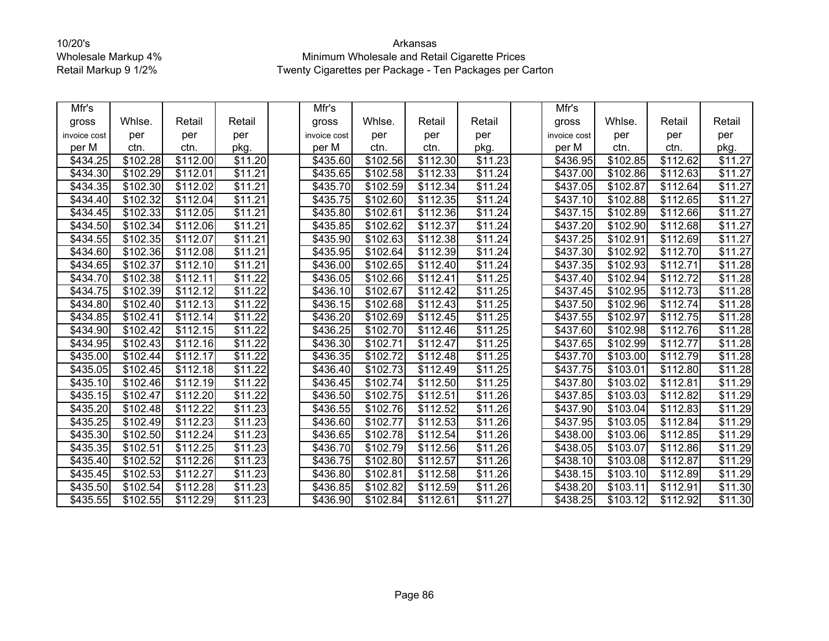| Mfr's        |                      |                      |                     | Mfr's        |                      |          |                     | Mfr's                |          |                      |                     |
|--------------|----------------------|----------------------|---------------------|--------------|----------------------|----------|---------------------|----------------------|----------|----------------------|---------------------|
| gross        | Whlse.               | Retail               | Retail              | gross        | Whlse.               | Retail   | Retail              | gross                | Whlse.   | Retail               | Retail              |
| invoice cost | per                  | per                  | per                 | invoice cost | per                  | per      | per                 | invoice cost         | per      | per                  | per                 |
| per M        | ctn.                 | ctn.                 | pkg.                | per M        | ctn.                 | ctn.     | pkg.                | per M                | ctn.     | ctn.                 | pkg.                |
| \$434.25     | $\overline{$}102.28$ | \$112.00             | \$11.20             | \$435.60     | \$102.56             | \$112.30 | \$11.23             | \$436.95             | \$102.85 | \$112.62             | \$11.27             |
| \$434.30     | \$102.29             | \$112.01             | \$11.21             | \$435.65     | \$102.58             | \$112.33 | \$11.24             | \$437.00             | \$102.86 | \$112.63             | \$11.27             |
| \$434.35     | \$102.30             | \$112.02             | $\overline{$11.21}$ | \$435.70     | \$102.59             | \$112.34 | \$11.24             | \$437.05             | \$102.87 | $\overline{$}112.64$ | $\sqrt{$11.27}$     |
| \$434.40     | \$102.32             | \$112.04             | $\overline{$}11.21$ | \$435.75     | \$102.60             | \$112.35 | $\overline{$}11.24$ | \$437.10             | \$102.88 | \$112.65             | \$11.27             |
| \$434.45     | \$102.33             | \$112.05             | $\overline{$11.21}$ | \$435.80     | \$102.61             | \$112.36 | $\overline{$}11.24$ | \$437.15             | \$102.89 | \$112.66             | \$11.27             |
| \$434.50     | \$102.34             | \$112.06             | $\overline{$11.21}$ | \$435.85     | $\overline{$}102.62$ | \$112.37 | \$11.24             | \$437.20             | \$102.90 | \$112.68             | \$11.27             |
| \$434.55     | \$102.35             | \$112.07             | $\overline{$}11.21$ | \$435.90     | \$102.63             | \$112.38 | $\overline{$}11.24$ | \$437.25             | \$102.91 | \$112.69             | \$11.27             |
| \$434.60     | \$102.36             | \$112.08             | \$11.21             | \$435.95     | \$102.64             | \$112.39 | \$11.24             | \$437.30             | \$102.92 | \$112.70             | \$11.27             |
| \$434.65     | \$102.37             | \$112.10             | \$11.21             | \$436.00     | \$102.65             | \$112.40 | \$11.24             | \$437.35             | \$102.93 | \$112.71             | \$11.28             |
| \$434.70     | \$102.38             | \$112.11             | $\sqrt{$11.22}$     | \$436.05     | \$102.66             | \$112.41 | $\overline{$}11.25$ | \$437.40             | \$102.94 | \$112.72             | \$11.28             |
| \$434.75     | \$102.39             | \$112.12             | \$11.22             | \$436.10     | \$102.67             | \$112.42 | \$11.25             | \$437.45             | \$102.95 | \$112.73             | \$11.28             |
| \$434.80     | $\overline{$}102.40$ | \$112.13             | \$11.22             | \$436.15     | $\overline{$}102.68$ | \$112.43 | \$11.25             | $\overline{$437.50}$ | \$102.96 | \$112.74             | \$11.28             |
| \$434.85     | \$102.41             | \$112.14             | \$11.22             | \$436.20     | \$102.69             | \$112.45 | $\overline{$}11.25$ | \$437.55             | \$102.97 | \$112.75             | \$11.28             |
| \$434.90     | \$102.42             | \$112.15             | \$11.22             | \$436.25     | \$102.70             | \$112.46 | \$11.25             | \$437.60             | \$102.98 | \$112.76             | \$11.28             |
| \$434.95     | \$102.43             | \$112.16             | $\overline{$}11.22$ | \$436.30     | \$102.71             | \$112.47 | $\overline{$}11.25$ | \$437.65             | \$102.99 | \$112.77             | $\overline{$11.28}$ |
| \$435.00     | \$102.44             | \$112.17             | \$11.22             | \$436.35     | \$102.72             | \$112.48 | \$11.25             | \$437.70             | \$103.00 | \$112.79             | \$11.28             |
| \$435.05     | $\overline{$}102.45$ | \$112.18             | \$11.22             | \$436.40     | \$102.73             | \$112.49 | \$11.25             | \$437.75             | \$103.01 | \$112.80             | \$11.28             |
| \$435.10     | \$102.46             | \$112.19             | $\overline{$}11.22$ | \$436.45     | \$102.74             | \$112.50 | $\overline{$11.25}$ | \$437.80             | \$103.02 | \$112.81             | \$11.29             |
| \$435.15     | \$102.47             | \$112.20             | \$11.22             | \$436.50     | \$102.75             | \$112.51 | \$11.26             | \$437.85             | \$103.03 | \$112.82             | \$11.29             |
| \$435.20     | \$102.48             | \$112.22             | \$11.23             | \$436.55     | \$102.76             | \$112.52 | $\overline{$}11.26$ | \$437.90             | \$103.04 | \$112.83             | \$11.29             |
| \$435.25     | \$102.49             | \$112.23             | \$11.23             | \$436.60     | \$102.77             | \$112.53 | \$11.26             | \$437.95             | \$103.05 | \$112.84             | \$11.29             |
| \$435.30     | \$102.50             | $\overline{$112.24}$ | \$11.23             | \$436.65     | \$102.78             | \$112.54 | \$11.26             | \$438.00             | \$103.06 | \$112.85             | \$11.29             |
| \$435.35     | \$102.51             | \$112.25             | \$11.23             | \$436.70     | \$102.79             | \$112.56 | \$11.26             | \$438.05             | \$103.07 | \$112.86             | \$11.29             |
| \$435.40     | \$102.52             | \$112.26             | \$11.23             | \$436.75     | \$102.80             | \$112.57 | \$11.26             | \$438.10             | \$103.08 | \$112.87             | $\overline{$}11.29$ |
| \$435.45     | \$102.53             | \$112.27             | $\overline{$}11.23$ | \$436.80     | \$102.81             | \$112.58 | $\overline{$}11.26$ | \$438.15             | \$103.10 | \$112.89             | \$11.29             |
| \$435.50     | \$102.54             | \$112.28             | \$11.23             | \$436.85     | \$102.82             | \$112.59 | \$11.26             | \$438.20             | \$103.11 | \$112.91             | \$11.30             |
| \$435.55     | \$102.55             | \$112.29             | $\overline{$11.23}$ | \$436.90     | \$102.84             | \$112.61 | \$11.27             | \$438.25             | \$103.12 | \$112.92             | $\overline{$11.30}$ |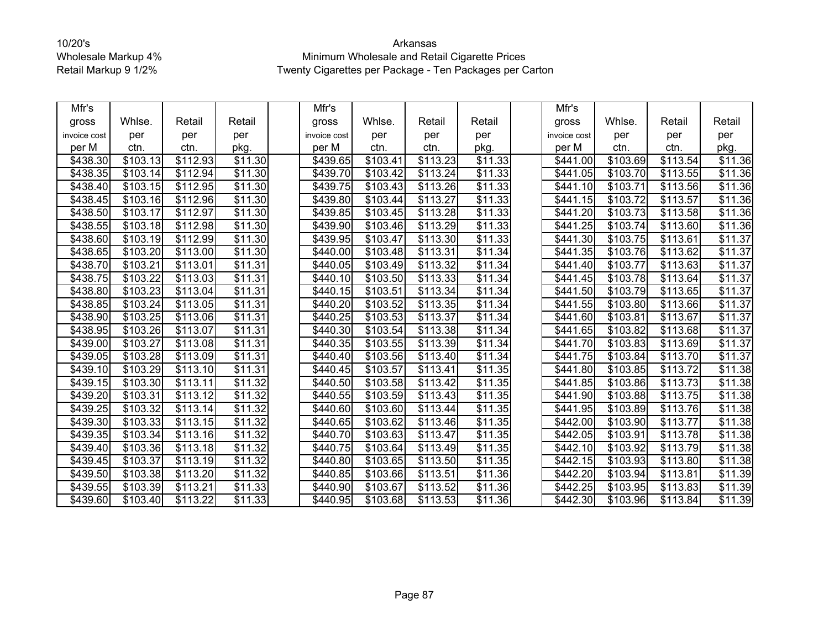| Mfr's        |                      |                      |                     | Mfr's        |                      |          |                     | Mfr's        |          |          |                     |
|--------------|----------------------|----------------------|---------------------|--------------|----------------------|----------|---------------------|--------------|----------|----------|---------------------|
| gross        | Whlse.               | Retail               | Retail              | gross        | Whlse.               | Retail   | Retail              | gross        | Whlse.   | Retail   | Retail              |
| invoice cost | per                  | per                  | per                 | invoice cost | per                  | per      | per                 | invoice cost | per      | per      | per                 |
| per M        | ctn.                 | ctn.                 | pkg.                | per M        | ctn.                 | ctn.     | pkg.                | per M        | ctn.     | ctn.     | pkg.                |
| \$438.30     | \$103.13             | \$112.93             | \$11.30             | \$439.65     | \$103.41             | \$113.23 | \$11.33             | \$441.00     | \$103.69 | \$113.54 | \$11.36             |
| \$438.35     | \$103.14             | \$112.94             | \$11.30             | \$439.70     | \$103.42             | \$113.24 | \$11.33             | \$441.05     | \$103.70 | \$113.55 | \$11.36             |
| \$438.40     | \$103.15             | \$112.95             | $\overline{$}11.30$ | \$439.75     | \$103.43             | \$113.26 | \$11.33             | \$441.10     | \$103.71 | \$113.56 | \$11.36             |
| \$438.45     | \$103.16             | \$112.96             | \$11.30             | \$439.80     | \$103.44             | \$113.27 | \$11.33             | \$441.15     | \$103.72 | \$113.57 | \$11.36             |
| \$438.50     | \$103.17             | \$112.97             | \$11.30             | \$439.85     | \$103.45             | \$113.28 | $\overline{$11.33}$ | \$441.20     | \$103.73 | \$113.58 | $\overline{$11.36}$ |
| \$438.55     | \$103.18             | \$112.98             | \$11.30             | \$439.90     | \$103.46             | \$113.29 | $\overline{$}11.33$ | \$441.25     | \$103.74 | \$113.60 | \$11.36             |
| \$438.60     | \$103.19             | \$112.99             | \$11.30             | \$439.95     | \$103.47             | \$113.30 | \$11.33             | \$441.30     | \$103.75 | \$113.61 | \$11.37             |
| \$438.65     | \$103.20             | \$113.00             | $\overline{$}11.30$ | \$440.00     | \$103.48             | \$113.31 | \$11.34             | \$441.35     | \$103.76 | \$113.62 | \$11.37             |
| \$438.70     | \$103.21             | \$113.01             | \$11.31             | \$440.05     | \$103.49             | \$113.32 | \$11.34             | \$441.40     | \$103.77 | \$113.63 | \$11.37             |
| \$438.75     | \$103.22             | \$113.03             | $\overline{$}11.31$ | \$440.10     | \$103.50             | \$113.33 | $\overline{$}11.34$ | \$441.45     | \$103.78 | \$113.64 | \$11.37             |
| \$438.80     | \$103.23             | \$113.04             | \$11.31             | \$440.15     | \$103.51             | \$113.34 | \$11.34             | \$441.50     | \$103.79 | \$113.65 | $\overline{$}11.37$ |
| \$438.85     | \$103.24             | \$113.05             | $\overline{$}11.31$ | \$440.20     | \$103.52             | \$113.35 | $\overline{$}11.34$ | \$441.55     | \$103.80 | \$113.66 | $\overline{$11.37}$ |
| \$438.90     | $\overline{$}103.25$ | \$113.06             | $\overline{$}11.31$ | \$440.25     | \$103.53             | \$113.37 | $\overline{$}11.34$ | \$441.60     | \$103.81 | \$113.67 | $\overline{$}11.37$ |
| \$438.95     | \$103.26             | \$113.07             | $\overline{$}11.31$ | \$440.30     | \$103.54             | \$113.38 | $\overline{$}11.34$ | \$441.65     | \$103.82 | \$113.68 | \$11.37             |
| \$439.00     | \$103.27             | \$113.08             | $\overline{$}11.31$ | \$440.35     | \$103.55             | \$113.39 | $\overline{$}11.34$ | \$441.70     | \$103.83 | \$113.69 | \$11.37             |
| \$439.05     | \$103.28             | \$113.09             | \$11.31             | \$440.40     | \$103.56             | \$113.40 | \$11.34             | \$441.75     | \$103.84 | \$113.70 | \$11.37             |
| \$439.10     | \$103.29             | \$113.10             | \$11.31             | \$440.45     | $\overline{$103.57}$ | \$113.41 | \$11.35             | \$441.80     | \$103.85 | \$113.72 | \$11.38             |
| \$439.15     | \$103.30             | \$113.11             | \$11.32             | \$440.50     | \$103.58             | \$113.42 | $\overline{$}11.35$ | \$441.85     | \$103.86 | \$113.73 | \$11.38             |
| \$439.20     | \$103.31             | \$113.12             | \$11.32             | \$440.55     | \$103.59             | \$113.43 | \$11.35             | \$441.90     | \$103.88 | \$113.75 | \$11.38             |
| \$439.25     | \$103.32             | \$113.14             | $\overline{$}11.32$ | \$440.60     | \$103.60             | \$113.44 | $\overline{$11.35}$ | \$441.95     | \$103.89 | \$113.76 | \$11.38             |
| \$439.30     | \$103.33             | \$113.15             | \$11.32             | \$440.65     | \$103.62             | \$113.46 | \$11.35             | \$442.00     | \$103.90 | \$113.77 | \$11.38             |
| \$439.35     | \$103.34             | \$113.16             | \$11.32             | \$440.70     | \$103.63             | \$113.47 | \$11.35             | \$442.05     | \$103.91 | \$113.78 | \$11.38             |
| \$439.40     | \$103.36             | \$113.18             | \$11.32             | \$440.75     | \$103.64             | \$113.49 | \$11.35             | \$442.10     | \$103.92 | \$113.79 | \$11.38             |
| \$439.45     | \$103.37             | \$113.19             | \$11.32             | \$440.80     | \$103.65             | \$113.50 | \$11.35             | \$442.15     | \$103.93 | \$113.80 | \$11.38             |
| \$439.50     | \$103.38             | \$113.20             | $\overline{$}11.32$ | \$440.85     | \$103.66             | \$113.51 | $\overline{$}11.36$ | \$442.20     | \$103.94 | \$113.81 | \$11.39             |
| \$439.55     | \$103.39             | \$113.21             | \$11.33             | \$440.90     | \$103.67             | \$113.52 | \$11.36             | \$442.25     | \$103.95 | \$113.83 | \$11.39             |
| \$439.60     | \$103.40             | $\overline{$}113.22$ | $\overline{$11.33}$ | \$440.95     | \$103.68             | \$113.53 | \$11.36             | \$442.30     | \$103.96 | \$113.84 | \$11.39             |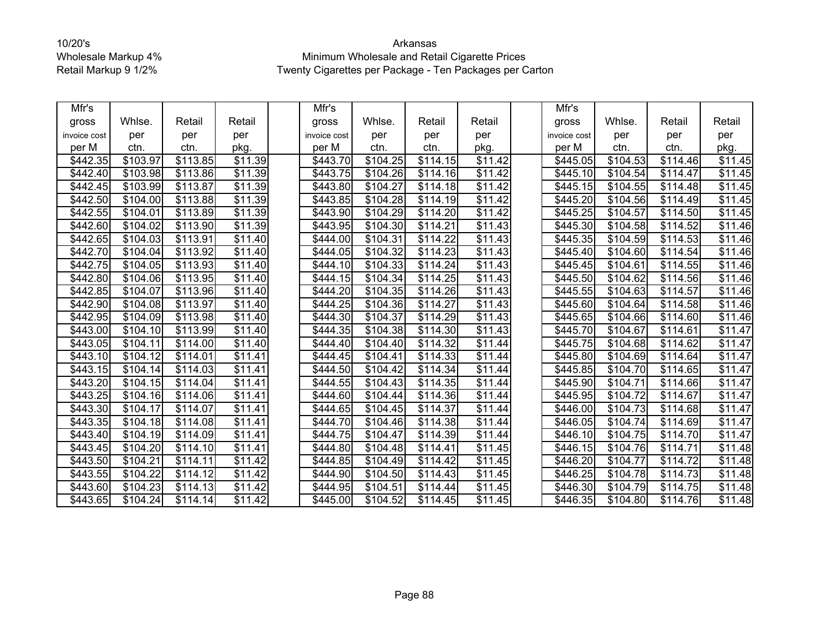| Mfr's        |                      |                      |                      | Mfr's        |                      |                      |                     | Mfr's           |                      |          |                     |
|--------------|----------------------|----------------------|----------------------|--------------|----------------------|----------------------|---------------------|-----------------|----------------------|----------|---------------------|
| gross        | Whlse.               | Retail               | Retail               | gross        | Whlse.               | Retail               | Retail              | gross           | Whlse.               | Retail   | Retail              |
| invoice cost | per                  | per                  | per                  | invoice cost | per                  | per                  | per                 | invoice cost    | per                  | per      | per                 |
| per M        | ctn.                 | ctn.                 | pkg.                 | per M        | ctn.                 | ctn.                 | pkg.                | per M           | ctn.                 | ctn.     | pkg.                |
| \$442.35     | \$103.97             | \$113.85             | \$11.39              | \$443.70     | \$104.25             | \$114.15             | \$11.42             | \$445.05        | \$104.53             | \$114.46 | \$11.45             |
| \$442.40     | \$103.98             | \$113.86             | \$11.39              | \$443.75     | \$104.26             | \$114.16             | \$11.42             | \$445.10        | \$104.54             | \$114.47 | \$11.45             |
| \$442.45     | \$103.99             | \$113.87             | \$11.39              | \$443.80     | \$104.27             | \$114.18             | \$11.42             | \$445.15        | \$104.55             | \$114.48 | \$11.45             |
| \$442.50     | \$104.00             | \$113.88             | \$11.39              | \$443.85     | \$104.28             | \$114.19             | \$11.42             | \$445.20        | \$104.56             | \$114.49 | \$11.45             |
| \$442.55     | \$104.01             | \$113.89             | $\overline{$11.39}$  | \$443.90     | $\overline{$}104.29$ | \$114.20             | $\overline{$11.42}$ | \$445.25        | \$104.57             | \$114.50 | \$11.45             |
| \$442.60     | \$104.02             | \$113.90             | \$11.39              | \$443.95     | \$104.30             | \$114.21             | \$11.43             | \$445.30        | \$104.58             | \$114.52 | \$11.46             |
| \$442.65     | \$104.03             | \$113.91             | \$11.40              | \$444.00     | \$104.31             | \$114.22             | \$11.43             | \$445.35        | \$104.59             | \$114.53 | \$11.46             |
| \$442.70     | \$104.04             | \$113.92             | \$11.40              | \$444.05     | \$104.32             | \$114.23             | \$11.43             | \$445.40        | \$104.60             | \$114.54 | \$11.46             |
| \$442.75     | \$104.05             | \$113.93             | \$11.40              | \$444.10     | \$104.33             | \$114.24             | \$11.43             | \$445.45        | \$104.61             | \$114.55 | \$11.46             |
| \$442.80     | \$104.06             | \$113.95             | $\overline{$}11.40$  | \$444.15     | \$104.34             | \$114.25             | $\overline{$}11.43$ | \$445.50        | \$104.62             | \$114.56 | \$11.46             |
| \$442.85     | \$104.07             | \$113.96             | \$11.40              | \$444.20     | $\overline{$}104.35$ | \$114.26             | \$11.43             | \$445.55        | $\overline{$}104.63$ | \$114.57 | \$11.46             |
| \$442.90     | \$104.08             | \$113.97             | $\overline{$}11.40$  | \$444.25     | \$104.36             | \$114.27             | \$11.43             | \$445.60        | \$104.64             | \$114.58 | $\overline{$11.46}$ |
| \$442.95     | \$104.09             | \$113.98             | $\overline{$}11.40$  | \$444.30     | \$104.37             | \$114.29             | $\overline{$11.43}$ | \$445.65        | \$104.66             | \$114.60 | \$11.46             |
| \$443.00     | \$104.10             | \$113.99             | $\overline{$}11.40$  | \$444.35     | \$104.38             | \$114.30             | \$11.43             | \$445.70        | \$104.67             | \$114.61 | \$11.47             |
| \$443.05     | \$104.11             | \$114.00             | $\overline{$}11.40$  | \$444.40     | \$104.40             | \$114.32             | \$11.44             | \$445.75        | \$104.68             | \$114.62 | \$11.47             |
| \$443.10     | \$104.12             | \$114.01             | $\overline{\$11.41}$ | \$444.45     | \$104.41             | \$114.33             | \$11.44             | \$445.80        | \$104.69             | \$114.64 | \$11.47             |
| \$443.15     | \$104.14             | $\overline{$}114.03$ | $\overline{$}11.41$  | \$444.50     | \$104.42             | $\overline{$}114.34$ | \$11.44             | \$445.85        | \$104.70             | \$114.65 | \$11.47             |
| \$443.20     | \$104.15             | \$114.04             | \$11.41              | \$444.55     | \$104.43             | \$114.35             | \$11.44             | \$445.90        | \$104.71             | \$114.66 | \$11.47             |
| \$443.25     | \$104.16             | \$114.06             | \$11.41              | \$444.60     | \$104.44             | \$114.36             | \$11.44             | \$445.95        | \$104.72             | \$114.67 | \$11.47             |
| \$443.30     | \$104.17             | \$114.07             | \$11.41              | \$444.65     | \$104.45             | \$114.37             | $\overline{$11.44}$ | $\sqrt{446.00}$ | \$104.73             | \$114.68 | $\overline{$11.47}$ |
| \$443.35     | \$104.18             | \$114.08             | \$11.41              | \$444.70     | \$104.46             | \$114.38             | \$11.44             | \$446.05        | \$104.74             | \$114.69 | \$11.47             |
| \$443.40     | \$104.19             | \$114.09             | \$11.41              | \$444.75     | \$104.47             | \$114.39             | \$11.44             | \$446.10        | \$104.75             | \$114.70 | \$11.47             |
| \$443.45     | \$104.20             | \$114.10             | \$11.41              | \$444.80     | \$104.48             | \$114.41             | \$11.45             | \$446.15        | \$104.76             | \$114.71 | \$11.48             |
| \$443.50     | $\overline{$}104.21$ | \$114.11             | \$11.42              | \$444.85     | $\overline{$}104.49$ | \$114.42             | $\overline{$}11.45$ | \$446.20        | \$104.77             | \$114.72 | \$11.48             |
| \$443.55     | $\overline{$}104.22$ | \$114.12             | \$11.42              | \$444.90     | \$104.50             | \$114.43             | \$11.45             | \$446.25        | \$104.78             | \$114.73 | \$11.48             |
| \$443.60     | \$104.23             | \$114.13             | \$11.42              | \$444.95     | \$104.51             | \$114.44             | \$11.45             | \$446.30        | \$104.79             | \$114.75 | \$11.48             |
| \$443.65     | \$104.24             | \$114.14]            | $\overline{$11.42}$  | \$445.00     | \$104.52             | \$114.45             | $\overline{$11.45}$ | $\sqrt{446.35}$ | \$104.80             | \$114.76 | \$11.48             |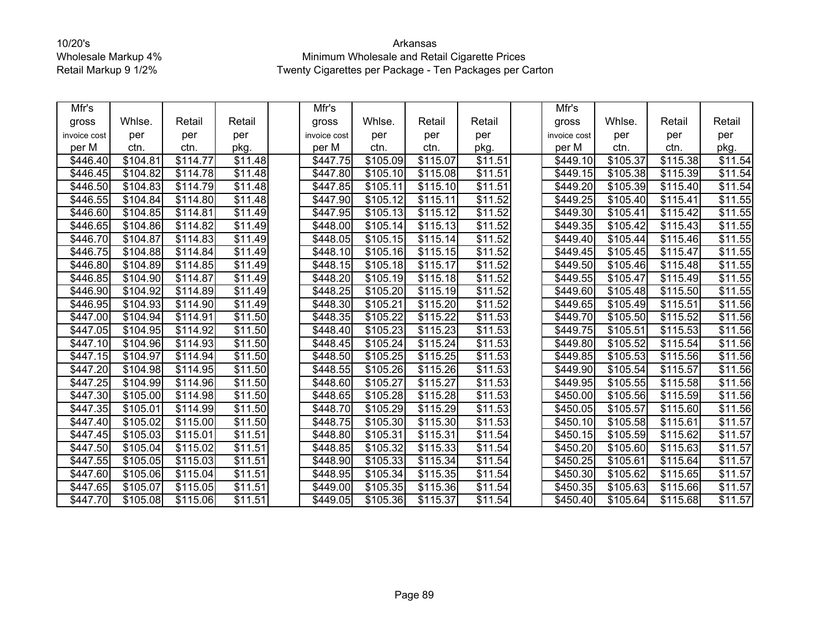| Mfr's        |          |                      |                     | Mfr's        |                      |          |                     | Mfr's        |          |          |                     |
|--------------|----------|----------------------|---------------------|--------------|----------------------|----------|---------------------|--------------|----------|----------|---------------------|
| gross        | Whlse.   | Retail               | Retail              | gross        | Whlse.               | Retail   | Retail              | gross        | Whlse.   | Retail   | Retail              |
| invoice cost | per      | per                  | per                 | invoice cost | per                  | per      | per                 | invoice cost | per      | per      | per                 |
| per M        | ctn.     | ctn.                 | pkg.                | per M        | ctn.                 | ctn.     | pkg.                | per M        | ctn.     | ctn.     | pkg.                |
| \$446.40     | \$104.81 | \$114.77             | \$11.48             | \$447.75     | \$105.09             | \$115.07 | \$11.51             | \$449.10     | \$105.37 | \$115.38 | \$11.54             |
| \$446.45     | \$104.82 | \$114.78             | \$11.48             | \$447.80     | \$105.10             | \$115.08 | $\overline{$}11.51$ | \$449.15     | \$105.38 | \$115.39 | \$11.54             |
| \$446.50     | \$104.83 | \$114.79             | $\overline{$}11.48$ | \$447.85     | \$105.11             | \$115.10 | \$11.51             | \$449.20     | \$105.39 | \$115.40 | $\overline{$}11.54$ |
| \$446.55     | \$104.84 | \$114.80             | \$11.48             | \$447.90     | \$105.12             | \$115.11 | \$11.52             | \$449.25     | \$105.40 | \$115.41 | \$11.55             |
| \$446.60     | \$104.85 | \$114.81             | \$11.49             | \$447.95     | \$105.13             | \$115.12 | $\overline{$11.52}$ | \$449.30     | \$105.41 | \$115.42 | $\overline{$11.55}$ |
| \$446.65     | \$104.86 | \$114.82             | \$11.49             | \$448.00     | \$105.14             | \$115.13 | \$11.52             | \$449.35     | \$105.42 | \$115.43 | \$11.55             |
| \$446.70     | \$104.87 | \$114.83             | \$11.49             | \$448.05     | \$105.15             | \$115.14 | \$11.52             | \$449.40     | \$105.44 | \$115.46 | \$11.55             |
| \$446.75     | \$104.88 | \$114.84             | \$11.49             | \$448.10     | \$105.16             | \$115.15 | \$11.52             | \$449.45     | \$105.45 | \$115.47 | \$11.55             |
| \$446.80     | \$104.89 | \$114.85             | \$11.49             | \$448.15     | \$105.18             | \$115.17 | \$11.52             | \$449.50     | \$105.46 | \$115.48 | \$11.55             |
| \$446.85     | \$104.90 | \$114.87             | $\overline{$}11.49$ | \$448.20     | \$105.19             | \$115.18 | \$11.52             | \$449.55     | \$105.47 | \$115.49 | \$11.55             |
| \$446.90     | \$104.92 | \$114.89             | \$11.49             | \$448.25     | \$105.20             | \$115.19 | \$11.52             | \$449.60     | \$105.48 | \$115.50 | \$11.55             |
| \$446.95     | \$104.93 | \$114.90             | \$11.49             | \$448.30     | \$105.21             | \$115.20 | $\overline{$}11.52$ | \$449.65     | \$105.49 | \$115.51 | $\overline{$11.56}$ |
| \$447.00     | \$104.94 | \$114.91             | $\overline{$}11.50$ | \$448.35     | \$105.22             | \$115.22 | $\overline{$}11.53$ | \$449.70     | \$105.50 | \$115.52 | $\overline{$}11.56$ |
| \$447.05     | \$104.95 | \$114.92             | $\overline{$}11.50$ | \$448.40     | \$105.23             | \$115.23 | \$11.53             | \$449.75     | \$105.51 | \$115.53 | \$11.56             |
| \$447.10     | \$104.96 | \$114.93             | $\overline{$}11.50$ | \$448.45     | \$105.24             | \$115.24 | \$11.53             | \$449.80     | \$105.52 | \$115.54 | \$11.56             |
| \$447.15     | \$104.97 | \$114.94             | \$11.50             | \$448.50     | \$105.25             | \$115.25 | \$11.53             | \$449.85     | \$105.53 | \$115.56 | \$11.56             |
| \$447.20     | \$104.98 | $\overline{$}114.95$ | \$11.50             | \$448.55     | \$105.26             | \$115.26 | \$11.53             | \$449.90     | \$105.54 | \$115.57 | \$11.56             |
| \$447.25     | \$104.99 | \$114.96             | \$11.50             | \$448.60     | $\overline{$}105.27$ | \$115.27 | $\overline{$}11.53$ | \$449.95     | \$105.55 | \$115.58 | \$11.56             |
| \$447.30     | \$105.00 | \$114.98             | \$11.50             | \$448.65     | \$105.28             | \$115.28 | \$11.53             | \$450.00     | \$105.56 | \$115.59 | \$11.56             |
| \$447.35     | \$105.01 | \$114.99             | $\overline{$}11.50$ | \$448.70     | \$105.29             | \$115.29 | $\overline{$11.53}$ | \$450.05     | \$105.57 | \$115.60 | \$11.56             |
| \$447.40     | \$105.02 | \$115.00             | \$11.50             | \$448.75     | \$105.30             | \$115.30 | \$11.53             | \$450.10     | \$105.58 | \$115.61 | \$11.57             |
| \$447.45     | \$105.03 | \$115.01             | \$11.51             | \$448.80     | \$105.31             | \$115.31 | \$11.54             | \$450.15     | \$105.59 | \$115.62 | \$11.57             |
| \$447.50     | \$105.04 | \$115.02             | \$11.51             | \$448.85     | \$105.32             | \$115.33 | \$11.54             | \$450.20     | \$105.60 | \$115.63 | \$11.57             |
| \$447.55     | \$105.05 | \$115.03             | \$11.51             | \$448.90     | \$105.33             | \$115.34 | \$11.54             | \$450.25     | \$105.61 | \$115.64 | \$11.57             |
| \$447.60     | \$105.06 | \$115.04             | \$11.51             | \$448.95     | \$105.34             | \$115.35 | $\overline{$}11.54$ | \$450.30     | \$105.62 | \$115.65 | \$11.57             |
| \$447.65     | \$105.07 | \$115.05             | \$11.51             | \$449.00     | \$105.35             | \$115.36 | \$11.54             | \$450.35     | \$105.63 | \$115.66 | \$11.57             |
| \$447.70     | \$105.08 | \$115.06             | \$11.51             | \$449.05     | \$105.36             | \$115.37 | $\overline{$11.54}$ | \$450.40     | \$105.64 | \$115.68 | \$11.57             |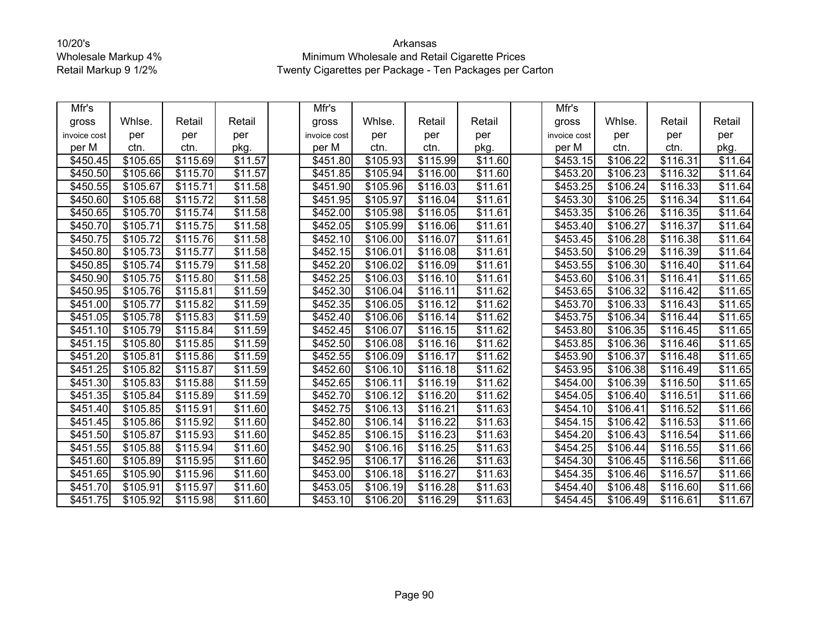| Mfr's        |                      |          |                     | Mfr's        |           |          |                     | Mfr's        |                      |          |                     |
|--------------|----------------------|----------|---------------------|--------------|-----------|----------|---------------------|--------------|----------------------|----------|---------------------|
| gross        | Whlse.               | Retail   | Retail              | gross        | Whlse.    | Retail   | Retail              | gross        | Whlse.               | Retail   | Retail              |
| invoice cost | per                  | per      | per                 | invoice cost | per       | per      | per                 | invoice cost | per                  | per      | per                 |
| per M        | ctn.                 | ctn.     | pkg.                | per M        | ctn.      | ctn.     | pkg.                | per M        | ctn.                 | ctn.     | pkg.                |
| \$450.45     | \$105.65             | \$115.69 | \$11.57             | \$451.80     | \$105.93  | \$115.99 | \$11.60             | \$453.15     | \$106.22             | \$116.31 | \$11.64             |
| \$450.50     | \$105.66             | \$115.70 | \$11.57             | \$451.85     | \$105.94  | \$116.00 | \$11.60             | \$453.20     | \$106.23             | \$116.32 | \$11.64             |
| \$450.55     | \$105.67             | \$115.71 | \$11.58             | \$451.90     | \$105.96  | \$116.03 | $\overline{$11.61}$ | \$453.25     | $\overline{$}106.24$ | \$116.33 | $\overline{$}11.64$ |
| \$450.60     | \$105.68             | \$115.72 | \$11.58             | \$451.95     | \$105.97  | \$116.04 | \$11.61             | \$453.30     | \$106.25             | \$116.34 | \$11.64             |
| \$450.65     | \$105.70             | \$115.74 | \$11.58             | \$452.00     | \$105.98  | \$116.05 | $\overline{$}11.61$ | \$453.35     | \$106.26             | \$116.35 | $\overline{$11.64}$ |
| \$450.70     | \$105.71             | \$115.75 | \$11.58             | \$452.05     | \$105.99  | \$116.06 | \$11.61             | \$453.40     | \$106.27             | \$116.37 | \$11.64             |
| \$450.75     | \$105.72             | \$115.76 | $\overline{$}11.58$ | \$452.10     | \$106.00  | \$116.07 | $\overline{$}11.61$ | \$453.45     | \$106.28             | \$116.38 | $\overline{$}11.64$ |
| \$450.80     | \$105.73             | \$115.77 | \$11.58             | \$452.15     | \$106.01  | \$116.08 | \$11.61             | \$453.50     | \$106.29             | \$116.39 | \$11.64             |
| \$450.85     | \$105.74             | \$115.79 | \$11.58             | \$452.20     | \$106.02  | \$116.09 | \$11.61             | \$453.55     | \$106.30             | \$116.40 | \$11.64             |
| \$450.90     | \$105.75             | \$115.80 | $\overline{$}11.58$ | \$452.25     | \$106.03  | \$116.10 | $\overline{$}11.61$ | \$453.60     | \$106.31             | \$116.41 | \$11.65             |
| \$450.95     | \$105.76             | \$115.81 | \$11.59             | \$452.30     | \$106.04  | \$116.11 | \$11.62             | \$453.65     | \$106.32             | \$116.42 | \$11.65             |
| \$451.00     | \$105.77             | \$115.82 | \$11.59             | \$452.35     | \$106.05  | \$116.12 | \$11.62             | \$453.70     | $\overline{$}106.33$ | \$116.43 | \$11.65             |
| \$451.05     | \$105.78             | \$115.83 | $\overline{$}11.59$ | \$452.40     | \$106.06  | \$116.14 | $\overline{$}11.62$ | \$453.75     | \$106.34             | \$116.44 | \$11.65             |
| \$451.10     | \$105.79             | \$115.84 | \$11.59             | \$452.45     | \$106.07  | \$116.15 | \$11.62             | \$453.80     | \$106.35             | \$116.45 | \$11.65             |
| \$451.15     | \$105.80             | \$115.85 | $\overline{$}11.59$ | \$452.50     | \$106.08  | \$116.16 | \$11.62             | \$453.85     | \$106.36             | \$116.46 | \$11.65             |
| \$451.20     | $\overline{$}105.81$ | \$115.86 | $\overline{$}11.59$ | \$452.55     | \$106.09  | \$116.17 | \$11.62             | \$453.90     | \$106.37             | \$116.48 | \$11.65             |
| \$451.25     | \$105.82             | \$115.87 | $\overline{$11.59}$ | \$452.60     | \$106.10  | \$116.18 | \$11.62             | \$453.95     | \$106.38             | \$116.49 | \$11.65             |
| \$451.30     | \$105.83             | \$115.88 | \$11.59             | \$452.65     | \$106.11  | \$116.19 | \$11.62             | \$454.00     | \$106.39             | \$116.50 | $\overline{$}11.65$ |
| \$451.35     | \$105.84             | \$115.89 | \$11.59             | \$452.70     | \$106.12  | \$116.20 | \$11.62             | \$454.05     | \$106.40             | \$116.51 | \$11.66             |
| \$451.40     | \$105.85             | \$115.91 | \$11.60             | \$452.75     | \$106.13  | \$116.21 | \$11.63             | \$454.10     | \$106.41             | \$116.52 | \$11.66             |
| \$451.45     | \$105.86             | \$115.92 | \$11.60             | \$452.80     | \$106.14] | \$116.22 | \$11.63             | \$454.15     | \$106.42             | \$116.53 | \$11.66             |
| \$451.50     | \$105.87             | \$115.93 | $\overline{$}11.60$ | \$452.85     | \$106.15  | \$116.23 | $\overline{$}11.63$ | \$454.20     | \$106.43             | \$116.54 | \$11.66             |
| \$451.55     | \$105.88             | \$115.94 | \$11.60             | \$452.90     | \$106.16  | \$116.25 | \$11.63             | \$454.25     | \$106.44             | \$116.55 | \$11.66             |
| \$451.60     | \$105.89             | \$115.95 | \$11.60             | \$452.95     | \$106.17  | \$116.26 | \$11.63             | \$454.30     | \$106.45             | \$116.56 | \$11.66             |
| \$451.65     | \$105.90             | \$115.96 | $\overline{$}11.60$ | \$453.00     | \$106.18  | \$116.27 | $\overline{$}11.63$ | \$454.35     | \$106.46             | \$116.57 | \$11.66             |
| \$451.70     | \$105.91             | \$115.97 | \$11.60             | \$453.05     | \$106.19  | \$116.28 | \$11.63             | \$454.40     | \$106.48             | \$116.60 | \$11.66             |
| \$451.75     | \$105.92             | \$115.98 | \$11.60             | \$453.10     | \$106.20  | \$116.29 | \$11.63             | \$454.45     | \$106.49             | \$116.61 | \$11.67             |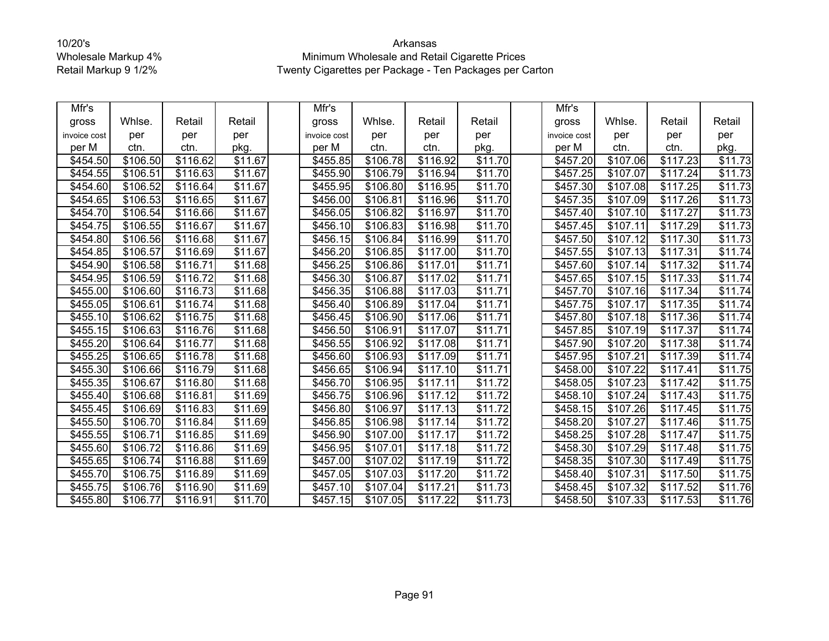| Mfr's        |                      |                      |                     | Mfr's        |                      |          |                     | Mfr's        |                      |          |                     |
|--------------|----------------------|----------------------|---------------------|--------------|----------------------|----------|---------------------|--------------|----------------------|----------|---------------------|
| gross        | Whlse.               | Retail               | Retail              | gross        | Whlse.               | Retail   | Retail              | gross        | Whlse.               | Retail   | Retail              |
| invoice cost | per                  | per                  | per                 | invoice cost | per                  | per      | per                 | invoice cost | per                  | per      | per                 |
| per M        | ctn.                 | ctn.                 | pkg.                | per M        | ctn.                 | ctn.     | pkg.                | per M        | ctn.                 | ctn.     | pkg.                |
| \$454.50     | \$106.50             | \$116.62             | $\overline{$11.67}$ | \$455.85     | \$106.78             | \$116.92 | \$11.70             | \$457.20     | \$107.06             | \$117.23 | \$11.73             |
| \$454.55     | \$106.51             | \$116.63             | \$11.67             | \$455.90     | \$106.79             | \$116.94 | \$11.70             | \$457.25     | \$107.07             | \$117.24 | \$11.73             |
| \$454.60     | $\overline{$}106.52$ | \$116.64             | $\overline{$}11.67$ | \$455.95     | $\overline{$}106.80$ | \$116.95 | \$11.70             | \$457.30     | \$107.08             | \$117.25 | $\overline{$11.73}$ |
| \$454.65     | \$106.53             | \$116.65             | \$11.67             | \$456.00     | \$106.81             | \$116.96 | \$11.70             | \$457.35     | \$107.09             | \$117.26 | \$11.73             |
| \$454.70     | \$106.54             | \$116.66             | $\overline{$}11.67$ | \$456.05     | \$106.82             | \$116.97 | \$11.70             | \$457.40     | \$107.10             | \$117.27 | \$11.73             |
| \$454.75     | \$106.55             | \$116.67             | \$11.67             | \$456.10     | \$106.83             | \$116.98 | \$11.70             | \$457.45     | \$107.11             | \$117.29 | $\overline{$}11.73$ |
| \$454.80     | \$106.56             | \$116.68             | \$11.67             | \$456.15     | \$106.84             | \$116.99 | \$11.70             | \$457.50     | \$107.12             | \$117.30 | \$11.73             |
| \$454.85     | \$106.57             | \$116.69             | \$11.67             | \$456.20     | \$106.85             | \$117.00 | \$11.70             | \$457.55     | \$107.13             | \$117.31 | $\overline{$}11.74$ |
| \$454.90     | \$106.58             | \$116.71             | \$11.68             | \$456.25     | \$106.86             | \$117.01 | \$11.71             | \$457.60     | \$107.14             | \$117.32 | \$11.74             |
| \$454.95     | \$106.59             | \$116.72             | $\overline{$11.68}$ | \$456.30     | \$106.87             | \$117.02 | $\overline{$11.71}$ | \$457.65     | \$107.15             | \$117.33 | \$11.74             |
| \$455.00     | \$106.60             | $\overline{$116.73}$ | \$11.68             | \$456.35     | \$106.88             | \$117.03 | \$11.71             | \$457.70     | \$107.16             | \$117.34 | \$11.74             |
| \$455.05     | \$106.61             | \$116.74             | $\overline{$}11.68$ | \$456.40     | \$106.89             | \$117.04 | $\overline{$}11.71$ | \$457.75     | \$107.17             | \$117.35 | \$11.74             |
| \$455.10     | $\overline{$}106.62$ | \$116.75             | \$11.68             | \$456.45     | \$106.90             | \$117.06 | \$11.71             | \$457.80     | $\overline{$}107.18$ | \$117.36 | $\sqrt{$11.74}$     |
| \$455.15     | \$106.63             | \$116.76             | \$11.68             | \$456.50     | \$106.91             | \$117.07 | \$11.71             | \$457.85     | \$107.19             | \$117.37 | \$11.74             |
| \$455.20     | \$106.64             | \$116.77             | \$11.68             | \$456.55     | \$106.92             | \$117.08 | \$11.71             | \$457.90     | \$107.20             | \$117.38 | \$11.74             |
| \$455.25     | \$106.65             | \$116.78             | \$11.68             | \$456.60     | \$106.93             | \$117.09 | \$11.71             | \$457.95     | \$107.21             | \$117.39 | \$11.74             |
| \$455.30     | \$106.66             | \$116.79             | \$11.68             | \$456.65     | \$106.94             | \$117.10 | \$11.71             | \$458.00     | \$107.22             | \$117.41 | \$11.75             |
| \$455.35     | \$106.67             | \$116.80             | $\overline{$}11.68$ | \$456.70     | \$106.95             | \$117.11 | $\overline{$}11.72$ | \$458.05     | \$107.23             | \$117.42 | \$11.75             |
| \$455.40     | \$106.68             | \$116.81             | \$11.69             | \$456.75     | \$106.96             | \$117.12 | \$11.72             | \$458.10     | \$107.24             | \$117.43 | \$11.75             |
| \$455.45     | \$106.69             | \$116.83             | $\overline{$11.69}$ | \$456.80     | \$106.97             | \$117.13 | \$11.72             | \$458.15     | \$107.26             | \$117.45 | \$11.75             |
| \$455.50     | \$106.70             | \$116.84             | $\overline{$}11.69$ | \$456.85     | \$106.98             | \$117.14 | \$11.72             | \$458.20     | \$107.27             | \$117.46 | \$11.75             |
| \$455.55     | \$106.71             | \$116.85             | $\overline{$}11.69$ | \$456.90     | \$107.00             | \$117.17 | \$11.72             | \$458.25     | \$107.28             | \$117.47 | \$11.75             |
| \$455.60     | \$106.72             | \$116.86             | \$11.69             | \$456.95     | \$107.01             | \$117.18 | \$11.72             | \$458.30     | \$107.29             | \$117.48 | \$11.75             |
| \$455.65     | \$106.74             | \$116.88             | $\overline{$}11.69$ | \$457.00     | \$107.02             | \$117.19 | \$11.72             | \$458.35     | \$107.30             | \$117.49 | $\overline{$}11.75$ |
| \$455.70     | \$106.75             | \$116.89             | $\overline{$}11.69$ | \$457.05     | \$107.03             | \$117.20 | $\overline{$}11.72$ | \$458.40     | \$107.31             | \$117.50 | \$11.75             |
| \$455.75     | \$106.76             | \$116.90             | \$11.69             | \$457.10     | \$107.04             | \$117.21 | \$11.73             | \$458.45     | \$107.32             | \$117.52 | \$11.76             |
| \$455.80     | \$106.77             | \$116.91             | $\overline{$11.70}$ | \$457.15     | \$107.05             | \$117.22 | \$11.73             | \$458.50     | \$107.33             | \$117.53 | \$11.76             |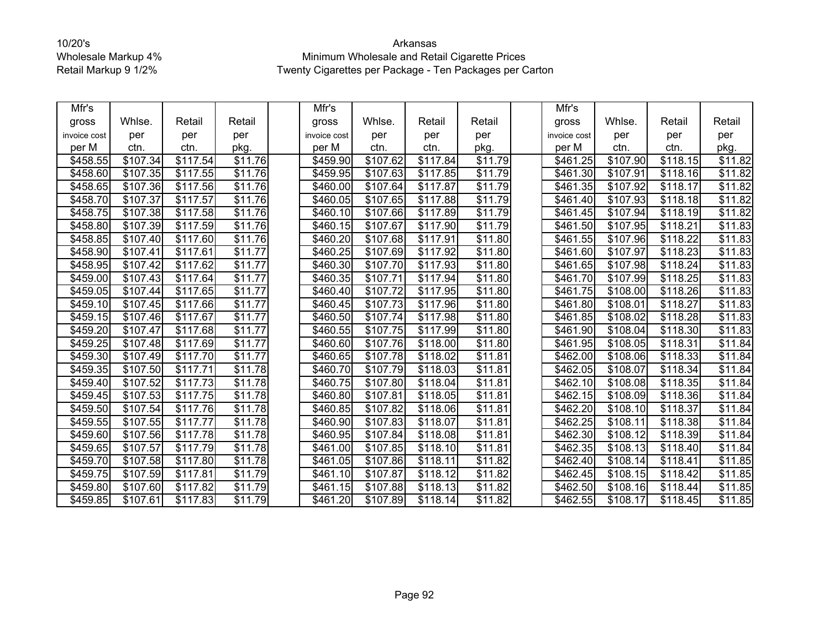| Mfr's        |                      |                      |                     | Mfr's        |                      |          |                     | Mfr's        |                      |          |                     |
|--------------|----------------------|----------------------|---------------------|--------------|----------------------|----------|---------------------|--------------|----------------------|----------|---------------------|
| gross        | Whlse.               | Retail               | Retail              | gross        | Whlse.               | Retail   | Retail              | gross        | Whlse.               | Retail   | Retail              |
| invoice cost | per                  | per                  | per                 | invoice cost | per                  | per      | per                 | invoice cost | per                  | per      | per                 |
| per M        | ctn.                 | ctn.                 | pkg.                | per M        | ctn.                 | ctn.     | pkg.                | per M        | ctn.                 | ctn.     | pkg.                |
| \$458.55     | \$107.34             | \$117.54             | \$11.76             | \$459.90     | \$107.62             | \$117.84 | \$11.79             | \$461.25     | \$107.90             | \$118.15 | \$11.82             |
| \$458.60     | \$107.35             | \$117.55             | \$11.76             | \$459.95     | \$107.63             | \$117.85 | \$11.79             | \$461.30     | \$107.91             | \$118.16 | \$11.82             |
| \$458.65     | \$107.36             | $\overline{$}117.56$ | \$11.76             | \$460.00     | $\overline{$}107.64$ | \$117.87 | \$11.79             | \$461.35     | $\overline{$}107.92$ | \$118.17 | \$11.82             |
| \$458.70     | \$107.37             | \$117.57             | \$11.76             | \$460.05     | \$107.65             | \$117.88 | \$11.79             | \$461.40     | \$107.93             | \$118.18 | \$11.82             |
| \$458.75     | \$107.38             | \$117.58             | \$11.76             | \$460.10     | \$107.66             | \$117.89 | \$11.79             | \$461.45     | \$107.94             | \$118.19 | \$11.82             |
| \$458.80     | $\overline{$}107.39$ | \$117.59             | \$11.76             | \$460.15     | \$107.67             | \$117.90 | \$11.79             | \$461.50     | \$107.95             | \$118.21 | \$11.83             |
| \$458.85     | \$107.40             | \$117.60             | \$11.76             | \$460.20     | \$107.68             | \$117.91 | \$11.80             | \$461.55     | \$107.96             | \$118.22 | \$11.83             |
| \$458.90     | \$107.41             | \$117.61             | \$11.77             | \$460.25     | \$107.69             | \$117.92 | \$11.80             | \$461.60     | \$107.97             | \$118.23 | \$11.83             |
| \$458.95     | \$107.42             | \$117.62             | \$11.77             | \$460.30     | \$107.70             | \$117.93 | \$11.80             | \$461.65     | \$107.98             | \$118.24 | \$11.83             |
| \$459.00     | \$107.43             | \$117.64             | \$11.77             | \$460.35     | \$107.71             | \$117.94 | \$11.80             | \$461.70     | \$107.99             | \$118.25 | \$11.83             |
| \$459.05     | \$107.44             | \$117.65             | \$11.77             | \$460.40     | \$107.72             | \$117.95 | \$11.80             | \$461.75     | \$108.00             | \$118.26 | \$11.83             |
| \$459.10     | $\overline{$}107.45$ | \$117.66             | \$11.77             | \$460.45     | $\overline{$}107.73$ | \$117.96 | \$11.80             | \$461.80     | $\overline{$}108.01$ | \$118.27 | \$11.83             |
| \$459.15     | \$107.46             | \$117.67             | $\overline{$}11.77$ | \$460.50     | \$107.74             | \$117.98 | $\overline{$}11.80$ | \$461.85     | \$108.02             | \$118.28 | $\overline{$}11.83$ |
| \$459.20     | \$107.47             | \$117.68             | \$11.77             | \$460.55     | \$107.75             | \$117.99 | \$11.80             | \$461.90     | \$108.04             | \$118.30 | \$11.83             |
| \$459.25     | \$107.48             | \$117.69             | \$11.77             | \$460.60     | \$107.76             | \$118.00 | \$11.80             | \$461.95     | \$108.05             | \$118.31 | \$11.84             |
| \$459.30     | \$107.49             | \$117.70             | \$11.77             | \$460.65     | \$107.78             | \$118.02 | \$11.81             | \$462.00     | \$108.06             | \$118.33 | \$11.84             |
| \$459.35     | \$107.50             | \$117.71             | \$11.78             | \$460.70     | \$107.79             | \$118.03 | \$11.81             | \$462.05     | \$108.07             | \$118.34 | $\overline{$11.84}$ |
| \$459.40     | $\overline{$}107.52$ | \$117.73             | \$11.78             | \$460.75     | \$107.80             | \$118.04 | \$11.81             | \$462.10     | \$108.08             | \$118.35 | $\overline{$}11.84$ |
| \$459.45     | \$107.53             | \$117.75             | \$11.78             | \$460.80     | \$107.81             | \$118.05 | \$11.81             | \$462.15     | \$108.09             | \$118.36 | \$11.84             |
| \$459.50     | \$107.54             | \$117.76             | $\overline{$}11.78$ | \$460.85     | \$107.82             | \$118.06 | \$11.81             | \$462.20     | $\overline{$}108.10$ | \$118.37 | \$11.84             |
| \$459.55     | \$107.55             | \$117.77             | \$11.78             | \$460.90     | \$107.83             | \$118.07 | \$11.81             | \$462.25     | \$108.11             | \$118.38 | \$11.84             |
| \$459.60     | \$107.56             | \$117.78             | \$11.78             | \$460.95     | \$107.84             | \$118.08 | \$11.81             | \$462.30     | \$108.12             | \$118.39 | \$11.84             |
| \$459.65     | \$107.57             | \$117.79             | \$11.78             | \$461.00     | \$107.85             | \$118.10 | \$11.81             | \$462.35     | \$108.13             | \$118.40 | \$11.84             |
| \$459.70     | \$107.58             | \$117.80             | \$11.78             | \$461.05     | \$107.86             | \$118.11 | \$11.82             | \$462.40     | \$108.14             | \$118.41 | \$11.85             |
| \$459.75     | \$107.59             | \$117.81             | $\overline{$}11.79$ | \$461.10     | \$107.87             | \$118.12 | $\overline{$11.82}$ | \$462.45     | \$108.15             | \$118.42 | \$11.85             |
| \$459.80     | \$107.60             | \$117.82             | \$11.79             | \$461.15     | \$107.88             | \$118.13 | \$11.82             | \$462.50     | \$108.16             | \$118.44 | \$11.85             |
| \$459.85     | \$107.61             | \$117.83             | \$11.79             | \$461.20     | \$107.89             | \$118.14 | $\overline{$11.82}$ | \$462.55     | \$108.17             | \$118.45 | \$11.85             |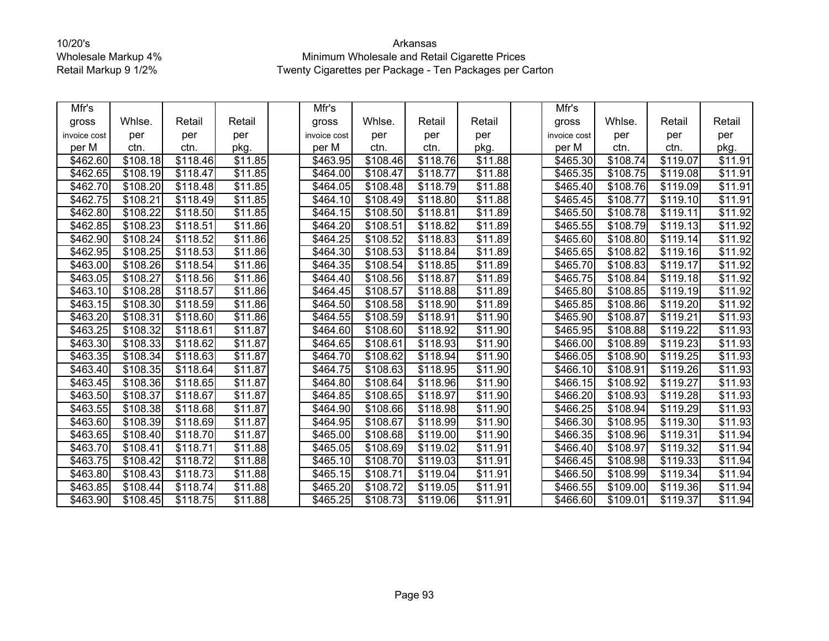| Mfr's        |          |                      |                     | Mfr's        |                      |          |                     | Mfr's        |                      |          |                     |
|--------------|----------|----------------------|---------------------|--------------|----------------------|----------|---------------------|--------------|----------------------|----------|---------------------|
| gross        | Whlse.   | Retail               | Retail              | gross        | Whlse.               | Retail   | Retail              | gross        | Whlse.               | Retail   | Retail              |
| invoice cost | per      | per                  | per                 | invoice cost | per                  | per      | per                 | invoice cost | per                  | per      | per                 |
| per M        | ctn.     | ctn.                 | pkg.                | per M        | ctn.                 | ctn.     | pkg.                | per M        | ctn.                 | ctn.     | pkg.                |
| \$462.60     | \$108.18 | \$118.46             | $\overline{$}11.85$ | \$463.95     | \$108.46             | \$118.76 | \$11.88             | \$465.30     | \$108.74             | \$119.07 | \$11.91             |
| \$462.65     | \$108.19 | \$118.47             | \$11.85             | \$464.00     | \$108.47             | \$118.77 | \$11.88             | \$465.35     | \$108.75             | \$119.08 | \$11.91             |
| \$462.70     | \$108.20 | \$118.48             | $\overline{$}11.85$ | \$464.05     | \$108.48             | \$118.79 | \$11.88             | \$465.40     | \$108.76             | \$119.09 | \$11.91             |
| \$462.75     | \$108.21 | \$118.49             | \$11.85             | \$464.10     | \$108.49             | \$118.80 | \$11.88             | \$465.45     | \$108.77             | \$119.10 | \$11.91             |
| \$462.80     | \$108.22 | \$118.50             | \$11.85             | \$464.15     | \$108.50             | \$118.81 | \$11.89             | \$465.50     | \$108.78             | \$119.11 | \$11.92             |
| \$462.85     | \$108.23 | \$118.51             | \$11.86             | \$464.20     | \$108.51             | \$118.82 | \$11.89             | \$465.55     | \$108.79             | \$119.13 | \$11.92             |
| \$462.90     | \$108.24 | \$118.52             | \$11.86             | \$464.25     | \$108.52             | \$118.83 | \$11.89             | \$465.60     | \$108.80             | \$119.14 | \$11.92             |
| \$462.95     | \$108.25 | \$118.53             | \$11.86             | \$464.30     | \$108.53             | \$118.84 | \$11.89             | \$465.65     | \$108.82             | \$119.16 | \$11.92             |
| \$463.00     | \$108.26 | \$118.54             | \$11.86             | \$464.35     | \$108.54             | \$118.85 | \$11.89             | \$465.70     | \$108.83             | \$119.17 | \$11.92             |
| \$463.05     | \$108.27 | \$118.56             | $\overline{$}11.86$ | \$464.40     | \$108.56             | \$118.87 | \$11.89             | \$465.75     | \$108.84             | \$119.18 | \$11.92             |
| \$463.10     | \$108.28 | $\overline{$118.57}$ | \$11.86             | \$464.45     | \$108.57             | \$118.88 | \$11.89             | \$465.80     | \$108.85             | \$119.19 | \$11.92             |
| \$463.15     | \$108.30 | \$118.59             | \$11.86             | \$464.50     | \$108.58             | \$118.90 | $\overline{$}11.89$ | \$465.85     | \$108.86             | \$119.20 | $\overline{$11.92}$ |
| \$463.20     | \$108.31 | \$118.60             | \$11.86             | \$464.55     | \$108.59             | \$118.91 | \$11.90             | \$465.90     | \$108.87             | \$119.21 | \$11.93             |
| \$463.25     | \$108.32 | \$118.61             | \$11.87             | \$464.60     | \$108.60             | \$118.92 | \$11.90             | \$465.95     | \$108.88             | \$119.22 | \$11.93             |
| \$463.30     | \$108.33 | \$118.62             | $\overline{$}11.87$ | \$464.65     | \$108.61             | \$118.93 | \$11.90             | \$466.00     | \$108.89             | \$119.23 | $\overline{$11.93}$ |
| \$463.35     | \$108.34 | \$118.63             | \$11.87             | \$464.70     | \$108.62             | \$118.94 | \$11.90             | \$466.05     | \$108.90             | \$119.25 | \$11.93             |
| \$463.40     | \$108.35 | \$118.64             | \$11.87             | \$464.75     | \$108.63             | \$118.95 | \$11.90             | \$466.10     | $\overline{$}108.91$ | \$119.26 | \$11.93             |
| \$463.45     | \$108.36 | \$118.65             | \$11.87             | \$464.80     | $\overline{$}108.64$ | \$118.96 | \$11.90             | \$466.15     | \$108.92             | \$119.27 | \$11.93             |
| \$463.50     | \$108.37 | \$118.67             | \$11.87             | \$464.85     | \$108.65             | \$118.97 | \$11.90             | \$466.20     | \$108.93             | \$119.28 | \$11.93             |
| \$463.55     | \$108.38 | \$118.68             | $\overline{$}11.87$ | \$464.90     | \$108.66             | \$118.98 | $\overline{$}11.90$ | \$466.25     | \$108.94             | \$119.29 | \$11.93             |
| \$463.60     | \$108.39 | \$118.69             | \$11.87             | \$464.95     | \$108.67             | \$118.99 | \$11.90             | \$466.30     | \$108.95             | \$119.30 | \$11.93             |
| \$463.65     | \$108.40 | \$118.70             | \$11.87             | \$465.00     | \$108.68             | \$119.00 | \$11.90             | \$466.35     | \$108.96             | \$119.31 | \$11.94             |
| \$463.70     | \$108.41 | \$118.71             | \$11.88             | \$465.05     | \$108.69             | \$119.02 | \$11.91             | \$466.40     | \$108.97             | \$119.32 | \$11.94             |
| \$463.75     | \$108.42 | \$118.72             | \$11.88             | \$465.10     | \$108.70             | \$119.03 | \$11.91             | \$466.45     | \$108.98             | \$119.33 | \$11.94             |
| \$463.80     | \$108.43 | \$118.73             | $\overline{$}11.88$ | \$465.15     | \$108.71             | \$119.04 | \$11.91             | \$466.50     | \$108.99             | \$119.34 | $\overline{$11.94}$ |
| \$463.85     | \$108.44 | \$118.74             | \$11.88             | \$465.20     | \$108.72             | \$119.05 | \$11.91             | \$466.55     | \$109.00             | \$119.36 | \$11.94             |
| \$463.90     | \$108.45 | \$118.75             | \$11.88             | \$465.25     | \$108.73             | \$119.06 | \$11.91             | \$466.60     | \$109.01             | \$119.37 | $\overline{$}11.94$ |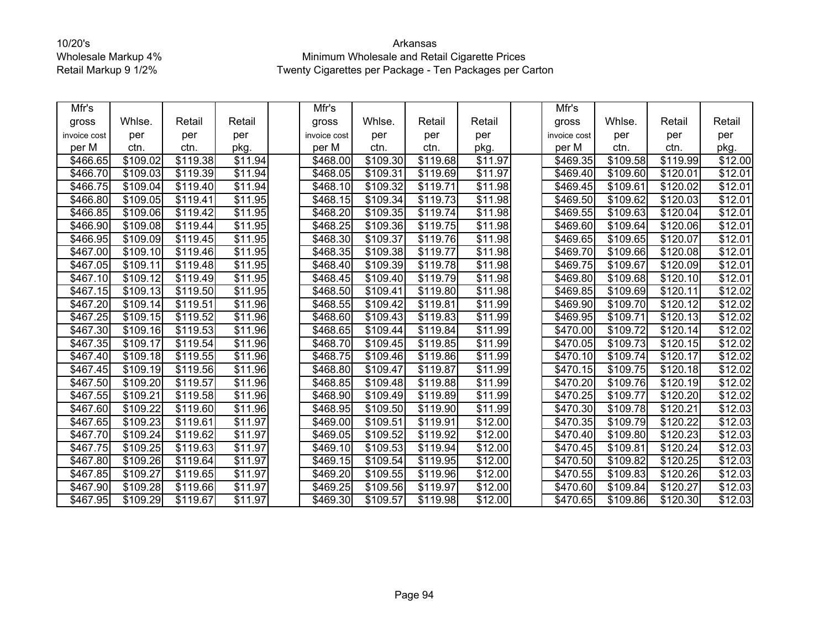| Mfr's        |          |          |                     | Mfr's                |                      |          |                     | Mfr's                |          |          |         |
|--------------|----------|----------|---------------------|----------------------|----------------------|----------|---------------------|----------------------|----------|----------|---------|
| gross        | Whlse.   | Retail   | Retail              | gross                | Whlse.               | Retail   | Retail              | gross                | Whlse.   | Retail   | Retail  |
| invoice cost | per      | per      | per                 | invoice cost         | per                  | per      | per                 | invoice cost         | per      | per      | per     |
| per M        | ctn.     | ctn.     | pkg.                | per M                | ctn.                 | ctn.     | pkg.                | per M                | ctn.     | ctn.     | pkg.    |
| \$466.65     | \$109.02 | \$119.38 | \$11.94             | \$468.00             | \$109.30             | \$119.68 | \$11.97             | \$469.35             | \$109.58 | \$119.99 | \$12.00 |
| \$466.70     | \$109.03 | \$119.39 | \$11.94             | \$468.05             | \$109.31             | \$119.69 | \$11.97             | \$469.40             | \$109.60 | \$120.01 | \$12.01 |
| \$466.75     | \$109.04 | \$119.40 | $\overline{$}11.94$ | \$468.10             | \$109.32             | \$119.71 | $\overline{$}11.98$ | \$469.45             | \$109.61 | \$120.02 | \$12.01 |
| \$466.80     | \$109.05 | \$119.41 | \$11.95             | \$468.15             | \$109.34             | \$119.73 | \$11.98             | \$469.50             | \$109.62 | \$120.03 | \$12.01 |
| \$466.85     | \$109.06 | \$119.42 | \$11.95             | \$468.20             | \$109.35             | \$119.74 | \$11.98             | \$469.55             | \$109.63 | \$120.04 | \$12.01 |
| \$466.90     | \$109.08 | \$119.44 | \$11.95             | \$468.25             | \$109.36             | \$119.75 | \$11.98             | \$469.60             | \$109.64 | \$120.06 | \$12.01 |
| \$466.95     | \$109.09 | \$119.45 | \$11.95             | \$468.30             | \$109.37             | \$119.76 | \$11.98             | \$469.65             | \$109.65 | \$120.07 | \$12.01 |
| \$467.00     | \$109.10 | \$119.46 | \$11.95             | \$468.35             | \$109.38             | \$119.77 | \$11.98             | \$469.70             | \$109.66 | \$120.08 | \$12.01 |
| \$467.05     | \$109.11 | \$119.48 | \$11.95             | \$468.40             | \$109.39             | \$119.78 | \$11.98             | \$469.75             | \$109.67 | \$120.09 | \$12.01 |
| \$467.10     | \$109.12 | \$119.49 | $\overline{$11.95}$ | \$468.45             | \$109.40             | \$119.79 | $\overline{$11.98}$ | \$469.80             | \$109.68 | \$120.10 | \$12.01 |
| \$467.15     | \$109.13 | \$119.50 | \$11.95             | \$468.50             | \$109.41             | \$119.80 | \$11.98             | \$469.85             | \$109.69 | \$120.11 | \$12.02 |
| \$467.20     | \$109.14 | \$119.51 | \$11.96             | $\overline{$468.55}$ | \$109.42             | \$119.81 | \$11.99             | \$469.90             | \$109.70 | \$120.12 | \$12.02 |
| \$467.25     | \$109.15 | \$119.52 | $\overline{$}11.96$ | \$468.60             | \$109.43             | \$119.83 | \$11.99             | \$469.95             | \$109.71 | \$120.13 | \$12.02 |
| \$467.30     | \$109.16 | \$119.53 | $\overline{$}11.96$ | \$468.65             | \$109.44             | \$119.84 | $\overline{$}11.99$ | \$470.00             | \$109.72 | \$120.14 | \$12.02 |
| \$467.35     | \$109.17 | \$119.54 | $\overline{$}11.96$ | \$468.70             | \$109.45             | \$119.85 | \$11.99             | \$470.05             | \$109.73 | \$120.15 | \$12.02 |
| \$467.40     | \$109.18 | \$119.55 | \$11.96             | \$468.75             | \$109.46             | \$119.86 | \$11.99             | \$470.10             | \$109.74 | \$120.17 | \$12.02 |
| \$467.45     | \$109.19 | \$119.56 | $\overline{$}11.96$ | \$468.80             | \$109.47             | \$119.87 | $\overline{$}11.99$ | \$470.15             | \$109.75 | \$120.18 | \$12.02 |
| \$467.50     | \$109.20 | \$119.57 | \$11.96             | \$468.85             | $\overline{$}109.48$ | \$119.88 | \$11.99             | \$470.20             | \$109.76 | \$120.19 | \$12.02 |
| \$467.55     | \$109.21 | \$119.58 | \$11.96             | \$468.90             | \$109.49             | \$119.89 | \$11.99             | \$470.25             | \$109.77 | \$120.20 | \$12.02 |
| \$467.60     | \$109.22 | \$119.60 | $\overline{$}11.96$ | \$468.95             | \$109.50             | \$119.90 | $\overline{$}11.99$ | \$470.30             | \$109.78 | \$120.21 | \$12.03 |
| \$467.65     | \$109.23 | \$119.61 | \$11.97             | \$469.00             | \$109.51             | \$119.91 | \$12.00             | \$470.35             | \$109.79 | \$120.22 | \$12.03 |
| \$467.70     | \$109.24 | \$119.62 | \$11.97             | \$469.05             | \$109.52             | \$119.92 | \$12.00             | \$470.40             | \$109.80 | \$120.23 | \$12.03 |
| \$467.75     | \$109.25 | \$119.63 | \$11.97             | \$469.10             | \$109.53             | \$119.94 | \$12.00             | \$470.45             | \$109.81 | \$120.24 | \$12.03 |
| \$467.80     | \$109.26 | \$119.64 | \$11.97             | \$469.15             | \$109.54             | \$119.95 | \$12.00             | \$470.50             | \$109.82 | \$120.25 | \$12.03 |
| \$467.85     | \$109.27 | \$119.65 | \$11.97             | \$469.20             | \$109.55             | \$119.96 | \$12.00             | \$470.55             | \$109.83 | \$120.26 | \$12.03 |
| \$467.90     | \$109.28 | \$119.66 | \$11.97             | \$469.25             | \$109.56             | \$119.97 | \$12.00             | \$470.60             | \$109.84 | \$120.27 | \$12.03 |
| \$467.95     | \$109.29 | \$119.67 | \$11.97             | \$469.30             | \$109.57             | \$119.98 | \$12.00             | $\overline{$}470.65$ | \$109.86 | \$120.30 | \$12.03 |